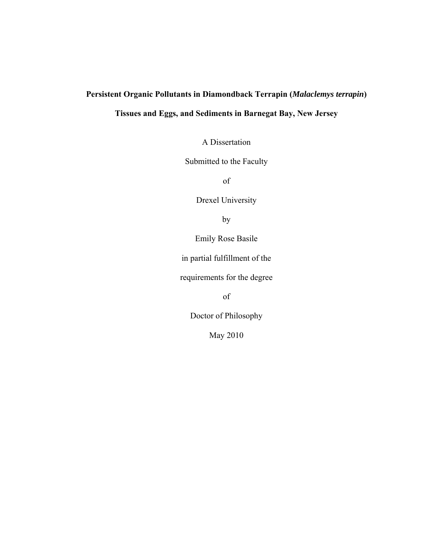# **Persistent Organic Pollutants in Diamondback Terrapin (***Malaclemys terrapin***)**

# **Tissues and Eggs, and Sediments in Barnegat Bay, New Jersey**

A Dissertation

Submitted to the Faculty

of

Drexel University

by

Emily Rose Basile

in partial fulfillment of the

requirements for the degree

of

Doctor of Philosophy

May 2010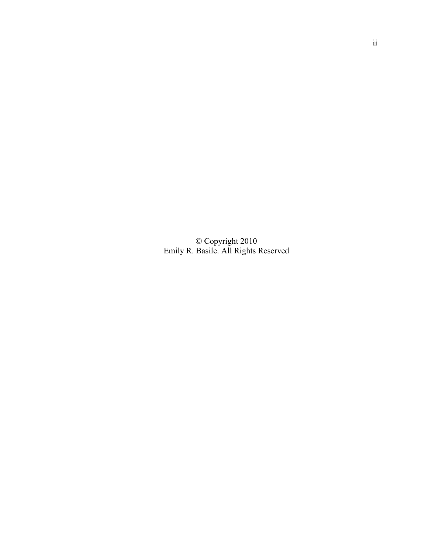© Copyright 2010 Emily R. Basile. All Rights Reserved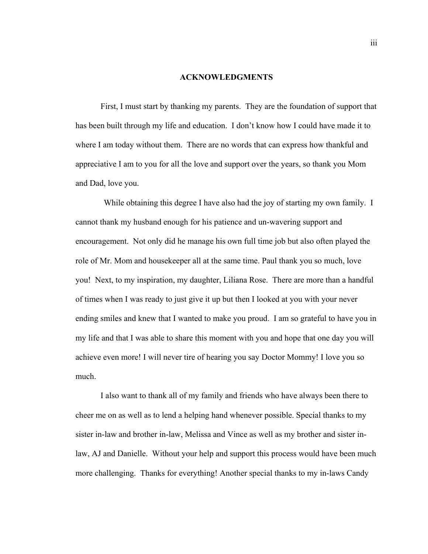#### **ACKNOWLEDGMENTS**

 First, I must start by thanking my parents. They are the foundation of support that has been built through my life and education. I don't know how I could have made it to where I am today without them. There are no words that can express how thankful and appreciative I am to you for all the love and support over the years, so thank you Mom and Dad, love you.

While obtaining this degree I have also had the joy of starting my own family. I cannot thank my husband enough for his patience and un-wavering support and encouragement. Not only did he manage his own full time job but also often played the role of Mr. Mom and housekeeper all at the same time. Paul thank you so much, love you! Next, to my inspiration, my daughter, Liliana Rose. There are more than a handful of times when I was ready to just give it up but then I looked at you with your never ending smiles and knew that I wanted to make you proud. I am so grateful to have you in my life and that I was able to share this moment with you and hope that one day you will achieve even more! I will never tire of hearing you say Doctor Mommy! I love you so much.

 I also want to thank all of my family and friends who have always been there to cheer me on as well as to lend a helping hand whenever possible. Special thanks to my sister in-law and brother in-law, Melissa and Vince as well as my brother and sister inlaw, AJ and Danielle. Without your help and support this process would have been much more challenging. Thanks for everything! Another special thanks to my in-laws Candy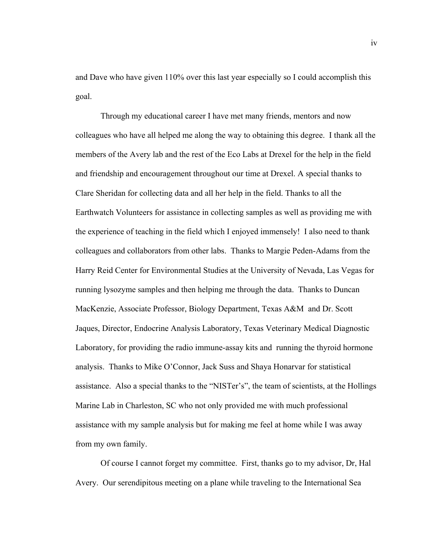and Dave who have given 110% over this last year especially so I could accomplish this goal.

 Through my educational career I have met many friends, mentors and now colleagues who have all helped me along the way to obtaining this degree. I thank all the members of the Avery lab and the rest of the Eco Labs at Drexel for the help in the field and friendship and encouragement throughout our time at Drexel. A special thanks to Clare Sheridan for collecting data and all her help in the field. Thanks to all the Earthwatch Volunteers for assistance in collecting samples as well as providing me with the experience of teaching in the field which I enjoyed immensely! I also need to thank colleagues and collaborators from other labs. Thanks to Margie Peden-Adams from the Harry Reid Center for Environmental Studies at the University of Nevada, Las Vegas for running lysozyme samples and then helping me through the data. Thanks to Duncan MacKenzie, Associate Professor, Biology Department, Texas A&M and Dr. Scott Jaques, Director, Endocrine Analysis Laboratory, Texas Veterinary Medical Diagnostic Laboratory, for providing the radio immune-assay kits and running the thyroid hormone analysis. Thanks to Mike O'Connor, Jack Suss and Shaya Honarvar for statistical assistance. Also a special thanks to the "NISTer's", the team of scientists, at the Hollings Marine Lab in Charleston, SC who not only provided me with much professional assistance with my sample analysis but for making me feel at home while I was away from my own family.

 Of course I cannot forget my committee. First, thanks go to my advisor, Dr, Hal Avery. Our serendipitous meeting on a plane while traveling to the International Sea

iv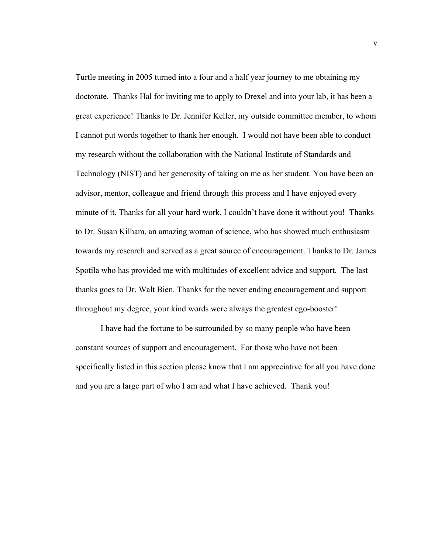Turtle meeting in 2005 turned into a four and a half year journey to me obtaining my doctorate. Thanks Hal for inviting me to apply to Drexel and into your lab, it has been a great experience! Thanks to Dr. Jennifer Keller, my outside committee member, to whom I cannot put words together to thank her enough. I would not have been able to conduct my research without the collaboration with the National Institute of Standards and Technology (NIST) and her generosity of taking on me as her student. You have been an advisor, mentor, colleague and friend through this process and I have enjoyed every minute of it. Thanks for all your hard work, I couldn't have done it without you! Thanks to Dr. Susan Kilham, an amazing woman of science, who has showed much enthusiasm towards my research and served as a great source of encouragement. Thanks to Dr. James Spotila who has provided me with multitudes of excellent advice and support. The last thanks goes to Dr. Walt Bien. Thanks for the never ending encouragement and support throughout my degree, your kind words were always the greatest ego-booster!

 I have had the fortune to be surrounded by so many people who have been constant sources of support and encouragement. For those who have not been specifically listed in this section please know that I am appreciative for all you have done and you are a large part of who I am and what I have achieved. Thank you!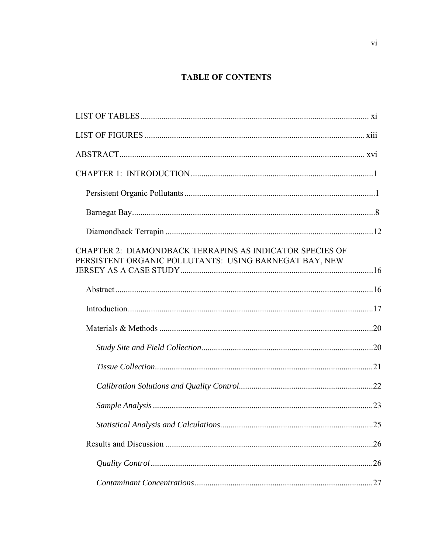# **TABLE OF CONTENTS**

| CHAPTER 2: DIAMONDBACK TERRAPINS AS INDICATOR SPECIES OF<br>PERSISTENT ORGANIC POLLUTANTS: USING BARNEGAT BAY, NEW |     |
|--------------------------------------------------------------------------------------------------------------------|-----|
|                                                                                                                    |     |
|                                                                                                                    |     |
|                                                                                                                    |     |
|                                                                                                                    |     |
|                                                                                                                    |     |
|                                                                                                                    |     |
|                                                                                                                    |     |
|                                                                                                                    | .25 |
|                                                                                                                    |     |
|                                                                                                                    |     |
|                                                                                                                    |     |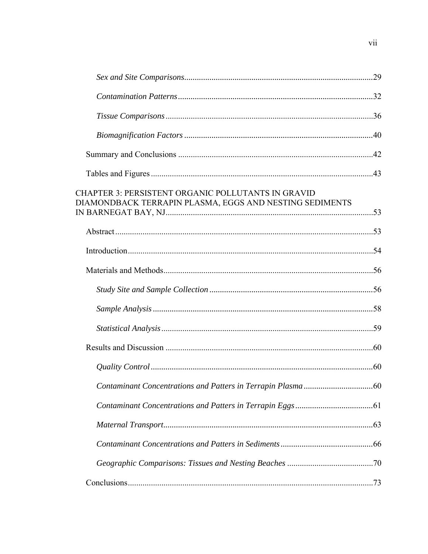| <b>CHAPTER 3: PERSISTENT ORGANIC POLLUTANTS IN GRAVID</b><br>DIAMONDBACK TERRAPIN PLASMA, EGGS AND NESTING SEDIMENTS |  |
|----------------------------------------------------------------------------------------------------------------------|--|
|                                                                                                                      |  |
|                                                                                                                      |  |
|                                                                                                                      |  |
|                                                                                                                      |  |
|                                                                                                                      |  |
|                                                                                                                      |  |
|                                                                                                                      |  |
|                                                                                                                      |  |
|                                                                                                                      |  |
|                                                                                                                      |  |
|                                                                                                                      |  |
|                                                                                                                      |  |
|                                                                                                                      |  |
|                                                                                                                      |  |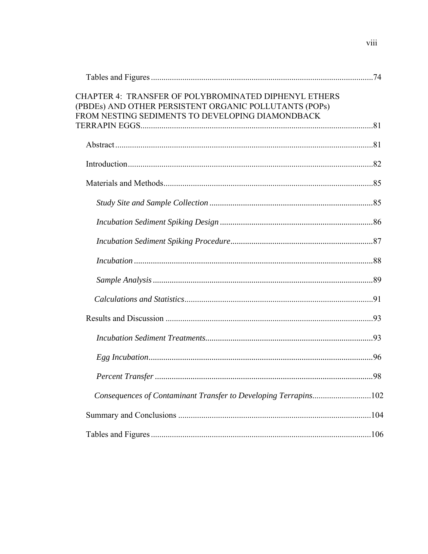| <b>CHAPTER 4: TRANSFER OF POLYBROMINATED DIPHENYL ETHERS</b><br>(PBDEs) AND OTHER PERSISTENT ORGANIC POLLUTANTS (POPs)<br>FROM NESTING SEDIMENTS TO DEVELOPING DIAMONDBACK |  |
|----------------------------------------------------------------------------------------------------------------------------------------------------------------------------|--|
|                                                                                                                                                                            |  |
|                                                                                                                                                                            |  |
|                                                                                                                                                                            |  |
|                                                                                                                                                                            |  |
|                                                                                                                                                                            |  |
|                                                                                                                                                                            |  |
|                                                                                                                                                                            |  |
|                                                                                                                                                                            |  |
|                                                                                                                                                                            |  |
|                                                                                                                                                                            |  |
|                                                                                                                                                                            |  |
|                                                                                                                                                                            |  |
|                                                                                                                                                                            |  |
|                                                                                                                                                                            |  |
| Consequences of Contaminant Transfer to Developing Terrapins102                                                                                                            |  |
|                                                                                                                                                                            |  |
|                                                                                                                                                                            |  |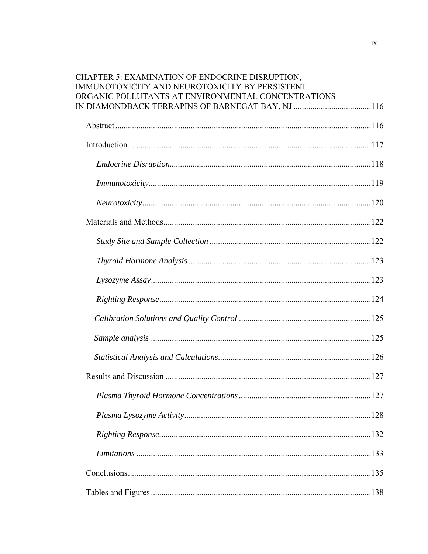| <b>CHAPTER 5: EXAMINATION OF ENDOCRINE DISRUPTION.</b><br>IMMUNOTOXICITY AND NEUROTOXICITY BY PERSISTENT<br>ORGANIC POLLUTANTS AT ENVIRONMENTAL CONCENTRATIONS |  |
|----------------------------------------------------------------------------------------------------------------------------------------------------------------|--|
|                                                                                                                                                                |  |
|                                                                                                                                                                |  |
|                                                                                                                                                                |  |
|                                                                                                                                                                |  |
|                                                                                                                                                                |  |
|                                                                                                                                                                |  |
|                                                                                                                                                                |  |
|                                                                                                                                                                |  |
|                                                                                                                                                                |  |
|                                                                                                                                                                |  |
|                                                                                                                                                                |  |
|                                                                                                                                                                |  |
|                                                                                                                                                                |  |
|                                                                                                                                                                |  |
|                                                                                                                                                                |  |
|                                                                                                                                                                |  |
|                                                                                                                                                                |  |
|                                                                                                                                                                |  |
|                                                                                                                                                                |  |
|                                                                                                                                                                |  |
|                                                                                                                                                                |  |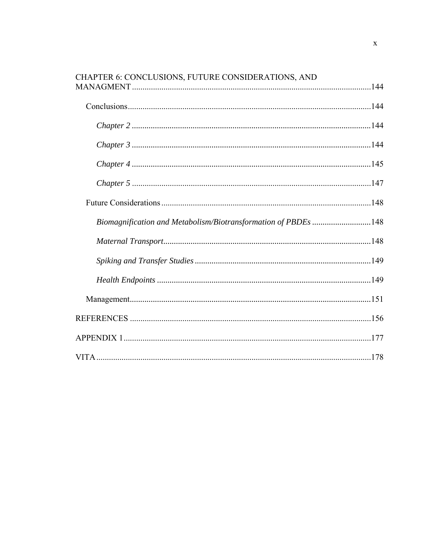| CHAPTER 6: CONCLUSIONS, FUTURE CONSIDERATIONS, AND             |  |
|----------------------------------------------------------------|--|
|                                                                |  |
|                                                                |  |
|                                                                |  |
|                                                                |  |
|                                                                |  |
|                                                                |  |
| Biomagnification and Metabolism/Biotransformation of PBDEs 148 |  |
|                                                                |  |
|                                                                |  |
|                                                                |  |
|                                                                |  |
|                                                                |  |
|                                                                |  |
|                                                                |  |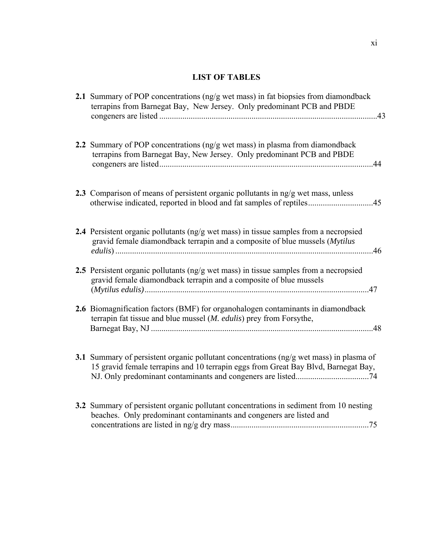# **LIST OF TABLES**

| 2.1 Summary of POP concentrations (ng/g wet mass) in fat biopsies from diamondback<br>terrapins from Barnegat Bay, New Jersey. Only predominant PCB and PBDE<br>.43           |
|-------------------------------------------------------------------------------------------------------------------------------------------------------------------------------|
| 2.2 Summary of POP concentrations (ng/g wet mass) in plasma from diamondback<br>terrapins from Barnegat Bay, New Jersey. Only predominant PCB and PBDE                        |
| 2.3 Comparison of means of persistent organic pollutants in ng/g wet mass, unless<br>otherwise indicated, reported in blood and fat samples of reptiles45                     |
| 2.4 Persistent organic pollutants (ng/g wet mass) in tissue samples from a necropsied<br>gravid female diamondback terrapin and a composite of blue mussels (Mytilus<br>.46   |
| 2.5 Persistent organic pollutants (ng/g wet mass) in tissue samples from a necropsied<br>gravid female diamondback terrapin and a composite of blue mussels<br>.47            |
| 2.6 Biomagnification factors (BMF) for organohalogen contaminants in diamondback<br>terrapin fat tissue and blue mussel ( <i>M. edulis</i> ) prey from Forsythe,              |
| 3.1 Summary of persistent organic pollutant concentrations (ng/g wet mass) in plasma of<br>15 gravid female terrapins and 10 terrapin eggs from Great Bay Blvd, Barnegat Bay, |
| 3.2 Summary of persistent organic pollutant concentrations in sediment from 10 nesting<br>beaches. Only predominant contaminants and congeners are listed and                 |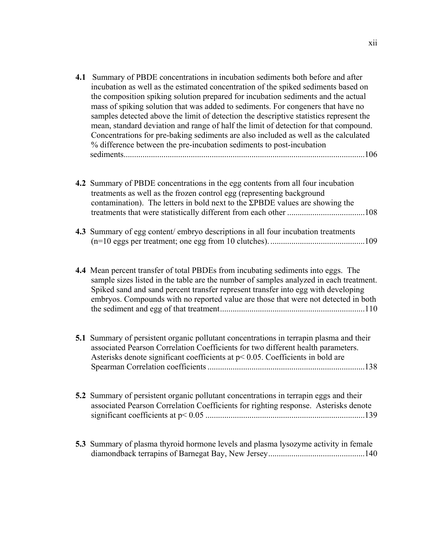| 4.1 | Summary of PBDE concentrations in incubation sediments both before and after<br>incubation as well as the estimated concentration of the spiked sediments based on<br>the composition spiking solution prepared for incubation sediments and the actual<br>mass of spiking solution that was added to sediments. For congeners that have no<br>samples detected above the limit of detection the descriptive statistics represent the<br>mean, standard deviation and range of half the limit of detection for that compound.<br>Concentrations for pre-baking sediments are also included as well as the calculated<br>% difference between the pre-incubation sediments to post-incubation |
|-----|----------------------------------------------------------------------------------------------------------------------------------------------------------------------------------------------------------------------------------------------------------------------------------------------------------------------------------------------------------------------------------------------------------------------------------------------------------------------------------------------------------------------------------------------------------------------------------------------------------------------------------------------------------------------------------------------|
|     | 4.2 Summary of PBDE concentrations in the egg contents from all four incubation<br>treatments as well as the frozen control egg (representing background<br>contamination). The letters in bold next to the $\Sigma$ PBDE values are showing the                                                                                                                                                                                                                                                                                                                                                                                                                                             |
|     | 4.3 Summary of egg content/embryo descriptions in all four incubation treatments                                                                                                                                                                                                                                                                                                                                                                                                                                                                                                                                                                                                             |
|     | 4.4 Mean percent transfer of total PBDEs from incubating sediments into eggs. The<br>sample sizes listed in the table are the number of samples analyzed in each treatment.<br>Spiked sand and sand percent transfer represent transfer into egg with developing<br>embryos. Compounds with no reported value are those that were not detected in both                                                                                                                                                                                                                                                                                                                                       |
|     | 5.1 Summary of persistent organic pollutant concentrations in terrapin plasma and their<br>associated Pearson Correlation Coefficients for two different health parameters.<br>Asterisks denote significant coefficients at $p < 0.05$ . Coefficients in bold are                                                                                                                                                                                                                                                                                                                                                                                                                            |
|     | 5.2 Summary of persistent organic pollutant concentrations in terrapin eggs and their<br>associated Pearson Correlation Coefficients for righting response. Asterisks denote                                                                                                                                                                                                                                                                                                                                                                                                                                                                                                                 |
|     | 5.3 Summary of plasma thyroid hormone levels and plasma lysozyme activity in female                                                                                                                                                                                                                                                                                                                                                                                                                                                                                                                                                                                                          |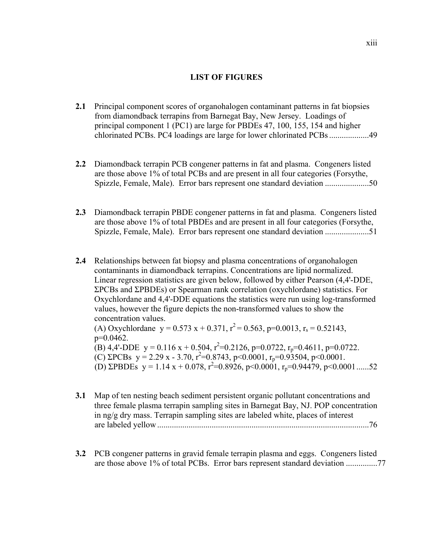# **LIST OF FIGURES**

- **2.1** Principal component scores of organohalogen contaminant patterns in fat biopsies from diamondback terrapins from Barnegat Bay, New Jersey. Loadings of principal component 1 (PC1) are large for PBDEs 47, 100, 155, 154 and higher chlorinated PCBs. PC4 loadings are large for lower chlorinated PCBs ...................49
- **2.2** Diamondback terrapin PCB congener patterns in fat and plasma. Congeners listed are those above 1% of total PCBs and are present in all four categories (Forsythe, Spizzle, Female, Male). Error bars represent one standard deviation .....................50
- **2.3** Diamondback terrapin PBDE congener patterns in fat and plasma. Congeners listed are those above 1% of total PBDEs and are present in all four categories (Forsythe, Spizzle, Female, Male). Error bars represent one standard deviation .....................51
- **2.4** Relationships between fat biopsy and plasma concentrations of organohalogen contaminants in diamondback terrapins. Concentrations are lipid normalized. Linear regression statistics are given below, followed by either Pearson (4,4'-DDE, ΣPCBs and ΣPBDEs) or Spearman rank correlation (oxychlordane) statistics. For Oxychlordane and 4,4'-DDE equations the statistics were run using log-transformed values, however the figure depicts the non-transformed values to show the concentration values.

(A) Oxychlordane  $y = 0.573 x + 0.371$ ,  $r^2 = 0.563$ , p=0.0013, r<sub>s</sub> = 0.52143, p=0.0462.

(B) 4,4'-DDE  $y = 0.116 x + 0.504$ ,  $r^2 = 0.2126$ ,  $p = 0.0722$ ,  $r_p = 0.4611$ ,  $p = 0.0722$ . (C)  $\Sigma PCBs$  y = 2.29 x - 3.70, r<sup>2</sup>=0.8743, p<0.0001, r<sub>p</sub>=0.93504, p<0.0001. (D)  $\Sigma$ PBDEs y = 1.14 x + 0.078, r<sup>2</sup>=0.8926, p<0.0001, r<sub>p</sub>=0.94479, p<0.0001.......52

- **3.1** Map of ten nesting beach sediment persistent organic pollutant concentrations and three female plasma terrapin sampling sites in Barnegat Bay, NJ. POP concentration in ng/g dry mass. Terrapin sampling sites are labeled white, places of interest are labeled yellow .....................................................................................................76
- **3.2** PCB congener patterns in gravid female terrapin plasma and eggs. Congeners listed are those above 1% of total PCBs. Error bars represent standard deviation ...............77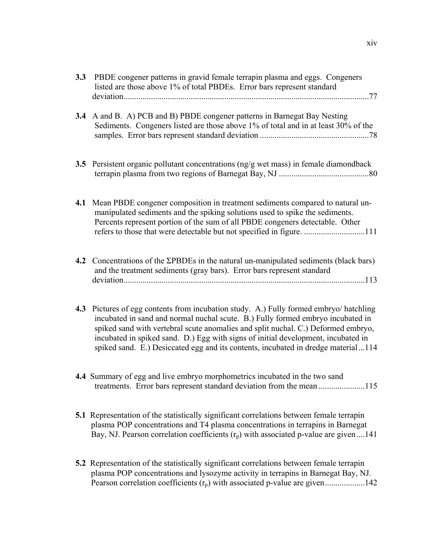| 3.3 | PBDE congener patterns in gravid female terrapin plasma and eggs. Congeners<br>listed are those above 1% of total PBDEs. Error bars represent standard                                                                                                                                                                                                                                                                               |
|-----|--------------------------------------------------------------------------------------------------------------------------------------------------------------------------------------------------------------------------------------------------------------------------------------------------------------------------------------------------------------------------------------------------------------------------------------|
| 3.4 | A and B. A) PCB and B) PBDE congener patterns in Barnegat Bay Nesting<br>Sediments. Congeners listed are those above 1% of total and in at least 30% of the                                                                                                                                                                                                                                                                          |
|     | 3.5 Persistent organic pollutant concentrations (ng/g wet mass) in female diamondback                                                                                                                                                                                                                                                                                                                                                |
| 4.1 | Mean PBDE congener composition in treatment sediments compared to natural un-<br>manipulated sediments and the spiking solutions used to spike the sediments.<br>Percents represent portion of the sum of all PBDE congeners detectable. Other                                                                                                                                                                                       |
| 4.2 | Concentrations of the $\Sigma$ PBDEs in the natural un-manipulated sediments (black bars)<br>and the treatment sediments (gray bars). Error bars represent standard                                                                                                                                                                                                                                                                  |
| 4.3 | Pictures of egg contents from incubation study. A.) Fully formed embryo/ hatchling<br>incubated in sand and normal nuchal scute. B.) Fully formed embryo incubated in<br>spiked sand with vertebral scute anomalies and split nuchal. C.) Deformed embryo,<br>incubated in spiked sand. D.) Egg with signs of initial development, incubated in<br>spiked sand. E.) Desiccated egg and its contents, incubated in dredge material114 |
|     | 4.4 Summary of egg and live embryo morphometrics incubated in the two sand<br>treatments. Error bars represent standard deviation from the mean 115                                                                                                                                                                                                                                                                                  |
|     | <b>5.1</b> Representation of the statistically significant correlations between female terrapin<br>plasma POP concentrations and T4 plasma concentrations in terrapins in Barnegat<br>Bay, NJ. Pearson correlation coefficients $(r_p)$ with associated p-value are given141                                                                                                                                                         |
|     | 5.2 Representation of the statistically significant correlations between female terrapin<br>plasma POP concentrations and lysozyme activity in terrapins in Barnegat Bay, NJ.<br>Pearson correlation coefficients $(r_p)$ with associated p-value are given142                                                                                                                                                                       |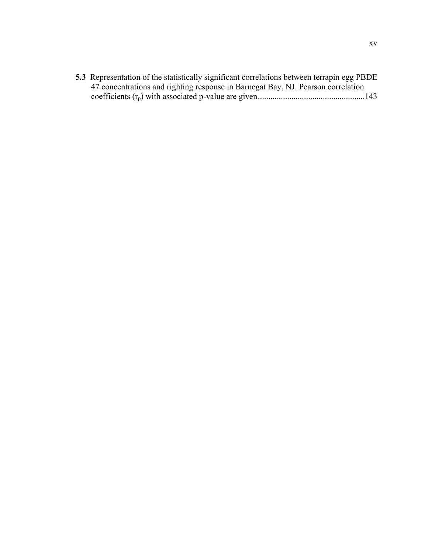| <b>5.3</b> Representation of the statistically significant correlations between terrapin egg PBDE |  |
|---------------------------------------------------------------------------------------------------|--|
| 47 concentrations and righting response in Barnegat Bay, NJ. Pearson correlation                  |  |
|                                                                                                   |  |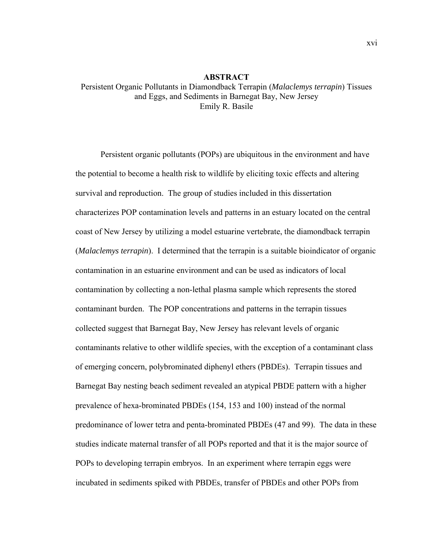# **ABSTRACT** Persistent Organic Pollutants in Diamondback Terrapin (*Malaclemys terrapin*) Tissues and Eggs, and Sediments in Barnegat Bay, New Jersey Emily R. Basile

Persistent organic pollutants (POPs) are ubiquitous in the environment and have the potential to become a health risk to wildlife by eliciting toxic effects and altering survival and reproduction. The group of studies included in this dissertation characterizes POP contamination levels and patterns in an estuary located on the central coast of New Jersey by utilizing a model estuarine vertebrate, the diamondback terrapin (*Malaclemys terrapin*). I determined that the terrapin is a suitable bioindicator of organic contamination in an estuarine environment and can be used as indicators of local contamination by collecting a non-lethal plasma sample which represents the stored contaminant burden. The POP concentrations and patterns in the terrapin tissues collected suggest that Barnegat Bay, New Jersey has relevant levels of organic contaminants relative to other wildlife species, with the exception of a contaminant class of emerging concern, polybrominated diphenyl ethers (PBDEs). Terrapin tissues and Barnegat Bay nesting beach sediment revealed an atypical PBDE pattern with a higher prevalence of hexa-brominated PBDEs (154, 153 and 100) instead of the normal predominance of lower tetra and penta-brominated PBDEs (47 and 99). The data in these studies indicate maternal transfer of all POPs reported and that it is the major source of POPs to developing terrapin embryos. In an experiment where terrapin eggs were incubated in sediments spiked with PBDEs, transfer of PBDEs and other POPs from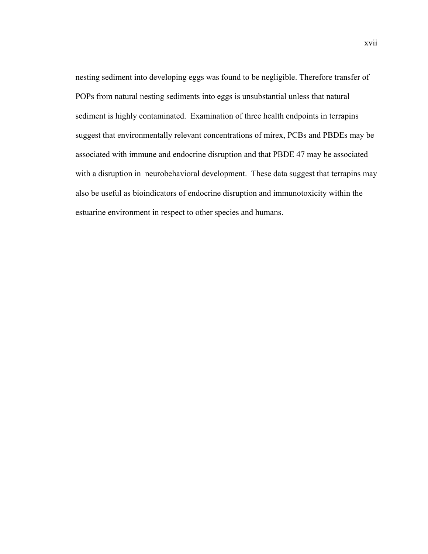nesting sediment into developing eggs was found to be negligible. Therefore transfer of POPs from natural nesting sediments into eggs is unsubstantial unless that natural sediment is highly contaminated. Examination of three health endpoints in terrapins suggest that environmentally relevant concentrations of mirex, PCBs and PBDEs may be associated with immune and endocrine disruption and that PBDE 47 may be associated with a disruption in neurobehavioral development. These data suggest that terrapins may also be useful as bioindicators of endocrine disruption and immunotoxicity within the estuarine environment in respect to other species and humans.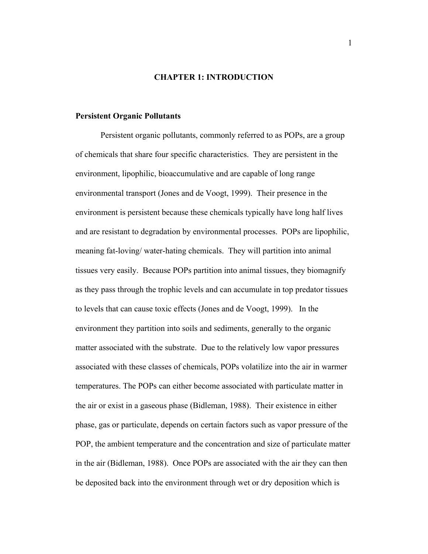### **CHAPTER 1: INTRODUCTION**

#### **Persistent Organic Pollutants**

 Persistent organic pollutants, commonly referred to as POPs, are a group of chemicals that share four specific characteristics. They are persistent in the environment, lipophilic, bioaccumulative and are capable of long range environmental transport (Jones and de Voogt, 1999). Their presence in the environment is persistent because these chemicals typically have long half lives and are resistant to degradation by environmental processes. POPs are lipophilic, meaning fat-loving/ water-hating chemicals. They will partition into animal tissues very easily. Because POPs partition into animal tissues, they biomagnify as they pass through the trophic levels and can accumulate in top predator tissues to levels that can cause toxic effects (Jones and de Voogt, 1999). In the environment they partition into soils and sediments, generally to the organic matter associated with the substrate. Due to the relatively low vapor pressures associated with these classes of chemicals, POPs volatilize into the air in warmer temperatures. The POPs can either become associated with particulate matter in the air or exist in a gaseous phase (Bidleman, 1988). Their existence in either phase, gas or particulate, depends on certain factors such as vapor pressure of the POP, the ambient temperature and the concentration and size of particulate matter in the air (Bidleman, 1988). Once POPs are associated with the air they can then be deposited back into the environment through wet or dry deposition which is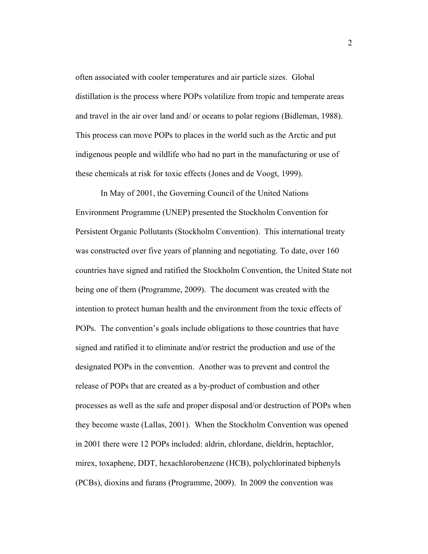often associated with cooler temperatures and air particle sizes. Global distillation is the process where POPs volatilize from tropic and temperate areas and travel in the air over land and/ or oceans to polar regions (Bidleman, 1988). This process can move POPs to places in the world such as the Arctic and put indigenous people and wildlife who had no part in the manufacturing or use of these chemicals at risk for toxic effects (Jones and de Voogt, 1999).

 In May of 2001, the Governing Council of the United Nations Environment Programme (UNEP) presented the Stockholm Convention for Persistent Organic Pollutants (Stockholm Convention). This international treaty was constructed over five years of planning and negotiating. To date, over 160 countries have signed and ratified the Stockholm Convention, the United State not being one of them (Programme, 2009). The document was created with the intention to protect human health and the environment from the toxic effects of POPs. The convention's goals include obligations to those countries that have signed and ratified it to eliminate and/or restrict the production and use of the designated POPs in the convention. Another was to prevent and control the release of POPs that are created as a by-product of combustion and other processes as well as the safe and proper disposal and/or destruction of POPs when they become waste (Lallas, 2001). When the Stockholm Convention was opened in 2001 there were 12 POPs included: aldrin, chlordane, dieldrin, heptachlor, mirex, toxaphene, DDT, hexachlorobenzene (HCB), polychlorinated biphenyls (PCBs), dioxins and furans (Programme, 2009). In 2009 the convention was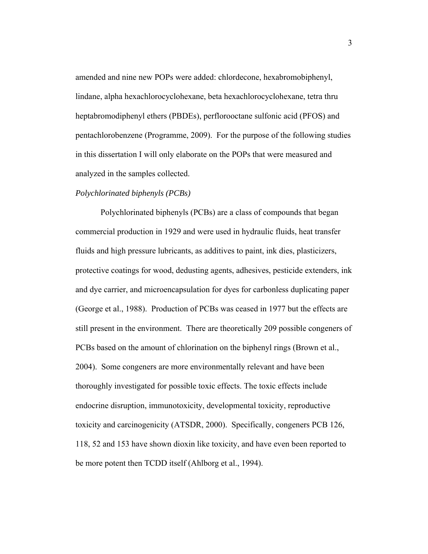amended and nine new POPs were added: chlordecone, hexabromobiphenyl, lindane, alpha hexachlorocyclohexane, beta hexachlorocyclohexane, tetra thru heptabromodiphenyl ethers (PBDEs), perflorooctane sulfonic acid (PFOS) and pentachlorobenzene (Programme, 2009). For the purpose of the following studies in this dissertation I will only elaborate on the POPs that were measured and analyzed in the samples collected.

## *Polychlorinated biphenyls (PCBs)*

 Polychlorinated biphenyls (PCBs) are a class of compounds that began commercial production in 1929 and were used in hydraulic fluids, heat transfer fluids and high pressure lubricants, as additives to paint, ink dies, plasticizers, protective coatings for wood, dedusting agents, adhesives, pesticide extenders, ink and dye carrier, and microencapsulation for dyes for carbonless duplicating paper (George et al., 1988). Production of PCBs was ceased in 1977 but the effects are still present in the environment. There are theoretically 209 possible congeners of PCBs based on the amount of chlorination on the biphenyl rings (Brown et al., 2004). Some congeners are more environmentally relevant and have been thoroughly investigated for possible toxic effects. The toxic effects include endocrine disruption, immunotoxicity, developmental toxicity, reproductive toxicity and carcinogenicity (ATSDR, 2000). Specifically, congeners PCB 126, 118, 52 and 153 have shown dioxin like toxicity, and have even been reported to be more potent then TCDD itself (Ahlborg et al., 1994).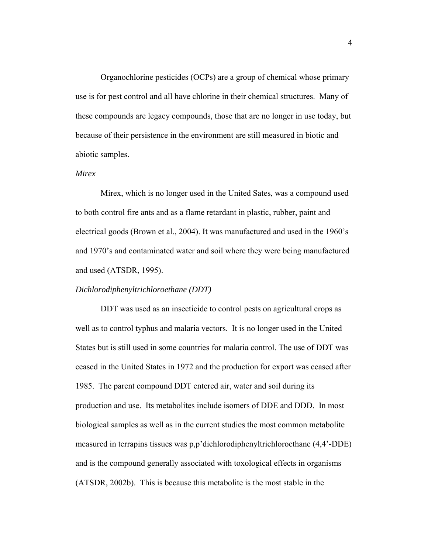Organochlorine pesticides (OCPs) are a group of chemical whose primary use is for pest control and all have chlorine in their chemical structures. Many of these compounds are legacy compounds, those that are no longer in use today, but because of their persistence in the environment are still measured in biotic and abiotic samples.

### *Mirex*

 Mirex, which is no longer used in the United Sates, was a compound used to both control fire ants and as a flame retardant in plastic, rubber, paint and electrical goods (Brown et al., 2004). It was manufactured and used in the 1960's and 1970's and contaminated water and soil where they were being manufactured and used (ATSDR, 1995).

# *Dichlorodiphenyltrichloroethane (DDT)*

 DDT was used as an insecticide to control pests on agricultural crops as well as to control typhus and malaria vectors. It is no longer used in the United States but is still used in some countries for malaria control. The use of DDT was ceased in the United States in 1972 and the production for export was ceased after 1985. The parent compound DDT entered air, water and soil during its production and use. Its metabolites include isomers of DDE and DDD. In most biological samples as well as in the current studies the most common metabolite measured in terrapins tissues was p,p'dichlorodiphenyltrichloroethane (4,4'-DDE) and is the compound generally associated with toxological effects in organisms (ATSDR, 2002b). This is because this metabolite is the most stable in the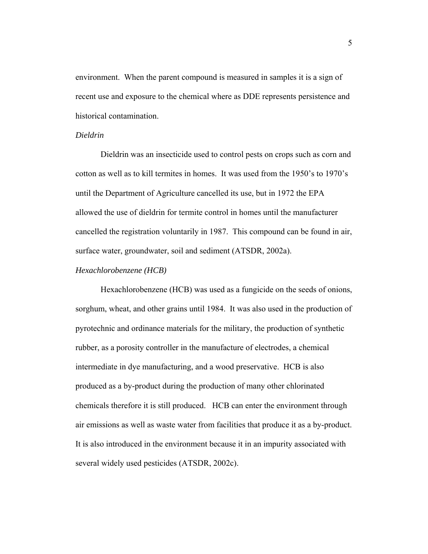environment. When the parent compound is measured in samples it is a sign of recent use and exposure to the chemical where as DDE represents persistence and historical contamination.

#### *Dieldrin*

 Dieldrin was an insecticide used to control pests on crops such as corn and cotton as well as to kill termites in homes. It was used from the 1950's to 1970's until the Department of Agriculture cancelled its use, but in 1972 the EPA allowed the use of dieldrin for termite control in homes until the manufacturer cancelled the registration voluntarily in 1987. This compound can be found in air, surface water, groundwater, soil and sediment (ATSDR, 2002a).

### *Hexachlorobenzene (HCB)*

 Hexachlorobenzene (HCB) was used as a fungicide on the seeds of onions, sorghum, wheat, and other grains until 1984. It was also used in the production of pyrotechnic and ordinance materials for the military, the production of synthetic rubber, as a porosity controller in the manufacture of electrodes, a chemical intermediate in dye manufacturing, and a wood preservative. HCB is also produced as a by-product during the production of many other chlorinated chemicals therefore it is still produced. HCB can enter the environment through air emissions as well as waste water from facilities that produce it as a by-product. It is also introduced in the environment because it in an impurity associated with several widely used pesticides (ATSDR, 2002c).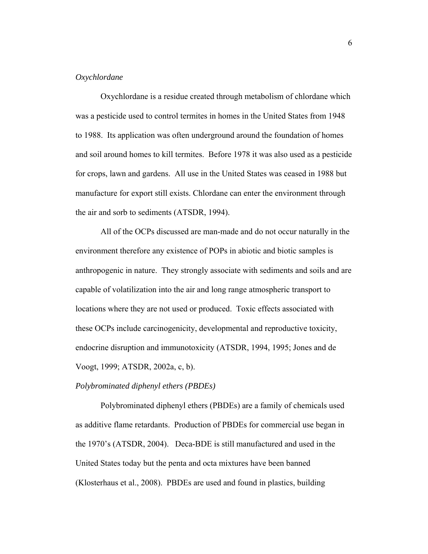# *Oxychlordane*

Oxychlordane is a residue created through metabolism of chlordane which was a pesticide used to control termites in homes in the United States from 1948 to 1988. Its application was often underground around the foundation of homes and soil around homes to kill termites. Before 1978 it was also used as a pesticide for crops, lawn and gardens. All use in the United States was ceased in 1988 but manufacture for export still exists. Chlordane can enter the environment through the air and sorb to sediments (ATSDR, 1994).

 All of the OCPs discussed are man-made and do not occur naturally in the environment therefore any existence of POPs in abiotic and biotic samples is anthropogenic in nature. They strongly associate with sediments and soils and are capable of volatilization into the air and long range atmospheric transport to locations where they are not used or produced. Toxic effects associated with these OCPs include carcinogenicity, developmental and reproductive toxicity, endocrine disruption and immunotoxicity (ATSDR, 1994, 1995; Jones and de Voogt, 1999; ATSDR, 2002a, c, b).

## *Polybrominated diphenyl ethers (PBDEs)*

 Polybrominated diphenyl ethers (PBDEs) are a family of chemicals used as additive flame retardants. Production of PBDEs for commercial use began in the 1970's (ATSDR, 2004). Deca-BDE is still manufactured and used in the United States today but the penta and octa mixtures have been banned (Klosterhaus et al., 2008). PBDEs are used and found in plastics, building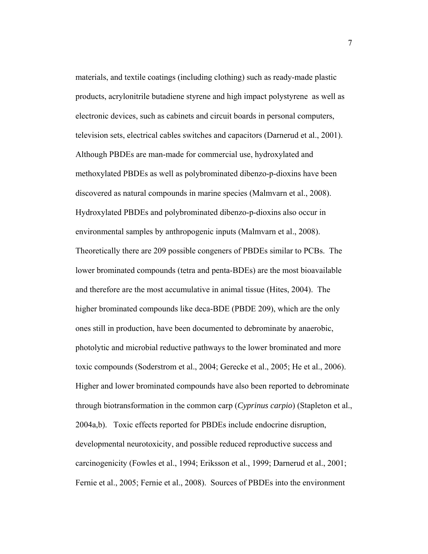materials, and textile coatings (including clothing) such as ready-made plastic products, acrylonitrile butadiene styrene and high impact polystyrene as well as electronic devices, such as cabinets and circuit boards in personal computers, television sets, electrical cables switches and capacitors (Darnerud et al., 2001). Although PBDEs are man-made for commercial use, hydroxylated and methoxylated PBDEs as well as polybrominated dibenzo-p-dioxins have been discovered as natural compounds in marine species (Malmvarn et al., 2008). Hydroxylated PBDEs and polybrominated dibenzo-p-dioxins also occur in environmental samples by anthropogenic inputs (Malmvarn et al., 2008). Theoretically there are 209 possible congeners of PBDEs similar to PCBs. The lower brominated compounds (tetra and penta-BDEs) are the most bioavailable and therefore are the most accumulative in animal tissue (Hites, 2004). The higher brominated compounds like deca-BDE (PBDE 209), which are the only ones still in production, have been documented to debrominate by anaerobic, photolytic and microbial reductive pathways to the lower brominated and more toxic compounds (Soderstrom et al., 2004; Gerecke et al., 2005; He et al., 2006). Higher and lower brominated compounds have also been reported to debrominate through biotransformation in the common carp (*Cyprinus carpio*) (Stapleton et al., 2004a,b). Toxic effects reported for PBDEs include endocrine disruption, developmental neurotoxicity, and possible reduced reproductive success and carcinogenicity (Fowles et al., 1994; Eriksson et al., 1999; Darnerud et al., 2001; Fernie et al., 2005; Fernie et al., 2008). Sources of PBDEs into the environment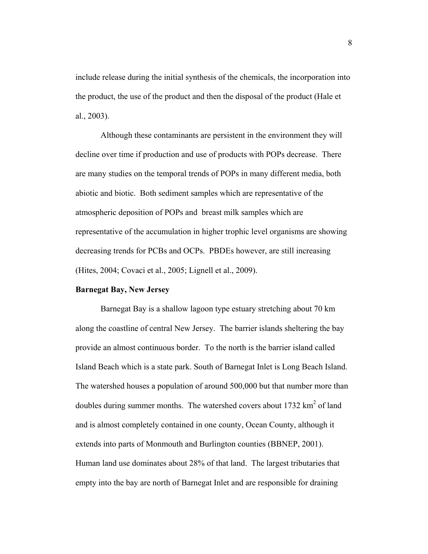include release during the initial synthesis of the chemicals, the incorporation into the product, the use of the product and then the disposal of the product (Hale et al., 2003).

 Although these contaminants are persistent in the environment they will decline over time if production and use of products with POPs decrease. There are many studies on the temporal trends of POPs in many different media, both abiotic and biotic. Both sediment samples which are representative of the atmospheric deposition of POPs and breast milk samples which are representative of the accumulation in higher trophic level organisms are showing decreasing trends for PCBs and OCPs. PBDEs however, are still increasing (Hites, 2004; Covaci et al., 2005; Lignell et al., 2009).

#### **Barnegat Bay, New Jersey**

 Barnegat Bay is a shallow lagoon type estuary stretching about 70 km along the coastline of central New Jersey. The barrier islands sheltering the bay provide an almost continuous border. To the north is the barrier island called Island Beach which is a state park. South of Barnegat Inlet is Long Beach Island. The watershed houses a population of around 500,000 but that number more than doubles during summer months. The watershed covers about 1732  $\text{km}^2$  of land and is almost completely contained in one county, Ocean County, although it extends into parts of Monmouth and Burlington counties (BBNEP, 2001). Human land use dominates about 28% of that land. The largest tributaries that empty into the bay are north of Barnegat Inlet and are responsible for draining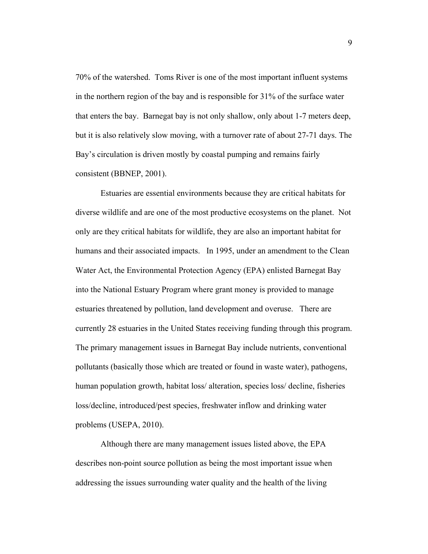70% of the watershed. Toms River is one of the most important influent systems in the northern region of the bay and is responsible for 31% of the surface water that enters the bay. Barnegat bay is not only shallow, only about 1-7 meters deep, but it is also relatively slow moving, with a turnover rate of about 27-71 days. The Bay's circulation is driven mostly by coastal pumping and remains fairly consistent (BBNEP, 2001).

 Estuaries are essential environments because they are critical habitats for diverse wildlife and are one of the most productive ecosystems on the planet. Not only are they critical habitats for wildlife, they are also an important habitat for humans and their associated impacts. In 1995, under an amendment to the Clean Water Act, the Environmental Protection Agency (EPA) enlisted Barnegat Bay into the National Estuary Program where grant money is provided to manage estuaries threatened by pollution, land development and overuse. There are currently 28 estuaries in the United States receiving funding through this program. The primary management issues in Barnegat Bay include nutrients, conventional pollutants (basically those which are treated or found in waste water), pathogens, human population growth, habitat loss/ alteration, species loss/ decline, fisheries loss/decline, introduced/pest species, freshwater inflow and drinking water problems (USEPA, 2010).

 Although there are many management issues listed above, the EPA describes non-point source pollution as being the most important issue when addressing the issues surrounding water quality and the health of the living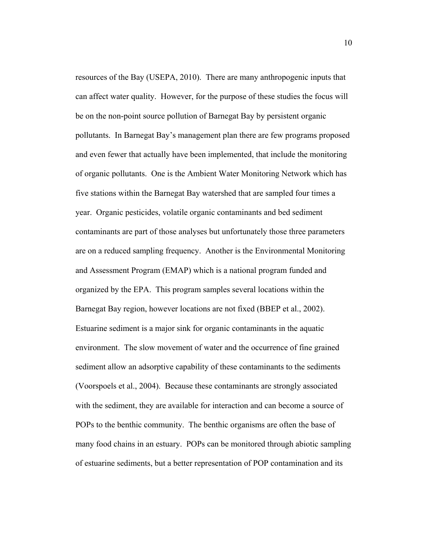resources of the Bay (USEPA, 2010). There are many anthropogenic inputs that can affect water quality. However, for the purpose of these studies the focus will be on the non-point source pollution of Barnegat Bay by persistent organic pollutants. In Barnegat Bay's management plan there are few programs proposed and even fewer that actually have been implemented, that include the monitoring of organic pollutants. One is the Ambient Water Monitoring Network which has five stations within the Barnegat Bay watershed that are sampled four times a year. Organic pesticides, volatile organic contaminants and bed sediment contaminants are part of those analyses but unfortunately those three parameters are on a reduced sampling frequency. Another is the Environmental Monitoring and Assessment Program (EMAP) which is a national program funded and organized by the EPA. This program samples several locations within the Barnegat Bay region, however locations are not fixed (BBEP et al., 2002). Estuarine sediment is a major sink for organic contaminants in the aquatic environment. The slow movement of water and the occurrence of fine grained sediment allow an adsorptive capability of these contaminants to the sediments (Voorspoels et al., 2004). Because these contaminants are strongly associated with the sediment, they are available for interaction and can become a source of POPs to the benthic community. The benthic organisms are often the base of many food chains in an estuary. POPs can be monitored through abiotic sampling of estuarine sediments, but a better representation of POP contamination and its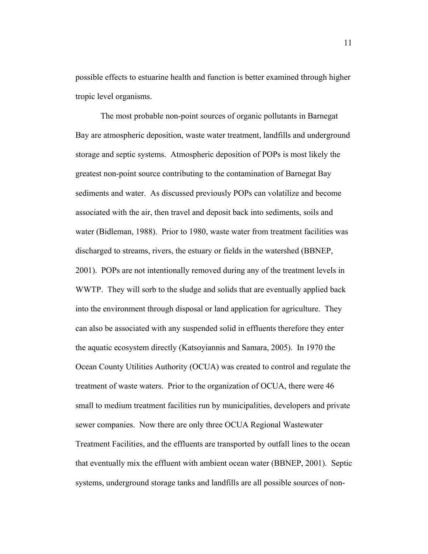possible effects to estuarine health and function is better examined through higher tropic level organisms.

 The most probable non-point sources of organic pollutants in Barnegat Bay are atmospheric deposition, waste water treatment, landfills and underground storage and septic systems. Atmospheric deposition of POPs is most likely the greatest non-point source contributing to the contamination of Barnegat Bay sediments and water. As discussed previously POPs can volatilize and become associated with the air, then travel and deposit back into sediments, soils and water (Bidleman, 1988). Prior to 1980, waste water from treatment facilities was discharged to streams, rivers, the estuary or fields in the watershed (BBNEP, 2001). POPs are not intentionally removed during any of the treatment levels in WWTP. They will sorb to the sludge and solids that are eventually applied back into the environment through disposal or land application for agriculture. They can also be associated with any suspended solid in effluents therefore they enter the aquatic ecosystem directly (Katsoyiannis and Samara, 2005). In 1970 the Ocean County Utilities Authority (OCUA) was created to control and regulate the treatment of waste waters. Prior to the organization of OCUA, there were 46 small to medium treatment facilities run by municipalities, developers and private sewer companies. Now there are only three OCUA Regional Wastewater Treatment Facilities, and the effluents are transported by outfall lines to the ocean that eventually mix the effluent with ambient ocean water (BBNEP, 2001). Septic systems, underground storage tanks and landfills are all possible sources of non-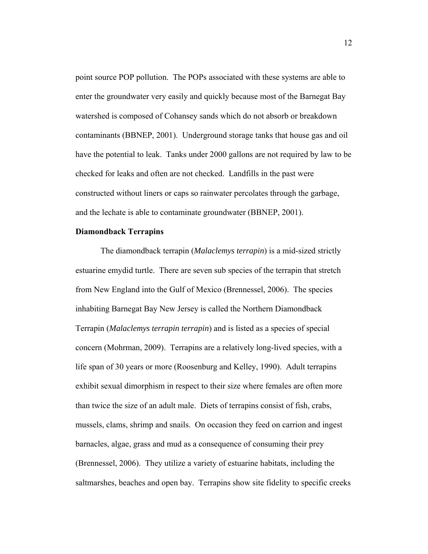point source POP pollution. The POPs associated with these systems are able to enter the groundwater very easily and quickly because most of the Barnegat Bay watershed is composed of Cohansey sands which do not absorb or breakdown contaminants (BBNEP, 2001). Underground storage tanks that house gas and oil have the potential to leak. Tanks under 2000 gallons are not required by law to be checked for leaks and often are not checked. Landfills in the past were constructed without liners or caps so rainwater percolates through the garbage, and the lechate is able to contaminate groundwater (BBNEP, 2001).

# **Diamondback Terrapins**

 The diamondback terrapin (*Malaclemys terrapin*) is a mid-sized strictly estuarine emydid turtle. There are seven sub species of the terrapin that stretch from New England into the Gulf of Mexico (Brennessel, 2006). The species inhabiting Barnegat Bay New Jersey is called the Northern Diamondback Terrapin (*Malaclemys terrapin terrapin*) and is listed as a species of special concern (Mohrman, 2009). Terrapins are a relatively long-lived species, with a life span of 30 years or more (Roosenburg and Kelley, 1990). Adult terrapins exhibit sexual dimorphism in respect to their size where females are often more than twice the size of an adult male. Diets of terrapins consist of fish, crabs, mussels, clams, shrimp and snails. On occasion they feed on carrion and ingest barnacles, algae, grass and mud as a consequence of consuming their prey (Brennessel, 2006). They utilize a variety of estuarine habitats, including the saltmarshes, beaches and open bay. Terrapins show site fidelity to specific creeks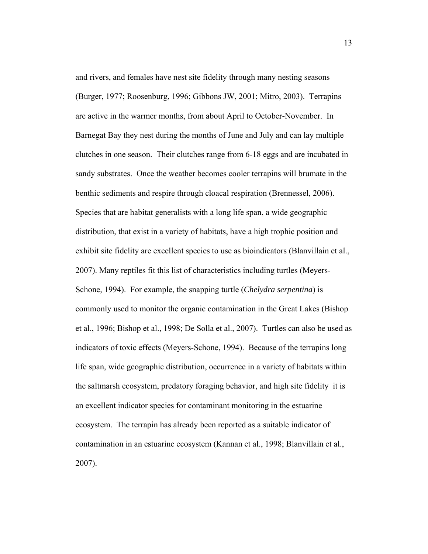and rivers, and females have nest site fidelity through many nesting seasons (Burger, 1977; Roosenburg, 1996; Gibbons JW, 2001; Mitro, 2003). Terrapins are active in the warmer months, from about April to October-November. In Barnegat Bay they nest during the months of June and July and can lay multiple clutches in one season. Their clutches range from 6-18 eggs and are incubated in sandy substrates. Once the weather becomes cooler terrapins will brumate in the benthic sediments and respire through cloacal respiration (Brennessel, 2006). Species that are habitat generalists with a long life span, a wide geographic distribution, that exist in a variety of habitats, have a high trophic position and exhibit site fidelity are excellent species to use as bioindicators (Blanvillain et al., 2007). Many reptiles fit this list of characteristics including turtles (Meyers-Schone, 1994). For example, the snapping turtle (*Chelydra serpentina*) is commonly used to monitor the organic contamination in the Great Lakes (Bishop et al., 1996; Bishop et al., 1998; De Solla et al., 2007). Turtles can also be used as indicators of toxic effects (Meyers-Schone, 1994). Because of the terrapins long life span, wide geographic distribution, occurrence in a variety of habitats within the saltmarsh ecosystem, predatory foraging behavior, and high site fidelity it is an excellent indicator species for contaminant monitoring in the estuarine ecosystem. The terrapin has already been reported as a suitable indicator of contamination in an estuarine ecosystem (Kannan et al., 1998; Blanvillain et al., 2007).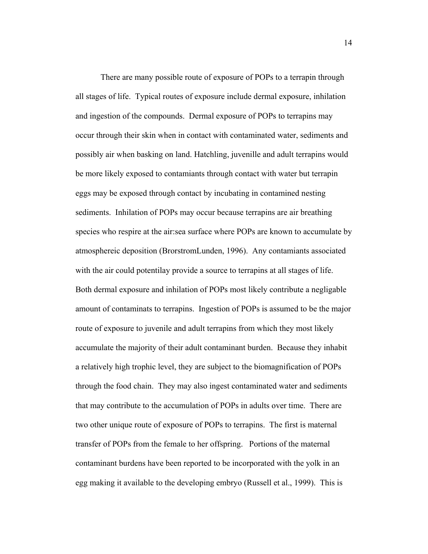There are many possible route of exposure of POPs to a terrapin through all stages of life. Typical routes of exposure include dermal exposure, inhilation and ingestion of the compounds. Dermal exposure of POPs to terrapins may occur through their skin when in contact with contaminated water, sediments and possibly air when basking on land. Hatchling, juvenille and adult terrapins would be more likely exposed to contamiants through contact with water but terrapin eggs may be exposed through contact by incubating in contamined nesting sediments. Inhilation of POPs may occur because terrapins are air breathing species who respire at the air:sea surface where POPs are known to accumulate by atmosphereic deposition (BrorstromLunden, 1996). Any contamiants associated with the air could potentilay provide a source to terrapins at all stages of life. Both dermal exposure and inhilation of POPs most likely contribute a negligable amount of contaminats to terrapins. Ingestion of POPs is assumed to be the major route of exposure to juvenile and adult terrapins from which they most likely accumulate the majority of their adult contaminant burden. Because they inhabit a relatively high trophic level, they are subject to the biomagnification of POPs through the food chain. They may also ingest contaminated water and sediments that may contribute to the accumulation of POPs in adults over time. There are two other unique route of exposure of POPs to terrapins. The first is maternal transfer of POPs from the female to her offspring. Portions of the maternal contaminant burdens have been reported to be incorporated with the yolk in an egg making it available to the developing embryo (Russell et al., 1999). This is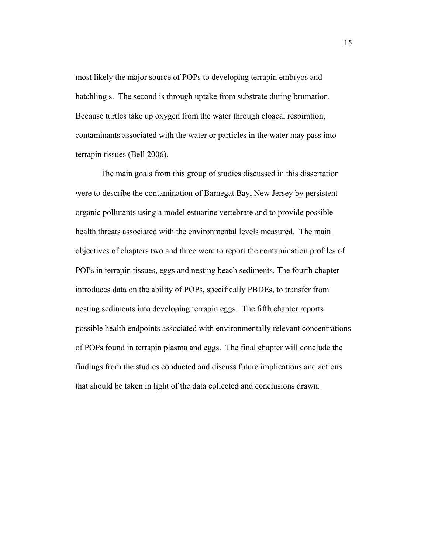most likely the major source of POPs to developing terrapin embryos and hatchling s. The second is through uptake from substrate during brumation. Because turtles take up oxygen from the water through cloacal respiration, contaminants associated with the water or particles in the water may pass into terrapin tissues (Bell 2006).

 The main goals from this group of studies discussed in this dissertation were to describe the contamination of Barnegat Bay, New Jersey by persistent organic pollutants using a model estuarine vertebrate and to provide possible health threats associated with the environmental levels measured. The main objectives of chapters two and three were to report the contamination profiles of POPs in terrapin tissues, eggs and nesting beach sediments. The fourth chapter introduces data on the ability of POPs, specifically PBDEs, to transfer from nesting sediments into developing terrapin eggs. The fifth chapter reports possible health endpoints associated with environmentally relevant concentrations of POPs found in terrapin plasma and eggs. The final chapter will conclude the findings from the studies conducted and discuss future implications and actions that should be taken in light of the data collected and conclusions drawn.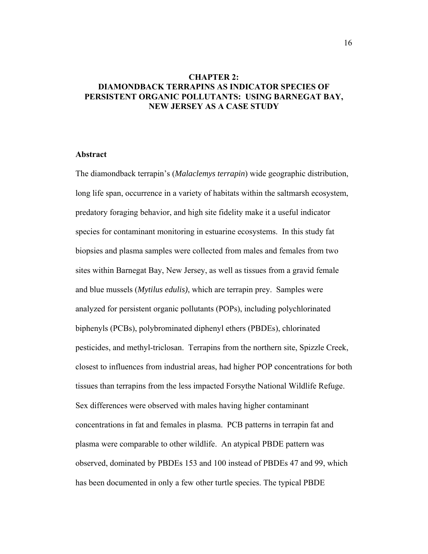# **CHAPTER 2: DIAMONDBACK TERRAPINS AS INDICATOR SPECIES OF PERSISTENT ORGANIC POLLUTANTS: USING BARNEGAT BAY, NEW JERSEY AS A CASE STUDY**

## **Abstract**

The diamondback terrapin's (*Malaclemys terrapin*) wide geographic distribution, long life span, occurrence in a variety of habitats within the saltmarsh ecosystem, predatory foraging behavior, and high site fidelity make it a useful indicator species for contaminant monitoring in estuarine ecosystems. In this study fat biopsies and plasma samples were collected from males and females from two sites within Barnegat Bay, New Jersey, as well as tissues from a gravid female and blue mussels (*Mytilus edulis)*, which are terrapin prey. Samples were analyzed for persistent organic pollutants (POPs), including polychlorinated biphenyls (PCBs), polybrominated diphenyl ethers (PBDEs), chlorinated pesticides, and methyl-triclosan. Terrapins from the northern site, Spizzle Creek, closest to influences from industrial areas, had higher POP concentrations for both tissues than terrapins from the less impacted Forsythe National Wildlife Refuge. Sex differences were observed with males having higher contaminant concentrations in fat and females in plasma. PCB patterns in terrapin fat and plasma were comparable to other wildlife. An atypical PBDE pattern was observed, dominated by PBDEs 153 and 100 instead of PBDEs 47 and 99, which has been documented in only a few other turtle species. The typical PBDE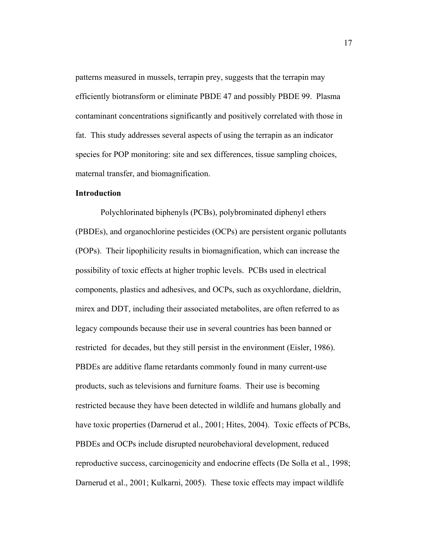patterns measured in mussels, terrapin prey, suggests that the terrapin may efficiently biotransform or eliminate PBDE 47 and possibly PBDE 99. Plasma contaminant concentrations significantly and positively correlated with those in fat. This study addresses several aspects of using the terrapin as an indicator species for POP monitoring: site and sex differences, tissue sampling choices, maternal transfer, and biomagnification.

# **Introduction**

Polychlorinated biphenyls (PCBs), polybrominated diphenyl ethers (PBDEs), and organochlorine pesticides (OCPs) are persistent organic pollutants (POPs). Their lipophilicity results in biomagnification, which can increase the possibility of toxic effects at higher trophic levels. PCBs used in electrical components, plastics and adhesives, and OCPs, such as oxychlordane, dieldrin, mirex and DDT, including their associated metabolites, are often referred to as legacy compounds because their use in several countries has been banned or restricted for decades, but they still persist in the environment (Eisler, 1986). PBDEs are additive flame retardants commonly found in many current-use products, such as televisions and furniture foams. Their use is becoming restricted because they have been detected in wildlife and humans globally and have toxic properties (Darnerud et al., 2001; Hites, 2004). Toxic effects of PCBs, PBDEs and OCPs include disrupted neurobehavioral development, reduced reproductive success, carcinogenicity and endocrine effects (De Solla et al., 1998; Darnerud et al., 2001; Kulkarni, 2005). These toxic effects may impact wildlife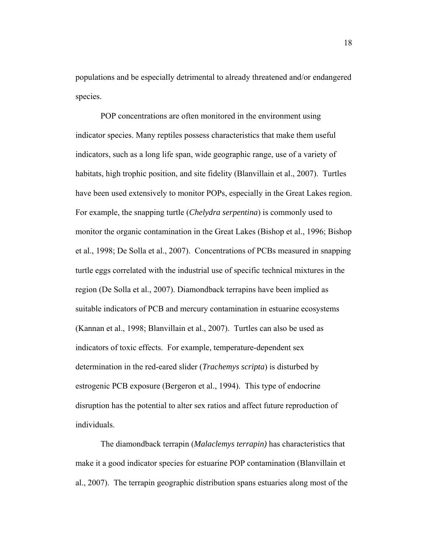populations and be especially detrimental to already threatened and/or endangered species.

POP concentrations are often monitored in the environment using indicator species. Many reptiles possess characteristics that make them useful indicators, such as a long life span, wide geographic range, use of a variety of habitats, high trophic position, and site fidelity (Blanvillain et al., 2007). Turtles have been used extensively to monitor POPs, especially in the Great Lakes region. For example, the snapping turtle (*Chelydra serpentina*) is commonly used to monitor the organic contamination in the Great Lakes (Bishop et al., 1996; Bishop et al., 1998; De Solla et al., 2007). Concentrations of PCBs measured in snapping turtle eggs correlated with the industrial use of specific technical mixtures in the region (De Solla et al., 2007). Diamondback terrapins have been implied as suitable indicators of PCB and mercury contamination in estuarine ecosystems (Kannan et al., 1998; Blanvillain et al., 2007). Turtles can also be used as indicators of toxic effects. For example, temperature-dependent sex determination in the red-eared slider (*Trachemys scripta*) is disturbed by estrogenic PCB exposure (Bergeron et al., 1994). This type of endocrine disruption has the potential to alter sex ratios and affect future reproduction of individuals.

The diamondback terrapin (*Malaclemys terrapin)* has characteristics that make it a good indicator species for estuarine POP contamination (Blanvillain et al., 2007). The terrapin geographic distribution spans estuaries along most of the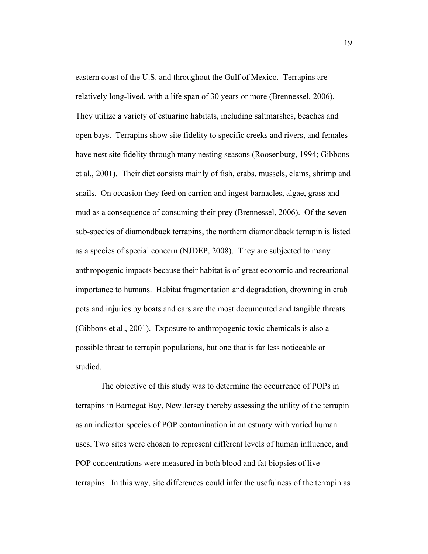eastern coast of the U.S. and throughout the Gulf of Mexico. Terrapins are relatively long-lived, with a life span of 30 years or more (Brennessel, 2006). They utilize a variety of estuarine habitats, including saltmarshes, beaches and open bays. Terrapins show site fidelity to specific creeks and rivers, and females have nest site fidelity through many nesting seasons (Roosenburg, 1994; Gibbons et al., 2001). Their diet consists mainly of fish, crabs, mussels, clams, shrimp and snails. On occasion they feed on carrion and ingest barnacles, algae, grass and mud as a consequence of consuming their prey (Brennessel, 2006). Of the seven sub-species of diamondback terrapins, the northern diamondback terrapin is listed as a species of special concern (NJDEP, 2008). They are subjected to many anthropogenic impacts because their habitat is of great economic and recreational importance to humans. Habitat fragmentation and degradation, drowning in crab pots and injuries by boats and cars are the most documented and tangible threats (Gibbons et al., 2001). Exposure to anthropogenic toxic chemicals is also a possible threat to terrapin populations, but one that is far less noticeable or studied.

The objective of this study was to determine the occurrence of POPs in terrapins in Barnegat Bay, New Jersey thereby assessing the utility of the terrapin as an indicator species of POP contamination in an estuary with varied human uses. Two sites were chosen to represent different levels of human influence, and POP concentrations were measured in both blood and fat biopsies of live terrapins. In this way, site differences could infer the usefulness of the terrapin as

19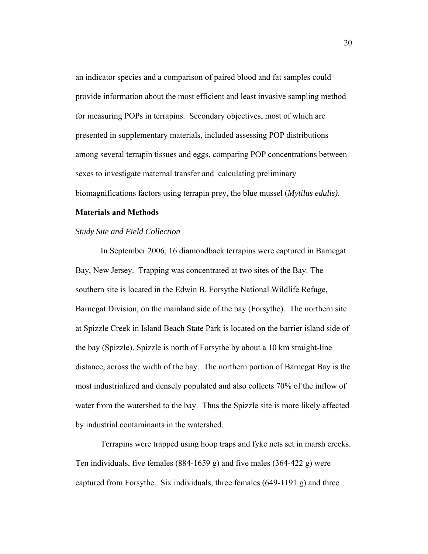an indicator species and a comparison of paired blood and fat samples could provide information about the most efficient and least invasive sampling method for measuring POPs in terrapins. Secondary objectives, most of which are presented in supplementary materials, included assessing POP distributions among several terrapin tissues and eggs, comparing POP concentrations between sexes to investigate maternal transfer and calculating preliminary biomagnifications factors using terrapin prey, the blue mussel (*Mytilus edulis)*.

#### **Materials and Methods**

#### *Study Site and Field Collection*

In September 2006, 16 diamondback terrapins were captured in Barnegat Bay, New Jersey. Trapping was concentrated at two sites of the Bay. The southern site is located in the Edwin B. Forsythe National Wildlife Refuge, Barnegat Division, on the mainland side of the bay (Forsythe). The northern site at Spizzle Creek in Island Beach State Park is located on the barrier island side of the bay (Spizzle). Spizzle is north of Forsythe by about a 10 km straight-line distance, across the width of the bay. The northern portion of Barnegat Bay is the most industrialized and densely populated and also collects 70% of the inflow of water from the watershed to the bay. Thus the Spizzle site is more likely affected by industrial contaminants in the watershed.

Terrapins were trapped using hoop traps and fyke nets set in marsh creeks. Ten individuals, five females (884-1659 g) and five males (364-422 g) were captured from Forsythe. Six individuals, three females (649-1191 g) and three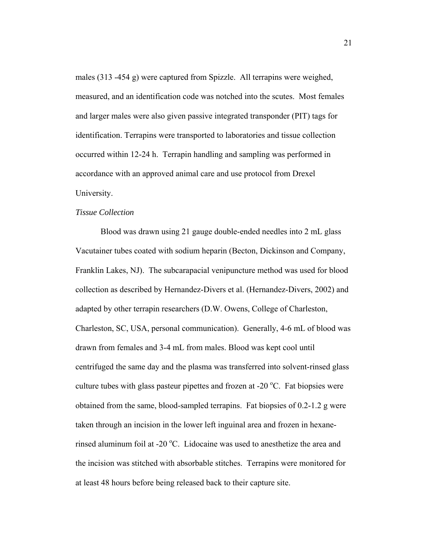males (313 -454 g) were captured from Spizzle. All terrapins were weighed, measured, and an identification code was notched into the scutes. Most females and larger males were also given passive integrated transponder (PIT) tags for identification. Terrapins were transported to laboratories and tissue collection occurred within 12-24 h. Terrapin handling and sampling was performed in accordance with an approved animal care and use protocol from Drexel University.

## *Tissue Collection*

Blood was drawn using 21 gauge double-ended needles into 2 mL glass Vacutainer tubes coated with sodium heparin (Becton, Dickinson and Company, Franklin Lakes, NJ). The subcarapacial venipuncture method was used for blood collection as described by Hernandez-Divers et al. (Hernandez-Divers, 2002) and adapted by other terrapin researchers (D.W. Owens, College of Charleston, Charleston, SC, USA, personal communication). Generally, 4-6 mL of blood was drawn from females and 3-4 mL from males. Blood was kept cool until centrifuged the same day and the plasma was transferred into solvent-rinsed glass culture tubes with glass pasteur pipettes and frozen at -20  $^{\circ}$ C. Fat biopsies were obtained from the same, blood-sampled terrapins. Fat biopsies of 0.2-1.2 g were taken through an incision in the lower left inguinal area and frozen in hexanerinsed aluminum foil at -20 °C. Lidocaine was used to anesthetize the area and the incision was stitched with absorbable stitches. Terrapins were monitored for at least 48 hours before being released back to their capture site.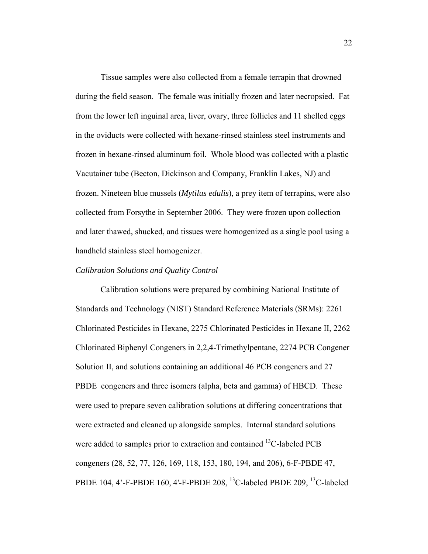Tissue samples were also collected from a female terrapin that drowned during the field season. The female was initially frozen and later necropsied. Fat from the lower left inguinal area, liver, ovary, three follicles and 11 shelled eggs in the oviducts were collected with hexane-rinsed stainless steel instruments and frozen in hexane-rinsed aluminum foil. Whole blood was collected with a plastic Vacutainer tube (Becton, Dickinson and Company, Franklin Lakes, NJ) and frozen. Nineteen blue mussels (*Mytilus edulis*), a prey item of terrapins, were also collected from Forsythe in September 2006. They were frozen upon collection and later thawed, shucked, and tissues were homogenized as a single pool using a handheld stainless steel homogenizer.

### *Calibration Solutions and Quality Control*

 Calibration solutions were prepared by combining National Institute of Standards and Technology (NIST) Standard Reference Materials (SRMs): 2261 Chlorinated Pesticides in Hexane, 2275 Chlorinated Pesticides in Hexane II, 2262 Chlorinated Biphenyl Congeners in 2,2,4-Trimethylpentane, 2274 PCB Congener Solution II, and solutions containing an additional 46 PCB congeners and 27 PBDE congeners and three isomers (alpha, beta and gamma) of HBCD. These were used to prepare seven calibration solutions at differing concentrations that were extracted and cleaned up alongside samples. Internal standard solutions were added to samples prior to extraction and contained <sup>13</sup>C-labeled PCB congeners (28, 52, 77, 126, 169, 118, 153, 180, 194, and 206), 6-F-PBDE 47, PBDE 104, 4'-F-PBDE 160, 4'-F-PBDE 208, <sup>13</sup>C-labeled PBDE 209, <sup>13</sup>C-labeled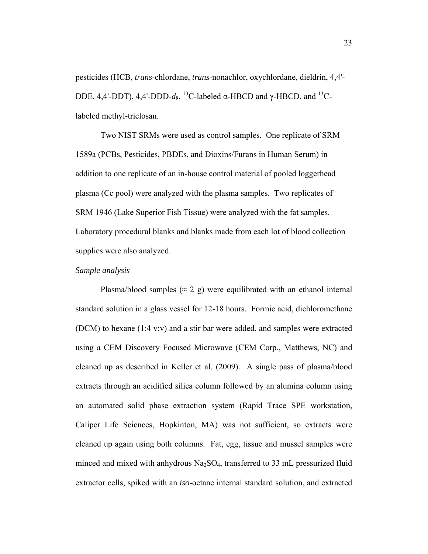pesticides (HCB, *trans*-chlordane, *trans*-nonachlor, oxychlordane, dieldrin, 4,4'- DDE, 4,4'-DDT), 4,4'-DDD- $d_8$ , <sup>13</sup>C-labeled α-HBCD and γ-HBCD, and <sup>13</sup>Clabeled methyl-triclosan.

 Two NIST SRMs were used as control samples. One replicate of SRM 1589a (PCBs, Pesticides, PBDEs, and Dioxins/Furans in Human Serum) in addition to one replicate of an in-house control material of pooled loggerhead plasma (Cc pool) were analyzed with the plasma samples. Two replicates of SRM 1946 (Lake Superior Fish Tissue) were analyzed with the fat samples. Laboratory procedural blanks and blanks made from each lot of blood collection supplies were also analyzed.

### *Sample analysis*

Plasma/blood samples ( $\approx 2$  g) were equilibrated with an ethanol internal standard solution in a glass vessel for 12-18 hours. Formic acid, dichloromethane (DCM) to hexane (1:4 v:v) and a stir bar were added, and samples were extracted using a CEM Discovery Focused Microwave (CEM Corp., Matthews, NC) and cleaned up as described in Keller et al. (2009). A single pass of plasma/blood extracts through an acidified silica column followed by an alumina column using an automated solid phase extraction system (Rapid Trace SPE workstation, Caliper Life Sciences, Hopkinton, MA) was not sufficient, so extracts were cleaned up again using both columns. Fat, egg, tissue and mussel samples were minced and mixed with anhydrous  $Na<sub>2</sub>SO<sub>4</sub>$ , transferred to 33 mL pressurized fluid extractor cells, spiked with an *iso*-octane internal standard solution, and extracted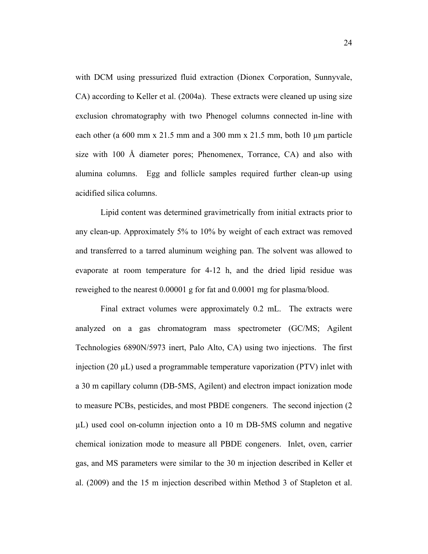with DCM using pressurized fluid extraction (Dionex Corporation, Sunnyvale, CA) according to Keller et al. (2004a). These extracts were cleaned up using size exclusion chromatography with two Phenogel columns connected in-line with each other (a 600 mm x 21.5 mm and a 300 mm x 21.5 mm, both 10 µm particle size with 100 Å diameter pores; Phenomenex, Torrance, CA) and also with alumina columns. Egg and follicle samples required further clean-up using acidified silica columns.

Lipid content was determined gravimetrically from initial extracts prior to any clean-up. Approximately 5% to 10% by weight of each extract was removed and transferred to a tarred aluminum weighing pan. The solvent was allowed to evaporate at room temperature for 4-12 h, and the dried lipid residue was reweighed to the nearest 0.00001 g for fat and 0.0001 mg for plasma/blood.

Final extract volumes were approximately 0.2 mL. The extracts were analyzed on a gas chromatogram mass spectrometer (GC/MS; Agilent Technologies 6890N/5973 inert, Palo Alto, CA) using two injections. The first injection (20 µL) used a programmable temperature vaporization (PTV) inlet with a 30 m capillary column (DB-5MS, Agilent) and electron impact ionization mode to measure PCBs, pesticides, and most PBDE congeners. The second injection (2 µL) used cool on-column injection onto a 10 m DB-5MS column and negative chemical ionization mode to measure all PBDE congeners. Inlet, oven, carrier gas, and MS parameters were similar to the 30 m injection described in Keller et al. (2009) and the 15 m injection described within Method 3 of Stapleton et al.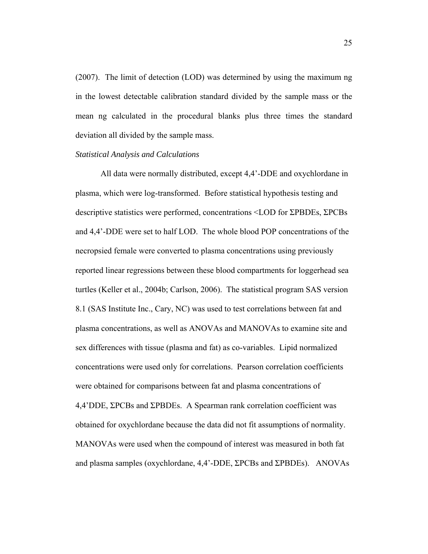(2007). The limit of detection (LOD) was determined by using the maximum ng in the lowest detectable calibration standard divided by the sample mass or the mean ng calculated in the procedural blanks plus three times the standard deviation all divided by the sample mass.

# *Statistical Analysis and Calculations*

All data were normally distributed, except 4,4'-DDE and oxychlordane in plasma, which were log-transformed. Before statistical hypothesis testing and descriptive statistics were performed, concentrations <LOD for ΣPBDEs, ΣPCBs and 4,4'-DDE were set to half LOD. The whole blood POP concentrations of the necropsied female were converted to plasma concentrations using previously reported linear regressions between these blood compartments for loggerhead sea turtles (Keller et al., 2004b; Carlson, 2006). The statistical program SAS version 8.1 (SAS Institute Inc., Cary, NC) was used to test correlations between fat and plasma concentrations, as well as ANOVAs and MANOVAs to examine site and sex differences with tissue (plasma and fat) as co-variables. Lipid normalized concentrations were used only for correlations. Pearson correlation coefficients were obtained for comparisons between fat and plasma concentrations of 4,4'DDE, ΣPCBs and ΣPBDEs. A Spearman rank correlation coefficient was obtained for oxychlordane because the data did not fit assumptions of normality. MANOVAs were used when the compound of interest was measured in both fat and plasma samples (oxychlordane, 4,4'-DDE, ΣPCBs and ΣPBDEs). ANOVAs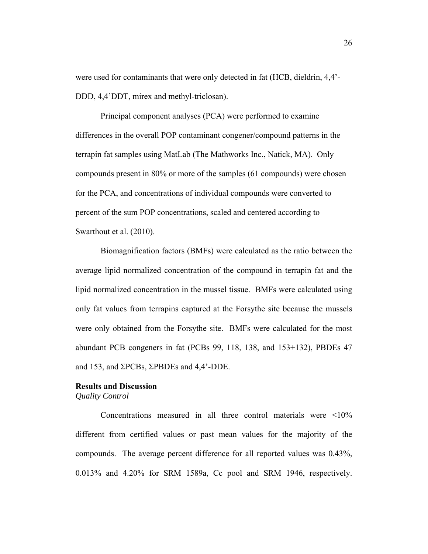were used for contaminants that were only detected in fat (HCB, dieldrin, 4,4'- DDD, 4,4'DDT, mirex and methyl-triclosan).

Principal component analyses (PCA) were performed to examine differences in the overall POP contaminant congener/compound patterns in the terrapin fat samples using MatLab (The Mathworks Inc., Natick, MA). Only compounds present in 80% or more of the samples (61 compounds) were chosen for the PCA, and concentrations of individual compounds were converted to percent of the sum POP concentrations, scaled and centered according to Swarthout et al. (2010).

Biomagnification factors (BMFs) were calculated as the ratio between the average lipid normalized concentration of the compound in terrapin fat and the lipid normalized concentration in the mussel tissue. BMFs were calculated using only fat values from terrapins captured at the Forsythe site because the mussels were only obtained from the Forsythe site. BMFs were calculated for the most abundant PCB congeners in fat (PCBs 99, 118, 138, and 153+132), PBDEs 47 and 153, and ΣPCBs, ΣPBDEs and 4,4'-DDE.

## **Results and Discussion**

*Quality Control*

 Concentrations measured in all three control materials were <10% different from certified values or past mean values for the majority of the compounds. The average percent difference for all reported values was 0.43%, 0.013% and 4.20% for SRM 1589a, Cc pool and SRM 1946, respectively.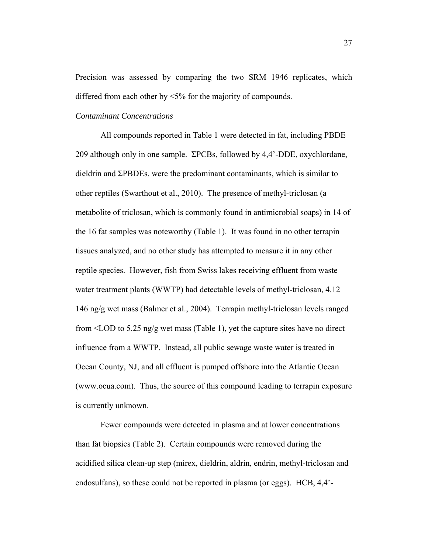Precision was assessed by comparing the two SRM 1946 replicates, which differed from each other by <5% for the majority of compounds.

# *Contaminant Concentrations*

 All compounds reported in Table 1 were detected in fat, including PBDE 209 although only in one sample. ΣPCBs, followed by 4,4'-DDE, oxychlordane, dieldrin and ΣPBDEs, were the predominant contaminants, which is similar to other reptiles (Swarthout et al., 2010). The presence of methyl-triclosan (a metabolite of triclosan, which is commonly found in antimicrobial soaps) in 14 of the 16 fat samples was noteworthy (Table 1). It was found in no other terrapin tissues analyzed, and no other study has attempted to measure it in any other reptile species. However, fish from Swiss lakes receiving effluent from waste water treatment plants (WWTP) had detectable levels of methyl-triclosan, 4.12 – 146 ng/g wet mass (Balmer et al., 2004). Terrapin methyl-triclosan levels ranged from <LOD to 5.25 ng/g wet mass (Table 1), yet the capture sites have no direct influence from a WWTP. Instead, all public sewage waste water is treated in Ocean County, NJ, and all effluent is pumped offshore into the Atlantic Ocean (www.ocua.com). Thus, the source of this compound leading to terrapin exposure is currently unknown.

 Fewer compounds were detected in plasma and at lower concentrations than fat biopsies (Table 2). Certain compounds were removed during the acidified silica clean-up step (mirex, dieldrin, aldrin, endrin, methyl-triclosan and endosulfans), so these could not be reported in plasma (or eggs). HCB, 4,4'-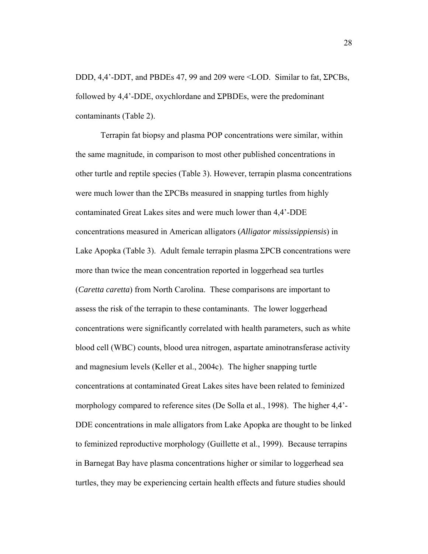DDD, 4,4'-DDT, and PBDEs 47, 99 and 209 were <LOD. Similar to fat, ΣPCBs, followed by 4,4'-DDE, oxychlordane and ΣPBDEs, were the predominant contaminants (Table 2).

Terrapin fat biopsy and plasma POP concentrations were similar, within the same magnitude, in comparison to most other published concentrations in other turtle and reptile species (Table 3). However, terrapin plasma concentrations were much lower than the ΣPCBs measured in snapping turtles from highly contaminated Great Lakes sites and were much lower than 4,4'-DDE concentrations measured in American alligators (*Alligator mississippiensis*) in Lake Apopka (Table 3). Adult female terrapin plasma ΣPCB concentrations were more than twice the mean concentration reported in loggerhead sea turtles (*Caretta caretta*) from North Carolina. These comparisons are important to assess the risk of the terrapin to these contaminants. The lower loggerhead concentrations were significantly correlated with health parameters, such as white blood cell (WBC) counts, blood urea nitrogen, aspartate aminotransferase activity and magnesium levels (Keller et al., 2004c). The higher snapping turtle concentrations at contaminated Great Lakes sites have been related to feminized morphology compared to reference sites (De Solla et al., 1998). The higher 4,4'- DDE concentrations in male alligators from Lake Apopka are thought to be linked to feminized reproductive morphology (Guillette et al., 1999). Because terrapins in Barnegat Bay have plasma concentrations higher or similar to loggerhead sea turtles, they may be experiencing certain health effects and future studies should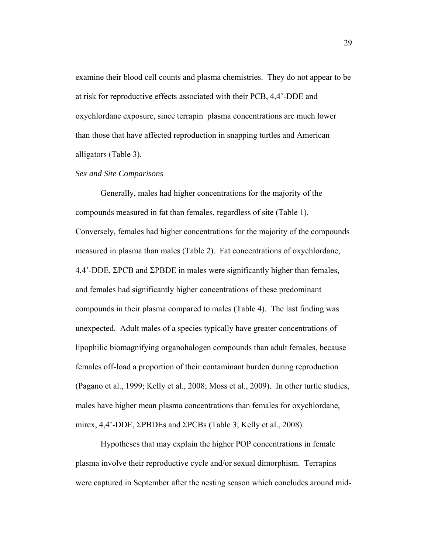examine their blood cell counts and plasma chemistries. They do not appear to be at risk for reproductive effects associated with their PCB, 4,4'-DDE and oxychlordane exposure, since terrapin plasma concentrations are much lower than those that have affected reproduction in snapping turtles and American alligators (Table 3).

### *Sex and Site Comparisons*

Generally, males had higher concentrations for the majority of the compounds measured in fat than females, regardless of site (Table 1). Conversely, females had higher concentrations for the majority of the compounds measured in plasma than males (Table 2). Fat concentrations of oxychlordane, 4,4'-DDE, ΣPCB and ΣPBDE in males were significantly higher than females, and females had significantly higher concentrations of these predominant compounds in their plasma compared to males (Table 4). The last finding was unexpected. Adult males of a species typically have greater concentrations of lipophilic biomagnifying organohalogen compounds than adult females, because females off-load a proportion of their contaminant burden during reproduction (Pagano et al., 1999; Kelly et al., 2008; Moss et al., 2009). In other turtle studies, males have higher mean plasma concentrations than females for oxychlordane, mirex, 4,4'-DDE, ΣPBDEs and ΣPCBs (Table 3; Kelly et al., 2008).

Hypotheses that may explain the higher POP concentrations in female plasma involve their reproductive cycle and/or sexual dimorphism. Terrapins were captured in September after the nesting season which concludes around mid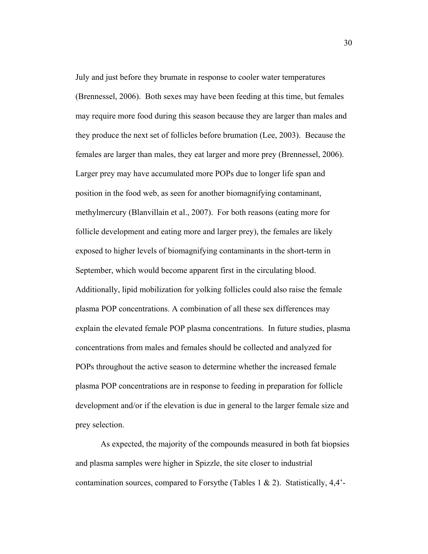July and just before they brumate in response to cooler water temperatures (Brennessel, 2006). Both sexes may have been feeding at this time, but females may require more food during this season because they are larger than males and they produce the next set of follicles before brumation (Lee, 2003). Because the females are larger than males, they eat larger and more prey (Brennessel, 2006). Larger prey may have accumulated more POPs due to longer life span and position in the food web, as seen for another biomagnifying contaminant, methylmercury (Blanvillain et al., 2007). For both reasons (eating more for follicle development and eating more and larger prey), the females are likely exposed to higher levels of biomagnifying contaminants in the short-term in September, which would become apparent first in the circulating blood. Additionally, lipid mobilization for yolking follicles could also raise the female plasma POP concentrations. A combination of all these sex differences may explain the elevated female POP plasma concentrations. In future studies, plasma concentrations from males and females should be collected and analyzed for POPs throughout the active season to determine whether the increased female plasma POP concentrations are in response to feeding in preparation for follicle development and/or if the elevation is due in general to the larger female size and prey selection.

As expected, the majority of the compounds measured in both fat biopsies and plasma samples were higher in Spizzle, the site closer to industrial contamination sources, compared to Forsythe (Tables 1  $\&$  2). Statistically, 4,4'-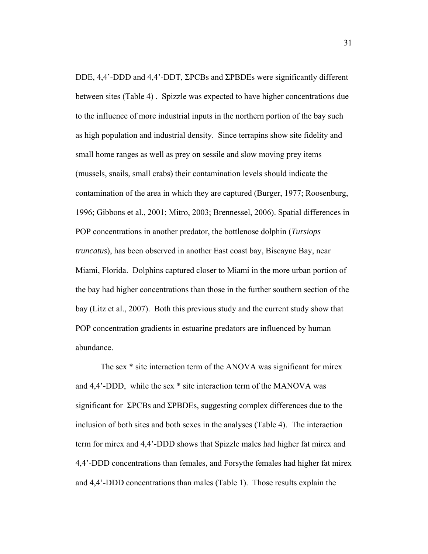DDE, 4,4'-DDD and 4,4'-DDT, ΣPCBs and ΣPBDEs were significantly different between sites (Table 4) . Spizzle was expected to have higher concentrations due to the influence of more industrial inputs in the northern portion of the bay such as high population and industrial density. Since terrapins show site fidelity and small home ranges as well as prey on sessile and slow moving prey items (mussels, snails, small crabs) their contamination levels should indicate the contamination of the area in which they are captured (Burger, 1977; Roosenburg, 1996; Gibbons et al., 2001; Mitro, 2003; Brennessel, 2006). Spatial differences in POP concentrations in another predator, the bottlenose dolphin (*Tursiops truncatus*), has been observed in another East coast bay, Biscayne Bay, near Miami, Florida. Dolphins captured closer to Miami in the more urban portion of the bay had higher concentrations than those in the further southern section of the bay (Litz et al., 2007). Both this previous study and the current study show that POP concentration gradients in estuarine predators are influenced by human abundance.

The sex \* site interaction term of the ANOVA was significant for mirex and 4,4'-DDD, while the sex \* site interaction term of the MANOVA was significant for ΣPCBs and ΣPBDEs, suggesting complex differences due to the inclusion of both sites and both sexes in the analyses (Table 4). The interaction term for mirex and 4,4'-DDD shows that Spizzle males had higher fat mirex and 4,4'-DDD concentrations than females, and Forsythe females had higher fat mirex and 4,4'-DDD concentrations than males (Table 1). Those results explain the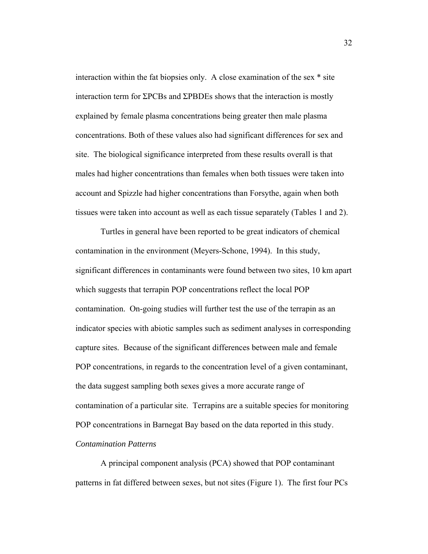interaction within the fat biopsies only. A close examination of the sex \* site interaction term for ΣPCBs and ΣPBDEs shows that the interaction is mostly explained by female plasma concentrations being greater then male plasma concentrations. Both of these values also had significant differences for sex and site. The biological significance interpreted from these results overall is that males had higher concentrations than females when both tissues were taken into account and Spizzle had higher concentrations than Forsythe, again when both tissues were taken into account as well as each tissue separately (Tables 1 and 2).

Turtles in general have been reported to be great indicators of chemical contamination in the environment (Meyers-Schone, 1994). In this study, significant differences in contaminants were found between two sites, 10 km apart which suggests that terrapin POP concentrations reflect the local POP contamination. On-going studies will further test the use of the terrapin as an indicator species with abiotic samples such as sediment analyses in corresponding capture sites. Because of the significant differences between male and female POP concentrations, in regards to the concentration level of a given contaminant, the data suggest sampling both sexes gives a more accurate range of contamination of a particular site. Terrapins are a suitable species for monitoring POP concentrations in Barnegat Bay based on the data reported in this study. *Contamination Patterns* 

A principal component analysis (PCA) showed that POP contaminant patterns in fat differed between sexes, but not sites (Figure 1). The first four PCs

32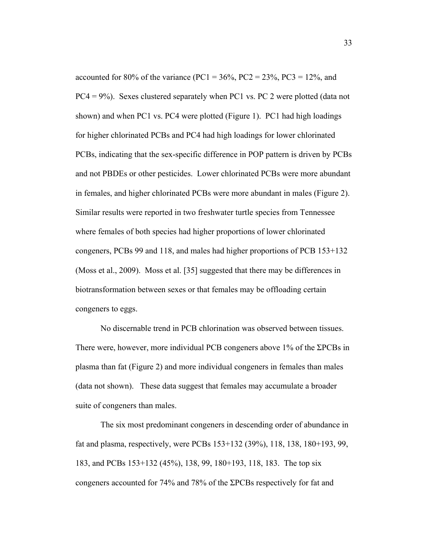accounted for 80% of the variance (PC1 =  $36\%$ , PC2 =  $23\%$ , PC3 =  $12\%$ , and  $PC4 = 9\%)$ . Sexes clustered separately when PC1 vs. PC 2 were plotted (data not shown) and when PC1 vs. PC4 were plotted (Figure 1). PC1 had high loadings for higher chlorinated PCBs and PC4 had high loadings for lower chlorinated PCBs, indicating that the sex-specific difference in POP pattern is driven by PCBs and not PBDEs or other pesticides. Lower chlorinated PCBs were more abundant in females, and higher chlorinated PCBs were more abundant in males (Figure 2). Similar results were reported in two freshwater turtle species from Tennessee where females of both species had higher proportions of lower chlorinated congeners, PCBs 99 and 118, and males had higher proportions of PCB 153+132 (Moss et al., 2009). Moss et al. [35] suggested that there may be differences in biotransformation between sexes or that females may be offloading certain congeners to eggs.

No discernable trend in PCB chlorination was observed between tissues. There were, however, more individual PCB congeners above 1% of the ΣPCBs in plasma than fat (Figure 2) and more individual congeners in females than males (data not shown). These data suggest that females may accumulate a broader suite of congeners than males.

The six most predominant congeners in descending order of abundance in fat and plasma, respectively, were PCBs 153+132 (39%), 118, 138, 180+193, 99, 183, and PCBs 153+132 (45%), 138, 99, 180+193, 118, 183. The top six congeners accounted for 74% and 78% of the ΣPCBs respectively for fat and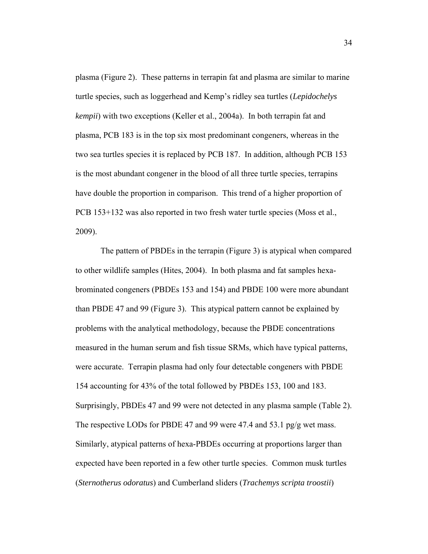plasma (Figure 2). These patterns in terrapin fat and plasma are similar to marine turtle species, such as loggerhead and Kemp's ridley sea turtles (*Lepidochelys kempii*) with two exceptions (Keller et al., 2004a). In both terrapin fat and plasma, PCB 183 is in the top six most predominant congeners, whereas in the two sea turtles species it is replaced by PCB 187. In addition, although PCB 153 is the most abundant congener in the blood of all three turtle species, terrapins have double the proportion in comparison. This trend of a higher proportion of PCB 153+132 was also reported in two fresh water turtle species (Moss et al., 2009).

The pattern of PBDEs in the terrapin (Figure 3) is atypical when compared to other wildlife samples (Hites, 2004). In both plasma and fat samples hexabrominated congeners (PBDEs 153 and 154) and PBDE 100 were more abundant than PBDE 47 and 99 (Figure 3). This atypical pattern cannot be explained by problems with the analytical methodology, because the PBDE concentrations measured in the human serum and fish tissue SRMs, which have typical patterns, were accurate. Terrapin plasma had only four detectable congeners with PBDE 154 accounting for 43% of the total followed by PBDEs 153, 100 and 183. Surprisingly, PBDEs 47 and 99 were not detected in any plasma sample (Table 2). The respective LODs for PBDE 47 and 99 were 47.4 and 53.1 pg/g wet mass. Similarly, atypical patterns of hexa-PBDEs occurring at proportions larger than expected have been reported in a few other turtle species. Common musk turtles (*Sternotherus odoratus*) and Cumberland sliders (*Trachemys scripta troostii*)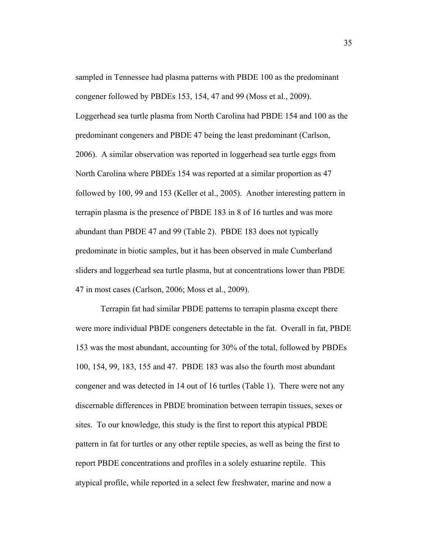sampled in Tennessee had plasma patterns with PBDE 100 as the predominant congener followed by PBDEs 153, 154, 47 and 99 (Moss et al., 2009). Loggerhead sea turtle plasma from North Carolina had PBDE 154 and 100 as the predominant congeners and PBDE 47 being the least predominant (Carlson, 2006). A similar observation was reported in loggerhead sea turtle eggs from North Carolina where PBDEs 154 was reported at a similar proportion as 47 followed by 100, 99 and 153 (Keller et al., 2005). Another interesting pattern in terrapin plasma is the presence of PBDE 183 in 8 of 16 turtles and was more abundant than PBDE 47 and 99 (Table 2). PBDE 183 does not typically predominate in biotic samples, but it has been observed in male Cumberland sliders and loggerhead sea turtle plasma, but at concentrations lower than PBDE 47 in most cases (Carlson, 2006; Moss et al., 2009).

Terrapin fat had similar PBDE patterns to terrapin plasma except there were more individual PBDE congeners detectable in the fat. Overall in fat, PBDE 153 was the most abundant, accounting for 30% of the total, followed by PBDEs 100, 154, 99, 183, 155 and 47. PBDE 183 was also the fourth most abundant congener and was detected in 14 out of 16 turtles (Table 1). There were not any discernable differences in PBDE bromination between terrapin tissues, sexes or sites. To our knowledge, this study is the first to report this atypical PBDE pattern in fat for turtles or any other reptile species, as well as being the first to report PBDE concentrations and profiles in a solely estuarine reptile. This atypical profile, while reported in a select few freshwater, marine and now a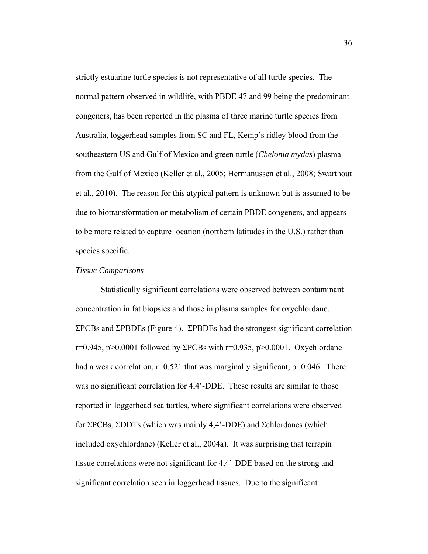strictly estuarine turtle species is not representative of all turtle species. The normal pattern observed in wildlife, with PBDE 47 and 99 being the predominant congeners, has been reported in the plasma of three marine turtle species from Australia, loggerhead samples from SC and FL, Kemp's ridley blood from the southeastern US and Gulf of Mexico and green turtle (*Chelonia mydas*) plasma from the Gulf of Mexico (Keller et al., 2005; Hermanussen et al., 2008; Swarthout et al., 2010). The reason for this atypical pattern is unknown but is assumed to be due to biotransformation or metabolism of certain PBDE congeners, and appears to be more related to capture location (northern latitudes in the U.S.) rather than species specific.

#### *Tissue Comparisons*

 Statistically significant correlations were observed between contaminant concentration in fat biopsies and those in plasma samples for oxychlordane, ΣPCBs and ΣPBDEs (Figure 4). ΣPBDEs had the strongest significant correlation r=0.945, p>0.0001 followed by  $\Sigma$ PCBs with r=0.935, p>0.0001. Oxychlordane had a weak correlation,  $r=0.521$  that was marginally significant,  $p=0.046$ . There was no significant correlation for 4,4'-DDE. These results are similar to those reported in loggerhead sea turtles, where significant correlations were observed for ΣPCBs, ΣDDTs (which was mainly 4,4'-DDE) and Σchlordanes (which included oxychlordane) (Keller et al., 2004a). It was surprising that terrapin tissue correlations were not significant for 4,4'-DDE based on the strong and significant correlation seen in loggerhead tissues. Due to the significant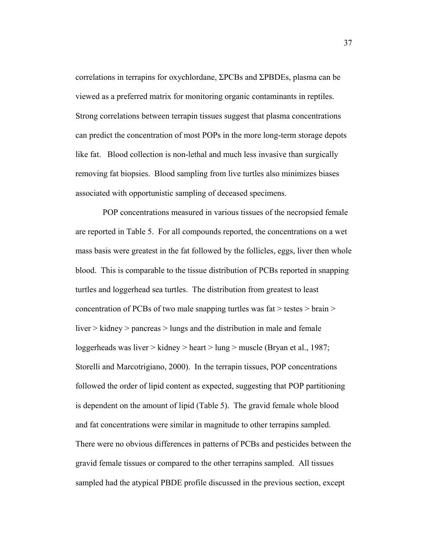correlations in terrapins for oxychlordane, ΣPCBs and ΣPBDEs, plasma can be viewed as a preferred matrix for monitoring organic contaminants in reptiles. Strong correlations between terrapin tissues suggest that plasma concentrations can predict the concentration of most POPs in the more long-term storage depots like fat. Blood collection is non-lethal and much less invasive than surgically removing fat biopsies. Blood sampling from live turtles also minimizes biases associated with opportunistic sampling of deceased specimens.

 POP concentrations measured in various tissues of the necropsied female are reported in Table 5. For all compounds reported, the concentrations on a wet mass basis were greatest in the fat followed by the follicles, eggs, liver then whole blood. This is comparable to the tissue distribution of PCBs reported in snapping turtles and loggerhead sea turtles. The distribution from greatest to least concentration of PCBs of two male snapping turtles was fat  $>$  testes  $>$  brain  $>$ liver > kidney > pancreas > lungs and the distribution in male and female loggerheads was liver > kidney > heart > lung > muscle (Bryan et al., 1987; Storelli and Marcotrigiano, 2000). In the terrapin tissues, POP concentrations followed the order of lipid content as expected, suggesting that POP partitioning is dependent on the amount of lipid (Table 5). The gravid female whole blood and fat concentrations were similar in magnitude to other terrapins sampled. There were no obvious differences in patterns of PCBs and pesticides between the gravid female tissues or compared to the other terrapins sampled. All tissues sampled had the atypical PBDE profile discussed in the previous section, except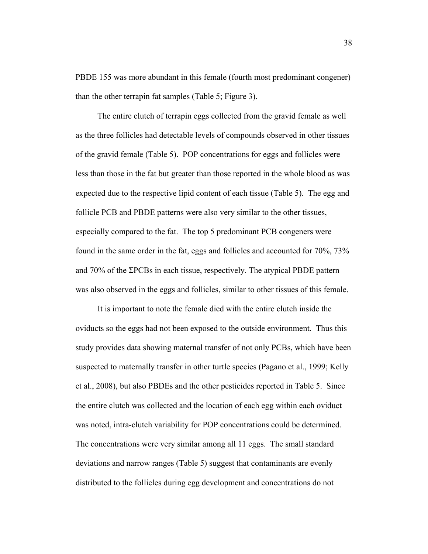PBDE 155 was more abundant in this female (fourth most predominant congener) than the other terrapin fat samples (Table 5; Figure 3).

 The entire clutch of terrapin eggs collected from the gravid female as well as the three follicles had detectable levels of compounds observed in other tissues of the gravid female (Table 5). POP concentrations for eggs and follicles were less than those in the fat but greater than those reported in the whole blood as was expected due to the respective lipid content of each tissue (Table 5). The egg and follicle PCB and PBDE patterns were also very similar to the other tissues, especially compared to the fat. The top 5 predominant PCB congeners were found in the same order in the fat, eggs and follicles and accounted for 70%, 73% and 70% of the ΣPCBs in each tissue, respectively. The atypical PBDE pattern was also observed in the eggs and follicles, similar to other tissues of this female.

 It is important to note the female died with the entire clutch inside the oviducts so the eggs had not been exposed to the outside environment. Thus this study provides data showing maternal transfer of not only PCBs, which have been suspected to maternally transfer in other turtle species (Pagano et al., 1999; Kelly et al., 2008), but also PBDEs and the other pesticides reported in Table 5. Since the entire clutch was collected and the location of each egg within each oviduct was noted, intra-clutch variability for POP concentrations could be determined. The concentrations were very similar among all 11 eggs. The small standard deviations and narrow ranges (Table 5) suggest that contaminants are evenly distributed to the follicles during egg development and concentrations do not

38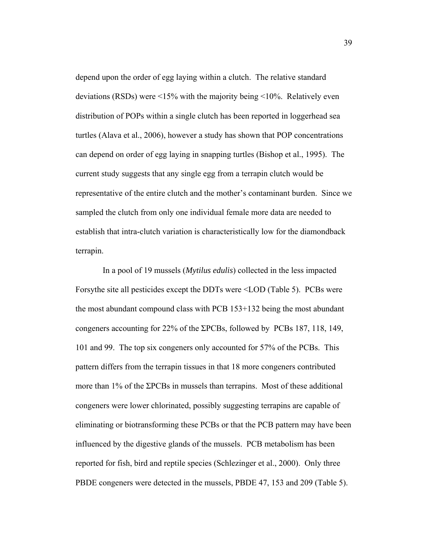depend upon the order of egg laying within a clutch. The relative standard deviations (RSDs) were <15% with the majority being <10%. Relatively even distribution of POPs within a single clutch has been reported in loggerhead sea turtles (Alava et al., 2006), however a study has shown that POP concentrations can depend on order of egg laying in snapping turtles (Bishop et al., 1995). The current study suggests that any single egg from a terrapin clutch would be representative of the entire clutch and the mother's contaminant burden. Since we sampled the clutch from only one individual female more data are needed to establish that intra-clutch variation is characteristically low for the diamondback terrapin.

 In a pool of 19 mussels (*Mytilus edulis*) collected in the less impacted Forsythe site all pesticides except the DDTs were <LOD (Table 5). PCBs were the most abundant compound class with PCB 153+132 being the most abundant congeners accounting for 22% of the ΣPCBs, followed by PCBs 187, 118, 149, 101 and 99. The top six congeners only accounted for 57% of the PCBs. This pattern differs from the terrapin tissues in that 18 more congeners contributed more than 1% of the ΣPCBs in mussels than terrapins. Most of these additional congeners were lower chlorinated, possibly suggesting terrapins are capable of eliminating or biotransforming these PCBs or that the PCB pattern may have been influenced by the digestive glands of the mussels. PCB metabolism has been reported for fish, bird and reptile species (Schlezinger et al., 2000). Only three PBDE congeners were detected in the mussels, PBDE 47, 153 and 209 (Table 5).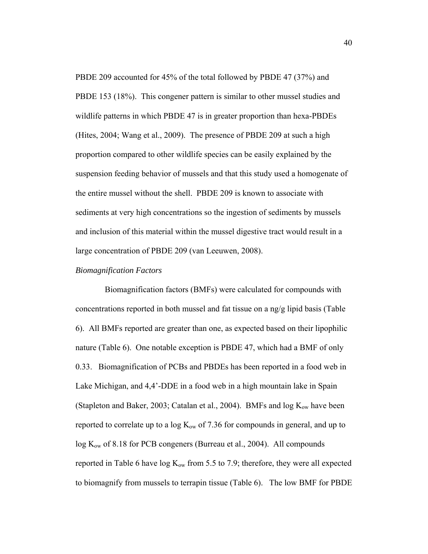PBDE 209 accounted for 45% of the total followed by PBDE 47 (37%) and PBDE 153 (18%). This congener pattern is similar to other mussel studies and wildlife patterns in which PBDE 47 is in greater proportion than hexa-PBDEs (Hites, 2004; Wang et al., 2009). The presence of PBDE 209 at such a high proportion compared to other wildlife species can be easily explained by the suspension feeding behavior of mussels and that this study used a homogenate of the entire mussel without the shell. PBDE 209 is known to associate with sediments at very high concentrations so the ingestion of sediments by mussels and inclusion of this material within the mussel digestive tract would result in a large concentration of PBDE 209 (van Leeuwen, 2008).

### *Biomagnification Factors*

 Biomagnification factors (BMFs) were calculated for compounds with concentrations reported in both mussel and fat tissue on a ng/g lipid basis (Table 6). All BMFs reported are greater than one, as expected based on their lipophilic nature (Table 6). One notable exception is PBDE 47, which had a BMF of only 0.33. Biomagnification of PCBs and PBDEs has been reported in a food web in Lake Michigan, and 4,4'-DDE in a food web in a high mountain lake in Spain (Stapleton and Baker, 2003; Catalan et al., 2004). BMFs and  $log K_{ow}$  have been reported to correlate up to a log  $K_{ow}$  of 7.36 for compounds in general, and up to  $log K<sub>ow</sub>$  of 8.18 for PCB congeners (Burreau et al., 2004). All compounds reported in Table 6 have  $log K_{ow}$  from 5.5 to 7.9; therefore, they were all expected to biomagnify from mussels to terrapin tissue (Table 6). The low BMF for PBDE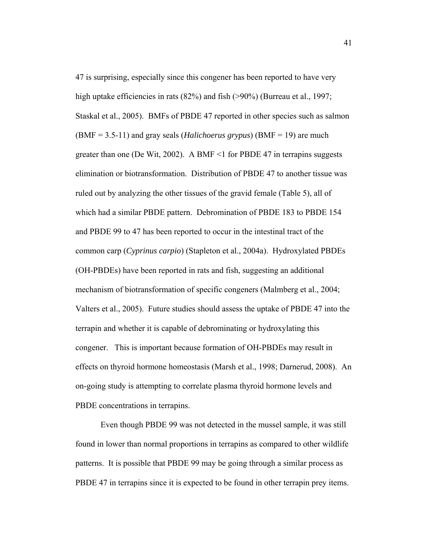47 is surprising, especially since this congener has been reported to have very high uptake efficiencies in rats (82%) and fish (>90%) (Burreau et al., 1997; Staskal et al., 2005). BMFs of PBDE 47 reported in other species such as salmon (BMF = 3.5-11) and gray seals (*Halichoerus grypus*) (BMF = 19) are much greater than one (De Wit, 2002). A BMF  $\leq$  1 for PBDE 47 in terrapins suggests elimination or biotransformation. Distribution of PBDE 47 to another tissue was ruled out by analyzing the other tissues of the gravid female (Table 5), all of which had a similar PBDE pattern. Debromination of PBDE 183 to PBDE 154 and PBDE 99 to 47 has been reported to occur in the intestinal tract of the common carp (*Cyprinus carpio*) (Stapleton et al., 2004a). Hydroxylated PBDEs (OH-PBDEs) have been reported in rats and fish, suggesting an additional mechanism of biotransformation of specific congeners (Malmberg et al., 2004; Valters et al., 2005). Future studies should assess the uptake of PBDE 47 into the terrapin and whether it is capable of debrominating or hydroxylating this congener. This is important because formation of OH-PBDEs may result in effects on thyroid hormone homeostasis (Marsh et al., 1998; Darnerud, 2008). An on-going study is attempting to correlate plasma thyroid hormone levels and PBDE concentrations in terrapins.

Even though PBDE 99 was not detected in the mussel sample, it was still found in lower than normal proportions in terrapins as compared to other wildlife patterns. It is possible that PBDE 99 may be going through a similar process as PBDE 47 in terrapins since it is expected to be found in other terrapin prey items.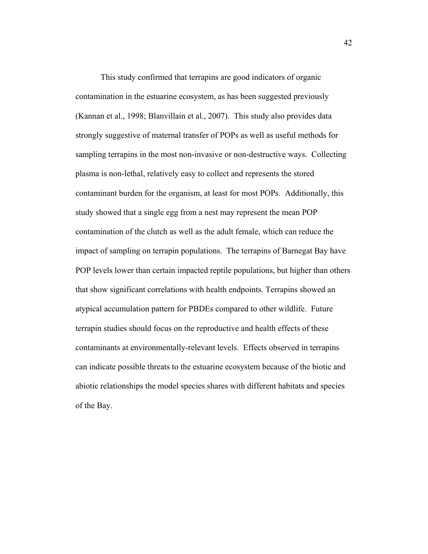This study confirmed that terrapins are good indicators of organic contamination in the estuarine ecosystem, as has been suggested previously (Kannan et al., 1998; Blanvillain et al., 2007). This study also provides data strongly suggestive of maternal transfer of POPs as well as useful methods for sampling terrapins in the most non-invasive or non-destructive ways. Collecting plasma is non-lethal, relatively easy to collect and represents the stored contaminant burden for the organism, at least for most POPs. Additionally, this study showed that a single egg from a nest may represent the mean POP contamination of the clutch as well as the adult female, which can reduce the impact of sampling on terrapin populations. The terrapins of Barnegat Bay have POP levels lower than certain impacted reptile populations, but higher than others that show significant correlations with health endpoints. Terrapins showed an atypical accumulation pattern for PBDEs compared to other wildlife. Future terrapin studies should focus on the reproductive and health effects of these contaminants at environmentally-relevant levels. Effects observed in terrapins can indicate possible threats to the estuarine ecosystem because of the biotic and abiotic relationships the model species shares with different habitats and species of the Bay.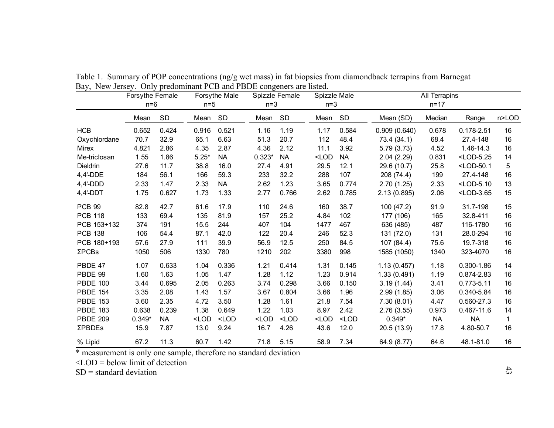|                 | Forsythe Female<br>$n=6$ |           |                                                                                                                                                                                                                                                                      | Forsythe Male<br>Spizzle Female<br>$n=3$<br>$n=5$ |          | Spizzle Male<br>$n=3$ |         | All Terrapins<br>$n = 17$ |              |           |                                          |              |
|-----------------|--------------------------|-----------|----------------------------------------------------------------------------------------------------------------------------------------------------------------------------------------------------------------------------------------------------------------------|---------------------------------------------------|----------|-----------------------|---------|---------------------------|--------------|-----------|------------------------------------------|--------------|
|                 | Mean                     | SD        | Mean                                                                                                                                                                                                                                                                 | - SD                                              | Mean     | SD                    | Mean    | SD                        | Mean (SD)    | Median    | Range                                    | n>LOD        |
| <b>HCB</b>      | 0.652                    | 0.424     | 0.916                                                                                                                                                                                                                                                                | 0.521                                             | 1.16     | 1.19                  | 1.17    | 0.584                     | 0.909(0.640) | 0.678     | $0.178 - 2.51$                           | 16           |
| Oxychlordane    | 70.7                     | 32.9      | 65.1                                                                                                                                                                                                                                                                 | 6.63                                              | 51.3     | 20.7                  | 112     | 48.4                      | 73.4 (34.1)  | 68.4      | 27.4-148                                 | 16           |
| Mirex           | 4.821                    | 2.86      | 4.35                                                                                                                                                                                                                                                                 | 2.87                                              | 4.36     | 2.12                  | 11.1    | 3.92                      | 5.79(3.73)   | 4.52      | 1.46-14.3                                | 16           |
| Me-triclosan    | 1.55                     | 1.86      | $5.25*$                                                                                                                                                                                                                                                              | <b>NA</b>                                         | $0.323*$ | NA.                   | $<$ LOD | <b>NA</b>                 | 2.04(2.29)   | 0.831     | $<$ LOD-5.25                             | 14           |
| Dieldrin        | 27.6                     | 11.7      | 38.8                                                                                                                                                                                                                                                                 | 16.0                                              | 27.4     | 4.91                  | 29.5    | 12.1                      | 29.6 (10.7)  | 25.8      | <lod-50.1< td=""><td>5</td></lod-50.1<>  | 5            |
| 4,4'-DDE        | 184                      | 56.1      | 166                                                                                                                                                                                                                                                                  | 59.3                                              | 233      | 32.2                  | 288     | 107                       | 208 (74.4)   | 199       | 27.4-148                                 | 16           |
| $4,4'$ -DDD     | 2.33                     | 1.47      | 2.33                                                                                                                                                                                                                                                                 | <b>NA</b>                                         | 2.62     | 1.23                  | 3.65    | 0.774                     | 2.70(1.25)   | 2.33      | <lod-5.10< td=""><td>13</td></lod-5.10<> | 13           |
| $4,4'$ -DDT     | 1.75                     | 0.627     | 1.73                                                                                                                                                                                                                                                                 | 1.33                                              | 2.77     | 0.766                 | 2.62    | 0.785                     | 2.13(0.895)  | 2.06      | <lod-3.65< td=""><td>15</td></lod-3.65<> | 15           |
| <b>PCB 99</b>   | 82.8                     | 42.7      | 61.6                                                                                                                                                                                                                                                                 | 17.9                                              | 110      | 24.6                  | 160     | 38.7                      | 100 (47.2)   | 91.9      | 31.7-198                                 | 15           |
| <b>PCB 118</b>  | 133                      | 69.4      | 135                                                                                                                                                                                                                                                                  | 81.9                                              | 157      | 25.2                  | 4.84    | 102                       | 177 (106)    | 165       | 32.8-411                                 | 16           |
| PCB 153+132     | 374                      | 191       | 15.5                                                                                                                                                                                                                                                                 | 244                                               | 407      | 104                   | 1477    | 467                       | 636 (485)    | 487       | 116-1780                                 | 16           |
| <b>PCB 138</b>  | 106                      | 54.4      | 87.1                                                                                                                                                                                                                                                                 | 42.0                                              | 122      | 20.4                  | 246     | 52.3                      | 131 (72.0)   | 131       | 28.0-294                                 | 16           |
| PCB 180+193     | 57.6                     | 27.9      | 111                                                                                                                                                                                                                                                                  | 39.9                                              | 56.9     | 12.5                  | 250     | 84.5                      | 107 (84.4)   | 75.6      | 19.7-318                                 | 16           |
| <b>ΣPCBs</b>    | 1050                     | 506       | 1330                                                                                                                                                                                                                                                                 | 780                                               | 1210     | 202                   | 3380    | 998                       | 1585 (1050)  | 1340      | 323-4070                                 | 16           |
| PBDE 47         | 1.07                     | 0.633     | 1.04                                                                                                                                                                                                                                                                 | 0.336                                             | 1.21     | 0.414                 | 1.31    | 0.145                     | 1.13(0.457)  | 1.18      | $0.300 - 1.86$                           | 14           |
| PBDE 99         | 1.60                     | 1.63      | 1.05                                                                                                                                                                                                                                                                 | 1.47                                              | 1.28     | 1.12                  | 1.23    | 0.914                     | 1.33(0.491)  | 1.19      | 0.874-2.83                               | 16           |
| <b>PBDE 100</b> | 3.44                     | 0.695     | 2.05                                                                                                                                                                                                                                                                 | 0.263                                             | 3.74     | 0.298                 | 3.66    | 0.150                     | 3.19(1.44)   | 3.41      | $0.773 - 5.11$                           | 16           |
| <b>PBDE 154</b> | 3.35                     | 2.08      | 1.43                                                                                                                                                                                                                                                                 | 1.57                                              | 3.67     | 0.804                 | 3.66    | 1.96                      | 2.99(1.85)   | 3.06      | 0.340-5.84                               | 16           |
| <b>PBDE 153</b> | 3.60                     | 2.35      | 4.72                                                                                                                                                                                                                                                                 | 3.50                                              | 1.28     | 1.61                  | 21.8    | 7.54                      | 7.30(8.01)   | 4.47      | 0.560-27.3                               | 16           |
| <b>PBDE 183</b> | 0.638                    | 0.239     | 1.38                                                                                                                                                                                                                                                                 | 0.649                                             | 1.22     | 1.03                  | 8.97    | 2.42                      | 2.76(3.55)   | 0.973     | 0.467-11.6                               | 14           |
| <b>PBDE 209</b> | $0.349*$                 | <b>NA</b> | <lod< td=""><td><math>&lt;</math>LOD</td><td><math>&lt;</math>LOD</td><td><math>&lt;</math>LOD</td><td><math>&lt;</math>LOD</td><td><math>&lt;</math>LOD</td><td><math>0.349*</math></td><td><b>NA</b></td><td><b>NA</b></td><td><math>\mathbf{1}</math></td></lod<> | $<$ LOD                                           | $<$ LOD  | $<$ LOD               | $<$ LOD | $<$ LOD                   | $0.349*$     | <b>NA</b> | <b>NA</b>                                | $\mathbf{1}$ |
| ΣPBDEs          | 15.9                     | 7.87      | 13.0                                                                                                                                                                                                                                                                 | 9.24                                              | 16.7     | 4.26                  | 43.6    | 12.0                      | 20.5(13.9)   | 17.8      | 4.80-50.7                                | 16           |
| % Lipid         | 67.2                     | 11.3      | 60.7                                                                                                                                                                                                                                                                 | 1.42                                              | 71.8     | 5.15                  | 58.9    | 7.34                      | 64.9 (8.77)  | 64.6      | 48.1-81.0                                | 16           |

Table 1. Summary of POP concentrations (ng/g wet mass) in fat biopsies from diamondback terrapins from Barnegat Bay, New Jersey. Only predominant PCB and PBDE congeners are listed.

\* measurement is only one sample, therefore no standard deviation

 $\angle$ LOD = below limit of detection

 $SD =$  standard deviation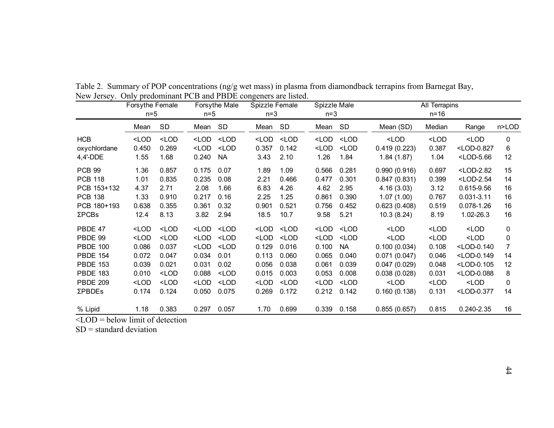|                          | Forsythe Female                                                                                                                                                                                                                                                                                                          |                                                                                                                                                                                                                                                                                              |                                                                                                                                                                                                                                                                  | Forsythe Male                                                                                                                                                                                                                                            | Spizzle Female                                                                                                                                                                                                               |                                                                                                                                                                                                  | Spizzle Male<br>$n=3$                                                                                                                                                |                                                                                                                                          |                                                                                        | All Terrapins                                                                   |                                            |             |
|--------------------------|--------------------------------------------------------------------------------------------------------------------------------------------------------------------------------------------------------------------------------------------------------------------------------------------------------------------------|----------------------------------------------------------------------------------------------------------------------------------------------------------------------------------------------------------------------------------------------------------------------------------------------|------------------------------------------------------------------------------------------------------------------------------------------------------------------------------------------------------------------------------------------------------------------|----------------------------------------------------------------------------------------------------------------------------------------------------------------------------------------------------------------------------------------------------------|------------------------------------------------------------------------------------------------------------------------------------------------------------------------------------------------------------------------------|--------------------------------------------------------------------------------------------------------------------------------------------------------------------------------------------------|----------------------------------------------------------------------------------------------------------------------------------------------------------------------|------------------------------------------------------------------------------------------------------------------------------------------|----------------------------------------------------------------------------------------|---------------------------------------------------------------------------------|--------------------------------------------|-------------|
|                          | $n=5$                                                                                                                                                                                                                                                                                                                    |                                                                                                                                                                                                                                                                                              | $n=5$                                                                                                                                                                                                                                                            |                                                                                                                                                                                                                                                          |                                                                                                                                                                                                                              | $n=3$                                                                                                                                                                                            |                                                                                                                                                                      |                                                                                                                                          | $n = 16$                                                                               |                                                                                 |                                            |             |
|                          | Mean                                                                                                                                                                                                                                                                                                                     | SD                                                                                                                                                                                                                                                                                           | Mean                                                                                                                                                                                                                                                             | SD                                                                                                                                                                                                                                                       | Mean                                                                                                                                                                                                                         | SD                                                                                                                                                                                               | Mean                                                                                                                                                                 | SD                                                                                                                                       | Mean (SD)                                                                              | Median                                                                          | Range                                      | n>LOD       |
| <b>HCB</b>               | $<$ LOD                                                                                                                                                                                                                                                                                                                  | $<$ LOD                                                                                                                                                                                                                                                                                      | $<$ LOD                                                                                                                                                                                                                                                          | $<$ LOD                                                                                                                                                                                                                                                  | <lod< td=""><td><math>&lt;</math>LOD</td><td><lod< td=""><td><math>&lt;</math>LOD</td><td><math>&lt;</math>LOD</td><td><math>&lt;</math>LOD</td><td><math>&lt;</math>LOD</td><td>0</td></lod<></td></lod<>                   | $<$ LOD                                                                                                                                                                                          | <lod< td=""><td><math>&lt;</math>LOD</td><td><math>&lt;</math>LOD</td><td><math>&lt;</math>LOD</td><td><math>&lt;</math>LOD</td><td>0</td></lod<>                    | $<$ LOD                                                                                                                                  | $<$ LOD                                                                                | $<$ LOD                                                                         | $<$ LOD                                    | 0           |
| oxychlordane             | 0.450                                                                                                                                                                                                                                                                                                                    | 0.269                                                                                                                                                                                                                                                                                        | $<$ LOD                                                                                                                                                                                                                                                          | $<$ LOD                                                                                                                                                                                                                                                  | 0.357                                                                                                                                                                                                                        | 0.142                                                                                                                                                                                            | $<$ LOD                                                                                                                                                              | $<$ LOD                                                                                                                                  | 0.419(0.223)                                                                           | 0.387                                                                           | <lod-0.827< td=""><td>6</td></lod-0.827<>  | 6           |
| 4,4'-DDE                 | 1.55                                                                                                                                                                                                                                                                                                                     | 1.68                                                                                                                                                                                                                                                                                         | 0.240                                                                                                                                                                                                                                                            | <b>NA</b>                                                                                                                                                                                                                                                | 3.43                                                                                                                                                                                                                         | 2.10                                                                                                                                                                                             | 1.26                                                                                                                                                                 | 1.84                                                                                                                                     | 1.84(1.87)                                                                             | 1.04                                                                            | <lod-5.66< td=""><td>12</td></lod-5.66<>   | 12          |
| <b>PCB 99</b>            | 1.36                                                                                                                                                                                                                                                                                                                     | 0.857                                                                                                                                                                                                                                                                                        | 0.175                                                                                                                                                                                                                                                            | 0.07                                                                                                                                                                                                                                                     | 1.89                                                                                                                                                                                                                         | 1.09                                                                                                                                                                                             | 0.566                                                                                                                                                                | 0.281                                                                                                                                    | 0.990(0.916)                                                                           | 0.697                                                                           | $<$ LOD-2.82                               | 15          |
| <b>PCB 118</b>           | 1.01                                                                                                                                                                                                                                                                                                                     | 0.835                                                                                                                                                                                                                                                                                        | 0.235                                                                                                                                                                                                                                                            | 0.08                                                                                                                                                                                                                                                     | 2.21                                                                                                                                                                                                                         | 0.466                                                                                                                                                                                            | 0.477                                                                                                                                                                | 0.301                                                                                                                                    | 0.847(0.831)                                                                           | 0.399                                                                           | $<$ LOD-2.54                               | 14          |
| PCB 153+132              | 4.37                                                                                                                                                                                                                                                                                                                     | 2.71                                                                                                                                                                                                                                                                                         | 2.08                                                                                                                                                                                                                                                             | 1.66                                                                                                                                                                                                                                                     | 6.83                                                                                                                                                                                                                         | 4.26                                                                                                                                                                                             | 4.62                                                                                                                                                                 | 2.95                                                                                                                                     | 4.16(3.03)                                                                             | 3.12                                                                            | 0.615-9.56                                 | 16          |
| <b>PCB 138</b>           | 1.33                                                                                                                                                                                                                                                                                                                     | 0.910                                                                                                                                                                                                                                                                                        | 0.217                                                                                                                                                                                                                                                            | 0.16                                                                                                                                                                                                                                                     | 2.25                                                                                                                                                                                                                         | 1.25                                                                                                                                                                                             | 0.861                                                                                                                                                                | 0.390                                                                                                                                    | 1.07(1.00)                                                                             | 0.767                                                                           | $0.031 - 3.11$                             | 16          |
| PCB 180+193              | 0.638                                                                                                                                                                                                                                                                                                                    | 0.355                                                                                                                                                                                                                                                                                        | 0.361                                                                                                                                                                                                                                                            | 0.32                                                                                                                                                                                                                                                     | 0.901                                                                                                                                                                                                                        | 0.521                                                                                                                                                                                            | 0.756                                                                                                                                                                | 0.452                                                                                                                                    | 0.623(0.408)                                                                           | 0.519                                                                           | 0.078-1.26                                 | 16          |
| <b>ΣPCBs</b>             | 12.4                                                                                                                                                                                                                                                                                                                     | 8.13                                                                                                                                                                                                                                                                                         | 3.82                                                                                                                                                                                                                                                             | 2.94                                                                                                                                                                                                                                                     | 18.5                                                                                                                                                                                                                         | 10.7                                                                                                                                                                                             | 9.58                                                                                                                                                                 | 5.21                                                                                                                                     | 10.3(8.24)                                                                             | 8.19                                                                            | 1.02-26.3                                  | 16          |
| PBDE 47                  | <lod< td=""><td><lod< td=""><td><lod< td=""><td><lod< td=""><td><lod< td=""><td><math>&lt;</math>LOD</td><td><lod< td=""><td><math>&lt;</math>LOD</td><td><math>&lt;</math>LOD</td><td><lod< td=""><td><lod< td=""><td>0</td></lod<></td></lod<></td></lod<></td></lod<></td></lod<></td></lod<></td></lod<></td></lod<> | <lod< td=""><td><lod< td=""><td><lod< td=""><td><lod< td=""><td><math>&lt;</math>LOD</td><td><lod< td=""><td><math>&lt;</math>LOD</td><td><math>&lt;</math>LOD</td><td><lod< td=""><td><lod< td=""><td>0</td></lod<></td></lod<></td></lod<></td></lod<></td></lod<></td></lod<></td></lod<> | <lod< td=""><td><lod< td=""><td><lod< td=""><td><math>&lt;</math>LOD</td><td><lod< td=""><td><math>&lt;</math>LOD</td><td><math>&lt;</math>LOD</td><td><lod< td=""><td><lod< td=""><td>0</td></lod<></td></lod<></td></lod<></td></lod<></td></lod<></td></lod<> | <lod< td=""><td><lod< td=""><td><math>&lt;</math>LOD</td><td><lod< td=""><td><math>&lt;</math>LOD</td><td><math>&lt;</math>LOD</td><td><lod< td=""><td><lod< td=""><td>0</td></lod<></td></lod<></td></lod<></td></lod<></td></lod<>                     | <lod< td=""><td><math>&lt;</math>LOD</td><td><lod< td=""><td><math>&lt;</math>LOD</td><td><math>&lt;</math>LOD</td><td><lod< td=""><td><lod< td=""><td>0</td></lod<></td></lod<></td></lod<></td></lod<>                     | $<$ LOD                                                                                                                                                                                          | <lod< td=""><td><math>&lt;</math>LOD</td><td><math>&lt;</math>LOD</td><td><lod< td=""><td><lod< td=""><td>0</td></lod<></td></lod<></td></lod<>                      | $<$ LOD                                                                                                                                  | $<$ LOD                                                                                | <lod< td=""><td><lod< td=""><td>0</td></lod<></td></lod<>                       | <lod< td=""><td>0</td></lod<>              | 0           |
| PBDE 99                  | $<$ LOD                                                                                                                                                                                                                                                                                                                  | $<$ LOD                                                                                                                                                                                                                                                                                      | $<$ LOD                                                                                                                                                                                                                                                          | <lod< td=""><td><lod< td=""><td><lod< td=""><td><lod< td=""><td><lod< td=""><td><math>&lt;</math>LOD</td><td><lod< td=""><td><math>&lt;</math>LOD</td><td><math>\mathbf 0</math></td></lod<></td></lod<></td></lod<></td></lod<></td></lod<></td></lod<> | <lod< td=""><td><lod< td=""><td><lod< td=""><td><lod< td=""><td><math>&lt;</math>LOD</td><td><lod< td=""><td><math>&lt;</math>LOD</td><td><math>\mathbf 0</math></td></lod<></td></lod<></td></lod<></td></lod<></td></lod<> | <lod< td=""><td><lod< td=""><td><lod< td=""><td><math>&lt;</math>LOD</td><td><lod< td=""><td><math>&lt;</math>LOD</td><td><math>\mathbf 0</math></td></lod<></td></lod<></td></lod<></td></lod<> | <lod< td=""><td><lod< td=""><td><math>&lt;</math>LOD</td><td><lod< td=""><td><math>&lt;</math>LOD</td><td><math>\mathbf 0</math></td></lod<></td></lod<></td></lod<> | <lod< td=""><td><math>&lt;</math>LOD</td><td><lod< td=""><td><math>&lt;</math>LOD</td><td><math>\mathbf 0</math></td></lod<></td></lod<> | $<$ LOD                                                                                | <lod< td=""><td><math>&lt;</math>LOD</td><td><math>\mathbf 0</math></td></lod<> | $<$ LOD                                    | $\mathbf 0$ |
| <b>PBDE 100</b>          | 0.086                                                                                                                                                                                                                                                                                                                    | 0.037                                                                                                                                                                                                                                                                                        | <lod< td=""><td><lod< td=""><td>0.129</td><td>0.016</td><td>0.100</td><td><b>NA</b></td><td>0.100(0.034)</td><td>0.108</td><td><lod-0.140< td=""><td>7</td></lod-0.140<></td></lod<></td></lod<>                                                                 | <lod< td=""><td>0.129</td><td>0.016</td><td>0.100</td><td><b>NA</b></td><td>0.100(0.034)</td><td>0.108</td><td><lod-0.140< td=""><td>7</td></lod-0.140<></td></lod<>                                                                                     | 0.129                                                                                                                                                                                                                        | 0.016                                                                                                                                                                                            | 0.100                                                                                                                                                                | <b>NA</b>                                                                                                                                | 0.100(0.034)                                                                           | 0.108                                                                           | <lod-0.140< td=""><td>7</td></lod-0.140<>  | 7           |
| <b>PBDE 154</b>          | 0.072                                                                                                                                                                                                                                                                                                                    | 0.047                                                                                                                                                                                                                                                                                        | 0.034                                                                                                                                                                                                                                                            | 0.01                                                                                                                                                                                                                                                     | 0.113                                                                                                                                                                                                                        | 0.060                                                                                                                                                                                            | 0.065                                                                                                                                                                | 0.040                                                                                                                                    | 0.071(0.047)                                                                           | 0.046                                                                           | <lod-0.149< td=""><td>14</td></lod-0.149<> | 14          |
| <b>PBDE 153</b>          | 0.039                                                                                                                                                                                                                                                                                                                    | 0.021                                                                                                                                                                                                                                                                                        | 0.031                                                                                                                                                                                                                                                            | 0.02                                                                                                                                                                                                                                                     | 0.056                                                                                                                                                                                                                        | 0.038                                                                                                                                                                                            | 0.061                                                                                                                                                                | 0.039                                                                                                                                    | 0.047(0.029)                                                                           | 0.048                                                                           | <lod-0.105< td=""><td>12</td></lod-0.105<> | 12          |
| <b>PBDE 183</b>          | 0.010                                                                                                                                                                                                                                                                                                                    | <lod< td=""><td>0.088</td><td><math>&lt;</math>LOD</td><td>0.015</td><td>0.003</td><td>0.053</td><td>0.008</td><td>0.038(0.028)</td><td>0.031</td><td><lod-0.088< td=""><td>8</td></lod-0.088<></td></lod<>                                                                                  | 0.088                                                                                                                                                                                                                                                            | $<$ LOD                                                                                                                                                                                                                                                  | 0.015                                                                                                                                                                                                                        | 0.003                                                                                                                                                                                            | 0.053                                                                                                                                                                | 0.008                                                                                                                                    | 0.038(0.028)                                                                           | 0.031                                                                           | <lod-0.088< td=""><td>8</td></lod-0.088<>  | 8           |
| <b>PBDE 209</b>          | $<$ LOD                                                                                                                                                                                                                                                                                                                  | $<$ LOD                                                                                                                                                                                                                                                                                      | $<$ LOD                                                                                                                                                                                                                                                          | $<$ LOD                                                                                                                                                                                                                                                  | $<$ LOD                                                                                                                                                                                                                      | $<$ LOD                                                                                                                                                                                          | $<$ LOD                                                                                                                                                              | <lod< td=""><td><lod< td=""><td><lod< td=""><td><math>&lt;</math>LOD</td><td>0</td></lod<></td></lod<></td></lod<>                       | <lod< td=""><td><lod< td=""><td><math>&lt;</math>LOD</td><td>0</td></lod<></td></lod<> | <lod< td=""><td><math>&lt;</math>LOD</td><td>0</td></lod<>                      | $<$ LOD                                    | 0           |
| <b>ΣPBDEs</b>            | 0.174                                                                                                                                                                                                                                                                                                                    | 0.124                                                                                                                                                                                                                                                                                        | 0.050                                                                                                                                                                                                                                                            | 0.075                                                                                                                                                                                                                                                    | 0.269                                                                                                                                                                                                                        | 0.172                                                                                                                                                                                            | 0.212                                                                                                                                                                | 0.142                                                                                                                                    | 0.160(0.138)                                                                           | 0.131                                                                           | <lod-0.377< td=""><td>14</td></lod-0.377<> | 14          |
| % Lipid<br>$\sim$ $\sim$ | 1.18                                                                                                                                                                                                                                                                                                                     | 0.383                                                                                                                                                                                                                                                                                        | 0.297                                                                                                                                                                                                                                                            | 0.057                                                                                                                                                                                                                                                    | 1.70                                                                                                                                                                                                                         | 0.699                                                                                                                                                                                            | 0.339                                                                                                                                                                | 0.158                                                                                                                                    | 0.855(0.657)                                                                           | 0.815                                                                           | $0.240 - 2.35$                             | 16          |

Table 2. Summary of POP concentrations (ng/g wet mass) in plasma from diamondback terrapins from Barnegat Bay, New Jersey. Only predominant PCB and PBDE congeners are listed.

 $\text{ = below limit of detection$ 

SD = standard deviation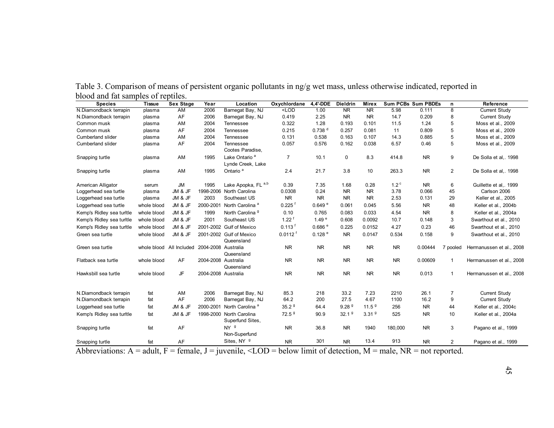| Table 3. Comparison of means of persistent organic pollutants in ng/g wet mass, unless otherwise indicated, reported in |  |  |  |  |  |
|-------------------------------------------------------------------------------------------------------------------------|--|--|--|--|--|
| blood and fat samples of reptiles.                                                                                      |  |  |  |  |  |

| <b>Species</b>            | <b>Tissue</b> | Sex Stage                | Year                | Location                                       | Oxychlordane            | 4.4'-DDE           | <b>Dieldrin</b>        | <b>Mirex</b>           |                  | <b>Sum PCBs Sum PBDEs</b> | n              | <b>Reference</b>         |
|---------------------------|---------------|--------------------------|---------------------|------------------------------------------------|-------------------------|--------------------|------------------------|------------------------|------------------|---------------------------|----------------|--------------------------|
| N.Diamondback terrapin    | plasma        | <b>AM</b>                | 2006                | Barnegat Bay, NJ                               | $\overline{\text{CDD}}$ | 1.00               | $\overline{\text{NR}}$ | $\overline{\text{NR}}$ | 5.98             | 0.111                     | 8              | Current Study            |
| N.Diamondback terrapin    | plasma        | AF                       | 2006                | Barnegat Bay, NJ                               | 0.419                   | 2.25               | <b>NR</b>              | <b>NR</b>              | 14.7             | 0.209                     | 8              | Current Study            |
| Common musk               | plasma        | AM                       | 2004                | Tennessee                                      | 0.322                   | 1.28               | 0.193                  | 0.101                  | 11.5             | 1.24                      | 5              | Moss et al., 2009        |
| Common musk               | plasma        | AF                       | 2004                | Tennessee                                      | 0.215                   | 0.738 <sup>d</sup> | 0.257                  | 0.081                  | 11               | 0.809                     | 5              | Moss et al., 2009        |
| <b>Cumberland slider</b>  | plasma        | AM                       | 2004                | Tennessee                                      | 0.131                   | 0.538              | 0.163                  | 0.107                  | 14.3             | 0.885                     | 5              | Moss et al., 2009        |
| Cumberland slider         | plasma        | AF                       | 2004                | Tennessee<br>Cootes Paradise,                  | 0.057                   | 0.576              | 0.162                  | 0.038                  | 6.57             | 0.46                      | 5              | Moss et al., 2009        |
| Snapping turtle           | plasma        | AM                       | 1995                | Lake Ontario <sup>a</sup><br>Lynde Creek, Lake | $\overline{7}$          | 10.1               | $\mathbf 0$            | 8.3                    | 414.8            | <b>NR</b>                 | 9              | De Solla et al,. 1998    |
| Snapping turtle           | plasma        | AM                       | 1995                | Ontario <sup>a</sup>                           | 2.4                     | 21.7               | 3.8                    | 10                     | 263.3            | N <sub>R</sub>            | $\overline{2}$ | De Solla et al,. 1998    |
| American Alligator        | serum         | <b>JM</b>                | 1995                | Lake Apopka, FL a,b                            | 0.39                    | 7.35               | 1.68                   | 0.28                   | 1.2 <sup>c</sup> | <b>NR</b>                 | 6              | Guillette et al,. 1999   |
| Loggerhead sea turtle     | plasma        | JM & JF                  | 1998-2006           | North Carolina                                 | 0.0308                  | 0.24               | <b>NR</b>              | <b>NR</b>              | 3.78             | 0.066                     | 45             | Carlson 2006             |
| Loggerhead sea turtle     | plasma        | JM & JF                  | 2003                | Southeast US                                   | <b>NR</b>               | <b>NR</b>          | <b>NR</b>              | <b>NR</b>              | 2.53             | 0.131                     | 29             | Keller et al., 2005      |
| Loggerhead sea turtle     | whole blood   | JM & JF                  | 2000-2001           | North Carolina <sup>a</sup>                    | 0.225                   | 0.649e             | 0.061                  | 0.045                  | 5.56             | <b>NR</b>                 | 48             | Keller et al., 2004b     |
| Kemp's Ridley sea turltle | whole blood   | JM & JF                  | 1999                | North Carolina <sup>9</sup>                    | 0.10                    | 0.765              | 0.083                  | 0.033                  | 4.54             | <b>NR</b>                 | 8              | Keller et al., 2004a     |
| Kemp's Ridley sea turitle | whole blood   | JM & JF                  | 2001                | Southeast US                                   | $1.22$ <sup>f</sup>     | 1.49 <sup>e</sup>  | 0.608                  | 0.0092                 | 10.7             | 0.148                     | 3              | Swarthout et al., 2010   |
| Kemp's Ridley sea turitle | whole blood   | JM & JF                  | 2001-2002           | <b>Gulf of Mexico</b>                          | $0.113$ <sup>f</sup>    | 0.686 <sup>e</sup> | 0.225                  | 0.0152                 | 4.27             | 0.23                      | 46             | Swarthout et al., 2010   |
| Green sea turtle          | whole blood   | JM & JF                  |                     | 2001-2002 Gulf of Mexico<br>Queensland         | $0.0112$ <sup>t</sup>   | 0.128 e            | <b>NR</b>              | 0.0147                 | 0.534            | 0.158                     | 9              | Swarthout et al., 2010   |
| Green sea turtle          |               | whole blood All Included | 2004-2008 Australia | Queensland                                     | <b>NR</b>               | <b>NR</b>          | <b>NR</b>              | <b>NR</b>              | <b>NR</b>        | 0.00444                   | 7 pooled       | Hermanussen et al., 2008 |
| Flatback sea turtle       | whole blood   | AF                       | 2004-2008 Australia | Queensland                                     | <b>NR</b>               | <b>NR</b>          | <b>NR</b>              | <b>NR</b>              | <b>NR</b>        | 0.00609                   | $\mathbf{1}$   | Hermanussen et al., 2008 |
| Hawksbill sea turtle      | whole blood   | JF                       | 2004-2008 Australia |                                                | <b>NR</b>               | <b>NR</b>          | <b>NR</b>              | <b>NR</b>              | <b>NR</b>        | 0.013                     | $\mathbf{1}$   | Hermanussen et al., 2008 |
| N.Diamondback terrapin    | fat           | AM                       | 2006                | Barnegat Bay, NJ                               | 85.3                    | 218                | 33.2                   | 7.23                   | 2210             | 26.1                      | $\overline{7}$ | <b>Current Study</b>     |
| N.Diamondback terrapin    | fat           | AF                       | 2006                | Barnegat Bay, NJ                               | 64.2                    | 200                | 27.5                   | 4.67                   | 1100             | 16.2                      | 9              | <b>Current Study</b>     |
| Loggerhead sea turtle     | fat           | JM & JF                  | 2000-2001           | North Carolina <sup>a</sup>                    | 35.2 <sup>9</sup>       | 64.4               | 9.28 <sup>9</sup>      | 11.5 <sup>9</sup>      | 256              | <b>NR</b>                 | 44             | Keller et al., 2004c     |
| Kemp's Ridley sea turitle | fat           | JM & JF                  | 1998-2000           | North Carolina                                 | 72.5 <sup>9</sup>       | 90.9               | 32.1 <sup>9</sup>      | 3.31 <sup>9</sup>      | 525              | <b>NR</b>                 | 10             | Keller et al., 2004a     |
|                           |               |                          |                     | Superfund Sites,                               |                         |                    |                        |                        |                  |                           |                |                          |
| Snapping turtle           | fat           | AF                       |                     | NY <sup>g</sup><br>Non-Superfund               | <b>NR</b>               | 36.8               | <b>NR</b>              | 1940                   | 180,000          | <b>NR</b>                 | 3              | Pagano et al., 1999      |
| Snapping turtle           | fat           | AF                       |                     | Sites, NY 9                                    | <b>NR</b>               | 301                | <b>NR</b>              | 13.4                   | 913              | N <sub>R</sub>            | 2              | Pagano et al., 1999      |

Abbreviations:  $A =$  adult,  $F =$  female,  $J =$  juvenile,  $\langle LOD =$  below limit of detection,  $M =$  male,  $NR =$  not reported.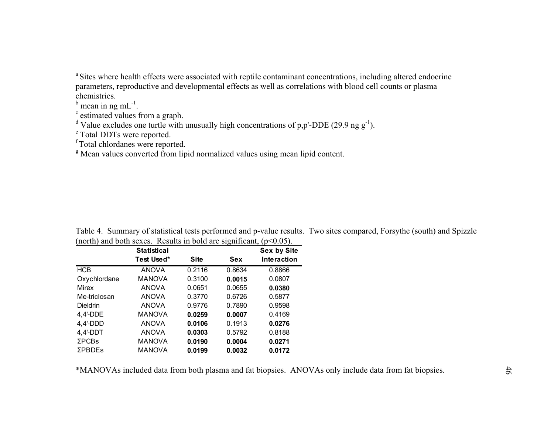<sup>a</sup> Sites where health effects were associated with reptile contaminant concentrations, including altered endocrine parameters, reproductive and developmental effects as well as correlations with blood cell counts or plasma chemistries.

 $<sup>b</sup>$  mean in ng mL<sup>-1</sup>.</sup>

c estimated values from a graph.

<sup>d</sup> Value excludes one turtle with unusually high concentrations of p,p'-DDE (29.9 ng g<sup>-1</sup>).

e Total DDTs were reported.

f Total chlordanes were reported.

<sup>g</sup> Mean values converted from lipid normalized values using mean lipid content.

|                 | <b>Statistical</b> |             | ັ      | ╯ື<br>Sex by Site  |
|-----------------|--------------------|-------------|--------|--------------------|
|                 | Test Used*         | <b>Site</b> | Sex    | <b>Interaction</b> |
| <b>HCB</b>      | <b>ANOVA</b>       | 0.2116      | 0.8634 | 0.8866             |
| Oxychlordane    | <b>MANOVA</b>      | 0.3100      | 0.0015 | 0.0807             |
| Mirex           | <b>ANOVA</b>       | 0.0651      | 0.0655 | 0.0380             |
| Me-triclosan    | <b>ANOVA</b>       | 0.3770      | 0.6726 | 0.5877             |
| <b>Dieldrin</b> | <b>ANOVA</b>       | 0.9776      | 0.7890 | 0.9598             |
| $4,4'$ -DDE     | <b>MANOVA</b>      | 0.0259      | 0.0007 | 0.4169             |
| $4,4'$ -DDD     | <b>ANOVA</b>       | 0.0106      | 0.1913 | 0.0276             |
| $4,4'$ -DDT     | <b>ANOVA</b>       | 0.0303      | 0.5792 | 0.8188             |
| <b>ΣPCBs</b>    | <b>MANOVA</b>      | 0.0190      | 0.0004 | 0.0271             |
| <b>ΣPBDEs</b>   | <b>MANOVA</b>      | 0.0199      | 0.0032 | 0.0172             |

Table 4. Summary of statistical tests performed and p-value results. Two sites compared, Forsythe (south) and Spizzle (north) and both sexes. Results in bold are significant,  $(p<0.05)$ .

\*MANOVAs included data from both plasma and fat biopsies. ANOVAs only include data from fat biopsies.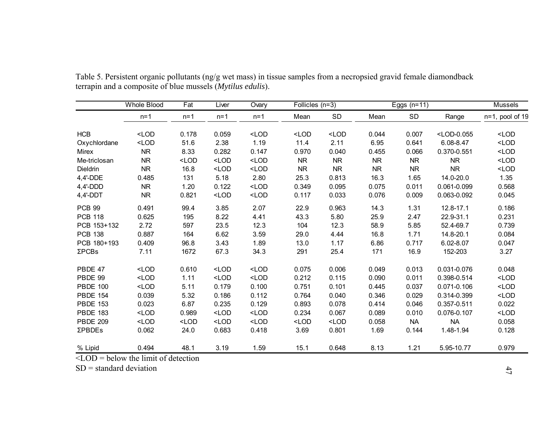|                 | <b>Whole Blood</b>                                    | Fat     | Liver   | Ovary   | Follicles $(n=3)$ |           |           | Eggs $(n=11)$ |                                                              | Mussels         |
|-----------------|-------------------------------------------------------|---------|---------|---------|-------------------|-----------|-----------|---------------|--------------------------------------------------------------|-----------------|
|                 | $n=1$                                                 | $n=1$   | $n=1$   | $n=1$   | Mean              | <b>SD</b> | Mean      | <b>SD</b>     | Range                                                        | n=1, pool of 19 |
| <b>HCB</b>      | $<$ LOD                                               | 0.178   | 0.059   | $<$ LOD | $<$ LOD           | $<$ LOD   | 0.044     | 0.007         | <lod-0.055< td=""><td><math>&lt;</math>LOD</td></lod-0.055<> | $<$ LOD         |
| Oxychlordane    | $<$ LOD                                               | 51.6    | 2.38    | 1.19    | 11.4              | 2.11      | 6.95      | 0.641         | $6.08 - 8.47$                                                | $<$ LOD         |
| Mirex           | <b>NR</b>                                             | 8.33    | 0.282   | 0.147   | 0.970             | 0.040     | 0.455     | 0.066         | 0.370-0.551                                                  | $<$ LOD         |
| Me-triclosan    | <b>NR</b>                                             | $<$ LOD | $<$ LOD | $<$ LOD | <b>NR</b>         | <b>NR</b> | <b>NR</b> | <b>NR</b>     | <b>NR</b>                                                    | $<$ LOD         |
| Dieldrin        | <b>NR</b>                                             | 16.8    | $<$ LOD | $<$ LOD | <b>NR</b>         | NR        | <b>NR</b> | <b>NR</b>     | <b>NR</b>                                                    | $<$ LOD         |
| 4,4'-DDE        | 0.485                                                 | 131     | 5.18    | 2.80    | 25.3              | 0.813     | 16.3      | 1.65          | 14.0-20.0                                                    | 1.35            |
| $4,4'$ -DDD     | <b>NR</b>                                             | 1.20    | 0.122   | $<$ LOD | 0.349             | 0.095     | 0.075     | 0.011         | 0.061-0.099                                                  | 0.568           |
| $4,4'$ -DDT     | <b>NR</b>                                             | 0.821   | $<$ LOD | $<$ LOD | 0.117             | 0.033     | 0.076     | 0.009         | 0.063-0.092                                                  | 0.045           |
| <b>PCB 99</b>   | 0.491                                                 | 99.4    | 3.85    | 2.07    | 22.9              | 0.963     | 14.3      | 1.31          | 12.8-17.1                                                    | 0.186           |
| <b>PCB 118</b>  | 0.625                                                 | 195     | 8.22    | 4.41    | 43.3              | 5.80      | 25.9      | 2.47          | 22.9-31.1                                                    | 0.231           |
| PCB 153+132     | 2.72                                                  | 597     | 23.5    | 12.3    | 104               | 12.3      | 58.9      | 5.85          | 52.4-69.7                                                    | 0.739           |
| <b>PCB 138</b>  | 0.887                                                 | 164     | 6.62    | 3.59    | 29.0              | 4.44      | 16.8      | 1.71          | 14.8-20.1                                                    | 0.084           |
| PCB 180+193     | 0.409                                                 | 96.8    | 3.43    | 1.89    | 13.0              | 1.17      | 6.86      | 0.717         | $6.02 - 8.07$                                                | 0.047           |
| ΣPCBs           | 7.11                                                  | 1672    | 67.3    | 34.3    | 291               | 25.4      | 171       | 16.9          | 152-203                                                      | 3.27            |
| PBDE 47         | $<$ LOD                                               | 0.610   | $<$ LOD | $<$ LOD | 0.075             | 0.006     | 0.049     | 0.013         | 0.031-0.076                                                  | 0.048           |
| PBDE 99         | $<$ LOD                                               | 1.11    | $<$ LOD | $<$ LOD | 0.212             | 0.115     | 0.090     | 0.011         | 0.398-0.514                                                  | $<$ LOD         |
| <b>PBDE 100</b> | $<$ LOD                                               | 5.11    | 0.179   | 0.100   | 0.751             | 0.101     | 0.445     | 0.037         | 0.071-0.106                                                  | $<$ LOD         |
| <b>PBDE 154</b> | 0.039                                                 | 5.32    | 0.186   | 0.112   | 0.764             | 0.040     | 0.346     | 0.029         | 0.314-0.399                                                  | $<$ LOD         |
| <b>PBDE 153</b> | 0.023                                                 | 6.87    | 0.235   | 0.129   | 0.893             | 0.078     | 0.414     | 0.046         | 0.357-0.511                                                  | 0.022           |
| <b>PBDE 183</b> | $<$ LOD                                               | 0.989   | $<$ LOD | $<$ LOD | 0.234             | 0.067     | 0.089     | 0.010         | 0.076-0.107                                                  | $<$ LOD         |
| <b>PBDE 209</b> | $<$ LOD                                               | $<$ LOD | $<$ LOD | $<$ LOD | $<$ LOD           | $<$ LOD   | 0.058     | <b>NA</b>     | <b>NA</b>                                                    | 0.058           |
| ΣΡΒDEs          | 0.062                                                 | 24.0    | 0.683   | 0.418   | 3.69              | 0.801     | 1.69      | 0.144         | 1.48-1.94                                                    | 0.128           |
| % Lipid         | 0.494<br>$\angle$ OD $-$ holom the limit of detection | 48.1    | 3.19    | 1.59    | 15.1              | 0.648     | 8.13      | 1.21          | 5.95-10.77                                                   | 0.979           |

Table 5. Persistent organic pollutants (ng/g wet mass) in tissue samples from a necropsied gravid female diamondback terrapin and a composite of blue mussels (*Mytilus edulis*).

 $\leq$ LOD = below the limit of detection

SD = standard deviation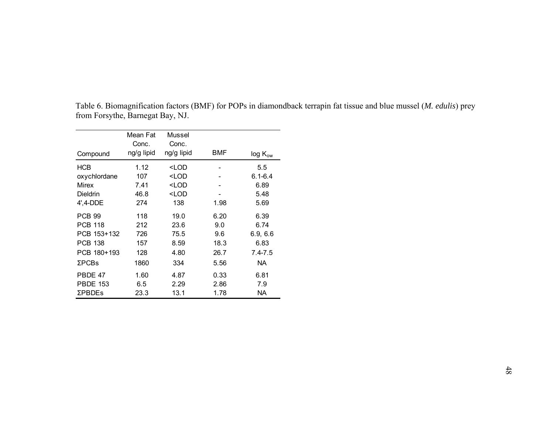|                 | Mean Fat   | Mussel                                                      |      |              |
|-----------------|------------|-------------------------------------------------------------|------|--------------|
|                 | Conc.      | Conc.                                                       |      |              |
| Compound        | ng/g lipid | ng/g lipid                                                  | BMF  | $log K_{ow}$ |
| <b>HCB</b>      | 1.12       | <lod< td=""><td></td><td>5.5</td></lod<>                    |      | 5.5          |
| oxychlordane    | 107        | <lod< td=""><td></td><td><math>6.1 - 6.4</math></td></lod<> |      | $6.1 - 6.4$  |
| Mirex           | 7.41       | <lod< td=""><td></td><td>6.89</td></lod<>                   |      | 6.89         |
| <b>Dieldrin</b> | 46.8       | <lod< td=""><td></td><td>5.48</td></lod<>                   |      | 5.48         |
| 4', 4-DDE       | 274        | 138                                                         | 1.98 | 5.69         |
| <b>PCB 99</b>   | 118        | 19.0                                                        | 6.20 | 6.39         |
| <b>PCB 118</b>  | 212        | 23.6                                                        | 9.0  | 6.74         |
| PCB 153+132     | 726        | 75.5                                                        | 9.6  | 6.9, 6.6     |
| <b>PCB 138</b>  | 157        | 8.59                                                        | 18.3 | 6.83         |
| PCB 180+193     | 128        | 4.80                                                        | 26.7 | $7.4 - 7.5$  |
| $\Sigma$ PCBs   | 1860       | 334                                                         | 5.56 | NA.          |
| PBDE 47         | 1.60       | 4.87                                                        | 0.33 | 6.81         |
| <b>PBDE 153</b> | 6.5        | 2.29                                                        | 2.86 | 7.9          |
| <b>ΣPBDEs</b>   | 23.3       | 13.1                                                        | 1.78 | NA.          |

Table 6. Biomagnification factors (BMF) for POPs in diamondback terrapin fat tissue and blue mussel (*M. edulis*) prey from Forsythe, Barnegat Bay, NJ.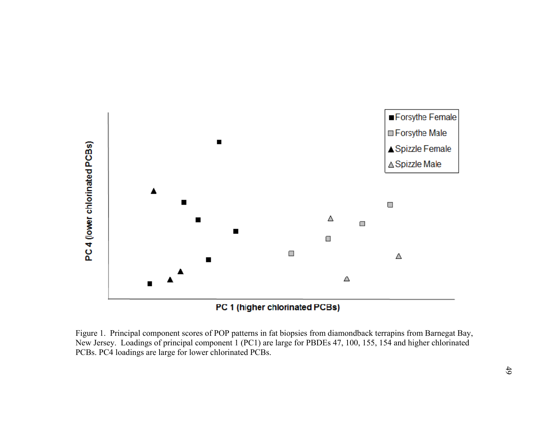

Figure 1. Principal component scores of POP patterns in fat biopsies from diamondback terrapins from Barnegat Bay, New Jersey. Loadings of principal component 1 (PC1) are large for PBDEs 47, 100, 155, 154 and higher chlorinated PCBs. PC4 loadings are large for lower chlorinated PCBs.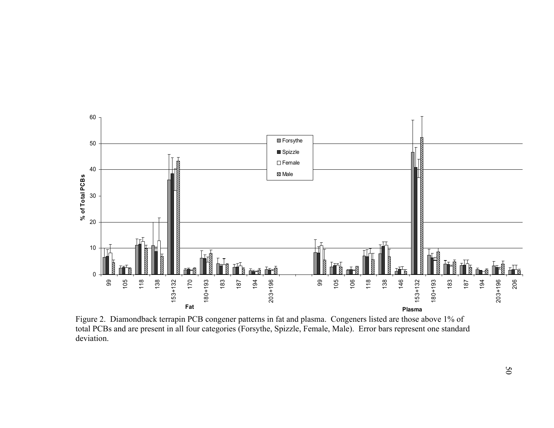

Figure 2. Diamondback terrapin PCB congener patterns in fat and plasma. Congeners listed are those above 1% of total PCBs and are present in all four categories (Forsythe, Spizzle, Female, Male). Error bars represent one standard deviation.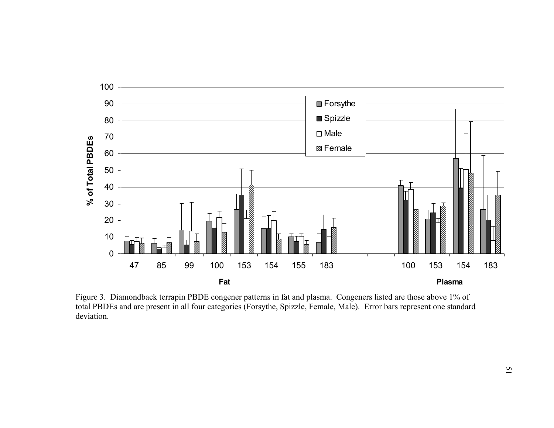

Figure 3. Diamondback terrapin PBDE congener patterns in fat and plasma. Congeners listed are those above 1% of total PBDEs and are present in all four categories (Forsythe, Spizzle, Female, Male). Error bars represent one standard deviation.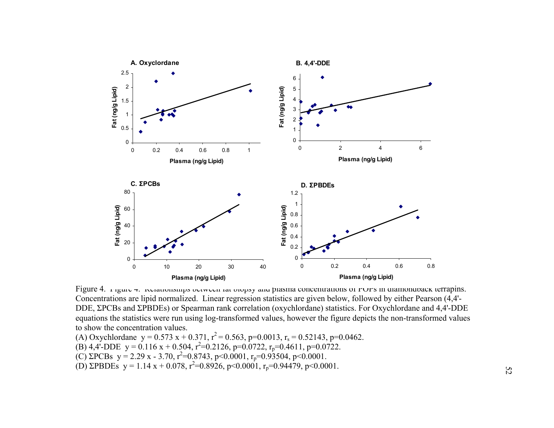

Figure 4. Figure 7. Relationships between fat biopsy and plasma concentrations of POPs in diamondback terrapins. Concentrations are lipid normalized. Linear regression statistics are given below, followed by either Pearson (4,4'- DDE, ΣPCBs and ΣPBDEs) or Spearman rank correlation (oxychlordane) statistics. For Oxychlordane and 4,4'-DDE equations the statistics were run using log-transformed values, however the figure depicts the non-transformed values to show the concentration values.

- (A) Oxychlordane  $y = 0.573 x + 0.371$ ,  $r^2 = 0.563$ ,  $p=0.0013$ ,  $r_s = 0.52143$ ,  $p=0.0462$ .
- (B) 4,4'-DDE  $y = 0.116 x + 0.504$ ,  $r^2=0.2126$ ,  $p=0.0722$ ,  $r_p=0.4611$ ,  $p=0.0722$ .
- (C) ΣPCBs  $y = 2.29$  x 3.70,  $r^2 = 0.8743$ ,  $p < 0.0001$ ,  $r_p = 0.93504$ ,  $p < 0.0001$ .
- (D)  $\Sigma$ PBDEs y = 1.14 x + 0.078, r<sup>2</sup>=0.8926, p<0.0001, r<sub>p</sub>=0.94479, p<0.0001.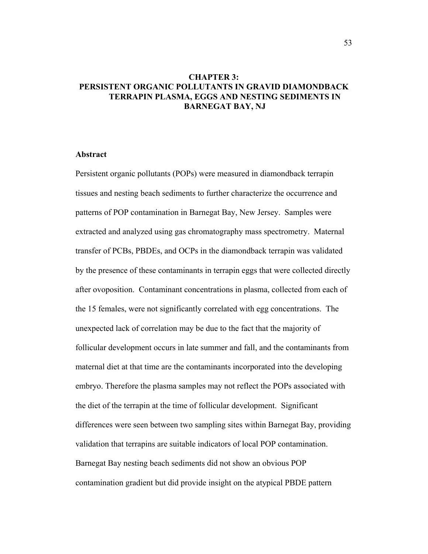# **CHAPTER 3: PERSISTENT ORGANIC POLLUTANTS IN GRAVID DIAMONDBACK TERRAPIN PLASMA, EGGS AND NESTING SEDIMENTS IN BARNEGAT BAY, NJ**

## **Abstract**

Persistent organic pollutants (POPs) were measured in diamondback terrapin tissues and nesting beach sediments to further characterize the occurrence and patterns of POP contamination in Barnegat Bay, New Jersey. Samples were extracted and analyzed using gas chromatography mass spectrometry. Maternal transfer of PCBs, PBDEs, and OCPs in the diamondback terrapin was validated by the presence of these contaminants in terrapin eggs that were collected directly after ovoposition. Contaminant concentrations in plasma, collected from each of the 15 females, were not significantly correlated with egg concentrations. The unexpected lack of correlation may be due to the fact that the majority of follicular development occurs in late summer and fall, and the contaminants from maternal diet at that time are the contaminants incorporated into the developing embryo. Therefore the plasma samples may not reflect the POPs associated with the diet of the terrapin at the time of follicular development. Significant differences were seen between two sampling sites within Barnegat Bay, providing validation that terrapins are suitable indicators of local POP contamination. Barnegat Bay nesting beach sediments did not show an obvious POP contamination gradient but did provide insight on the atypical PBDE pattern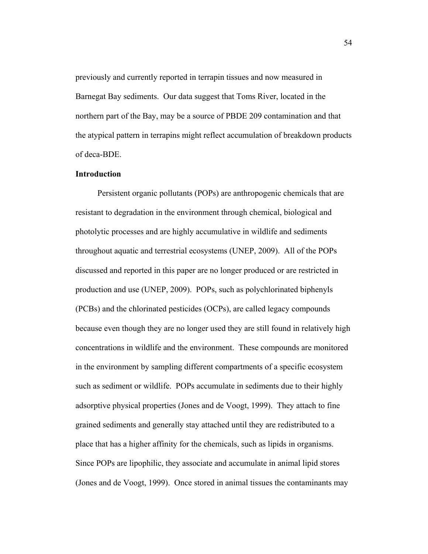previously and currently reported in terrapin tissues and now measured in Barnegat Bay sediments. Our data suggest that Toms River, located in the northern part of the Bay, may be a source of PBDE 209 contamination and that the atypical pattern in terrapins might reflect accumulation of breakdown products of deca-BDE.

## **Introduction**

Persistent organic pollutants (POPs) are anthropogenic chemicals that are resistant to degradation in the environment through chemical, biological and photolytic processes and are highly accumulative in wildlife and sediments throughout aquatic and terrestrial ecosystems (UNEP, 2009). All of the POPs discussed and reported in this paper are no longer produced or are restricted in production and use (UNEP, 2009). POPs, such as polychlorinated biphenyls (PCBs) and the chlorinated pesticides (OCPs), are called legacy compounds because even though they are no longer used they are still found in relatively high concentrations in wildlife and the environment. These compounds are monitored in the environment by sampling different compartments of a specific ecosystem such as sediment or wildlife. POPs accumulate in sediments due to their highly adsorptive physical properties (Jones and de Voogt, 1999). They attach to fine grained sediments and generally stay attached until they are redistributed to a place that has a higher affinity for the chemicals, such as lipids in organisms. Since POPs are lipophilic, they associate and accumulate in animal lipid stores (Jones and de Voogt, 1999). Once stored in animal tissues the contaminants may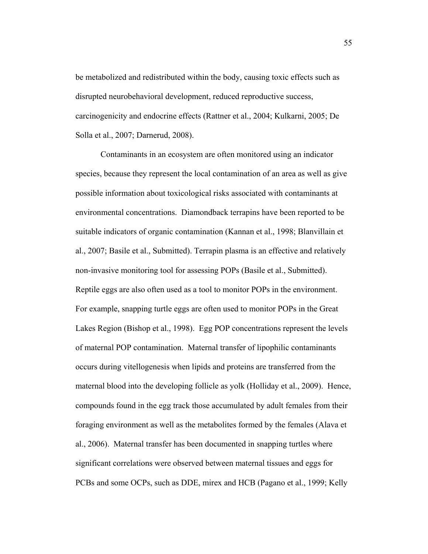be metabolized and redistributed within the body, causing toxic effects such as disrupted neurobehavioral development, reduced reproductive success, carcinogenicity and endocrine effects (Rattner et al., 2004; Kulkarni, 2005; De Solla et al., 2007; Darnerud, 2008).

 Contaminants in an ecosystem are often monitored using an indicator species, because they represent the local contamination of an area as well as give possible information about toxicological risks associated with contaminants at environmental concentrations. Diamondback terrapins have been reported to be suitable indicators of organic contamination (Kannan et al., 1998; Blanvillain et al., 2007; Basile et al., Submitted). Terrapin plasma is an effective and relatively non-invasive monitoring tool for assessing POPs (Basile et al., Submitted). Reptile eggs are also often used as a tool to monitor POPs in the environment. For example, snapping turtle eggs are often used to monitor POPs in the Great Lakes Region (Bishop et al., 1998). Egg POP concentrations represent the levels of maternal POP contamination. Maternal transfer of lipophilic contaminants occurs during vitellogenesis when lipids and proteins are transferred from the maternal blood into the developing follicle as yolk (Holliday et al., 2009). Hence, compounds found in the egg track those accumulated by adult females from their foraging environment as well as the metabolites formed by the females (Alava et al., 2006). Maternal transfer has been documented in snapping turtles where significant correlations were observed between maternal tissues and eggs for PCBs and some OCPs, such as DDE, mirex and HCB (Pagano et al., 1999; Kelly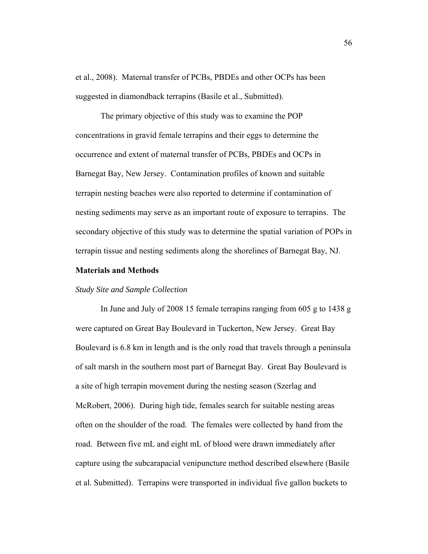et al., 2008). Maternal transfer of PCBs, PBDEs and other OCPs has been suggested in diamondback terrapins (Basile et al., Submitted).

 The primary objective of this study was to examine the POP concentrations in gravid female terrapins and their eggs to determine the occurrence and extent of maternal transfer of PCBs, PBDEs and OCPs in Barnegat Bay, New Jersey. Contamination profiles of known and suitable terrapin nesting beaches were also reported to determine if contamination of nesting sediments may serve as an important route of exposure to terrapins. The secondary objective of this study was to determine the spatial variation of POPs in terrapin tissue and nesting sediments along the shorelines of Barnegat Bay, NJ.

# **Materials and Methods**

#### *Study Site and Sample Collection*

 In June and July of 2008 15 female terrapins ranging from 605 g to 1438 g were captured on Great Bay Boulevard in Tuckerton, New Jersey. Great Bay Boulevard is 6.8 km in length and is the only road that travels through a peninsula of salt marsh in the southern most part of Barnegat Bay. Great Bay Boulevard is a site of high terrapin movement during the nesting season (Szerlag and McRobert, 2006). During high tide, females search for suitable nesting areas often on the shoulder of the road. The females were collected by hand from the road. Between five mL and eight mL of blood were drawn immediately after capture using the subcarapacial venipuncture method described elsewhere (Basile et al. Submitted). Terrapins were transported in individual five gallon buckets to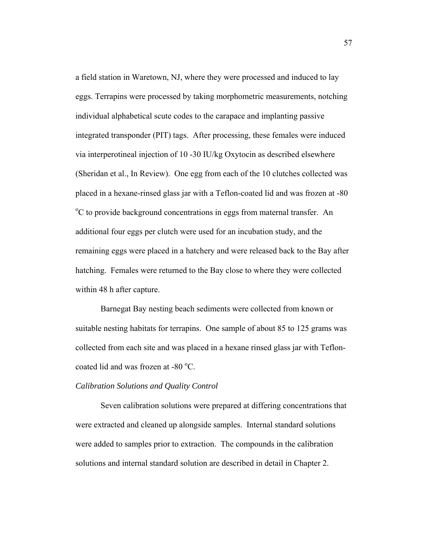a field station in Waretown, NJ, where they were processed and induced to lay eggs. Terrapins were processed by taking morphometric measurements, notching individual alphabetical scute codes to the carapace and implanting passive integrated transponder (PIT) tags. After processing, these females were induced via interperotineal injection of 10 -30 IU/kg Oxytocin as described elsewhere (Sheridan et al., In Review). One egg from each of the 10 clutches collected was placed in a hexane-rinsed glass jar with a Teflon-coated lid and was frozen at -80 <sup>o</sup>C to provide background concentrations in eggs from maternal transfer. An additional four eggs per clutch were used for an incubation study, and the remaining eggs were placed in a hatchery and were released back to the Bay after hatching. Females were returned to the Bay close to where they were collected within 48 h after capture.

Barnegat Bay nesting beach sediments were collected from known or suitable nesting habitats for terrapins. One sample of about 85 to 125 grams was collected from each site and was placed in a hexane rinsed glass jar with Tefloncoated lid and was frozen at -80 °C.

# *Calibration Solutions and Quality Control*

 Seven calibration solutions were prepared at differing concentrations that were extracted and cleaned up alongside samples. Internal standard solutions were added to samples prior to extraction. The compounds in the calibration solutions and internal standard solution are described in detail in Chapter 2.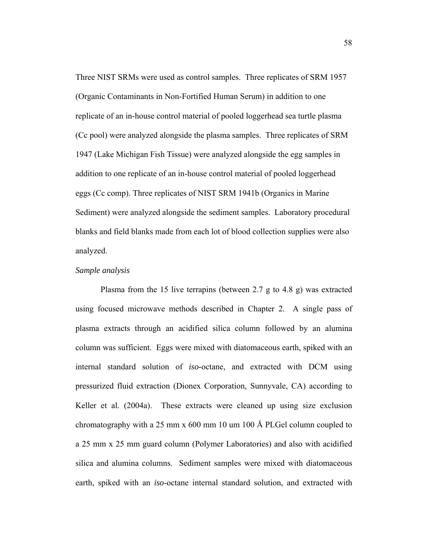Three NIST SRMs were used as control samples. Three replicates of SRM 1957 (Organic Contaminants in Non-Fortified Human Serum) in addition to one replicate of an in-house control material of pooled loggerhead sea turtle plasma (Cc pool) were analyzed alongside the plasma samples. Three replicates of SRM 1947 (Lake Michigan Fish Tissue) were analyzed alongside the egg samples in addition to one replicate of an in-house control material of pooled loggerhead eggs (Cc comp). Three replicates of NIST SRM 1941b (Organics in Marine Sediment) were analyzed alongside the sediment samples. Laboratory procedural blanks and field blanks made from each lot of blood collection supplies were also analyzed.

#### *Sample analysis*

 Plasma from the 15 live terrapins (between 2.7 g to 4.8 g) was extracted using focused microwave methods described in Chapter 2. A single pass of plasma extracts through an acidified silica column followed by an alumina column was sufficient. Eggs were mixed with diatomaceous earth, spiked with an internal standard solution of *iso*-octane, and extracted with DCM using pressurized fluid extraction (Dionex Corporation, Sunnyvale, CA) according to Keller et al. (2004a). These extracts were cleaned up using size exclusion chromatography with a 25 mm x 600 mm 10 um 100 Å PLGel column coupled to a 25 mm x 25 mm guard column (Polymer Laboratories) and also with acidified silica and alumina columns. Sediment samples were mixed with diatomaceous earth, spiked with an *iso*-octane internal standard solution, and extracted with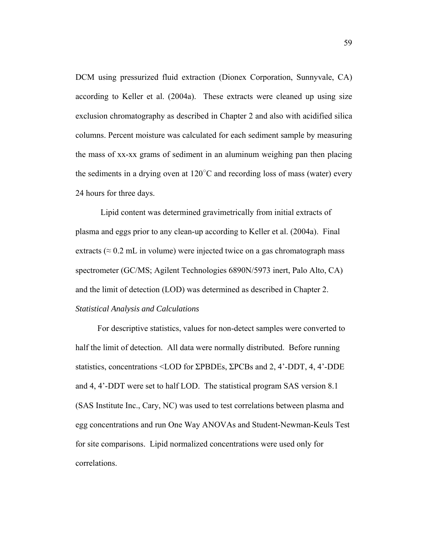DCM using pressurized fluid extraction (Dionex Corporation, Sunnyvale, CA) according to Keller et al. (2004a). These extracts were cleaned up using size exclusion chromatography as described in Chapter 2 and also with acidified silica columns. Percent moisture was calculated for each sediment sample by measuring the mass of xx-xx grams of sediment in an aluminum weighing pan then placing the sediments in a drying oven at  $120^{\circ}$ C and recording loss of mass (water) every 24 hours for three days.

 Lipid content was determined gravimetrically from initial extracts of plasma and eggs prior to any clean-up according to Keller et al. (2004a). Final extracts ( $\approx 0.2$  mL in volume) were injected twice on a gas chromatograph mass spectrometer (GC/MS; Agilent Technologies 6890N/5973 inert, Palo Alto, CA) and the limit of detection (LOD) was determined as described in Chapter 2. *Statistical Analysis and Calculations* 

 For descriptive statistics, values for non-detect samples were converted to half the limit of detection. All data were normally distributed. Before running statistics, concentrations <LOD for ΣPBDEs, ΣPCBs and 2, 4'-DDT, 4, 4'-DDE and 4, 4'-DDT were set to half LOD. The statistical program SAS version 8.1 (SAS Institute Inc., Cary, NC) was used to test correlations between plasma and egg concentrations and run One Way ANOVAs and Student-Newman-Keuls Test for site comparisons. Lipid normalized concentrations were used only for correlations.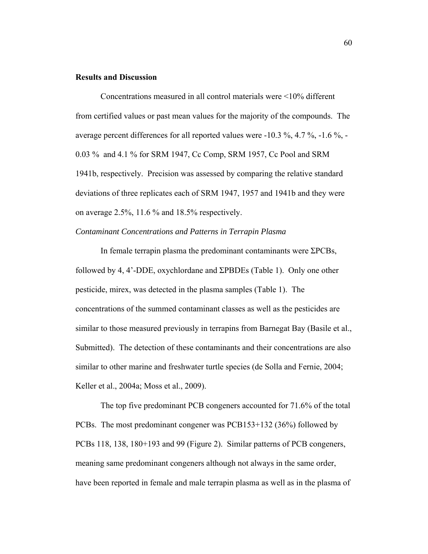# **Results and Discussion**

 Concentrations measured in all control materials were <10% different from certified values or past mean values for the majority of the compounds. The average percent differences for all reported values were -10.3 %, 4.7 %, -1.6 %, - 0.03 % and 4.1 % for SRM 1947, Cc Comp, SRM 1957, Cc Pool and SRM 1941b, respectively. Precision was assessed by comparing the relative standard deviations of three replicates each of SRM 1947, 1957 and 1941b and they were on average 2.5%, 11.6 % and 18.5% respectively.

# *Contaminant Concentrations and Patterns in Terrapin Plasma*

 In female terrapin plasma the predominant contaminants were ΣPCBs, followed by 4, 4'-DDE, oxychlordane and ΣPBDEs (Table 1). Only one other pesticide, mirex, was detected in the plasma samples (Table 1). The concentrations of the summed contaminant classes as well as the pesticides are similar to those measured previously in terrapins from Barnegat Bay (Basile et al., Submitted). The detection of these contaminants and their concentrations are also similar to other marine and freshwater turtle species (de Solla and Fernie, 2004; Keller et al., 2004a; Moss et al., 2009).

 The top five predominant PCB congeners accounted for 71.6% of the total PCBs. The most predominant congener was PCB153+132 (36%) followed by PCBs 118, 138, 180+193 and 99 (Figure 2). Similar patterns of PCB congeners, meaning same predominant congeners although not always in the same order, have been reported in female and male terrapin plasma as well as in the plasma of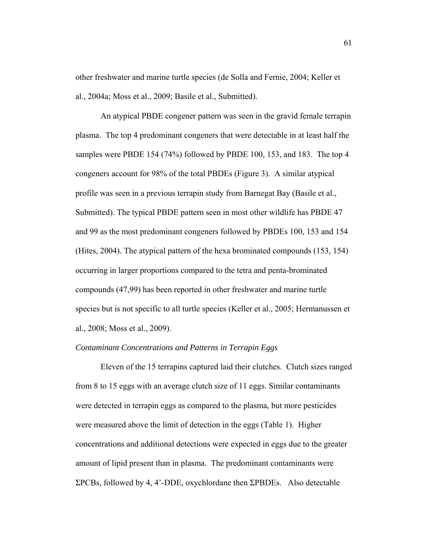other freshwater and marine turtle species (de Solla and Fernie, 2004; Keller et al., 2004a; Moss et al., 2009; Basile et al., Submitted).

 An atypical PBDE congener pattern was seen in the gravid female terrapin plasma. The top 4 predominant congeners that were detectable in at least half the samples were PBDE 154 (74%) followed by PBDE 100, 153, and 183. The top 4 congeners account for 98% of the total PBDEs (Figure 3). A similar atypical profile was seen in a previous terrapin study from Barnegat Bay (Basile et al., Submitted). The typical PBDE pattern seen in most other wildlife has PBDE 47 and 99 as the most predominant congeners followed by PBDEs 100, 153 and 154 (Hites, 2004). The atypical pattern of the hexa brominated compounds (153, 154) occurring in larger proportions compared to the tetra and penta-brominated compounds (47,99) has been reported in other freshwater and marine turtle species but is not specific to all turtle species (Keller et al., 2005; Hermanussen et al., 2008; Moss et al., 2009).

# *Contaminant Concentrations and Patterns in Terrapin Eggs*

 Eleven of the 15 terrapins captured laid their clutches. Clutch sizes ranged from 8 to 15 eggs with an average clutch size of 11 eggs. Similar contaminants were detected in terrapin eggs as compared to the plasma, but more pesticides were measured above the limit of detection in the eggs (Table 1). Higher concentrations and additional detections were expected in eggs due to the greater amount of lipid present than in plasma. The predominant contaminants were ΣPCBs, followed by 4, 4'-DDE, oxychlordane then ΣPBDEs. Also detectable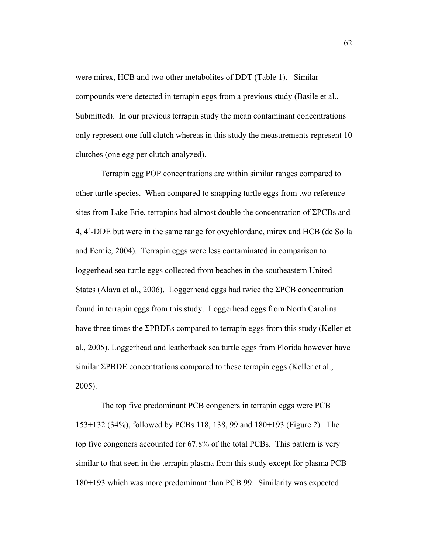were mirex, HCB and two other metabolites of DDT (Table 1). Similar compounds were detected in terrapin eggs from a previous study (Basile et al., Submitted). In our previous terrapin study the mean contaminant concentrations only represent one full clutch whereas in this study the measurements represent 10 clutches (one egg per clutch analyzed).

Terrapin egg POP concentrations are within similar ranges compared to other turtle species. When compared to snapping turtle eggs from two reference sites from Lake Erie, terrapins had almost double the concentration of  $\Sigma PCBs$  and 4, 4'-DDE but were in the same range for oxychlordane, mirex and HCB (de Solla and Fernie, 2004). Terrapin eggs were less contaminated in comparison to loggerhead sea turtle eggs collected from beaches in the southeastern United States (Alava et al., 2006). Loggerhead eggs had twice the ΣPCB concentration found in terrapin eggs from this study. Loggerhead eggs from North Carolina have three times the ΣPBDEs compared to terrapin eggs from this study (Keller et al., 2005). Loggerhead and leatherback sea turtle eggs from Florida however have similar ΣPBDE concentrations compared to these terrapin eggs (Keller et al., 2005).

 The top five predominant PCB congeners in terrapin eggs were PCB 153+132 (34%), followed by PCBs 118, 138, 99 and 180+193 (Figure 2). The top five congeners accounted for 67.8% of the total PCBs. This pattern is very similar to that seen in the terrapin plasma from this study except for plasma PCB 180+193 which was more predominant than PCB 99. Similarity was expected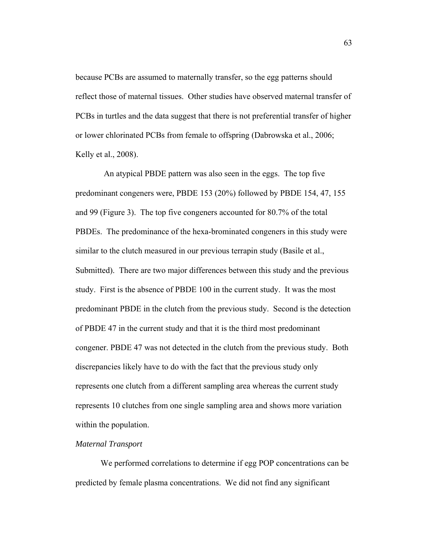because PCBs are assumed to maternally transfer, so the egg patterns should reflect those of maternal tissues. Other studies have observed maternal transfer of PCBs in turtles and the data suggest that there is not preferential transfer of higher or lower chlorinated PCBs from female to offspring (Dabrowska et al., 2006; Kelly et al., 2008).

 An atypical PBDE pattern was also seen in the eggs. The top five predominant congeners were, PBDE 153 (20%) followed by PBDE 154, 47, 155 and 99 (Figure 3). The top five congeners accounted for 80.7% of the total PBDEs. The predominance of the hexa-brominated congeners in this study were similar to the clutch measured in our previous terrapin study (Basile et al., Submitted). There are two major differences between this study and the previous study. First is the absence of PBDE 100 in the current study. It was the most predominant PBDE in the clutch from the previous study. Second is the detection of PBDE 47 in the current study and that it is the third most predominant congener. PBDE 47 was not detected in the clutch from the previous study. Both discrepancies likely have to do with the fact that the previous study only represents one clutch from a different sampling area whereas the current study represents 10 clutches from one single sampling area and shows more variation within the population.

## *Maternal Transport*

 We performed correlations to determine if egg POP concentrations can be predicted by female plasma concentrations. We did not find any significant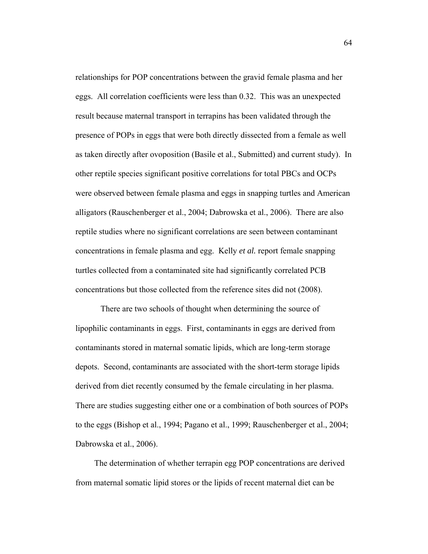relationships for POP concentrations between the gravid female plasma and her eggs. All correlation coefficients were less than 0.32. This was an unexpected result because maternal transport in terrapins has been validated through the presence of POPs in eggs that were both directly dissected from a female as well as taken directly after ovoposition (Basile et al., Submitted) and current study). In other reptile species significant positive correlations for total PBCs and OCPs were observed between female plasma and eggs in snapping turtles and American alligators (Rauschenberger et al., 2004; Dabrowska et al., 2006). There are also reptile studies where no significant correlations are seen between contaminant concentrations in female plasma and egg. Kelly *et al.* report female snapping turtles collected from a contaminated site had significantly correlated PCB concentrations but those collected from the reference sites did not (2008).

 There are two schools of thought when determining the source of lipophilic contaminants in eggs. First, contaminants in eggs are derived from contaminants stored in maternal somatic lipids, which are long-term storage depots. Second, contaminants are associated with the short-term storage lipids derived from diet recently consumed by the female circulating in her plasma. There are studies suggesting either one or a combination of both sources of POPs to the eggs (Bishop et al., 1994; Pagano et al., 1999; Rauschenberger et al., 2004; Dabrowska et al., 2006).

 The determination of whether terrapin egg POP concentrations are derived from maternal somatic lipid stores or the lipids of recent maternal diet can be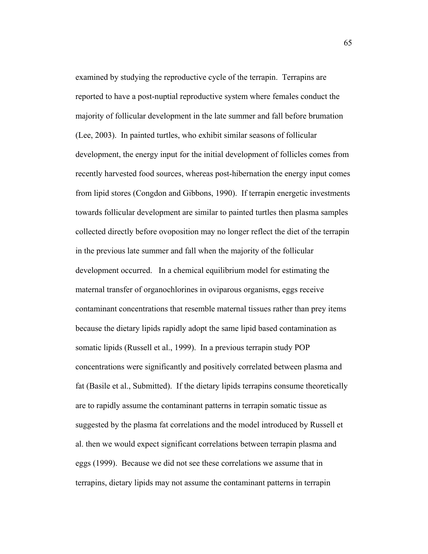examined by studying the reproductive cycle of the terrapin. Terrapins are reported to have a post-nuptial reproductive system where females conduct the majority of follicular development in the late summer and fall before brumation (Lee, 2003). In painted turtles, who exhibit similar seasons of follicular development, the energy input for the initial development of follicles comes from recently harvested food sources, whereas post-hibernation the energy input comes from lipid stores (Congdon and Gibbons, 1990). If terrapin energetic investments towards follicular development are similar to painted turtles then plasma samples collected directly before ovoposition may no longer reflect the diet of the terrapin in the previous late summer and fall when the majority of the follicular development occurred. In a chemical equilibrium model for estimating the maternal transfer of organochlorines in oviparous organisms, eggs receive contaminant concentrations that resemble maternal tissues rather than prey items because the dietary lipids rapidly adopt the same lipid based contamination as somatic lipids (Russell et al., 1999). In a previous terrapin study POP concentrations were significantly and positively correlated between plasma and fat (Basile et al., Submitted). If the dietary lipids terrapins consume theoretically are to rapidly assume the contaminant patterns in terrapin somatic tissue as suggested by the plasma fat correlations and the model introduced by Russell et al. then we would expect significant correlations between terrapin plasma and eggs (1999). Because we did not see these correlations we assume that in terrapins, dietary lipids may not assume the contaminant patterns in terrapin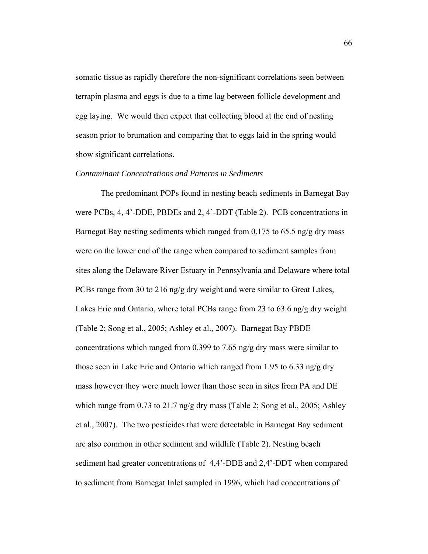somatic tissue as rapidly therefore the non-significant correlations seen between terrapin plasma and eggs is due to a time lag between follicle development and egg laying. We would then expect that collecting blood at the end of nesting season prior to brumation and comparing that to eggs laid in the spring would show significant correlations.

#### *Contaminant Concentrations and Patterns in Sediments*

 The predominant POPs found in nesting beach sediments in Barnegat Bay were PCBs, 4, 4'-DDE, PBDEs and 2, 4'-DDT (Table 2). PCB concentrations in Barnegat Bay nesting sediments which ranged from 0.175 to 65.5 ng/g dry mass were on the lower end of the range when compared to sediment samples from sites along the Delaware River Estuary in Pennsylvania and Delaware where total PCBs range from 30 to 216 ng/g dry weight and were similar to Great Lakes, Lakes Erie and Ontario, where total PCBs range from 23 to 63.6 ng/g dry weight (Table 2; Song et al., 2005; Ashley et al., 2007). Barnegat Bay PBDE concentrations which ranged from 0.399 to 7.65 ng/g dry mass were similar to those seen in Lake Erie and Ontario which ranged from 1.95 to 6.33 ng/g dry mass however they were much lower than those seen in sites from PA and DE which range from 0.73 to 21.7 ng/g dry mass (Table 2; Song et al., 2005; Ashley et al., 2007). The two pesticides that were detectable in Barnegat Bay sediment are also common in other sediment and wildlife (Table 2). Nesting beach sediment had greater concentrations of 4,4'-DDE and 2,4'-DDT when compared to sediment from Barnegat Inlet sampled in 1996, which had concentrations of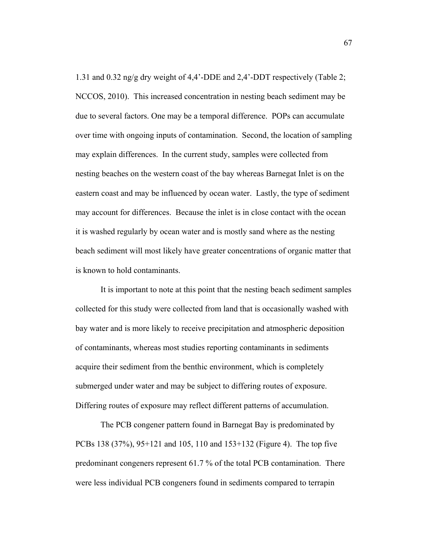1.31 and 0.32 ng/g dry weight of 4,4'-DDE and 2,4'-DDT respectively (Table 2; NCCOS, 2010). This increased concentration in nesting beach sediment may be due to several factors. One may be a temporal difference. POPs can accumulate over time with ongoing inputs of contamination. Second, the location of sampling may explain differences. In the current study, samples were collected from nesting beaches on the western coast of the bay whereas Barnegat Inlet is on the eastern coast and may be influenced by ocean water. Lastly, the type of sediment may account for differences. Because the inlet is in close contact with the ocean it is washed regularly by ocean water and is mostly sand where as the nesting beach sediment will most likely have greater concentrations of organic matter that is known to hold contaminants.

 It is important to note at this point that the nesting beach sediment samples collected for this study were collected from land that is occasionally washed with bay water and is more likely to receive precipitation and atmospheric deposition of contaminants, whereas most studies reporting contaminants in sediments acquire their sediment from the benthic environment, which is completely submerged under water and may be subject to differing routes of exposure. Differing routes of exposure may reflect different patterns of accumulation.

 The PCB congener pattern found in Barnegat Bay is predominated by PCBs 138 (37%), 95+121 and 105, 110 and 153+132 (Figure 4). The top five predominant congeners represent 61.7 % of the total PCB contamination. There were less individual PCB congeners found in sediments compared to terrapin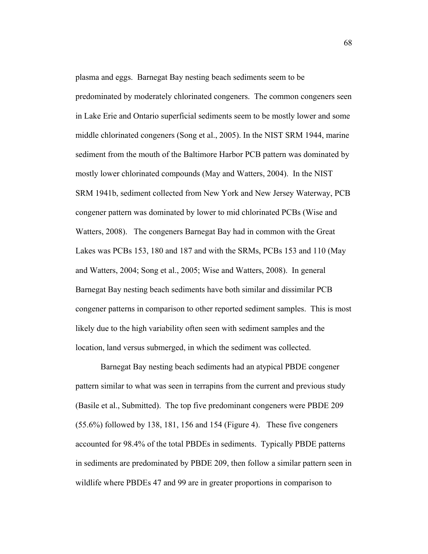plasma and eggs. Barnegat Bay nesting beach sediments seem to be predominated by moderately chlorinated congeners. The common congeners seen in Lake Erie and Ontario superficial sediments seem to be mostly lower and some middle chlorinated congeners (Song et al., 2005). In the NIST SRM 1944, marine sediment from the mouth of the Baltimore Harbor PCB pattern was dominated by mostly lower chlorinated compounds (May and Watters, 2004). In the NIST SRM 1941b, sediment collected from New York and New Jersey Waterway, PCB congener pattern was dominated by lower to mid chlorinated PCBs (Wise and Watters, 2008). The congeners Barnegat Bay had in common with the Great Lakes was PCBs 153, 180 and 187 and with the SRMs, PCBs 153 and 110 (May and Watters, 2004; Song et al., 2005; Wise and Watters, 2008). In general Barnegat Bay nesting beach sediments have both similar and dissimilar PCB congener patterns in comparison to other reported sediment samples. This is most likely due to the high variability often seen with sediment samples and the location, land versus submerged, in which the sediment was collected.

 Barnegat Bay nesting beach sediments had an atypical PBDE congener pattern similar to what was seen in terrapins from the current and previous study (Basile et al., Submitted). The top five predominant congeners were PBDE 209 (55.6%) followed by 138, 181, 156 and 154 (Figure 4). These five congeners accounted for 98.4% of the total PBDEs in sediments. Typically PBDE patterns in sediments are predominated by PBDE 209, then follow a similar pattern seen in wildlife where PBDEs 47 and 99 are in greater proportions in comparison to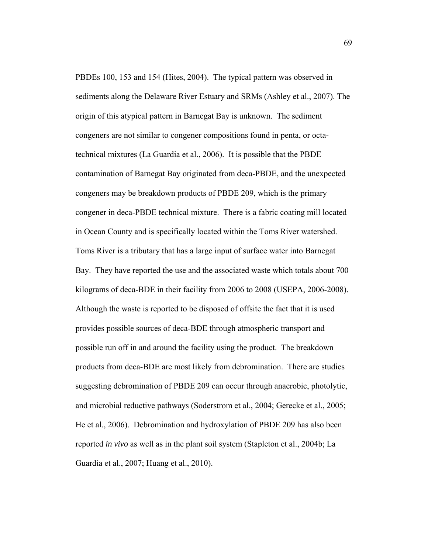PBDEs 100, 153 and 154 (Hites, 2004). The typical pattern was observed in sediments along the Delaware River Estuary and SRMs (Ashley et al., 2007). The origin of this atypical pattern in Barnegat Bay is unknown. The sediment congeners are not similar to congener compositions found in penta, or octatechnical mixtures (La Guardia et al., 2006). It is possible that the PBDE contamination of Barnegat Bay originated from deca-PBDE, and the unexpected congeners may be breakdown products of PBDE 209, which is the primary congener in deca-PBDE technical mixture. There is a fabric coating mill located in Ocean County and is specifically located within the Toms River watershed. Toms River is a tributary that has a large input of surface water into Barnegat Bay. They have reported the use and the associated waste which totals about 700 kilograms of deca-BDE in their facility from 2006 to 2008 (USEPA, 2006-2008). Although the waste is reported to be disposed of offsite the fact that it is used provides possible sources of deca-BDE through atmospheric transport and possible run off in and around the facility using the product. The breakdown products from deca-BDE are most likely from debromination. There are studies suggesting debromination of PBDE 209 can occur through anaerobic, photolytic, and microbial reductive pathways (Soderstrom et al., 2004; Gerecke et al., 2005; He et al., 2006). Debromination and hydroxylation of PBDE 209 has also been reported *in vivo* as well as in the plant soil system (Stapleton et al., 2004b; La Guardia et al., 2007; Huang et al., 2010).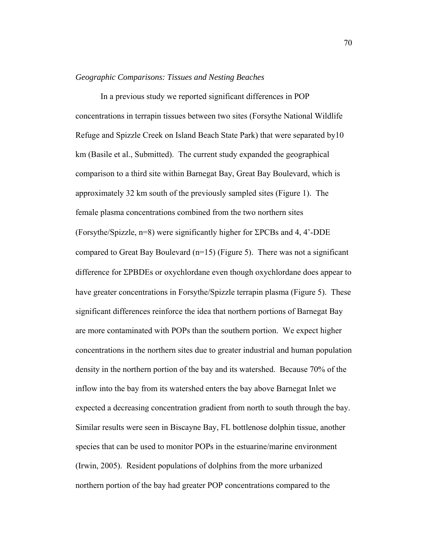#### *Geographic Comparisons: Tissues and Nesting Beaches*

 In a previous study we reported significant differences in POP concentrations in terrapin tissues between two sites (Forsythe National Wildlife Refuge and Spizzle Creek on Island Beach State Park) that were separated by10 km (Basile et al., Submitted). The current study expanded the geographical comparison to a third site within Barnegat Bay, Great Bay Boulevard, which is approximately 32 km south of the previously sampled sites (Figure 1). The female plasma concentrations combined from the two northern sites (Forsythe/Spizzle,  $n=8$ ) were significantly higher for  $\Sigma PCBs$  and 4, 4'-DDE compared to Great Bay Boulevard  $(n=15)$  (Figure 5). There was not a significant difference for *EPBDEs* or oxychlordane even though oxychlordane does appear to have greater concentrations in Forsythe/Spizzle terrapin plasma (Figure 5). These significant differences reinforce the idea that northern portions of Barnegat Bay are more contaminated with POPs than the southern portion. We expect higher concentrations in the northern sites due to greater industrial and human population density in the northern portion of the bay and its watershed. Because 70% of the inflow into the bay from its watershed enters the bay above Barnegat Inlet we expected a decreasing concentration gradient from north to south through the bay. Similar results were seen in Biscayne Bay, FL bottlenose dolphin tissue, another species that can be used to monitor POPs in the estuarine/marine environment (Irwin, 2005). Resident populations of dolphins from the more urbanized northern portion of the bay had greater POP concentrations compared to the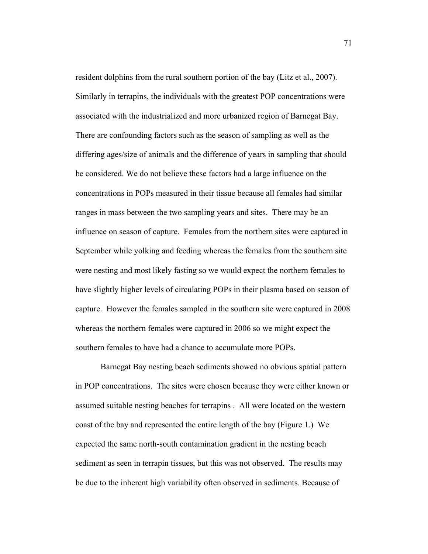resident dolphins from the rural southern portion of the bay (Litz et al., 2007). Similarly in terrapins, the individuals with the greatest POP concentrations were associated with the industrialized and more urbanized region of Barnegat Bay. There are confounding factors such as the season of sampling as well as the differing ages/size of animals and the difference of years in sampling that should be considered. We do not believe these factors had a large influence on the concentrations in POPs measured in their tissue because all females had similar ranges in mass between the two sampling years and sites. There may be an influence on season of capture. Females from the northern sites were captured in September while yolking and feeding whereas the females from the southern site were nesting and most likely fasting so we would expect the northern females to have slightly higher levels of circulating POPs in their plasma based on season of capture. However the females sampled in the southern site were captured in 2008 whereas the northern females were captured in 2006 so we might expect the southern females to have had a chance to accumulate more POPs.

Barnegat Bay nesting beach sediments showed no obvious spatial pattern in POP concentrations. The sites were chosen because they were either known or assumed suitable nesting beaches for terrapins . All were located on the western coast of the bay and represented the entire length of the bay (Figure 1.) We expected the same north-south contamination gradient in the nesting beach sediment as seen in terrapin tissues, but this was not observed. The results may be due to the inherent high variability often observed in sediments. Because of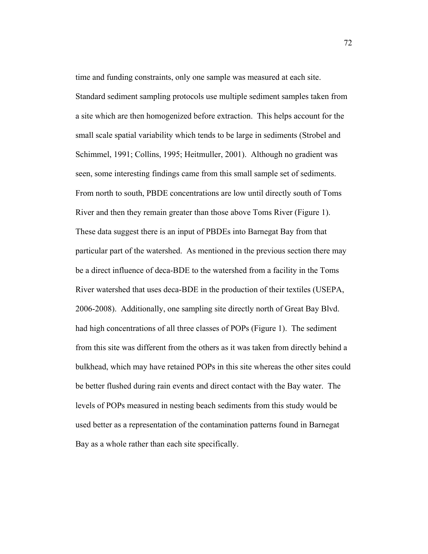time and funding constraints, only one sample was measured at each site. Standard sediment sampling protocols use multiple sediment samples taken from a site which are then homogenized before extraction. This helps account for the small scale spatial variability which tends to be large in sediments (Strobel and Schimmel, 1991; Collins, 1995; Heitmuller, 2001). Although no gradient was seen, some interesting findings came from this small sample set of sediments. From north to south, PBDE concentrations are low until directly south of Toms River and then they remain greater than those above Toms River (Figure 1). These data suggest there is an input of PBDEs into Barnegat Bay from that particular part of the watershed. As mentioned in the previous section there may be a direct influence of deca-BDE to the watershed from a facility in the Toms River watershed that uses deca-BDE in the production of their textiles (USEPA, 2006-2008). Additionally, one sampling site directly north of Great Bay Blvd. had high concentrations of all three classes of POPs (Figure 1). The sediment from this site was different from the others as it was taken from directly behind a bulkhead, which may have retained POPs in this site whereas the other sites could be better flushed during rain events and direct contact with the Bay water. The levels of POPs measured in nesting beach sediments from this study would be used better as a representation of the contamination patterns found in Barnegat Bay as a whole rather than each site specifically.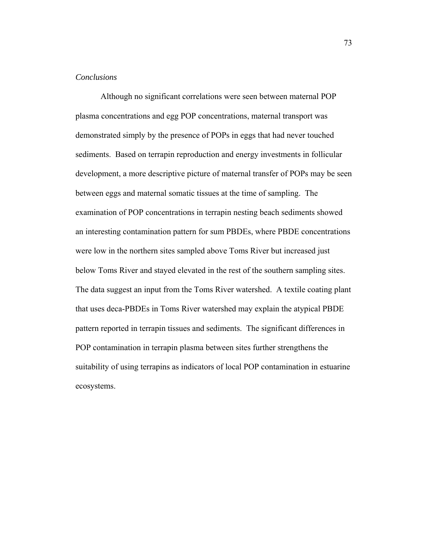# *Conclusions*

 Although no significant correlations were seen between maternal POP plasma concentrations and egg POP concentrations, maternal transport was demonstrated simply by the presence of POPs in eggs that had never touched sediments. Based on terrapin reproduction and energy investments in follicular development, a more descriptive picture of maternal transfer of POPs may be seen between eggs and maternal somatic tissues at the time of sampling. The examination of POP concentrations in terrapin nesting beach sediments showed an interesting contamination pattern for sum PBDEs, where PBDE concentrations were low in the northern sites sampled above Toms River but increased just below Toms River and stayed elevated in the rest of the southern sampling sites. The data suggest an input from the Toms River watershed. A textile coating plant that uses deca-PBDEs in Toms River watershed may explain the atypical PBDE pattern reported in terrapin tissues and sediments. The significant differences in POP contamination in terrapin plasma between sites further strengthens the suitability of using terrapins as indicators of local POP contamination in estuarine ecosystems.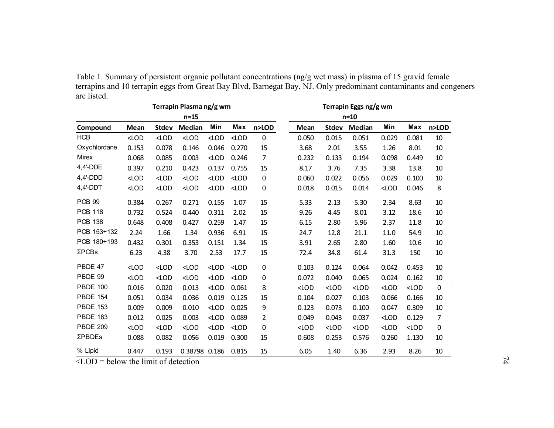| Table 1. Summary of persistent organic pollutant concentrations (ng/g wet mass) in plasma of 15 gravid female     |
|-------------------------------------------------------------------------------------------------------------------|
| terrapins and 10 terrapin eggs from Great Bay Blvd, Barnegat Bay, NJ. Only predominant contaminants and congeners |
| are listed.                                                                                                       |

| are iisteg.             |         |              |               |         |         |             |                       |         |         |         |         |           |  |
|-------------------------|---------|--------------|---------------|---------|---------|-------------|-----------------------|---------|---------|---------|---------|-----------|--|
| Terrapin Plasma ng/g wm |         |              |               |         |         |             | Terrapin Eggs ng/g wm |         |         |         |         |           |  |
|                         |         |              | $n=15$        |         |         |             |                       |         | $n=10$  |         |         |           |  |
| Compound                | Mean    | <b>Stdev</b> | <b>Median</b> | Min     | Max     | n>LOD       | Mean                  | Stdev   | Median  | Min     | Max     | n>LOD     |  |
| <b>HCB</b>              | $<$ LOD | $<$ LOD      | $<$ LOD       | $<$ LOD | $<$ LOD | $\mathbf 0$ | 0.050                 | 0.015   | 0.051   | 0.029   | 0.081   | 10        |  |
| Oxychlordane            | 0.153   | 0.078        | 0.146         | 0.046   | 0.270   | 15          | 3.68                  | 2.01    | 3.55    | 1.26    | 8.01    | 10        |  |
| Mirex                   | 0.068   | 0.085        | 0.003         | $<$ LOD | 0.246   | 7           | 0.232                 | 0.133   | 0.194   | 0.098   | 0.449   | 10        |  |
| 4,4'-DDE                | 0.397   | 0.210        | 0.423         | 0.137   | 0.755   | 15          | 8.17                  | 3.76    | 7.35    | 3.38    | 13.8    | 10        |  |
| $4,4'$ -DDD             | $<$ LOD | $<$ LOD      | $<$ LOD       | $<$ LOD | $<$ LOD | 0           | 0.060                 | 0.022   | 0.056   | 0.029   | 0.100   | 10        |  |
| $4,4'$ -DDT             | $<$ LOD | $<$ LOD      | $<$ LOD       | $<$ LOD | $<$ LOD | 0           | 0.018                 | 0.015   | 0.014   | $<$ LOD | 0.046   | 8         |  |
| PCB <sub>99</sub>       | 0.384   | 0.267        | 0.271         | 0.155   | 1.07    | 15          | 5.33                  | 2.13    | 5.30    | 2.34    | 8.63    | 10        |  |
| <b>PCB 118</b>          | 0.732   | 0.524        | 0.440         | 0.311   | 2.02    | 15          | 9.26                  | 4.45    | 8.01    | 3.12    | 18.6    | 10        |  |
| <b>PCB 138</b>          | 0.648   | 0.408        | 0.427         | 0.259   | 1.47    | 15          | 6.15                  | 2.80    | 5.96    | 2.37    | 11.8    | 10        |  |
| PCB 153+132             | 2.24    | 1.66         | 1.34          | 0.936   | 6.91    | 15          | 24.7                  | 12.8    | 21.1    | 11.0    | 54.9    | 10        |  |
| PCB 180+193             | 0.432   | 0.301        | 0.353         | 0.151   | 1.34    | 15          | 3.91                  | 2.65    | 2.80    | 1.60    | 10.6    | 10        |  |
| $\Sigma$ PCBs           | 6.23    | 4.38         | 3.70          | 2.53    | 17.7    | 15          | 72.4                  | 34.8    | 61.4    | 31.3    | 150     | 10        |  |
| PBDE 47                 | $<$ LOD | $<$ LOD      | $<$ LOD       | $<$ LOD | $<$ LOD | $\mathbf 0$ | 0.103                 | 0.124   | 0.064   | 0.042   | 0.453   | 10        |  |
| PBDE 99                 | $<$ LOD | $<$ LOD      | $<$ LOD       | $<$ LOD | $<$ LOD | 0           | 0.072                 | 0.040   | 0.065   | 0.024   | 0.162   | 10        |  |
| <b>PBDE 100</b>         | 0.016   | 0.020        | 0.013         | $<$ LOD | 0.061   | 8           | $<$ LOD               | $<$ LOD | $<$ LOD | $<$ LOD | $<$ LOD | $\pmb{0}$ |  |
| <b>PBDE 154</b>         | 0.051   | 0.034        | 0.036         | 0.019   | 0.125   | 15          | 0.104                 | 0.027   | 0.103   | 0.066   | 0.166   | 10        |  |
| <b>PBDE 153</b>         | 0.009   | 0.009        | 0.010         | $<$ LOD | 0.025   | 9           | 0.123                 | 0.073   | 0.100   | 0.047   | 0.309   | 10        |  |
| <b>PBDE 183</b>         | 0.012   | 0.025        | 0.003         | $<$ LOD | 0.089   | 2           | 0.049                 | 0.043   | 0.037   | $<$ LOD | 0.129   | 7         |  |
| <b>PBDE 209</b>         | $<$ LOD | $<$ LOD      | $<$ LOD       | $<$ LOD | $<$ LOD | 0           | $<$ LOD               | $<$ LOD | $<$ LOD | $<$ LOD | $<$ LOD | $\pmb{0}$ |  |
| ΣΡΒDEs                  | 0.088   | 0.082        | 0.056         | 0.019   | 0.300   | 15          | 0.608                 | 0.253   | 0.576   | 0.260   | 1.130   | 10        |  |
| % Lipid                 | 0.447   | 0.193        | 0.38798 0.186 |         | 0.815   | 15          | 6.05                  | 1.40    | 6.36    | 2.93    | 8.26    | 10        |  |

 $\leq$ LOD = below the limit of detection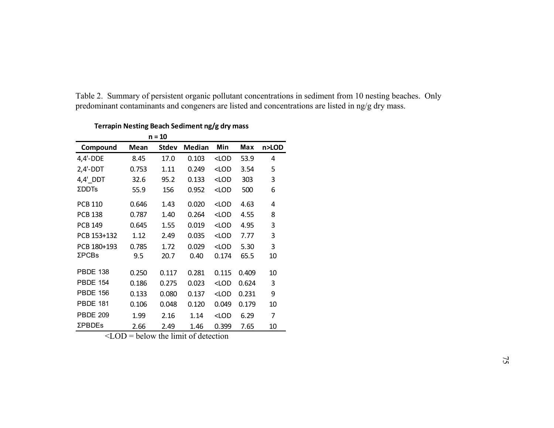|                         |       | $n = 10$     |               |                                             |       |       |
|-------------------------|-------|--------------|---------------|---------------------------------------------|-------|-------|
| Compound                | Mean  | <b>Stdev</b> | <b>Median</b> | Min                                         | Max   | n>LOD |
| $4,4'-DDE$              | 8.45  | 17.0         | 0.103         | <lod< td=""><td>53.9</td><td>4</td></lod<>  | 53.9  | 4     |
| $2,4'-DDT$              | 0.753 | 1.11         | 0.249         | <lod< td=""><td>3.54</td><td>5</td></lod<>  | 3.54  | 5     |
| $4,4'$ <sub>_</sub> DDT | 32.6  | 95.2         | 0.133         | <lod< td=""><td>303</td><td>3</td></lod<>   | 303   | 3     |
| <b>ΣDDTs</b>            | 55.9  | 156          | 0.952         | <lod< td=""><td>500</td><td>6</td></lod<>   | 500   | 6     |
| <b>PCB 110</b>          | 0.646 | 1.43         | 0.020         | <lod< td=""><td>4.63</td><td>4</td></lod<>  | 4.63  | 4     |
| <b>PCB 138</b>          | 0.787 | 1.40         | 0.264         | $<$ LOD                                     | 4.55  | 8     |
| <b>PCB 149</b>          | 0.645 | 1.55         | 0.019         | <lod< td=""><td>4.95</td><td>3</td></lod<>  | 4.95  | 3     |
| PCB 153+132             | 1.12  | 2.49         | 0.035         | <lod< td=""><td>7.77</td><td>3</td></lod<>  | 7.77  | 3     |
| PCB 180+193             | 0.785 | 1.72         | 0.029         | <lod< td=""><td>5.30</td><td>3</td></lod<>  | 5.30  | 3     |
| $\Sigma$ PCBs           | 9.5   | 20.7         | 0.40          | 0.174                                       | 65.5  | 10    |
| <b>PBDE 138</b>         | 0.250 | 0.117        | 0.281         | 0.115                                       | 0.409 | 10    |
| <b>PBDE 154</b>         | 0.186 | 0.275        | 0.023         | $<$ LOD                                     | 0.624 | 3     |
| <b>PBDE 156</b>         | 0.133 | 0.080        | 0.137         | <lod< td=""><td>0.231</td><td>9</td></lod<> | 0.231 | 9     |
| <b>PBDE 181</b>         | 0.106 | 0.048        | 0.120         | 0.049                                       | 0.179 | 10    |
| <b>PBDE 209</b>         | 1.99  | 2.16         | 1.14          | <lod< td=""><td>6.29</td><td>7</td></lod<>  | 6.29  | 7     |
| <b>ΣPBDEs</b>           | 2.66  | 2.49         | 1.46          | 0.399                                       | 7.65  | 10    |

**Terrapin Nesting Beach Sediment ng/g dry mass**

Table 2. Summary of persistent organic pollutant concentrations in sediment from 10 nesting beaches. Only

predominant contaminants and congeners are listed and concentrations are listed in ng/g dry mass.

 $\angle$ LOD = below the limit of detection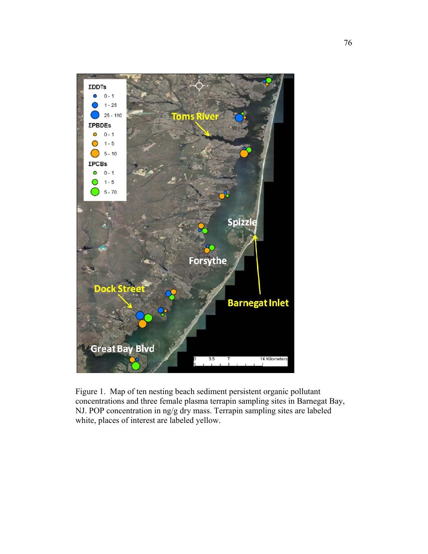

Figure 1. Map of ten nesting beach sediment persistent organic pollutant concentrations and three female plasma terrapin sampling sites in Barnegat Bay, NJ. POP concentration in ng/g dry mass. Terrapin sampling sites are labeled white, places of interest are labeled yellow.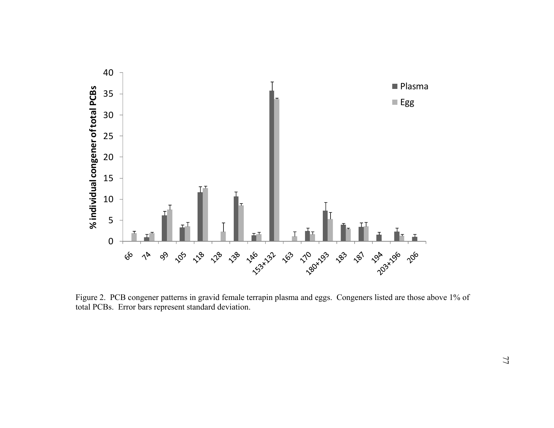

Figure 2. PCB congener patterns in gravid female terrapin plasma and eggs. Congeners listed are those above 1% of total PCBs. Error bars represent standard deviation.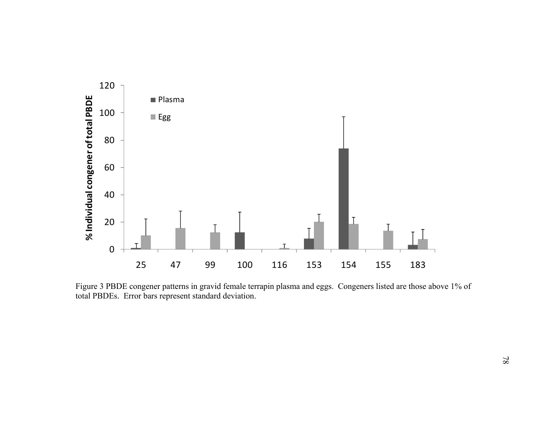

Figure 3 PBDE congener patterns in gravid female terrapin plasma and eggs. Congeners listed are those above 1% of total PBDEs. Error bars represent standard deviation.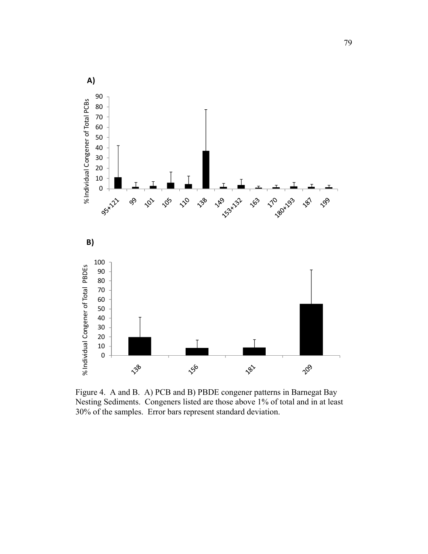

Figure 4. A and B. A) PCB and B) PBDE congener patterns in Barnegat Bay Nesting Sediments. Congeners listed are those above 1% of total and in at least 30% of the samples. Error bars represent standard deviation.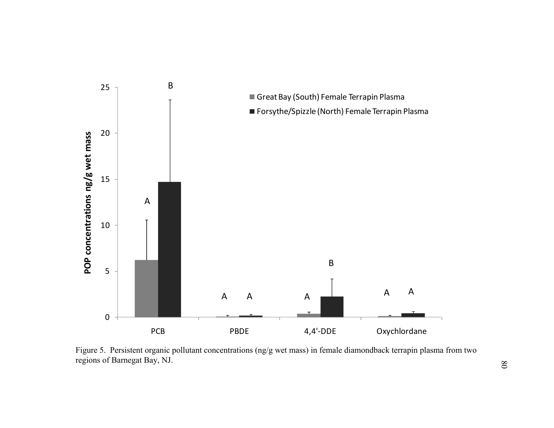

Figure 5. Persistent organic pollutant concentrations (ng/g wet mass) in female diamondback terrapin plasma from two regions of Barnegat Bay, NJ.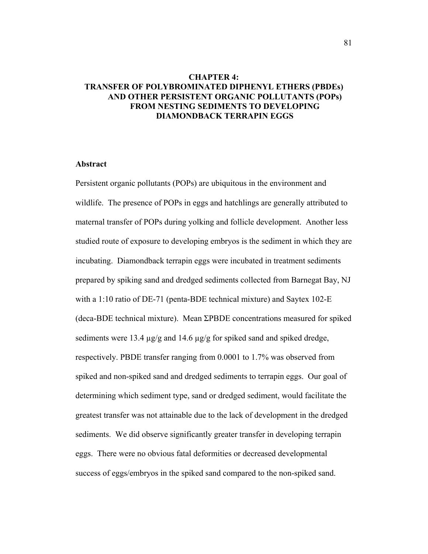# **CHAPTER 4: TRANSFER OF POLYBROMINATED DIPHENYL ETHERS (PBDEs) AND OTHER PERSISTENT ORGANIC POLLUTANTS (POPs) FROM NESTING SEDIMENTS TO DEVELOPING DIAMONDBACK TERRAPIN EGGS**

#### **Abstract**

Persistent organic pollutants (POPs) are ubiquitous in the environment and wildlife. The presence of POPs in eggs and hatchlings are generally attributed to maternal transfer of POPs during yolking and follicle development. Another less studied route of exposure to developing embryos is the sediment in which they are incubating. Diamondback terrapin eggs were incubated in treatment sediments prepared by spiking sand and dredged sediments collected from Barnegat Bay, NJ with a 1:10 ratio of DE-71 (penta-BDE technical mixture) and Saytex 102-E (deca-BDE technical mixture). Mean ΣPBDE concentrations measured for spiked sediments were 13.4  $\mu$ g/g and 14.6  $\mu$ g/g for spiked sand and spiked dredge, respectively. PBDE transfer ranging from 0.0001 to 1.7% was observed from spiked and non-spiked sand and dredged sediments to terrapin eggs. Our goal of determining which sediment type, sand or dredged sediment, would facilitate the greatest transfer was not attainable due to the lack of development in the dredged sediments. We did observe significantly greater transfer in developing terrapin eggs. There were no obvious fatal deformities or decreased developmental success of eggs/embryos in the spiked sand compared to the non-spiked sand.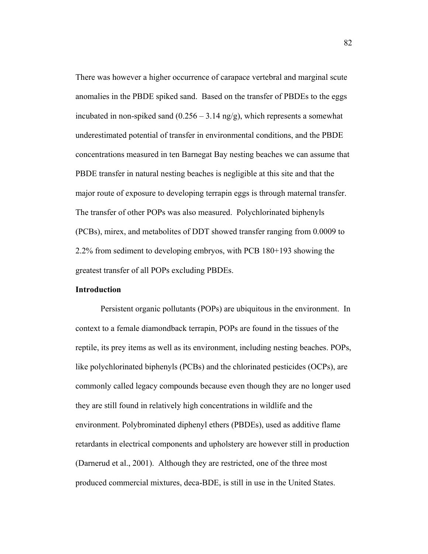There was however a higher occurrence of carapace vertebral and marginal scute anomalies in the PBDE spiked sand. Based on the transfer of PBDEs to the eggs incubated in non-spiked sand  $(0.256 - 3.14 \text{ ng/g})$ , which represents a somewhat underestimated potential of transfer in environmental conditions, and the PBDE concentrations measured in ten Barnegat Bay nesting beaches we can assume that PBDE transfer in natural nesting beaches is negligible at this site and that the major route of exposure to developing terrapin eggs is through maternal transfer. The transfer of other POPs was also measured. Polychlorinated biphenyls (PCBs), mirex, and metabolites of DDT showed transfer ranging from 0.0009 to 2.2% from sediment to developing embryos, with PCB 180+193 showing the greatest transfer of all POPs excluding PBDEs.

# **Introduction**

 Persistent organic pollutants (POPs) are ubiquitous in the environment. In context to a female diamondback terrapin, POPs are found in the tissues of the reptile, its prey items as well as its environment, including nesting beaches. POPs, like polychlorinated biphenyls (PCBs) and the chlorinated pesticides (OCPs), are commonly called legacy compounds because even though they are no longer used they are still found in relatively high concentrations in wildlife and the environment. Polybrominated diphenyl ethers (PBDEs), used as additive flame retardants in electrical components and upholstery are however still in production (Darnerud et al., 2001). Although they are restricted, one of the three most produced commercial mixtures, deca-BDE, is still in use in the United States.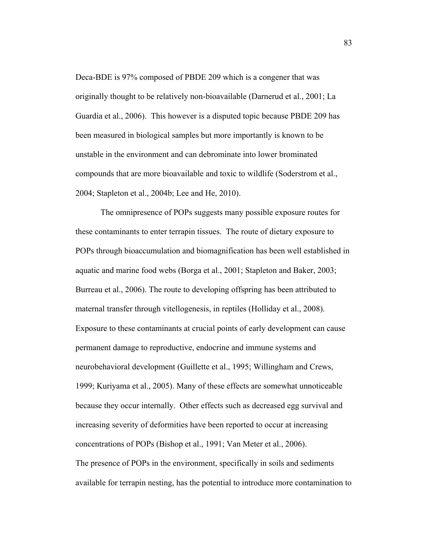Deca-BDE is 97% composed of PBDE 209 which is a congener that was originally thought to be relatively non-bioavailable (Darnerud et al., 2001; La Guardia et al., 2006). This however is a disputed topic because PBDE 209 has been measured in biological samples but more importantly is known to be unstable in the environment and can debrominate into lower brominated compounds that are more bioavailable and toxic to wildlife (Soderstrom et al., 2004; Stapleton et al., 2004b; Lee and He, 2010).

 The omnipresence of POPs suggests many possible exposure routes for these contaminants to enter terrapin tissues. The route of dietary exposure to POPs through bioaccumulation and biomagnification has been well established in aquatic and marine food webs (Borga et al., 2001; Stapleton and Baker, 2003; Burreau et al., 2006). The route to developing offspring has been attributed to maternal transfer through vitellogenesis, in reptiles (Holliday et al., 2008). Exposure to these contaminants at crucial points of early development can cause permanent damage to reproductive, endocrine and immune systems and neurobehavioral development (Guillette et al., 1995; Willingham and Crews, 1999; Kuriyama et al., 2005). Many of these effects are somewhat unnoticeable because they occur internally. Other effects such as decreased egg survival and increasing severity of deformities have been reported to occur at increasing concentrations of POPs (Bishop et al., 1991; Van Meter et al., 2006). The presence of POPs in the environment, specifically in soils and sediments available for terrapin nesting, has the potential to introduce more contamination to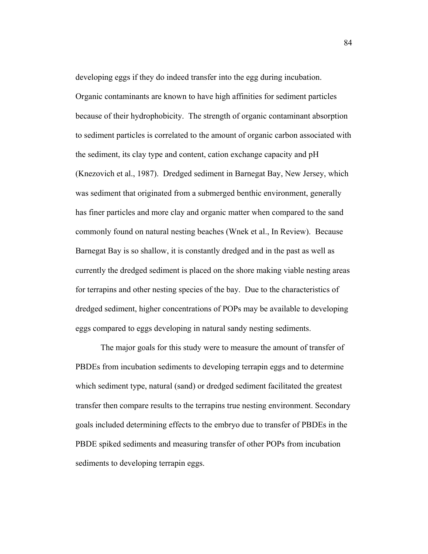developing eggs if they do indeed transfer into the egg during incubation. Organic contaminants are known to have high affinities for sediment particles because of their hydrophobicity. The strength of organic contaminant absorption to sediment particles is correlated to the amount of organic carbon associated with the sediment, its clay type and content, cation exchange capacity and pH (Knezovich et al., 1987). Dredged sediment in Barnegat Bay, New Jersey, which was sediment that originated from a submerged benthic environment, generally has finer particles and more clay and organic matter when compared to the sand commonly found on natural nesting beaches (Wnek et al., In Review). Because Barnegat Bay is so shallow, it is constantly dredged and in the past as well as currently the dredged sediment is placed on the shore making viable nesting areas for terrapins and other nesting species of the bay. Due to the characteristics of dredged sediment, higher concentrations of POPs may be available to developing eggs compared to eggs developing in natural sandy nesting sediments.

 The major goals for this study were to measure the amount of transfer of PBDEs from incubation sediments to developing terrapin eggs and to determine which sediment type, natural (sand) or dredged sediment facilitated the greatest transfer then compare results to the terrapins true nesting environment. Secondary goals included determining effects to the embryo due to transfer of PBDEs in the PBDE spiked sediments and measuring transfer of other POPs from incubation sediments to developing terrapin eggs.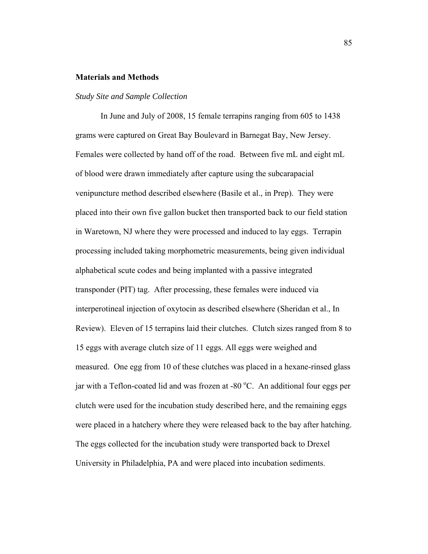# **Materials and Methods**

#### *Study Site and Sample Collection*

 In June and July of 2008, 15 female terrapins ranging from 605 to 1438 grams were captured on Great Bay Boulevard in Barnegat Bay, New Jersey. Females were collected by hand off of the road. Between five mL and eight mL of blood were drawn immediately after capture using the subcarapacial venipuncture method described elsewhere (Basile et al., in Prep). They were placed into their own five gallon bucket then transported back to our field station in Waretown, NJ where they were processed and induced to lay eggs. Terrapin processing included taking morphometric measurements, being given individual alphabetical scute codes and being implanted with a passive integrated transponder (PIT) tag. After processing, these females were induced via interperotineal injection of oxytocin as described elsewhere (Sheridan et al., In Review). Eleven of 15 terrapins laid their clutches. Clutch sizes ranged from 8 to 15 eggs with average clutch size of 11 eggs. All eggs were weighed and measured. One egg from 10 of these clutches was placed in a hexane-rinsed glass jar with a Teflon-coated lid and was frozen at -80  $^{\circ}$ C. An additional four eggs per clutch were used for the incubation study described here, and the remaining eggs were placed in a hatchery where they were released back to the bay after hatching. The eggs collected for the incubation study were transported back to Drexel University in Philadelphia, PA and were placed into incubation sediments.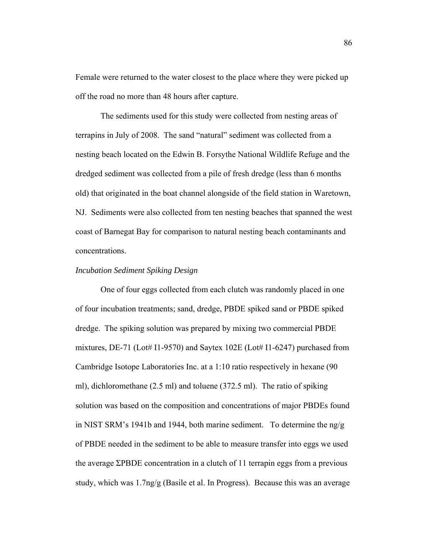Female were returned to the water closest to the place where they were picked up off the road no more than 48 hours after capture.

 The sediments used for this study were collected from nesting areas of terrapins in July of 2008. The sand "natural" sediment was collected from a nesting beach located on the Edwin B. Forsythe National Wildlife Refuge and the dredged sediment was collected from a pile of fresh dredge (less than 6 months old) that originated in the boat channel alongside of the field station in Waretown, NJ. Sediments were also collected from ten nesting beaches that spanned the west coast of Barnegat Bay for comparison to natural nesting beach contaminants and concentrations.

#### *Incubation Sediment Spiking Design*

 One of four eggs collected from each clutch was randomly placed in one of four incubation treatments; sand, dredge, PBDE spiked sand or PBDE spiked dredge. The spiking solution was prepared by mixing two commercial PBDE mixtures, DE-71 (Lot# I1-9570) and Saytex  $102E$  (Lot# I1-6247) purchased from Cambridge Isotope Laboratories Inc. at a 1:10 ratio respectively in hexane (90 ml), dichloromethane (2.5 ml) and toluene (372.5 ml). The ratio of spiking solution was based on the composition and concentrations of major PBDEs found in NIST SRM's 1941b and 1944, both marine sediment. To determine the  $n\frac{g}{g}$ of PBDE needed in the sediment to be able to measure transfer into eggs we used the average ΣPBDE concentration in a clutch of 11 terrapin eggs from a previous study, which was 1.7ng/g (Basile et al. In Progress). Because this was an average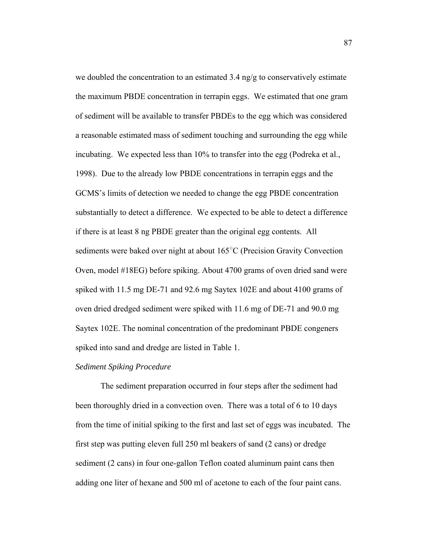we doubled the concentration to an estimated 3.4 ng/g to conservatively estimate the maximum PBDE concentration in terrapin eggs. We estimated that one gram of sediment will be available to transfer PBDEs to the egg which was considered a reasonable estimated mass of sediment touching and surrounding the egg while incubating. We expected less than 10% to transfer into the egg (Podreka et al., 1998). Due to the already low PBDE concentrations in terrapin eggs and the GCMS's limits of detection we needed to change the egg PBDE concentration substantially to detect a difference. We expected to be able to detect a difference if there is at least 8 ng PBDE greater than the original egg contents. All sediments were baked over night at about 165°C (Precision Gravity Convection Oven, model #18EG) before spiking. About 4700 grams of oven dried sand were spiked with 11.5 mg DE-71 and 92.6 mg Saytex 102E and about 4100 grams of oven dried dredged sediment were spiked with 11.6 mg of DE-71 and 90.0 mg Saytex 102E. The nominal concentration of the predominant PBDE congeners spiked into sand and dredge are listed in Table 1.

## *Sediment Spiking Procedure*

 The sediment preparation occurred in four steps after the sediment had been thoroughly dried in a convection oven. There was a total of 6 to 10 days from the time of initial spiking to the first and last set of eggs was incubated. The first step was putting eleven full 250 ml beakers of sand (2 cans) or dredge sediment (2 cans) in four one-gallon Teflon coated aluminum paint cans then adding one liter of hexane and 500 ml of acetone to each of the four paint cans.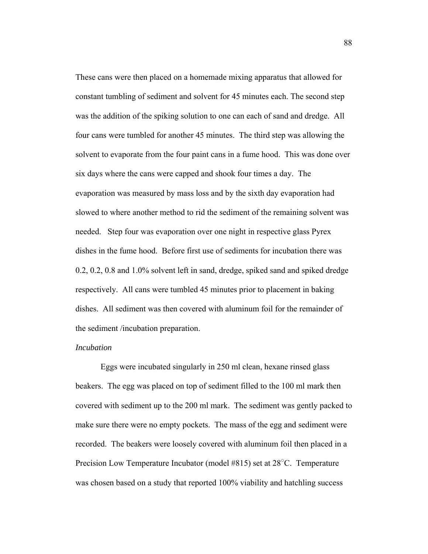These cans were then placed on a homemade mixing apparatus that allowed for constant tumbling of sediment and solvent for 45 minutes each. The second step was the addition of the spiking solution to one can each of sand and dredge. All four cans were tumbled for another 45 minutes. The third step was allowing the solvent to evaporate from the four paint cans in a fume hood. This was done over six days where the cans were capped and shook four times a day. The evaporation was measured by mass loss and by the sixth day evaporation had slowed to where another method to rid the sediment of the remaining solvent was needed. Step four was evaporation over one night in respective glass Pyrex dishes in the fume hood. Before first use of sediments for incubation there was 0.2, 0.2, 0.8 and 1.0% solvent left in sand, dredge, spiked sand and spiked dredge respectively. All cans were tumbled 45 minutes prior to placement in baking dishes. All sediment was then covered with aluminum foil for the remainder of the sediment /incubation preparation.

# *Incubation*

 Eggs were incubated singularly in 250 ml clean, hexane rinsed glass beakers. The egg was placed on top of sediment filled to the 100 ml mark then covered with sediment up to the 200 ml mark. The sediment was gently packed to make sure there were no empty pockets. The mass of the egg and sediment were recorded. The beakers were loosely covered with aluminum foil then placed in a Precision Low Temperature Incubator (model #815) set at 28<sup>°</sup>C. Temperature was chosen based on a study that reported 100% viability and hatchling success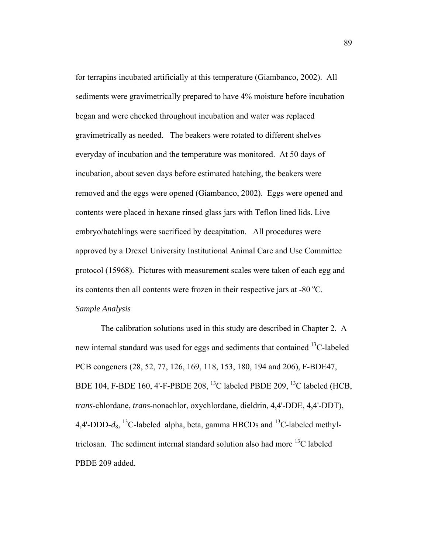for terrapins incubated artificially at this temperature (Giambanco, 2002). All sediments were gravimetrically prepared to have 4% moisture before incubation began and were checked throughout incubation and water was replaced gravimetrically as needed. The beakers were rotated to different shelves everyday of incubation and the temperature was monitored. At 50 days of incubation, about seven days before estimated hatching, the beakers were removed and the eggs were opened (Giambanco, 2002). Eggs were opened and contents were placed in hexane rinsed glass jars with Teflon lined lids. Live embryo/hatchlings were sacrificed by decapitation. All procedures were approved by a Drexel University Institutional Animal Care and Use Committee protocol (15968). Pictures with measurement scales were taken of each egg and its contents then all contents were frozen in their respective jars at -80 $\degree$ C. *Sample Analysis*

 The calibration solutions used in this study are described in Chapter 2. A new internal standard was used for eggs and sediments that contained <sup>13</sup>C-labeled PCB congeners (28, 52, 77, 126, 169, 118, 153, 180, 194 and 206), F-BDE47, BDE 104, F-BDE 160, 4'-F-PBDE 208, 13C labeled PBDE 209, 13C labeled (HCB, *trans*-chlordane, *trans*-nonachlor, oxychlordane, dieldrin, 4,4'-DDE, 4,4'-DDT), 4,4'-DDD- $d_8$ , <sup>13</sup>C-labeled alpha, beta, gamma HBCDs and <sup>13</sup>C-labeled methyltriclosan. The sediment internal standard solution also had more  ${}^{13}C$  labeled PBDE 209 added.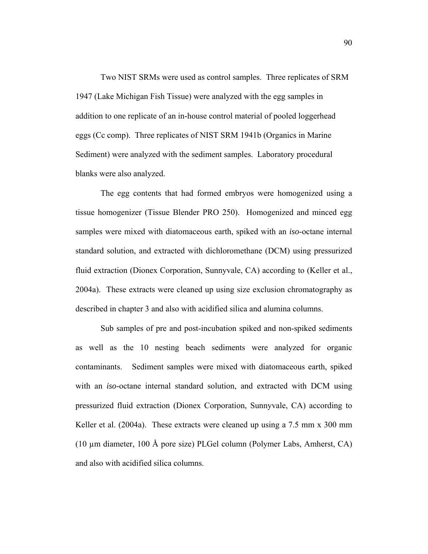Two NIST SRMs were used as control samples. Three replicates of SRM 1947 (Lake Michigan Fish Tissue) were analyzed with the egg samples in addition to one replicate of an in-house control material of pooled loggerhead eggs (Cc comp). Three replicates of NIST SRM 1941b (Organics in Marine Sediment) were analyzed with the sediment samples. Laboratory procedural blanks were also analyzed.

 The egg contents that had formed embryos were homogenized using a tissue homogenizer (Tissue Blender PRO 250). Homogenized and minced egg samples were mixed with diatomaceous earth, spiked with an *iso*-octane internal standard solution, and extracted with dichloromethane (DCM) using pressurized fluid extraction (Dionex Corporation, Sunnyvale, CA) according to (Keller et al., 2004a). These extracts were cleaned up using size exclusion chromatography as described in chapter 3 and also with acidified silica and alumina columns.

 Sub samples of pre and post-incubation spiked and non-spiked sediments as well as the 10 nesting beach sediments were analyzed for organic contaminants. Sediment samples were mixed with diatomaceous earth, spiked with an *iso*-octane internal standard solution, and extracted with DCM using pressurized fluid extraction (Dionex Corporation, Sunnyvale, CA) according to Keller et al. (2004a). These extracts were cleaned up using a 7.5 mm x 300 mm (10 µm diameter, 100 Å pore size) PLGel column (Polymer Labs, Amherst, CA) and also with acidified silica columns.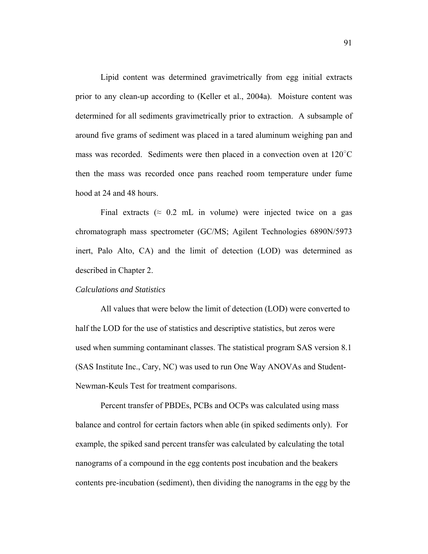Lipid content was determined gravimetrically from egg initial extracts prior to any clean-up according to (Keller et al., 2004a). Moisture content was determined for all sediments gravimetrically prior to extraction. A subsample of around five grams of sediment was placed in a tared aluminum weighing pan and mass was recorded. Sediments were then placed in a convection oven at  $120^{\circ}$ C then the mass was recorded once pans reached room temperature under fume hood at 24 and 48 hours.

Final extracts ( $\approx 0.2$  mL in volume) were injected twice on a gas chromatograph mass spectrometer (GC/MS; Agilent Technologies 6890N/5973 inert, Palo Alto, CA) and the limit of detection (LOD) was determined as described in Chapter 2.

#### *Calculations and Statistics*

 All values that were below the limit of detection (LOD) were converted to half the LOD for the use of statistics and descriptive statistics, but zeros were used when summing contaminant classes. The statistical program SAS version 8.1 (SAS Institute Inc., Cary, NC) was used to run One Way ANOVAs and Student-Newman-Keuls Test for treatment comparisons.

 Percent transfer of PBDEs, PCBs and OCPs was calculated using mass balance and control for certain factors when able (in spiked sediments only). For example, the spiked sand percent transfer was calculated by calculating the total nanograms of a compound in the egg contents post incubation and the beakers contents pre-incubation (sediment), then dividing the nanograms in the egg by the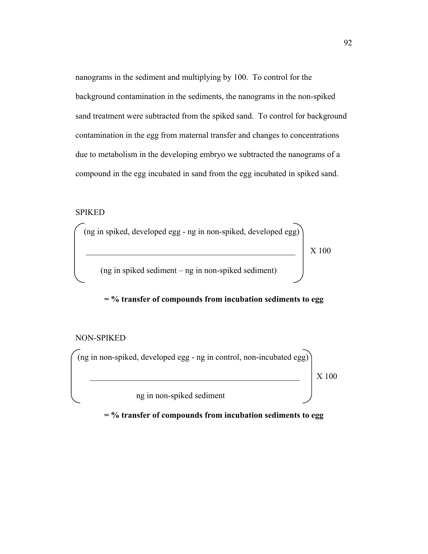nanograms in the sediment and multiplying by 100. To control for the background contamination in the sediments, the nanograms in the non-spiked sand treatment were subtracted from the spiked sand. To control for background contamination in the egg from maternal transfer and changes to concentrations due to metabolism in the developing embryo we subtracted the nanograms of a compound in the egg incubated in sand from the egg incubated in spiked sand.

# SPIKED



# **= % transfer of compounds from incubation sediments to egg**

## NON-SPIKED



**= % transfer of compounds from incubation sediments to egg**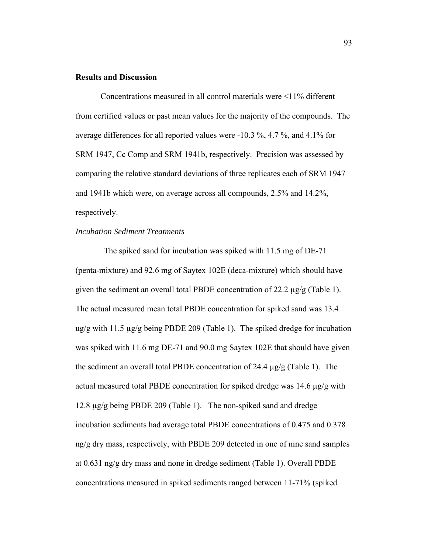#### **Results and Discussion**

 Concentrations measured in all control materials were <11% different from certified values or past mean values for the majority of the compounds. The average differences for all reported values were -10.3 %, 4.7 %, and 4.1% for SRM 1947, Cc Comp and SRM 1941b, respectively. Precision was assessed by comparing the relative standard deviations of three replicates each of SRM 1947 and 1941b which were, on average across all compounds, 2.5% and 14.2%, respectively.

# *Incubation Sediment Treatments*

 The spiked sand for incubation was spiked with 11.5 mg of DE-71 (penta-mixture) and 92.6 mg of Saytex 102E (deca-mixture) which should have given the sediment an overall total PBDE concentration of 22.2 µg/g (Table 1). The actual measured mean total PBDE concentration for spiked sand was 13.4  $\mu$ g/g with 11.5  $\mu$ g/g being PBDE 209 (Table 1). The spiked dredge for incubation was spiked with 11.6 mg DE-71 and 90.0 mg Saytex 102E that should have given the sediment an overall total PBDE concentration of 24.4 µg/g (Table 1). The actual measured total PBDE concentration for spiked dredge was 14.6 µg/g with 12.8 µg/g being PBDE 209 (Table 1). The non-spiked sand and dredge incubation sediments had average total PBDE concentrations of 0.475 and 0.378 ng/g dry mass, respectively, with PBDE 209 detected in one of nine sand samples at 0.631 ng/g dry mass and none in dredge sediment (Table 1). Overall PBDE concentrations measured in spiked sediments ranged between 11-71% (spiked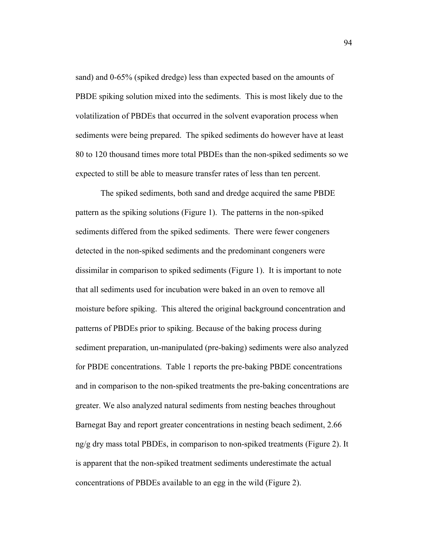sand) and 0-65% (spiked dredge) less than expected based on the amounts of PBDE spiking solution mixed into the sediments. This is most likely due to the volatilization of PBDEs that occurred in the solvent evaporation process when sediments were being prepared. The spiked sediments do however have at least 80 to 120 thousand times more total PBDEs than the non-spiked sediments so we expected to still be able to measure transfer rates of less than ten percent.

 The spiked sediments, both sand and dredge acquired the same PBDE pattern as the spiking solutions (Figure 1). The patterns in the non-spiked sediments differed from the spiked sediments. There were fewer congeners detected in the non-spiked sediments and the predominant congeners were dissimilar in comparison to spiked sediments (Figure 1). It is important to note that all sediments used for incubation were baked in an oven to remove all moisture before spiking. This altered the original background concentration and patterns of PBDEs prior to spiking. Because of the baking process during sediment preparation, un-manipulated (pre-baking) sediments were also analyzed for PBDE concentrations. Table 1 reports the pre-baking PBDE concentrations and in comparison to the non-spiked treatments the pre-baking concentrations are greater. We also analyzed natural sediments from nesting beaches throughout Barnegat Bay and report greater concentrations in nesting beach sediment, 2.66 ng/g dry mass total PBDEs, in comparison to non-spiked treatments (Figure 2). It is apparent that the non-spiked treatment sediments underestimate the actual concentrations of PBDEs available to an egg in the wild (Figure 2).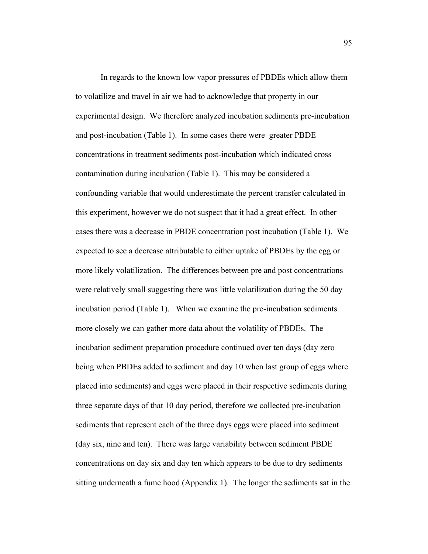In regards to the known low vapor pressures of PBDEs which allow them to volatilize and travel in air we had to acknowledge that property in our experimental design. We therefore analyzed incubation sediments pre-incubation and post-incubation (Table 1). In some cases there were greater PBDE concentrations in treatment sediments post-incubation which indicated cross contamination during incubation (Table 1). This may be considered a confounding variable that would underestimate the percent transfer calculated in this experiment, however we do not suspect that it had a great effect. In other cases there was a decrease in PBDE concentration post incubation (Table 1). We expected to see a decrease attributable to either uptake of PBDEs by the egg or more likely volatilization. The differences between pre and post concentrations were relatively small suggesting there was little volatilization during the 50 day incubation period (Table 1). When we examine the pre-incubation sediments more closely we can gather more data about the volatility of PBDEs. The incubation sediment preparation procedure continued over ten days (day zero being when PBDEs added to sediment and day 10 when last group of eggs where placed into sediments) and eggs were placed in their respective sediments during three separate days of that 10 day period, therefore we collected pre-incubation sediments that represent each of the three days eggs were placed into sediment (day six, nine and ten). There was large variability between sediment PBDE concentrations on day six and day ten which appears to be due to dry sediments sitting underneath a fume hood (Appendix 1). The longer the sediments sat in the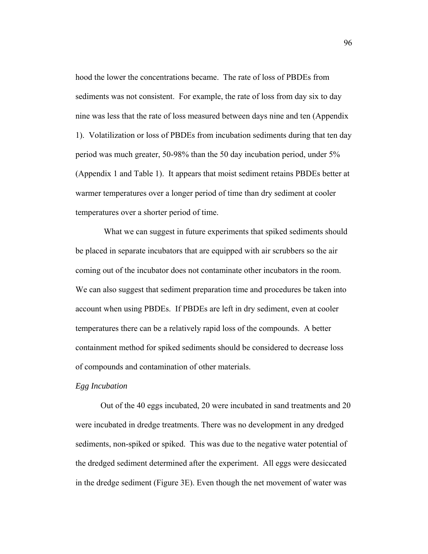hood the lower the concentrations became. The rate of loss of PBDEs from sediments was not consistent. For example, the rate of loss from day six to day nine was less that the rate of loss measured between days nine and ten (Appendix 1). Volatilization or loss of PBDEs from incubation sediments during that ten day period was much greater, 50-98% than the 50 day incubation period, under 5% (Appendix 1 and Table 1). It appears that moist sediment retains PBDEs better at warmer temperatures over a longer period of time than dry sediment at cooler temperatures over a shorter period of time.

 What we can suggest in future experiments that spiked sediments should be placed in separate incubators that are equipped with air scrubbers so the air coming out of the incubator does not contaminate other incubators in the room. We can also suggest that sediment preparation time and procedures be taken into account when using PBDEs. If PBDEs are left in dry sediment, even at cooler temperatures there can be a relatively rapid loss of the compounds. A better containment method for spiked sediments should be considered to decrease loss of compounds and contamination of other materials.

#### *Egg Incubation*

 Out of the 40 eggs incubated, 20 were incubated in sand treatments and 20 were incubated in dredge treatments. There was no development in any dredged sediments, non-spiked or spiked. This was due to the negative water potential of the dredged sediment determined after the experiment. All eggs were desiccated in the dredge sediment (Figure 3E). Even though the net movement of water was

96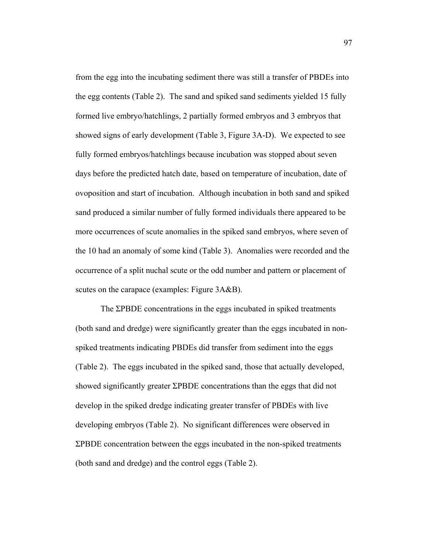from the egg into the incubating sediment there was still a transfer of PBDEs into the egg contents (Table 2). The sand and spiked sand sediments yielded 15 fully formed live embryo/hatchlings, 2 partially formed embryos and 3 embryos that showed signs of early development (Table 3, Figure 3A-D). We expected to see fully formed embryos/hatchlings because incubation was stopped about seven days before the predicted hatch date, based on temperature of incubation, date of ovoposition and start of incubation. Although incubation in both sand and spiked sand produced a similar number of fully formed individuals there appeared to be more occurrences of scute anomalies in the spiked sand embryos, where seven of the 10 had an anomaly of some kind (Table 3). Anomalies were recorded and the occurrence of a split nuchal scute or the odd number and pattern or placement of scutes on the carapace (examples: Figure 3A&B).

The ΣPBDE concentrations in the eggs incubated in spiked treatments (both sand and dredge) were significantly greater than the eggs incubated in nonspiked treatments indicating PBDEs did transfer from sediment into the eggs (Table 2). The eggs incubated in the spiked sand, those that actually developed, showed significantly greater ΣPBDE concentrations than the eggs that did not develop in the spiked dredge indicating greater transfer of PBDEs with live developing embryos (Table 2). No significant differences were observed in ΣPBDE concentration between the eggs incubated in the non-spiked treatments (both sand and dredge) and the control eggs (Table 2).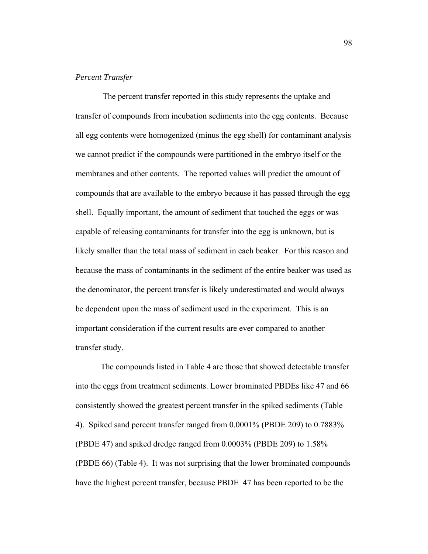## *Percent Transfer*

 The percent transfer reported in this study represents the uptake and transfer of compounds from incubation sediments into the egg contents. Because all egg contents were homogenized (minus the egg shell) for contaminant analysis we cannot predict if the compounds were partitioned in the embryo itself or the membranes and other contents. The reported values will predict the amount of compounds that are available to the embryo because it has passed through the egg shell. Equally important, the amount of sediment that touched the eggs or was capable of releasing contaminants for transfer into the egg is unknown, but is likely smaller than the total mass of sediment in each beaker. For this reason and because the mass of contaminants in the sediment of the entire beaker was used as the denominator, the percent transfer is likely underestimated and would always be dependent upon the mass of sediment used in the experiment. This is an important consideration if the current results are ever compared to another transfer study.

 The compounds listed in Table 4 are those that showed detectable transfer into the eggs from treatment sediments. Lower brominated PBDEs like 47 and 66 consistently showed the greatest percent transfer in the spiked sediments (Table 4). Spiked sand percent transfer ranged from 0.0001% (PBDE 209) to 0.7883% (PBDE 47) and spiked dredge ranged from 0.0003% (PBDE 209) to 1.58% (PBDE 66) (Table 4). It was not surprising that the lower brominated compounds have the highest percent transfer, because PBDE 47 has been reported to be the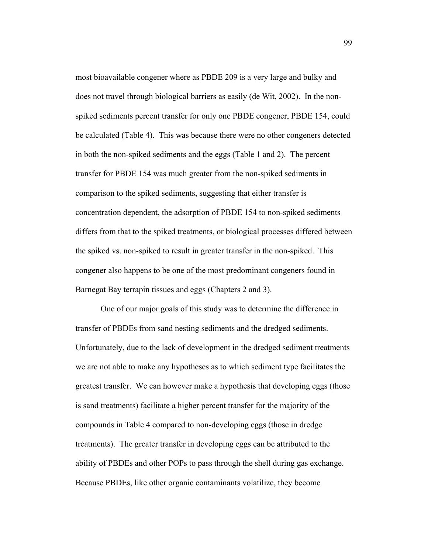most bioavailable congener where as PBDE 209 is a very large and bulky and does not travel through biological barriers as easily (de Wit, 2002). In the nonspiked sediments percent transfer for only one PBDE congener, PBDE 154, could be calculated (Table 4). This was because there were no other congeners detected in both the non-spiked sediments and the eggs (Table 1 and 2). The percent transfer for PBDE 154 was much greater from the non-spiked sediments in comparison to the spiked sediments, suggesting that either transfer is concentration dependent, the adsorption of PBDE 154 to non-spiked sediments differs from that to the spiked treatments, or biological processes differed between the spiked vs. non-spiked to result in greater transfer in the non-spiked. This congener also happens to be one of the most predominant congeners found in Barnegat Bay terrapin tissues and eggs (Chapters 2 and 3).

 One of our major goals of this study was to determine the difference in transfer of PBDEs from sand nesting sediments and the dredged sediments. Unfortunately, due to the lack of development in the dredged sediment treatments we are not able to make any hypotheses as to which sediment type facilitates the greatest transfer. We can however make a hypothesis that developing eggs (those is sand treatments) facilitate a higher percent transfer for the majority of the compounds in Table 4 compared to non-developing eggs (those in dredge treatments). The greater transfer in developing eggs can be attributed to the ability of PBDEs and other POPs to pass through the shell during gas exchange. Because PBDEs, like other organic contaminants volatilize, they become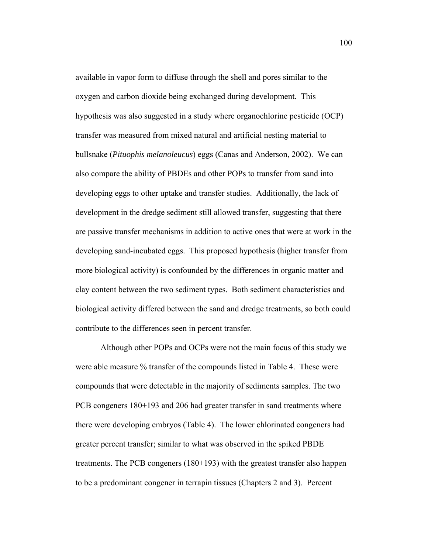available in vapor form to diffuse through the shell and pores similar to the oxygen and carbon dioxide being exchanged during development. This hypothesis was also suggested in a study where organochlorine pesticide (OCP) transfer was measured from mixed natural and artificial nesting material to bullsnake (*Pituophis melanoleucus*) eggs (Canas and Anderson, 2002). We can also compare the ability of PBDEs and other POPs to transfer from sand into developing eggs to other uptake and transfer studies. Additionally, the lack of development in the dredge sediment still allowed transfer, suggesting that there are passive transfer mechanisms in addition to active ones that were at work in the developing sand-incubated eggs. This proposed hypothesis (higher transfer from more biological activity) is confounded by the differences in organic matter and clay content between the two sediment types. Both sediment characteristics and biological activity differed between the sand and dredge treatments, so both could contribute to the differences seen in percent transfer.

 Although other POPs and OCPs were not the main focus of this study we were able measure % transfer of the compounds listed in Table 4. These were compounds that were detectable in the majority of sediments samples. The two PCB congeners 180+193 and 206 had greater transfer in sand treatments where there were developing embryos (Table 4). The lower chlorinated congeners had greater percent transfer; similar to what was observed in the spiked PBDE treatments. The PCB congeners (180+193) with the greatest transfer also happen to be a predominant congener in terrapin tissues (Chapters 2 and 3). Percent

100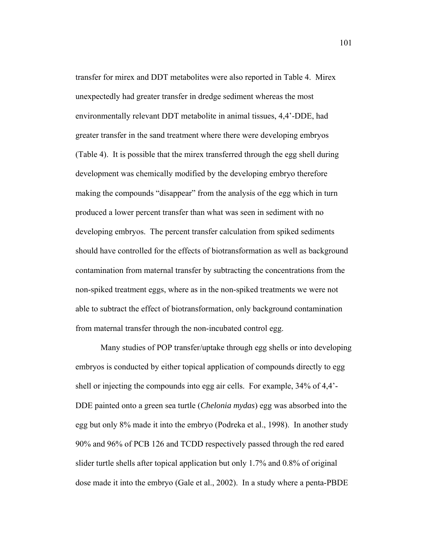transfer for mirex and DDT metabolites were also reported in Table 4. Mirex unexpectedly had greater transfer in dredge sediment whereas the most environmentally relevant DDT metabolite in animal tissues, 4,4'-DDE, had greater transfer in the sand treatment where there were developing embryos (Table 4). It is possible that the mirex transferred through the egg shell during development was chemically modified by the developing embryo therefore making the compounds "disappear" from the analysis of the egg which in turn produced a lower percent transfer than what was seen in sediment with no developing embryos. The percent transfer calculation from spiked sediments should have controlled for the effects of biotransformation as well as background contamination from maternal transfer by subtracting the concentrations from the non-spiked treatment eggs, where as in the non-spiked treatments we were not able to subtract the effect of biotransformation, only background contamination from maternal transfer through the non-incubated control egg.

 Many studies of POP transfer/uptake through egg shells or into developing embryos is conducted by either topical application of compounds directly to egg shell or injecting the compounds into egg air cells. For example, 34% of 4,4'- DDE painted onto a green sea turtle (*Chelonia mydas*) egg was absorbed into the egg but only 8% made it into the embryo (Podreka et al., 1998). In another study 90% and 96% of PCB 126 and TCDD respectively passed through the red eared slider turtle shells after topical application but only 1.7% and 0.8% of original dose made it into the embryo (Gale et al., 2002). In a study where a penta-PBDE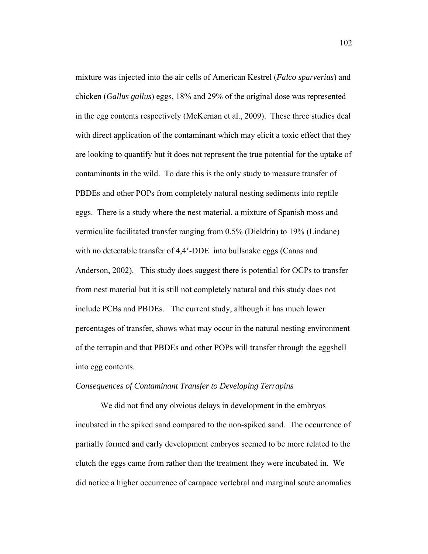mixture was injected into the air cells of American Kestrel (*Falco sparverius*) and chicken (*Gallus gallus*) eggs, 18% and 29% of the original dose was represented in the egg contents respectively (McKernan et al., 2009). These three studies deal with direct application of the contaminant which may elicit a toxic effect that they are looking to quantify but it does not represent the true potential for the uptake of contaminants in the wild. To date this is the only study to measure transfer of PBDEs and other POPs from completely natural nesting sediments into reptile eggs. There is a study where the nest material, a mixture of Spanish moss and vermiculite facilitated transfer ranging from 0.5% (Dieldrin) to 19% (Lindane) with no detectable transfer of 4,4'-DDE into bullsnake eggs (Canas and Anderson, 2002). This study does suggest there is potential for OCPs to transfer from nest material but it is still not completely natural and this study does not include PCBs and PBDEs. The current study, although it has much lower percentages of transfer, shows what may occur in the natural nesting environment of the terrapin and that PBDEs and other POPs will transfer through the eggshell into egg contents.

#### *Consequences of Contaminant Transfer to Developing Terrapins*

We did not find any obvious delays in development in the embryos incubated in the spiked sand compared to the non-spiked sand. The occurrence of partially formed and early development embryos seemed to be more related to the clutch the eggs came from rather than the treatment they were incubated in. We did notice a higher occurrence of carapace vertebral and marginal scute anomalies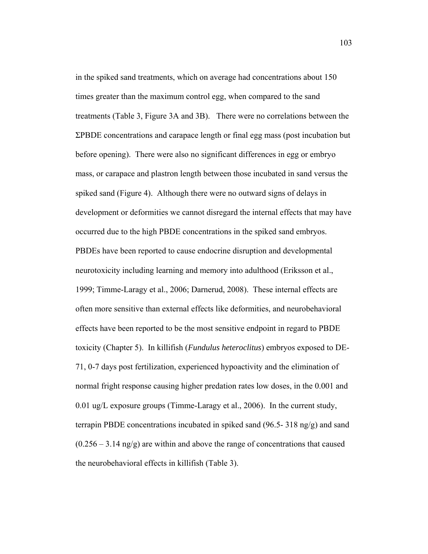in the spiked sand treatments, which on average had concentrations about 150 times greater than the maximum control egg, when compared to the sand treatments (Table 3, Figure 3A and 3B). There were no correlations between the ΣPBDE concentrations and carapace length or final egg mass (post incubation but before opening). There were also no significant differences in egg or embryo mass, or carapace and plastron length between those incubated in sand versus the spiked sand (Figure 4). Although there were no outward signs of delays in development or deformities we cannot disregard the internal effects that may have occurred due to the high PBDE concentrations in the spiked sand embryos. PBDEs have been reported to cause endocrine disruption and developmental neurotoxicity including learning and memory into adulthood (Eriksson et al., 1999; Timme-Laragy et al., 2006; Darnerud, 2008). These internal effects are often more sensitive than external effects like deformities, and neurobehavioral effects have been reported to be the most sensitive endpoint in regard to PBDE toxicity (Chapter 5). In killifish (*Fundulus heteroclitus*) embryos exposed to DE-71, 0-7 days post fertilization, experienced hypoactivity and the elimination of normal fright response causing higher predation rates low doses, in the 0.001 and 0.01 ug/L exposure groups (Timme-Laragy et al., 2006). In the current study, terrapin PBDE concentrations incubated in spiked sand  $(96.5-318 \text{ ng/g})$  and sand  $(0.256 - 3.14 \text{ ng/g})$  are within and above the range of concentrations that caused the neurobehavioral effects in killifish (Table 3).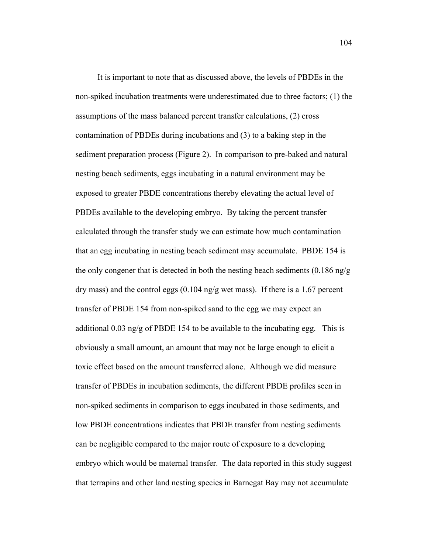It is important to note that as discussed above, the levels of PBDEs in the non-spiked incubation treatments were underestimated due to three factors; (1) the assumptions of the mass balanced percent transfer calculations, (2) cross contamination of PBDEs during incubations and (3) to a baking step in the sediment preparation process (Figure 2). In comparison to pre-baked and natural nesting beach sediments, eggs incubating in a natural environment may be exposed to greater PBDE concentrations thereby elevating the actual level of PBDEs available to the developing embryo. By taking the percent transfer calculated through the transfer study we can estimate how much contamination that an egg incubating in nesting beach sediment may accumulate. PBDE 154 is the only congener that is detected in both the nesting beach sediments  $(0.186 \text{ ng/g})$ dry mass) and the control eggs (0.104 ng/g wet mass). If there is a 1.67 percent transfer of PBDE 154 from non-spiked sand to the egg we may expect an additional 0.03 ng/g of PBDE 154 to be available to the incubating egg. This is obviously a small amount, an amount that may not be large enough to elicit a toxic effect based on the amount transferred alone. Although we did measure transfer of PBDEs in incubation sediments, the different PBDE profiles seen in non-spiked sediments in comparison to eggs incubated in those sediments, and low PBDE concentrations indicates that PBDE transfer from nesting sediments can be negligible compared to the major route of exposure to a developing embryo which would be maternal transfer. The data reported in this study suggest that terrapins and other land nesting species in Barnegat Bay may not accumulate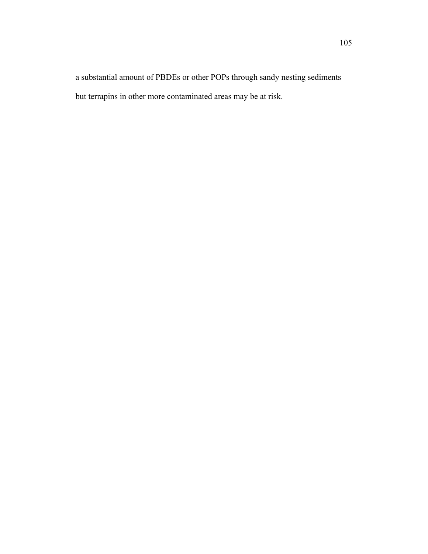a substantial amount of PBDEs or other POPs through sandy nesting sediments but terrapins in other more contaminated areas may be at risk.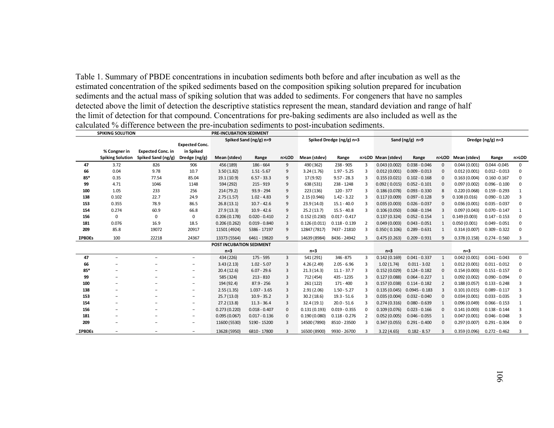Table 1. Summary of PBDE concentrations in incubation sediments both before and after incubation as well as the estimated concentration of the spiked sediments based on the composition spiking solution prepared for incubation sediments and the actual mass of spiking solution that was added to sediments. For congeners that have no samples detected above the limit of detection the descriptive statistics represent the mean, standard deviation and range of half the limit of detection for that compound. Concentrations for pre-baking sediments are also included as well as the calculated % difference between the pre-incubation sediments to post-incubation sediments.

|        | <b>SPIKING SOLUTION</b> |                          |                          | <b>PRE-INCUBATION SEDIMENT</b> |                        |                |                          |                 |                   |                    |                  |                   |                    |                 |              |
|--------|-------------------------|--------------------------|--------------------------|--------------------------------|------------------------|----------------|--------------------------|-----------------|-------------------|--------------------|------------------|-------------------|--------------------|-----------------|--------------|
|        |                         |                          |                          |                                | Spiked Sand (ng/g) n=9 |                | Spiked Dredge (ng/g) n=3 |                 | Sand $(ng/g)$ n=9 |                    |                  | Dredge (ng/g) n=3 |                    |                 |              |
|        |                         |                          | <b>Expected Conc.</b>    |                                |                        |                |                          |                 |                   |                    |                  |                   |                    |                 |              |
|        | % Congner in            | <b>Expected Conc. in</b> | in Spiked                |                                |                        |                |                          |                 |                   |                    |                  |                   |                    |                 |              |
|        | <b>Spiking Solution</b> | Spiked Sand (ng/g)       | Dredge (ng/g)            | Mean (stdev)                   | Range                  | n>LOD          | Mean (stdev)             | Range           |                   | n>LOD Mean (stdev) | Range            |                   | n>LOD Mean (stdev) | Range           | n>LOD        |
| 47     | 3.72                    | 826                      | 906                      | 456 (189)                      | 186 - 664              | 9              | 490 (362)                | 238 - 905       | 3                 | 0.043(0.002)       | $0.038 - 0.046$  | $\Omega$          | 0.044(0.001)       | $0.044 - 0.045$ | 0            |
| 66     | 0.04                    | 9.78                     | 10.7                     | 3.50(1.82)                     | $1.51 - 5.67$          | 9              | 3.24(1.76)               | $1.97 - 5.25$   | 3                 | 0.012(0.001)       | $0.009 - 0.013$  | $\Omega$          | 0.012(0.001)       | $0.012 - 0.013$ | 0            |
| 85*    | 0.35                    | 77.54                    | 85.04                    | 19.1 (10.9)                    | $6.57 - 33.3$          | 9              | 17 (9.92)                | $9.57 - 28.3$   | з                 | 0.155(0.021)       | $0.102 - 0.168$  | $\Omega$          | 0.163(0.004)       | $0.160 - 0.167$ | 0            |
| 99     | 4.71                    | 1046                     | 1148                     | 594 (292)                      | 215 - 919              | 9              | 638 (531)                | 238 - 1248      | 3                 | 0.092(0.015)       | $0.052 - 0.101$  | $\Omega$          | 0.097(0.002)       | $0.096 - 0.100$ | 0            |
| 100    | 1.05                    | 233                      | 256                      | 214 (79.2)                     | $93.9 - 294$           | 9              | 223 (136)                | $120 - 377$     | 3                 | 0.186(0.078)       | $0.093 - 0.330$  | 8                 | 0.220(0.068)       | $0.159 - 0.293$ | $\mathbf{1}$ |
| 138    | 0.102                   | 22.7                     | 24.9                     | 2.75(1.57)                     | $1.02 - 4.83$          | 9              | 2.15(0.946)              | $1.42 - 3.22$   | з                 | 0.117(0.009)       | $0.097 - 0.128$  |                   | 0.108(0.016)       | $0.090 - 0.120$ | 3            |
| 153    | 0.355                   | 78.9                     | 86.5                     | 26.8(13.1)                     | $10.7 - 42.6$          | 9              | 23.9(14.0)               | $15.1 - 40.0$   |                   | 0.035(0.003)       | $0.026 - 0.037$  |                   | 0.036(0.001)       | $0.035 - 0.037$ | 0            |
| 154    | 0.274                   | 60.9                     | 66.8                     | 27.9(13.3)                     | $10.9 - 42.6$          | 9              | 25.2(13.7)               | $15.5 - 40.8$   | 3                 | 0.106(0.050)       | $0.068 - 0.194$  | $\overline{a}$    | 0.097(0.043)       | $0.070 - 0.147$ | $\mathbf{1}$ |
| 156    | $\Omega$                | 0                        | 0                        | 0.206(0.178)                   | $0.020 - 0.410$        | $\overline{2}$ | 0.152(0.230)             | $0.017 - 0.417$ |                   | 0.137(0.324)       | $0.052 - 0.154$  |                   | 0.149(0.003)       | $0.147 - 0.153$ | 0            |
| 181    | 0.076                   | 16.9                     | 18.5                     | 0.206(0.262)                   | $0.019 - 0.840$        | 3              | 0.126(0.011)             | $0.118 - 0.139$ | $\overline{2}$    | 0.049(0.003)       | $0.043 - 0.051$  |                   | 0.050(0.001)       | $0.049 - 0.051$ | 0            |
| 209    | 85.8                    | 19072                    | 20917                    | 11501 (4924)                   | 5386 - 17197           | 9              | 12847 (7817)             | 7437 - 21810    | 3                 | 0.350(0.106)       | $0.289 - 0.631$  | -1                | 0.314(0.007)       | $0.309 - 0.322$ | 0            |
| ΣΡΒDEs | 100                     | 22218                    | 24367                    | 13373 (5564)                   | 6461 - 19820           | 9              | 14639 (8984)             | 8436 - 24942    |                   | 0.475(0.263)       | $0.209 - 0.931$  |                   | 0.378(0.158)       | $0.274 - 0.560$ | 3            |
|        |                         |                          |                          | POST INCUBATION SEDIMENT       |                        |                |                          |                 |                   |                    |                  |                   |                    |                 |              |
|        |                         |                          |                          | $n=3$                          |                        |                | $n=3$                    |                 |                   | $n=3$              |                  |                   | $n=3$              |                 |              |
| 47     | $\qquad \qquad -$       | $\overline{\phantom{0}}$ | $\overline{\phantom{a}}$ | 434 (226)                      | $175 - 595$            | 3              | 541 (291)                | 346-875         | 3                 | 0.142(0.169)       | $0.041 - 0.337$  | -1                | 0.042(0.001)       | $0.041 - 0.043$ | 0            |
| 66     |                         |                          | -                        | 3.43(2.13)                     | $1.02 - 5.07$          | 3              | 4.26(2.49)               | $2.05 - 6.96$   | 3                 | 1.02(1.74)         | $0.011 - 3.02$   | 1                 | 0.012(0.001)       | $0.011 - 0.012$ | 0            |
| 85*    |                         |                          | -                        | 20.4(12.6)                     | $6.07 - 29.6$          | 3              | 21.3(14.3)               | $11.1 - 37.7$   | з                 | 0.152(0.029)       | $0.124 - 0.182$  |                   | 0.154(0.003)       | $0.151 - 0.157$ | 0            |
| 99     |                         |                          | -                        | 585 (324)                      | $213 - 810$            | 3              | 712 (454)                | 435 - 1235      | 3                 | 0.127(0.088)       | $0.064 - 0.227$  |                   | 0.092(0.002)       | $0.090 - 0.094$ | 0            |
| 100    |                         |                          | -                        | 194 (92.4)                     | $87.9 - 256$           | 3              | 261 (122)                | 171 - 400       | з                 | 0.157(0.038)       | $0.114 - 0.182$  | -2                | 0.188(0.057)       | $0.133 - 0.248$ | 3            |
| 138    |                         |                          | -                        | 2.55(1.35)                     | $1.037 - 3.65$         | 3              | 2.91(2.06)               | $1.50 - 5.27$   |                   | 0.135(0.045)       | $0.0945 - 0.183$ |                   | 0.101(0.015)       | $0.089 - 0.117$ | 3            |
| 153    |                         |                          | -                        | 25.7(13.0)                     | $10.9 - 35.2$          | 3              | 30.2(18.6)               | $19.3 - 51.6$   | 3                 | 0.035(0.004)       | $0.032 - 0.040$  | $\Omega$          | 0.034(0.001)       | $0.033 - 0.035$ | 3            |
| 154    |                         |                          |                          | 27.2(13.8)                     | $11.3 - 36.4$          | 3              | 32.4(19.1)               | $20.0 - 51.6$   | з                 | 0.274(0.316)       | $0.080 - 0.639$  |                   | 0.096(0.049)       | $0.066 - 0.153$ | $\mathbf{1}$ |
| 156    |                         |                          | -                        | 0.273(0.220)                   | $0.018 - 0.407$        | 0              | 0.131(0.193)             | $0.019 - 0.355$ | 0                 | 0.109(0.076)       | $0.023 - 0.166$  |                   | 0.141(0.003)       | $0.138 - 0.144$ | 3            |
| 181    |                         |                          | -                        | 0.095(0.067)                   | $0.017 - 0.136$        | 0              | 0.190(0.080)             | $0.118 - 0.276$ | 2                 | 0.052(0.005)       | $0.046 - 0.055$  |                   | 0.047(0.001)       | $0.046 - 0.048$ | 3            |
| 209    |                         |                          | $\overline{\phantom{a}}$ | 11600 (5530)                   | 5190 - 15200           | 3              | 14500 (7890)             | 8510 - 23500    | 3                 | 0.347(0.055)       | $0.291 - 0.400$  | $\Omega$          | 0.297(0.007)       | $0.291 - 0.304$ | 0            |
| ΣPBDEs |                         |                          | -                        | 13628 (5950)                   | 6810 - 17800           | 3              | 16500 (8900)             | 9930 - 26700    | з                 | 3.22(4.65)         | $0.182 - 8.57$   |                   | 0.359(0.096)       | $0.272 - 0.462$ | 3            |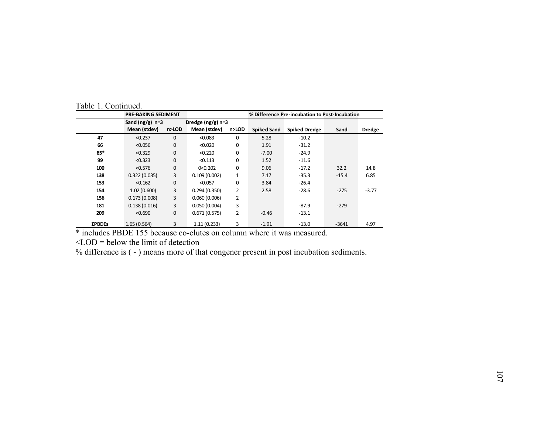|               | <b>PRE-BAKING SEDIMENT</b> |              |                     |                | % Difference Pre-incubation to Post-Incubation |                      |         |               |  |  |  |  |
|---------------|----------------------------|--------------|---------------------|----------------|------------------------------------------------|----------------------|---------|---------------|--|--|--|--|
|               | Sand $(ng/g)$ n=3          |              | Dredge $(ng/g)$ n=3 |                |                                                |                      |         |               |  |  |  |  |
|               | Mean (stdev)               | n>LOD        | Mean (stdev)        | n>LOD          | Spiked Sand                                    | <b>Spiked Dredge</b> | Sand    | <b>Dredge</b> |  |  |  |  |
| 47            | < 0.237                    | $\Omega$     | < 0.083             | $\Omega$       | 5.28                                           | $-10.2$              |         |               |  |  |  |  |
| 66            | < 0.056                    | $\mathbf{0}$ | < 0.020             | 0              | 1.91                                           | $-31.2$              |         |               |  |  |  |  |
| 85*           | < 0.329                    | $\mathbf{0}$ | < 0.220             | 0              | $-7.00$                                        | $-24.9$              |         |               |  |  |  |  |
| 99            | < 0.323                    | $\mathbf{0}$ | < 0.113             | $\Omega$       | 1.52                                           | $-11.6$              |         |               |  |  |  |  |
| 100           | < 0.576                    | $\mathbf{0}$ | 0<0.202             | $\Omega$       | 9.06                                           | $-17.2$              | 32.2    | 14.8          |  |  |  |  |
| 138           | 0.322(0.035)               | 3            | 0.109(0.002)        | $\mathbf{1}$   | 7.17                                           | $-35.3$              | $-15.4$ | 6.85          |  |  |  |  |
| 153           | < 0.162                    | $\mathbf{0}$ | < 0.057             | 0              | 3.84                                           | $-26.4$              |         |               |  |  |  |  |
| 154           | 1.02(0.600)                | 3            | 0.294(0.350)        | $\overline{2}$ | 2.58                                           | $-28.6$              | $-275$  | $-3.77$       |  |  |  |  |
| 156           | 0.173(0.008)               | 3            | 0.060(0.006)        | $\overline{2}$ |                                                |                      |         |               |  |  |  |  |
| 181           | 0.138(0.016)               | 3            | 0.050(0.004)        | 3              |                                                | $-87.9$              | $-279$  |               |  |  |  |  |
| 209           | < 0.690                    | 0            | 0.671(0.575)        | $\overline{2}$ | $-0.46$                                        | $-13.1$              |         |               |  |  |  |  |
| <b>ΣPBDEs</b> | 1.65(0.564)                | 3            | 1.11(0.233)         | 3              | $-1.91$                                        | $-13.0$              | $-3641$ | 4.97          |  |  |  |  |

Table 1. Continued.

\* includes PBDE 155 because co-elutes on column where it was measured.

 $\leq$ LOD = below the limit of detection

% difference is ( - ) means more of that congener present in post incubation sediments.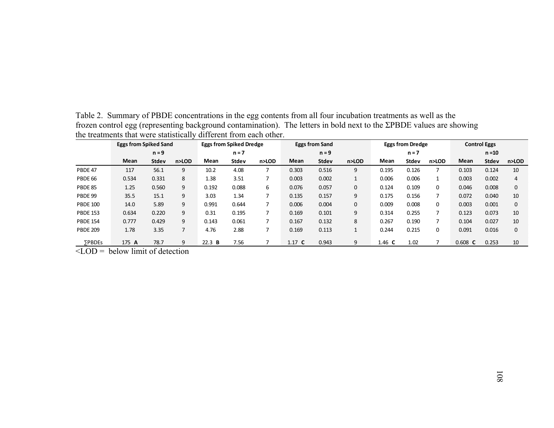|                 | <b>Eggs from Spiked Sand</b> |              |       |         | <b>Eggs from Spiked Dredge</b> |       | <b>Eggs from Sand</b> |              |       |          | <b>Eggs from Dredge</b> |       | <b>Control Eggs</b> |              |       |
|-----------------|------------------------------|--------------|-------|---------|--------------------------------|-------|-----------------------|--------------|-------|----------|-------------------------|-------|---------------------|--------------|-------|
|                 | $n = 9$                      |              |       | $n = 7$ |                                |       | $n = 9$               |              |       | $n = 7$  |                         |       | $n = 10$            |              |       |
|                 | Mean                         | <b>Stdev</b> | n>LOD | Mean    | <b>Stdev</b>                   | n>LOD | Mean                  | <b>Stdev</b> | n>LOD | Mean     | <b>Stdev</b>            | n>LOD | Mean                | <b>Stdev</b> | n>LOD |
| PBDE 47         | 117                          | 56.1         | 9     | 10.2    | 4.08                           |       | 0.303                 | 0.516        | 9     | 0.195    | 0.126                   |       | 0.103               | 0.124        | 10    |
| <b>PBDE 66</b>  | 0.534                        | 0.331        | 8     | 1.38    | 3.51                           |       | 0.003                 | 0.002        | Ŧ     | 0.006    | 0.006                   |       | 0.003               | 0.002        | 4     |
| <b>PBDE 85</b>  | 1.25                         | 0.560        | 9     | 0.192   | 0.088                          | 6     | 0.076                 | 0.057        | 0     | 0.124    | 0.109                   | 0     | 0.046               | 0.008        | 0     |
| PBDE 99         | 35.5                         | 15.1         | 9     | 3.03    | 1.34                           |       | 0.135                 | 0.157        | 9     | 0.175    | 0.156                   |       | 0.072               | 0.040        | 10    |
| <b>PBDE 100</b> | 14.0                         | 5.89         | 9     | 0.991   | 0.644                          |       | 0.006                 | 0.004        | 0     | 0.009    | 0.008                   | 0     | 0.003               | 0.001        | 0     |
| <b>PBDE 153</b> | 0.634                        | 0.220        | 9     | 0.31    | 0.195                          |       | 0.169                 | 0.101        | 9     | 0.314    | 0.255                   |       | 0.123               | 0.073        | 10    |
| <b>PBDE 154</b> | 0.777                        | 0.429        | 9     | 0.143   | 0.061                          |       | 0.167                 | 0.132        | 8     | 0.267    | 0.190                   |       | 0.104               | 0.027        | 10    |
| <b>PBDE 209</b> | 1.78                         | 3.35         |       | 4.76    | 2.88                           |       | 0.169                 | 0.113        |       | 0.244    | 0.215                   | 0     | 0.091               | 0.016        | 0     |
| <b>SPBDEs</b>   | 175 A                        | 78.7         | 9     | 22.3 B  | 7.56                           |       | 1.17 $C$              | 0.943        | 9     | 1.46 $C$ | 1.02                    |       | $0.608$ C           | 0.253        | 10    |

Table 2. Summary of PBDE concentrations in the egg contents from all four incubation treatments as well as the frozen control egg (representing background contamination). The letters in bold next to the ΣPBDE values are showing the treatments that were statistically different from each other.

 $\angle$ LOD = below limit of detection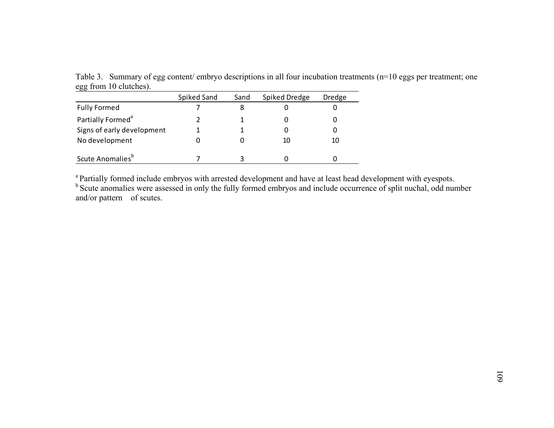Table 3. Summary of egg content/ embryo descriptions in all four incubation treatments (n=10 eggs per treatment; one egg from 10 clutches).  $\overline{\phantom{0}}$ 

|                               | Spiked Sand | Sand | Spiked Dredge | Dredge |
|-------------------------------|-------------|------|---------------|--------|
| <b>Fully Formed</b>           |             |      |               |        |
| Partially Formed <sup>a</sup> |             |      |               |        |
| Signs of early development    |             |      |               |        |
| No development                |             |      | 10            |        |
| Scute Anomalies <sup>b</sup>  |             |      |               |        |

<sup>a</sup> Partially formed include embryos with arrested development and have at least head development with eyespots. <sup>b</sup> Scute anomalies were assessed in only the fully formed embryos and include occurrence of split nuchal, odd number and/or pattern of scutes.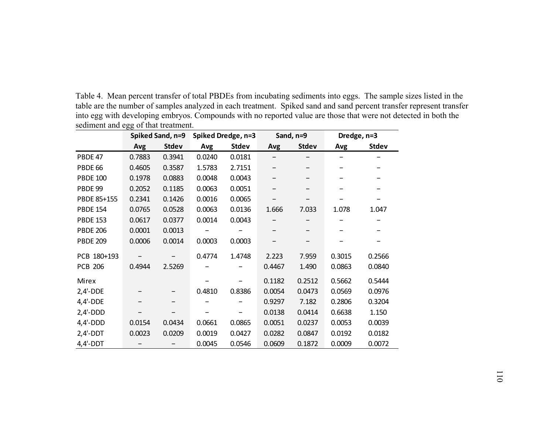Table 4. Mean percent transfer of total PBDEs from incubating sediments into eggs. The sample sizes listed in the table are the number of samples analyzed in each treatment. Spiked sand and sand percent transfer represent transfer into egg with developing embryos. Compounds with no reported value are those that were not detected in both the sediment and egg of that treatment.

|                 | Spiked Sand, n=9 |              |        | Spiked Dredge, n=3 |        | Sand, n=9    | Dredge, n=3 |              |  |
|-----------------|------------------|--------------|--------|--------------------|--------|--------------|-------------|--------------|--|
|                 | Avg              | <b>Stdev</b> | Avg    | <b>Stdev</b>       | Avg    | <b>Stdev</b> | Avg         | <b>Stdev</b> |  |
| PBDE 47         | 0.7883           | 0.3941       | 0.0240 | 0.0181             |        |              |             |              |  |
| PBDE 66         | 0.4605           | 0.3587       | 1.5783 | 2.7151             |        |              |             |              |  |
| <b>PBDE 100</b> | 0.1978           | 0.0883       | 0.0048 | 0.0043             |        |              |             |              |  |
| PBDE 99         | 0.2052           | 0.1185       | 0.0063 | 0.0051             |        |              |             |              |  |
| PBDE 85+155     | 0.2341           | 0.1426       | 0.0016 | 0.0065             |        |              |             |              |  |
| <b>PBDE 154</b> | 0.0765           | 0.0528       | 0.0063 | 0.0136             | 1.666  | 7.033        | 1.078       | 1.047        |  |
| <b>PBDE 153</b> | 0.0617           | 0.0377       | 0.0014 | 0.0043             |        |              |             |              |  |
| <b>PBDE 206</b> | 0.0001           | 0.0013       |        |                    |        |              |             |              |  |
| <b>PBDE 209</b> | 0.0006           | 0.0014       | 0.0003 | 0.0003             |        |              |             |              |  |
| PCB 180+193     |                  |              | 0.4774 | 1.4748             | 2.223  | 7.959        | 0.3015      | 0.2566       |  |
| <b>PCB 206</b>  | 0.4944           | 2.5269       |        |                    | 0.4467 | 1.490        | 0.0863      | 0.0840       |  |
| Mirex           |                  |              |        |                    | 0.1182 | 0.2512       | 0.5662      | 0.5444       |  |
| $2,4'-DDE$      |                  |              | 0.4810 | 0.8386             | 0.0054 | 0.0473       | 0.0569      | 0.0976       |  |
| $4,4'-DDE$      |                  |              |        |                    | 0.9297 | 7.182        | 0.2806      | 0.3204       |  |
| $2,4'-DDD$      |                  |              |        |                    | 0.0138 | 0.0414       | 0.6638      | 1.150        |  |
| $4,4'-DDD$      | 0.0154           | 0.0434       | 0.0661 | 0.0865             | 0.0051 | 0.0237       | 0.0053      | 0.0039       |  |
| $2,4'-DDT$      | 0.0023           | 0.0209       | 0.0019 | 0.0427             | 0.0282 | 0.0847       | 0.0192      | 0.0182       |  |
| $4,4'-DDT$      |                  |              | 0.0045 | 0.0546             | 0.0609 | 0.1872       | 0.0009      | 0.0072       |  |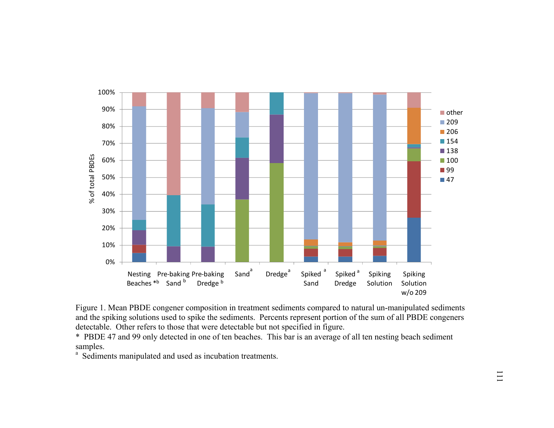

Figure 1. Mean PBDE congener composition in treatment sediments compared to natural un-manipulated sediments and the spiking solutions used to spike the sediments. Percents represent portion of the sum of all PBDE congeners detectable. Other refers to those that were detectable but not specified in figure.

\* PBDE 47 and 99 only detected in one of ten beaches. This bar is an average of all ten nesting beach sediment samples.

<sup>a</sup> Sediments manipulated and used as incubation treatments.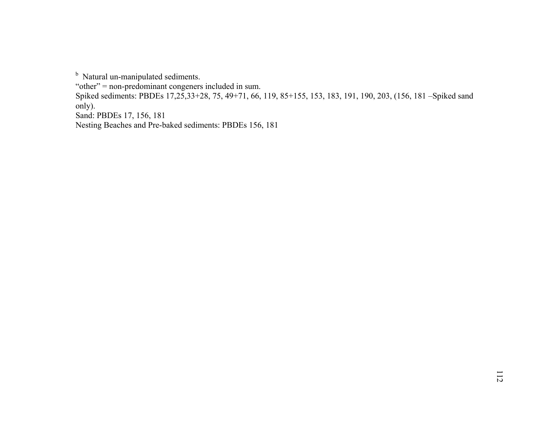<sup>b</sup> Natural un-manipulated sediments.

"other" = non-predominant congeners included in sum.

Spiked sediments: PBDEs 17,25,33+28, 75, 49+71, 66, 119, 85+155, 153, 183, 191, 190, 203, (156, 181 –Spiked sand only).

Sand: PBDEs 17, 156, 181

Nesting Beaches and Pre-baked sediments: PBDEs 156, 181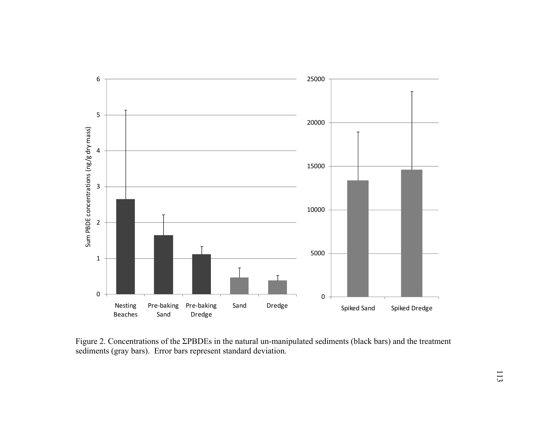

Figure 2. Concentrations of the ΣPBDEs in the natural un-manipulated sediments (black bars) and the treatment sediments (gray bars). Error bars represent standard deviation.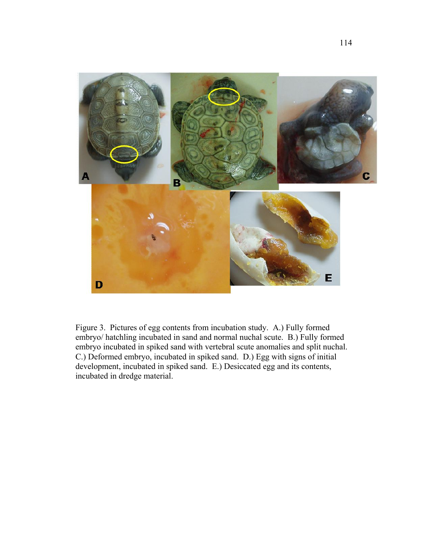

Figure 3. Pictures of egg contents from incubation study. A.) Fully formed embryo/ hatchling incubated in sand and normal nuchal scute. B.) Fully formed embryo incubated in spiked sand with vertebral scute anomalies and split nuchal. C.) Deformed embryo, incubated in spiked sand. D.) Egg with signs of initial development, incubated in spiked sand. E.) Desiccated egg and its contents, incubated in dredge material.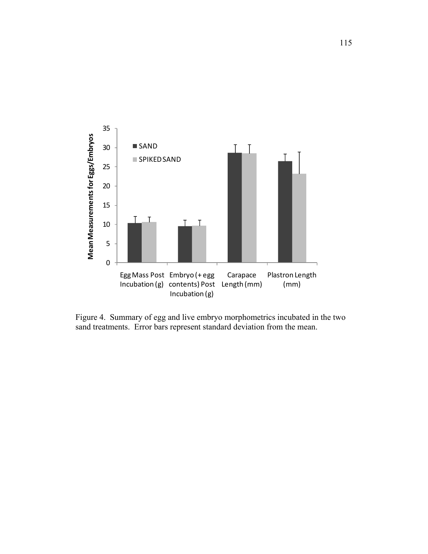

Figure 4. Summary of egg and live embryo morphometrics incubated in the two sand treatments. Error bars represent standard deviation from the mean.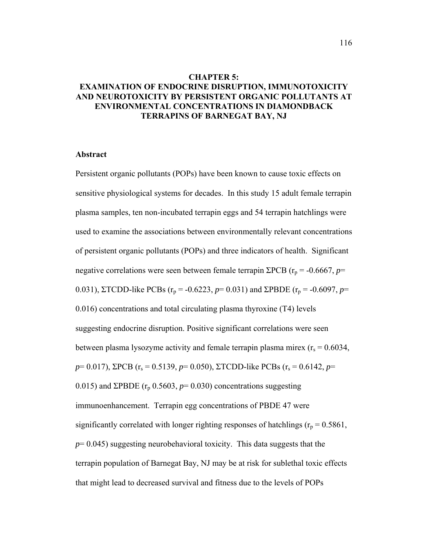# **CHAPTER 5: EXAMINATION OF ENDOCRINE DISRUPTION, IMMUNOTOXICITY AND NEUROTOXICITY BY PERSISTENT ORGANIC POLLUTANTS AT ENVIRONMENTAL CONCENTRATIONS IN DIAMONDBACK TERRAPINS OF BARNEGAT BAY, NJ**

## **Abstract**

Persistent organic pollutants (POPs) have been known to cause toxic effects on sensitive physiological systems for decades. In this study 15 adult female terrapin plasma samples, ten non-incubated terrapin eggs and 54 terrapin hatchlings were used to examine the associations between environmentally relevant concentrations of persistent organic pollutants (POPs) and three indicators of health. Significant negative correlations were seen between female terrapin ΣPCB ( $r_p$  = -0.6667, *p*= 0.031), ΣTCDD-like PCBs ( $r_p$  = -0.6223, *p*= 0.031) and ΣPBDE ( $r_p$  = -0.6097, *p*= 0.016) concentrations and total circulating plasma thyroxine (T4) levels suggesting endocrine disruption. Positive significant correlations were seen between plasma lysozyme activity and female terrapin plasma mirex ( $r_s = 0.6034$ ,  $p= 0.017$ ), ΣPCB ( $r_s = 0.5139$ ,  $p= 0.050$ ), ΣTCDD-like PCBs ( $r_s = 0.6142$ ,  $p=$ 0.015) and  $\Sigma$ PBDE ( $r_p$  0.5603,  $p=0.030$ ) concentrations suggesting immunoenhancement. Terrapin egg concentrations of PBDE 47 were significantly correlated with longer righting responses of hatchlings ( $r_p = 0.5861$ ,  $p=0.045$ ) suggesting neurobehavioral toxicity. This data suggests that the terrapin population of Barnegat Bay, NJ may be at risk for sublethal toxic effects that might lead to decreased survival and fitness due to the levels of POPs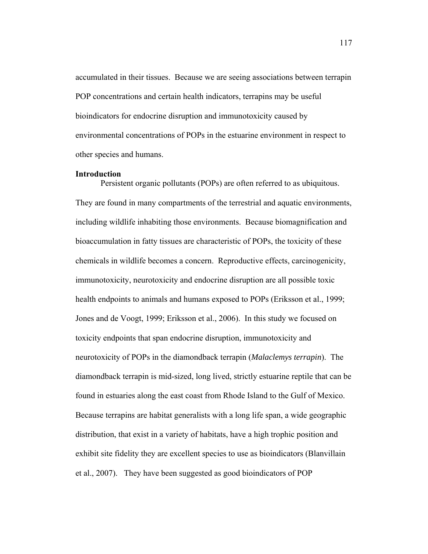accumulated in their tissues. Because we are seeing associations between terrapin POP concentrations and certain health indicators, terrapins may be useful bioindicators for endocrine disruption and immunotoxicity caused by environmental concentrations of POPs in the estuarine environment in respect to other species and humans.

#### **Introduction**

 Persistent organic pollutants (POPs) are often referred to as ubiquitous. They are found in many compartments of the terrestrial and aquatic environments, including wildlife inhabiting those environments. Because biomagnification and bioaccumulation in fatty tissues are characteristic of POPs, the toxicity of these chemicals in wildlife becomes a concern. Reproductive effects, carcinogenicity, immunotoxicity, neurotoxicity and endocrine disruption are all possible toxic health endpoints to animals and humans exposed to POPs (Eriksson et al., 1999; Jones and de Voogt, 1999; Eriksson et al., 2006). In this study we focused on toxicity endpoints that span endocrine disruption, immunotoxicity and neurotoxicity of POPs in the diamondback terrapin (*Malaclemys terrapin*). The diamondback terrapin is mid-sized, long lived, strictly estuarine reptile that can be found in estuaries along the east coast from Rhode Island to the Gulf of Mexico. Because terrapins are habitat generalists with a long life span, a wide geographic distribution, that exist in a variety of habitats, have a high trophic position and exhibit site fidelity they are excellent species to use as bioindicators (Blanvillain et al., 2007). They have been suggested as good bioindicators of POP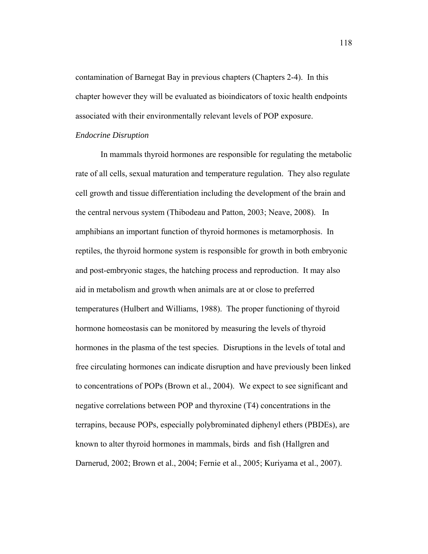contamination of Barnegat Bay in previous chapters (Chapters 2-4). In this chapter however they will be evaluated as bioindicators of toxic health endpoints associated with their environmentally relevant levels of POP exposure.

#### *Endocrine Disruption*

 In mammals thyroid hormones are responsible for regulating the metabolic rate of all cells, sexual maturation and temperature regulation. They also regulate cell growth and tissue differentiation including the development of the brain and the central nervous system (Thibodeau and Patton, 2003; Neave, 2008). In amphibians an important function of thyroid hormones is metamorphosis. In reptiles, the thyroid hormone system is responsible for growth in both embryonic and post-embryonic stages, the hatching process and reproduction. It may also aid in metabolism and growth when animals are at or close to preferred temperatures (Hulbert and Williams, 1988). The proper functioning of thyroid hormone homeostasis can be monitored by measuring the levels of thyroid hormones in the plasma of the test species. Disruptions in the levels of total and free circulating hormones can indicate disruption and have previously been linked to concentrations of POPs (Brown et al., 2004). We expect to see significant and negative correlations between POP and thyroxine (T4) concentrations in the terrapins, because POPs, especially polybrominated diphenyl ethers (PBDEs), are known to alter thyroid hormones in mammals, birds and fish (Hallgren and Darnerud, 2002; Brown et al., 2004; Fernie et al., 2005; Kuriyama et al., 2007).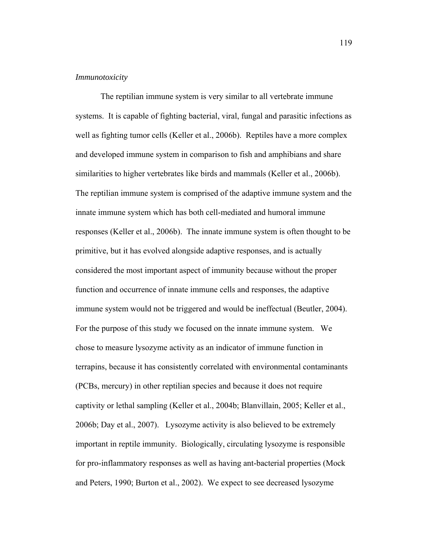#### *Immunotoxicity*

 The reptilian immune system is very similar to all vertebrate immune systems. It is capable of fighting bacterial, viral, fungal and parasitic infections as well as fighting tumor cells (Keller et al., 2006b). Reptiles have a more complex and developed immune system in comparison to fish and amphibians and share similarities to higher vertebrates like birds and mammals (Keller et al., 2006b). The reptilian immune system is comprised of the adaptive immune system and the innate immune system which has both cell-mediated and humoral immune responses (Keller et al., 2006b). The innate immune system is often thought to be primitive, but it has evolved alongside adaptive responses, and is actually considered the most important aspect of immunity because without the proper function and occurrence of innate immune cells and responses, the adaptive immune system would not be triggered and would be ineffectual (Beutler, 2004). For the purpose of this study we focused on the innate immune system. We chose to measure lysozyme activity as an indicator of immune function in terrapins, because it has consistently correlated with environmental contaminants (PCBs, mercury) in other reptilian species and because it does not require captivity or lethal sampling (Keller et al., 2004b; Blanvillain, 2005; Keller et al., 2006b; Day et al., 2007). Lysozyme activity is also believed to be extremely important in reptile immunity. Biologically, circulating lysozyme is responsible for pro-inflammatory responses as well as having ant-bacterial properties (Mock and Peters, 1990; Burton et al., 2002). We expect to see decreased lysozyme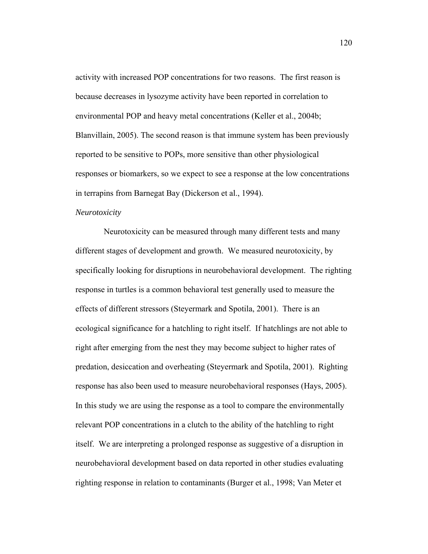activity with increased POP concentrations for two reasons. The first reason is because decreases in lysozyme activity have been reported in correlation to environmental POP and heavy metal concentrations (Keller et al., 2004b; Blanvillain, 2005). The second reason is that immune system has been previously reported to be sensitive to POPs, more sensitive than other physiological responses or biomarkers, so we expect to see a response at the low concentrations in terrapins from Barnegat Bay (Dickerson et al., 1994).

#### *Neurotoxicity*

 Neurotoxicity can be measured through many different tests and many different stages of development and growth. We measured neurotoxicity, by specifically looking for disruptions in neurobehavioral development. The righting response in turtles is a common behavioral test generally used to measure the effects of different stressors (Steyermark and Spotila, 2001). There is an ecological significance for a hatchling to right itself. If hatchlings are not able to right after emerging from the nest they may become subject to higher rates of predation, desiccation and overheating (Steyermark and Spotila, 2001). Righting response has also been used to measure neurobehavioral responses (Hays, 2005). In this study we are using the response as a tool to compare the environmentally relevant POP concentrations in a clutch to the ability of the hatchling to right itself. We are interpreting a prolonged response as suggestive of a disruption in neurobehavioral development based on data reported in other studies evaluating righting response in relation to contaminants (Burger et al., 1998; Van Meter et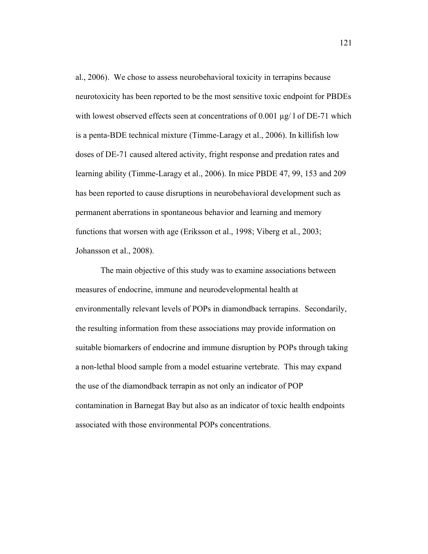al., 2006). We chose to assess neurobehavioral toxicity in terrapins because neurotoxicity has been reported to be the most sensitive toxic endpoint for PBDEs with lowest observed effects seen at concentrations of 0.001 µg/1 of DE-71 which is a penta-BDE technical mixture (Timme-Laragy et al., 2006). In killifish low doses of DE-71 caused altered activity, fright response and predation rates and learning ability (Timme-Laragy et al., 2006). In mice PBDE 47, 99, 153 and 209 has been reported to cause disruptions in neurobehavioral development such as permanent aberrations in spontaneous behavior and learning and memory functions that worsen with age (Eriksson et al., 1998; Viberg et al., 2003; Johansson et al., 2008).

 The main objective of this study was to examine associations between measures of endocrine, immune and neurodevelopmental health at environmentally relevant levels of POPs in diamondback terrapins. Secondarily, the resulting information from these associations may provide information on suitable biomarkers of endocrine and immune disruption by POPs through taking a non-lethal blood sample from a model estuarine vertebrate. This may expand the use of the diamondback terrapin as not only an indicator of POP contamination in Barnegat Bay but also as an indicator of toxic health endpoints associated with those environmental POPs concentrations.

121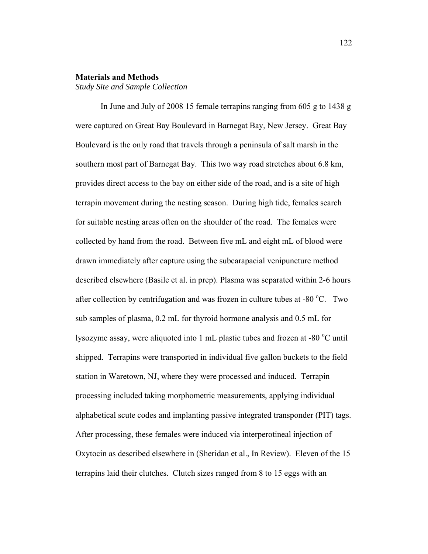#### **Materials and Methods**

*Study Site and Sample Collection*

 In June and July of 2008 15 female terrapins ranging from 605 g to 1438 g were captured on Great Bay Boulevard in Barnegat Bay, New Jersey. Great Bay Boulevard is the only road that travels through a peninsula of salt marsh in the southern most part of Barnegat Bay. This two way road stretches about 6.8 km, provides direct access to the bay on either side of the road, and is a site of high terrapin movement during the nesting season. During high tide, females search for suitable nesting areas often on the shoulder of the road. The females were collected by hand from the road. Between five mL and eight mL of blood were drawn immediately after capture using the subcarapacial venipuncture method described elsewhere (Basile et al. in prep). Plasma was separated within 2-6 hours after collection by centrifugation and was frozen in culture tubes at -80  $^{\circ}$ C. Two sub samples of plasma, 0.2 mL for thyroid hormone analysis and 0.5 mL for lysozyme assay, were aliquoted into 1 mL plastic tubes and frozen at -80 °C until shipped. Terrapins were transported in individual five gallon buckets to the field station in Waretown, NJ, where they were processed and induced. Terrapin processing included taking morphometric measurements, applying individual alphabetical scute codes and implanting passive integrated transponder (PIT) tags. After processing, these females were induced via interperotineal injection of Oxytocin as described elsewhere in (Sheridan et al., In Review). Eleven of the 15 terrapins laid their clutches. Clutch sizes ranged from 8 to 15 eggs with an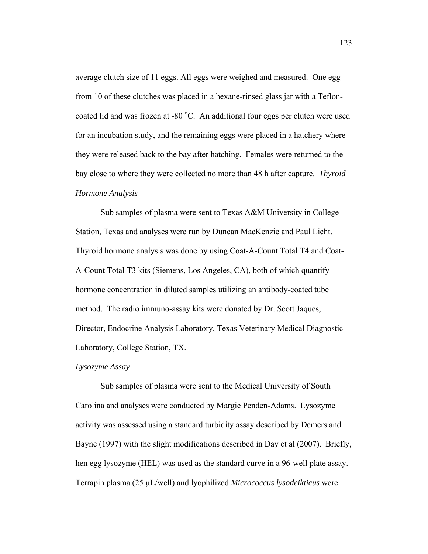average clutch size of 11 eggs. All eggs were weighed and measured. One egg from 10 of these clutches was placed in a hexane-rinsed glass jar with a Tefloncoated lid and was frozen at -80 °C. An additional four eggs per clutch were used for an incubation study, and the remaining eggs were placed in a hatchery where they were released back to the bay after hatching. Females were returned to the bay close to where they were collected no more than 48 h after capture. *Thyroid Hormone Analysis* 

 Sub samples of plasma were sent to Texas A&M University in College Station, Texas and analyses were run by Duncan MacKenzie and Paul Licht. Thyroid hormone analysis was done by using Coat-A-Count Total T4 and Coat-A-Count Total T3 kits (Siemens, Los Angeles, CA), both of which quantify hormone concentration in diluted samples utilizing an antibody-coated tube method. The radio immuno-assay kits were donated by Dr. Scott Jaques, Director, Endocrine Analysis Laboratory, Texas Veterinary Medical Diagnostic Laboratory, College Station, TX.

## *Lysozyme Assay*

 Sub samples of plasma were sent to the Medical University of South Carolina and analyses were conducted by Margie Penden-Adams. Lysozyme activity was assessed using a standard turbidity assay described by Demers and Bayne (1997) with the slight modifications described in Day et al (2007). Briefly, hen egg lysozyme (HEL) was used as the standard curve in a 96-well plate assay. Terrapin plasma (25 μL/well) and lyophilized *Micrococcus lysodeikticus* were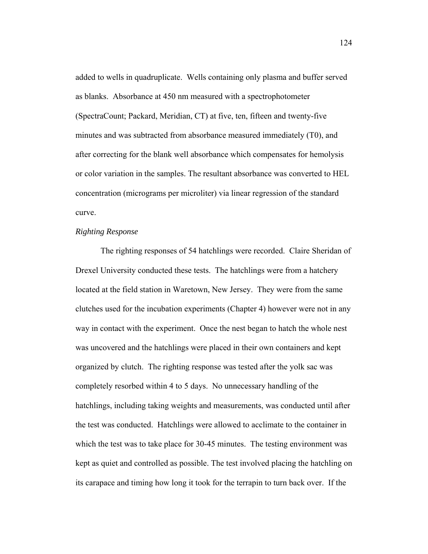added to wells in quadruplicate. Wells containing only plasma and buffer served as blanks. Absorbance at 450 nm measured with a spectrophotometer (SpectraCount; Packard, Meridian, CT) at five, ten, fifteen and twenty-five minutes and was subtracted from absorbance measured immediately (T0), and after correcting for the blank well absorbance which compensates for hemolysis or color variation in the samples. The resultant absorbance was converted to HEL concentration (micrograms per microliter) via linear regression of the standard curve.

## *Righting Response*

 The righting responses of 54 hatchlings were recorded. Claire Sheridan of Drexel University conducted these tests. The hatchlings were from a hatchery located at the field station in Waretown, New Jersey. They were from the same clutches used for the incubation experiments (Chapter 4) however were not in any way in contact with the experiment. Once the nest began to hatch the whole nest was uncovered and the hatchlings were placed in their own containers and kept organized by clutch. The righting response was tested after the yolk sac was completely resorbed within 4 to 5 days. No unnecessary handling of the hatchlings, including taking weights and measurements, was conducted until after the test was conducted. Hatchlings were allowed to acclimate to the container in which the test was to take place for 30-45 minutes. The testing environment was kept as quiet and controlled as possible. The test involved placing the hatchling on its carapace and timing how long it took for the terrapin to turn back over. If the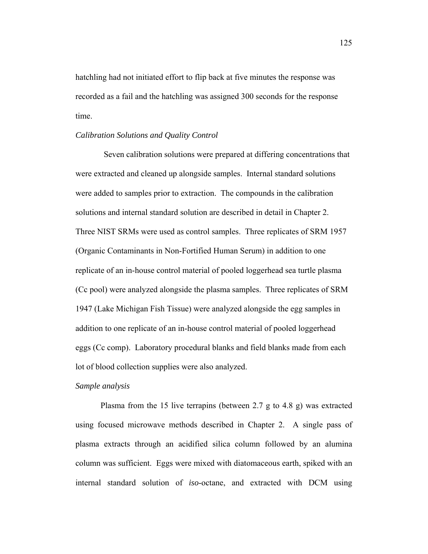hatchling had not initiated effort to flip back at five minutes the response was recorded as a fail and the hatchling was assigned 300 seconds for the response time.

#### *Calibration Solutions and Quality Control*

 Seven calibration solutions were prepared at differing concentrations that were extracted and cleaned up alongside samples. Internal standard solutions were added to samples prior to extraction. The compounds in the calibration solutions and internal standard solution are described in detail in Chapter 2. Three NIST SRMs were used as control samples. Three replicates of SRM 1957 (Organic Contaminants in Non-Fortified Human Serum) in addition to one replicate of an in-house control material of pooled loggerhead sea turtle plasma (Cc pool) were analyzed alongside the plasma samples. Three replicates of SRM 1947 (Lake Michigan Fish Tissue) were analyzed alongside the egg samples in addition to one replicate of an in-house control material of pooled loggerhead eggs (Cc comp). Laboratory procedural blanks and field blanks made from each lot of blood collection supplies were also analyzed.

## *Sample analysis*

 Plasma from the 15 live terrapins (between 2.7 g to 4.8 g) was extracted using focused microwave methods described in Chapter 2. A single pass of plasma extracts through an acidified silica column followed by an alumina column was sufficient. Eggs were mixed with diatomaceous earth, spiked with an internal standard solution of *iso*-octane, and extracted with DCM using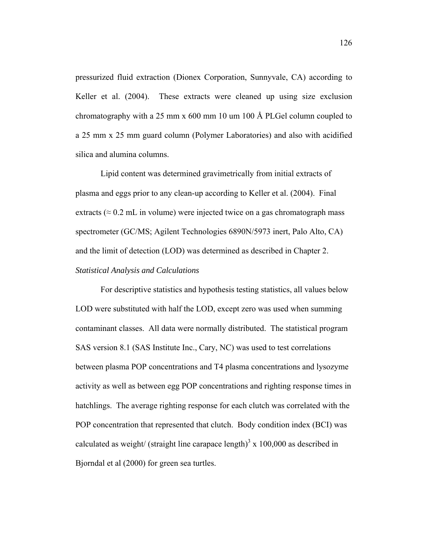pressurized fluid extraction (Dionex Corporation, Sunnyvale, CA) according to Keller et al. (2004). These extracts were cleaned up using size exclusion chromatography with a 25 mm x 600 mm 10 um 100 Å PLGel column coupled to a 25 mm x 25 mm guard column (Polymer Laboratories) and also with acidified silica and alumina columns.

 Lipid content was determined gravimetrically from initial extracts of plasma and eggs prior to any clean-up according to Keller et al. (2004). Final extracts ( $\approx 0.2$  mL in volume) were injected twice on a gas chromatograph mass spectrometer (GC/MS; Agilent Technologies 6890N/5973 inert, Palo Alto, CA) and the limit of detection (LOD) was determined as described in Chapter 2. *Statistical Analysis and Calculations* 

 For descriptive statistics and hypothesis testing statistics, all values below LOD were substituted with half the LOD, except zero was used when summing contaminant classes. All data were normally distributed. The statistical program SAS version 8.1 (SAS Institute Inc., Cary, NC) was used to test correlations between plasma POP concentrations and T4 plasma concentrations and lysozyme activity as well as between egg POP concentrations and righting response times in hatchlings. The average righting response for each clutch was correlated with the POP concentration that represented that clutch. Body condition index (BCI) was calculated as weight/ (straight line carapace length)<sup>3</sup> x 100,000 as described in Bjorndal et al (2000) for green sea turtles.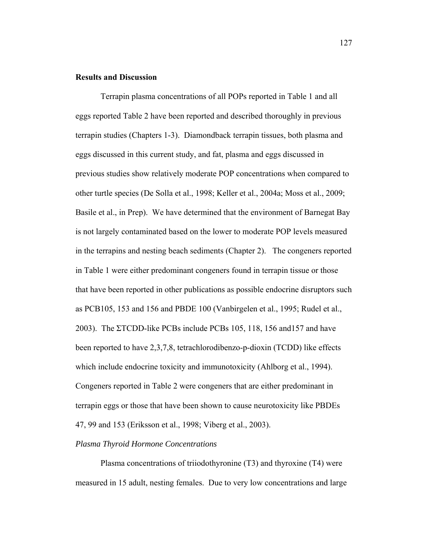## **Results and Discussion**

 Terrapin plasma concentrations of all POPs reported in Table 1 and all eggs reported Table 2 have been reported and described thoroughly in previous terrapin studies (Chapters 1-3). Diamondback terrapin tissues, both plasma and eggs discussed in this current study, and fat, plasma and eggs discussed in previous studies show relatively moderate POP concentrations when compared to other turtle species (De Solla et al., 1998; Keller et al., 2004a; Moss et al., 2009; Basile et al., in Prep). We have determined that the environment of Barnegat Bay is not largely contaminated based on the lower to moderate POP levels measured in the terrapins and nesting beach sediments (Chapter 2). The congeners reported in Table 1 were either predominant congeners found in terrapin tissue or those that have been reported in other publications as possible endocrine disruptors such as PCB105, 153 and 156 and PBDE 100 (Vanbirgelen et al., 1995; Rudel et al., 2003). The ΣTCDD-like PCBs include PCBs 105, 118, 156 and157 and have been reported to have 2,3,7,8, tetrachlorodibenzo-p-dioxin (TCDD) like effects which include endocrine toxicity and immunotoxicity (Ahlborg et al., 1994). Congeners reported in Table 2 were congeners that are either predominant in terrapin eggs or those that have been shown to cause neurotoxicity like PBDEs 47, 99 and 153 (Eriksson et al., 1998; Viberg et al., 2003).

# *Plasma Thyroid Hormone Concentrations*

 Plasma concentrations of triiodothyronine (T3) and thyroxine (T4) were measured in 15 adult, nesting females. Due to very low concentrations and large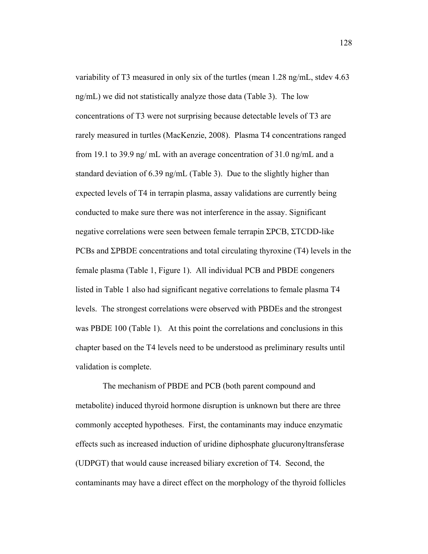variability of T3 measured in only six of the turtles (mean 1.28 ng/mL, stdev 4.63 ng/mL) we did not statistically analyze those data (Table 3). The low concentrations of T3 were not surprising because detectable levels of T3 are rarely measured in turtles (MacKenzie, 2008). Plasma T4 concentrations ranged from 19.1 to 39.9 ng/ mL with an average concentration of 31.0 ng/mL and a standard deviation of 6.39 ng/mL (Table 3). Due to the slightly higher than expected levels of T4 in terrapin plasma, assay validations are currently being conducted to make sure there was not interference in the assay. Significant negative correlations were seen between female terrapin ΣPCB, ΣTCDD-like PCBs and ΣPBDE concentrations and total circulating thyroxine (T4) levels in the female plasma (Table 1, Figure 1). All individual PCB and PBDE congeners listed in Table 1 also had significant negative correlations to female plasma T4 levels. The strongest correlations were observed with PBDEs and the strongest was PBDE 100 (Table 1). At this point the correlations and conclusions in this chapter based on the T4 levels need to be understood as preliminary results until validation is complete.

 The mechanism of PBDE and PCB (both parent compound and metabolite) induced thyroid hormone disruption is unknown but there are three commonly accepted hypotheses. First, the contaminants may induce enzymatic effects such as increased induction of uridine diphosphate glucuronyltransferase (UDPGT) that would cause increased biliary excretion of T4. Second, the contaminants may have a direct effect on the morphology of the thyroid follicles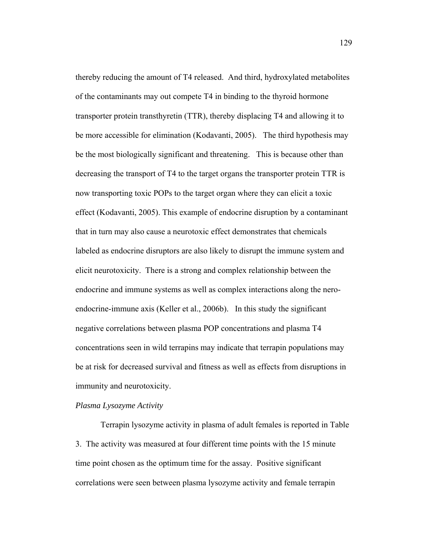thereby reducing the amount of T4 released. And third, hydroxylated metabolites of the contaminants may out compete T4 in binding to the thyroid hormone transporter protein transthyretin (TTR), thereby displacing T4 and allowing it to be more accessible for elimination (Kodavanti, 2005). The third hypothesis may be the most biologically significant and threatening. This is because other than decreasing the transport of T4 to the target organs the transporter protein TTR is now transporting toxic POPs to the target organ where they can elicit a toxic effect (Kodavanti, 2005). This example of endocrine disruption by a contaminant that in turn may also cause a neurotoxic effect demonstrates that chemicals labeled as endocrine disruptors are also likely to disrupt the immune system and elicit neurotoxicity. There is a strong and complex relationship between the endocrine and immune systems as well as complex interactions along the neroendocrine-immune axis (Keller et al., 2006b). In this study the significant negative correlations between plasma POP concentrations and plasma T4 concentrations seen in wild terrapins may indicate that terrapin populations may be at risk for decreased survival and fitness as well as effects from disruptions in immunity and neurotoxicity.

### *Plasma Lysozyme Activity*

 Terrapin lysozyme activity in plasma of adult females is reported in Table 3. The activity was measured at four different time points with the 15 minute time point chosen as the optimum time for the assay. Positive significant correlations were seen between plasma lysozyme activity and female terrapin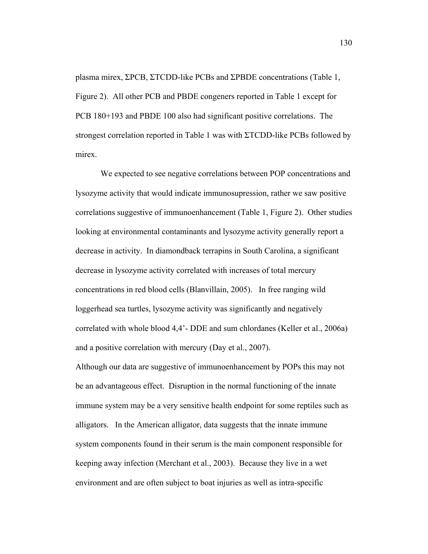plasma mirex, ΣPCB, ΣTCDD-like PCBs and ΣPBDE concentrations (Table 1, Figure 2). All other PCB and PBDE congeners reported in Table 1 except for PCB 180+193 and PBDE 100 also had significant positive correlations. The strongest correlation reported in Table 1 was with ΣTCDD-like PCBs followed by mirex.

 We expected to see negative correlations between POP concentrations and lysozyme activity that would indicate immunosupression, rather we saw positive correlations suggestive of immunoenhancement (Table 1, Figure 2). Other studies looking at environmental contaminants and lysozyme activity generally report a decrease in activity. In diamondback terrapins in South Carolina, a significant decrease in lysozyme activity correlated with increases of total mercury concentrations in red blood cells (Blanvillain, 2005). In free ranging wild loggerhead sea turtles, lysozyme activity was significantly and negatively correlated with whole blood 4,4'- DDE and sum chlordanes (Keller et al., 2006a) and a positive correlation with mercury (Day et al., 2007).

Although our data are suggestive of immunoenhancement by POPs this may not be an advantageous effect. Disruption in the normal functioning of the innate immune system may be a very sensitive health endpoint for some reptiles such as alligators. In the American alligator, data suggests that the innate immune system components found in their serum is the main component responsible for keeping away infection (Merchant et al., 2003). Because they live in a wet environment and are often subject to boat injuries as well as intra-specific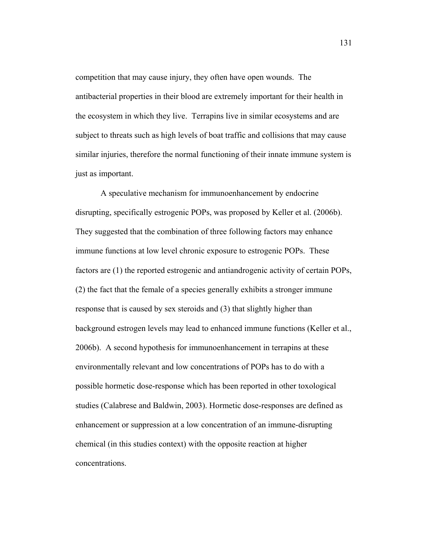competition that may cause injury, they often have open wounds. The antibacterial properties in their blood are extremely important for their health in the ecosystem in which they live. Terrapins live in similar ecosystems and are subject to threats such as high levels of boat traffic and collisions that may cause similar injuries, therefore the normal functioning of their innate immune system is just as important.

 A speculative mechanism for immunoenhancement by endocrine disrupting, specifically estrogenic POPs, was proposed by Keller et al. (2006b). They suggested that the combination of three following factors may enhance immune functions at low level chronic exposure to estrogenic POPs. These factors are (1) the reported estrogenic and antiandrogenic activity of certain POPs, (2) the fact that the female of a species generally exhibits a stronger immune response that is caused by sex steroids and (3) that slightly higher than background estrogen levels may lead to enhanced immune functions (Keller et al., 2006b). A second hypothesis for immunoenhancement in terrapins at these environmentally relevant and low concentrations of POPs has to do with a possible hormetic dose-response which has been reported in other toxological studies (Calabrese and Baldwin, 2003). Hormetic dose-responses are defined as enhancement or suppression at a low concentration of an immune-disrupting chemical (in this studies context) with the opposite reaction at higher concentrations.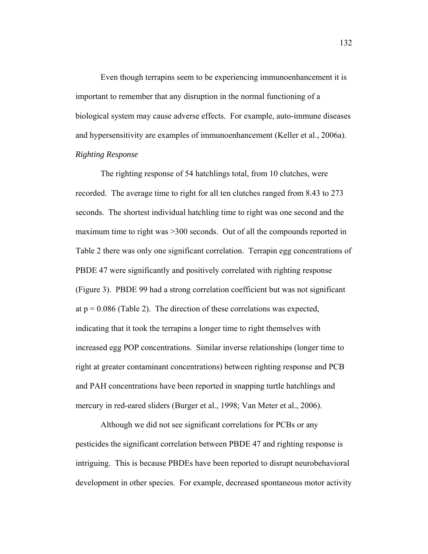Even though terrapins seem to be experiencing immunoenhancement it is important to remember that any disruption in the normal functioning of a biological system may cause adverse effects. For example, auto-immune diseases and hypersensitivity are examples of immunoenhancement (Keller et al., 2006a). *Righting Response* 

 The righting response of 54 hatchlings total, from 10 clutches, were recorded. The average time to right for all ten clutches ranged from 8.43 to 273 seconds. The shortest individual hatchling time to right was one second and the maximum time to right was >300 seconds. Out of all the compounds reported in Table 2 there was only one significant correlation. Terrapin egg concentrations of PBDE 47 were significantly and positively correlated with righting response (Figure 3). PBDE 99 had a strong correlation coefficient but was not significant at  $p = 0.086$  (Table 2). The direction of these correlations was expected, indicating that it took the terrapins a longer time to right themselves with increased egg POP concentrations. Similar inverse relationships (longer time to right at greater contaminant concentrations) between righting response and PCB and PAH concentrations have been reported in snapping turtle hatchlings and mercury in red-eared sliders (Burger et al., 1998; Van Meter et al., 2006).

 Although we did not see significant correlations for PCBs or any pesticides the significant correlation between PBDE 47 and righting response is intriguing. This is because PBDEs have been reported to disrupt neurobehavioral development in other species. For example, decreased spontaneous motor activity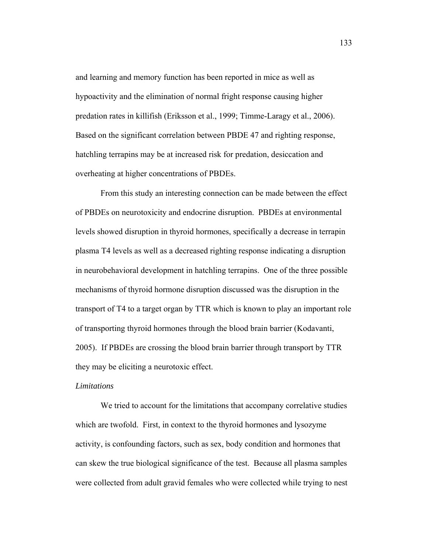and learning and memory function has been reported in mice as well as hypoactivity and the elimination of normal fright response causing higher predation rates in killifish (Eriksson et al., 1999; Timme-Laragy et al., 2006). Based on the significant correlation between PBDE 47 and righting response, hatchling terrapins may be at increased risk for predation, desiccation and overheating at higher concentrations of PBDEs.

 From this study an interesting connection can be made between the effect of PBDEs on neurotoxicity and endocrine disruption. PBDEs at environmental levels showed disruption in thyroid hormones, specifically a decrease in terrapin plasma T4 levels as well as a decreased righting response indicating a disruption in neurobehavioral development in hatchling terrapins. One of the three possible mechanisms of thyroid hormone disruption discussed was the disruption in the transport of T4 to a target organ by TTR which is known to play an important role of transporting thyroid hormones through the blood brain barrier (Kodavanti, 2005). If PBDEs are crossing the blood brain barrier through transport by TTR they may be eliciting a neurotoxic effect.

### *Limitations*

 We tried to account for the limitations that accompany correlative studies which are twofold. First, in context to the thyroid hormones and lysozyme activity, is confounding factors, such as sex, body condition and hormones that can skew the true biological significance of the test. Because all plasma samples were collected from adult gravid females who were collected while trying to nest

133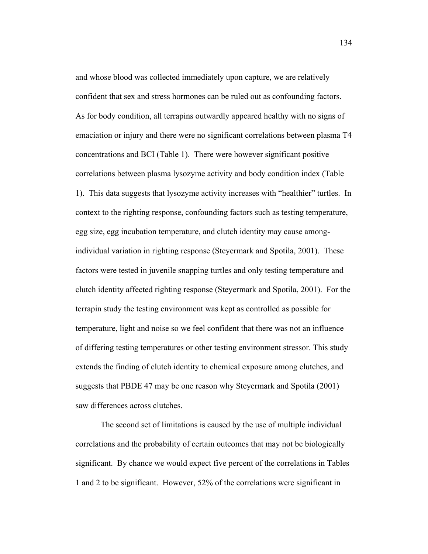and whose blood was collected immediately upon capture, we are relatively confident that sex and stress hormones can be ruled out as confounding factors. As for body condition, all terrapins outwardly appeared healthy with no signs of emaciation or injury and there were no significant correlations between plasma T4 concentrations and BCI (Table 1). There were however significant positive correlations between plasma lysozyme activity and body condition index (Table 1). This data suggests that lysozyme activity increases with "healthier" turtles. In context to the righting response, confounding factors such as testing temperature, egg size, egg incubation temperature, and clutch identity may cause amongindividual variation in righting response (Steyermark and Spotila, 2001). These factors were tested in juvenile snapping turtles and only testing temperature and clutch identity affected righting response (Steyermark and Spotila, 2001). For the terrapin study the testing environment was kept as controlled as possible for temperature, light and noise so we feel confident that there was not an influence of differing testing temperatures or other testing environment stressor. This study extends the finding of clutch identity to chemical exposure among clutches, and suggests that PBDE 47 may be one reason why Steyermark and Spotila (2001) saw differences across clutches.

 The second set of limitations is caused by the use of multiple individual correlations and the probability of certain outcomes that may not be biologically significant. By chance we would expect five percent of the correlations in Tables 1 and 2 to be significant. However, 52% of the correlations were significant in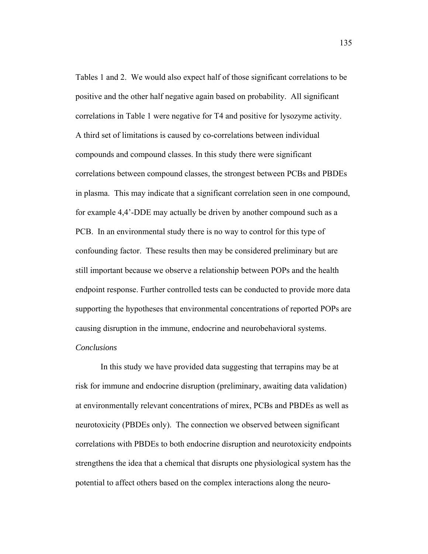Tables 1 and 2. We would also expect half of those significant correlations to be positive and the other half negative again based on probability. All significant correlations in Table 1 were negative for T4 and positive for lysozyme activity. A third set of limitations is caused by co-correlations between individual compounds and compound classes. In this study there were significant correlations between compound classes, the strongest between PCBs and PBDEs in plasma. This may indicate that a significant correlation seen in one compound, for example 4,4'-DDE may actually be driven by another compound such as a PCB. In an environmental study there is no way to control for this type of confounding factor. These results then may be considered preliminary but are still important because we observe a relationship between POPs and the health endpoint response. Further controlled tests can be conducted to provide more data supporting the hypotheses that environmental concentrations of reported POPs are causing disruption in the immune, endocrine and neurobehavioral systems.

# *Conclusions*

 In this study we have provided data suggesting that terrapins may be at risk for immune and endocrine disruption (preliminary, awaiting data validation) at environmentally relevant concentrations of mirex, PCBs and PBDEs as well as neurotoxicity (PBDEs only). The connection we observed between significant correlations with PBDEs to both endocrine disruption and neurotoxicity endpoints strengthens the idea that a chemical that disrupts one physiological system has the potential to affect others based on the complex interactions along the neuro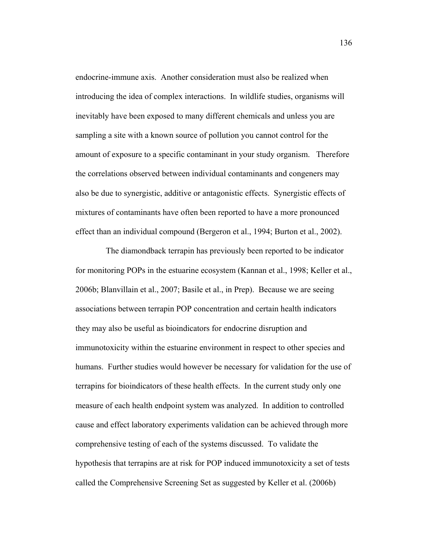endocrine-immune axis. Another consideration must also be realized when introducing the idea of complex interactions. In wildlife studies, organisms will inevitably have been exposed to many different chemicals and unless you are sampling a site with a known source of pollution you cannot control for the amount of exposure to a specific contaminant in your study organism. Therefore the correlations observed between individual contaminants and congeners may also be due to synergistic, additive or antagonistic effects. Synergistic effects of mixtures of contaminants have often been reported to have a more pronounced effect than an individual compound (Bergeron et al., 1994; Burton et al., 2002).

 The diamondback terrapin has previously been reported to be indicator for monitoring POPs in the estuarine ecosystem (Kannan et al., 1998; Keller et al., 2006b; Blanvillain et al., 2007; Basile et al., in Prep). Because we are seeing associations between terrapin POP concentration and certain health indicators they may also be useful as bioindicators for endocrine disruption and immunotoxicity within the estuarine environment in respect to other species and humans. Further studies would however be necessary for validation for the use of terrapins for bioindicators of these health effects. In the current study only one measure of each health endpoint system was analyzed. In addition to controlled cause and effect laboratory experiments validation can be achieved through more comprehensive testing of each of the systems discussed. To validate the hypothesis that terrapins are at risk for POP induced immunotoxicity a set of tests called the Comprehensive Screening Set as suggested by Keller et al. (2006b)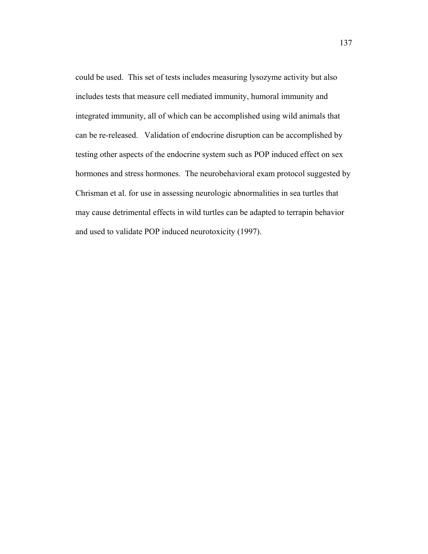could be used. This set of tests includes measuring lysozyme activity but also includes tests that measure cell mediated immunity, humoral immunity and integrated immunity, all of which can be accomplished using wild animals that can be re-released. Validation of endocrine disruption can be accomplished by testing other aspects of the endocrine system such as POP induced effect on sex hormones and stress hormones. The neurobehavioral exam protocol suggested by Chrisman et al. for use in assessing neurologic abnormalities in sea turtles that may cause detrimental effects in wild turtles can be adapted to terrapin behavior and used to validate POP induced neurotoxicity (1997).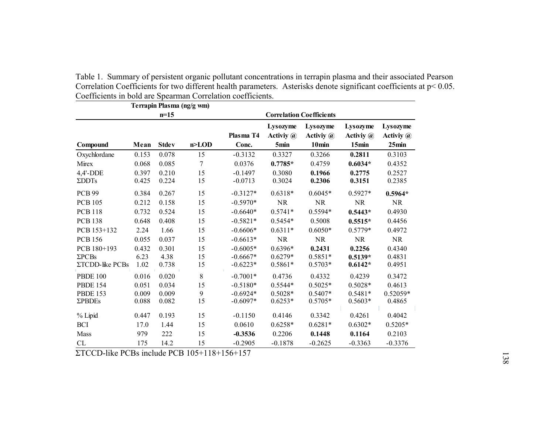| Terrapin Plasma (ng/g wm)        |                |                |                |                                 |                                           |                                            |                                    |                                |
|----------------------------------|----------------|----------------|----------------|---------------------------------|-------------------------------------------|--------------------------------------------|------------------------------------|--------------------------------|
| $n=15$                           |                |                |                | <b>Correlation Coefficients</b> |                                           |                                            |                                    |                                |
| Compound                         | Mean           | <b>Stdev</b>   | n>LOD          | Plasma T4<br>Conc.              | Lysozyme<br>Activiy @<br>5 <sub>min</sub> | Lysozyme<br>Activiy @<br>10 <sub>min</sub> | Lysozyme<br>Activiy $(a)$<br>15min | Lysozyme<br>Activiy @<br>25min |
| Oxychlordane                     | 0.153          | 0.078          | 15             | $-0.3132$                       | 0.3327                                    | 0.3266                                     | 0.2811                             | 0.3103                         |
| Mirex                            | 0.068          | 0.085          | $\overline{7}$ | 0.0376                          | $0.7785*$                                 | 0.4759                                     | $0.6034*$                          | 0.4352                         |
| $4,4'-DDE$<br>$\Sigma$ DDTs      | 0.397<br>0.425 | 0.210<br>0.224 | 15<br>15       | $-0.1497$<br>$-0.0713$          | 0.3080<br>0.3024                          | 0.1966<br>0.2306                           | 0.2775<br>0.3151                   | 0.2527<br>0.2385               |
| <b>PCB 99</b>                    | 0.384          | 0.267          | 15             | $-0.3127*$                      | $0.6318*$                                 | $0.6045*$                                  | $0.5927*$                          | $0.5964*$                      |
| <b>PCB 105</b>                   | 0.212          | 0.158          | 15             | $-0.5970*$                      | <b>NR</b>                                 | <b>NR</b>                                  | NR                                 | <b>NR</b>                      |
| <b>PCB 118</b>                   | 0.732          | 0.524          | 15             | $-0.6640*$                      | $0.5741*$                                 | 0.5594*                                    | $0.5443*$                          | 0.4930                         |
| <b>PCB 138</b>                   | 0.648          | 0.408          | 15             | $-0.5821*$                      | $0.5454*$                                 | 0.5008                                     | $0.5515*$                          | 0.4456                         |
| PCB 153+132                      | 2.24           | 1.66           | 15             | $-0.6606*$                      | $0.6311*$                                 | $0.6050*$                                  | $0.5779*$                          | 0.4972                         |
| <b>PCB 156</b>                   | 0.055          | 0.037          | 15             | $-0.6613*$                      | NR                                        | NR                                         | <b>NR</b>                          | <b>NR</b>                      |
| PCB 180+193                      | 0.432          | 0.301          | 15             | $-0.6005*$                      | $0.6396*$                                 | 0.2431                                     | 0.2256                             | 0.4340                         |
| $\Sigma$ PCBs<br>ΣTCDD-like PCBs | 6.23<br>1.02   | 4.38<br>0.738  | 15<br>15       | $-0.6667*$<br>$-0.6223*$        | $0.6279*$<br>$0.5861*$                    | $0.5851*$<br>$0.5703*$                     | $0.5139*$<br>$0.6142*$             | 0.4831<br>0.4951               |
| <b>PBDE 100</b>                  | 0.016          | 0.020          | 8              | $-0.7001*$                      | 0.4736                                    | 0.4332                                     | 0.4239                             | 0.3472                         |
| <b>PBDE 154</b>                  | 0.051          | 0.034          | 15             | $-0.5180*$                      | $0.5544*$                                 | $0.5025*$                                  | $0.5028*$                          | 0.4613                         |
| <b>PBDE 153</b>                  | 0.009          | 0.009          | 9              | $-0.6924*$                      | $0.5028*$                                 | $0.5407*$                                  | $0.5481*$                          | $0.52059*$                     |
| ΣPBDEs                           | 0.088          | 0.082          | 15             | $-0.6097*$                      | $0.6253*$                                 | $0.5705*$                                  | $0.5603*$                          | 0.4865                         |
| % Lipid                          | 0.447          | 0.193          | 15             | $-0.1150$                       | 0.4146                                    | 0.3342                                     | 0.4261                             | 0.4042                         |
| <b>BCI</b>                       | 17.0           | 1.44           | 15             | 0.0610                          | $0.6258*$                                 | $0.6281*$                                  | $0.6302*$                          | $0.5205*$                      |
| Mass                             | 979            | 222            | 15             | $-0.3536$                       | 0.2206                                    | 0.1448                                     | 0.1164                             | 0.2103                         |
| ${\rm CL}$                       | 175            | 14.2           | 15             | $-0.2905$                       | $-0.1878$                                 | $-0.2625$                                  | $-0.3363$                          | $-0.3376$                      |

Table 1. Summary of persistent organic pollutant concentrations in terrapin plasma and their associated Pearson Correlation Coefficients for two different health parameters. Asterisks denote significant coefficients at p< 0.05. Coefficients in bold are Spearman Correlation coefficients.

ΣTCCD-like PCBs include PCB 105+118+156+157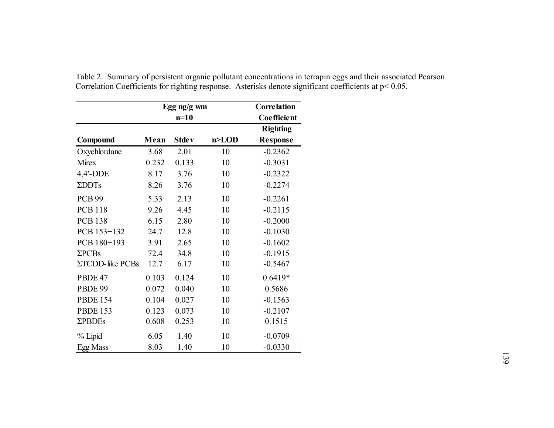|                   | Egg ng/g wm |              |           |                 |  |
|-------------------|-------------|--------------|-----------|-----------------|--|
|                   |             | $n=10$       |           | Coefficient     |  |
|                   |             |              |           | <b>Righting</b> |  |
| Compound          | Mean        | <b>Stdev</b> | $n >$ LOD | <b>Response</b> |  |
| Oxychlordane      | 3.68        | 2.01         | 10        | $-0.2362$       |  |
| Mirex             | 0.232       | 0.133        | 10        | $-0.3031$       |  |
| 4,4'-DDE          | 8.17        | 3.76         | 10        | $-0.2322$       |  |
| ΣDDT <sub>S</sub> | 8.26        | 3.76         | 10        | $-0.2274$       |  |
| <b>PCB 99</b>     | 5.33        | 2.13         | 10        | $-0.2261$       |  |
| <b>PCB 118</b>    | 9.26        | 4.45         | 10        | $-0.2115$       |  |
| <b>PCB 138</b>    | 6.15        | 2.80         | 10        | $-0.2000$       |  |
| PCB 153+132       | 24.7        | 12.8         | 10        | $-0.1030$       |  |
| PCB 180+193       | 3.91        | 2.65         | 10        | $-0.1602$       |  |
| $\Sigma$ PCBs     | 72.4        | 34.8         | 10        | $-0.1915$       |  |
| ΣTCDD-like PCBs   | 12.7        | 6.17         | 10        | $-0.5467$       |  |
| PBDE 47           | 0.103       | 0.124        | 10        | $0.6419*$       |  |
| PBDE 99           | 0.072       | 0.040        | 10        | 0.5686          |  |
| <b>PBDE 154</b>   | 0.104       | 0.027        | 10        | $-0.1563$       |  |
| <b>PBDE 153</b>   | 0.123       | 0.073        | 10        | $-0.2107$       |  |
| <b>ΣPBDEs</b>     | 0.608       | 0.253        | 10        | 0.1515          |  |
| % Lipid           | 6.05        | 1.40         | 10        | $-0.0709$       |  |
| Egg Mass          | 8.03        | 1.40         | 10        | $-0.0330$       |  |

Table 2. Summary of persistent organic pollutant concentrations in terrapin eggs and their associated Pearson Correlation Coefficients for righting response. Asterisks denote significant coefficients at p< 0.05.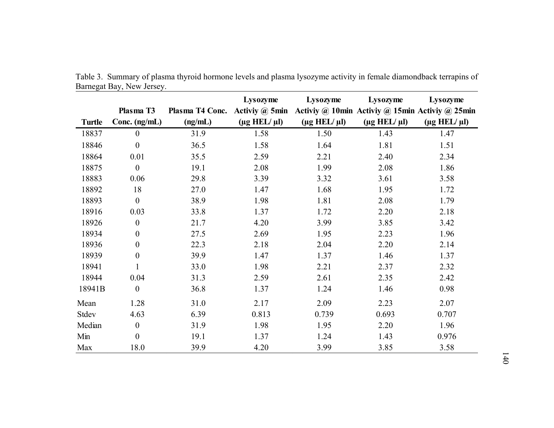|               |                  |                 | Lysozyme                    | Lysozyme                                                       | Lysozyme                    | Lysozyme                    |
|---------------|------------------|-----------------|-----------------------------|----------------------------------------------------------------|-----------------------------|-----------------------------|
|               | Plasma T3        | Plasma T4 Conc. |                             | Activiy @ 5min Activiy @ 10min Activiy @ 15min Activiy @ 25min |                             |                             |
| <b>Turtle</b> | Conc. $(ng/mL)$  | (ng/mL)         | $(\mu g \text{ HEL}/\mu l)$ | $(\mu g \text{ HEL}/\mu l)$                                    | $(\mu g \text{ HEL}/\mu l)$ | $(\mu g \text{ HEL}/\mu l)$ |
| 18837         | $\overline{0}$   | 31.9            | 1.58                        | 1.50                                                           | 1.43                        | 1.47                        |
| 18846         | $\boldsymbol{0}$ | 36.5            | 1.58                        | 1.64                                                           | 1.81                        | 1.51                        |
| 18864         | 0.01             | 35.5            | 2.59                        | 2.21                                                           | 2.40                        | 2.34                        |
| 18875         | $\boldsymbol{0}$ | 19.1            | 2.08                        | 1.99                                                           | 2.08                        | 1.86                        |
| 18883         | 0.06             | 29.8            | 3.39                        | 3.32                                                           | 3.61                        | 3.58                        |
| 18892         | 18               | 27.0            | 1.47                        | 1.68                                                           | 1.95                        | 1.72                        |
| 18893         | $\overline{0}$   | 38.9            | 1.98                        | 1.81                                                           | 2.08                        | 1.79                        |
| 18916         | 0.03             | 33.8            | 1.37                        | 1.72                                                           | 2.20                        | 2.18                        |
| 18926         | $\boldsymbol{0}$ | 21.7            | 4.20                        | 3.99                                                           | 3.85                        | 3.42                        |
| 18934         | $\boldsymbol{0}$ | 27.5            | 2.69                        | 1.95                                                           | 2.23                        | 1.96                        |
| 18936         | $\boldsymbol{0}$ | 22.3            | 2.18                        | 2.04                                                           | 2.20                        | 2.14                        |
| 18939         | $\boldsymbol{0}$ | 39.9            | 1.47                        | 1.37                                                           | 1.46                        | 1.37                        |
| 18941         |                  | 33.0            | 1.98                        | 2.21                                                           | 2.37                        | 2.32                        |
| 18944         | 0.04             | 31.3            | 2.59                        | 2.61                                                           | 2.35                        | 2.42                        |
| 18941B        | $\boldsymbol{0}$ | 36.8            | 1.37                        | 1.24                                                           | 1.46                        | 0.98                        |
| Mean          | 1.28             | 31.0            | 2.17                        | 2.09                                                           | 2.23                        | 2.07                        |
| Stdev         | 4.63             | 6.39            | 0.813                       | 0.739                                                          | 0.693                       | 0.707                       |
| Median        | $\boldsymbol{0}$ | 31.9            | 1.98                        | 1.95                                                           | 2.20                        | 1.96                        |
| Min           | $\overline{0}$   | 19.1            | 1.37                        | 1.24                                                           | 1.43                        | 0.976                       |
| Max           | 18.0             | 39.9            | 4.20                        | 3.99                                                           | 3.85                        | 3.58                        |

Table 3. Summary of plasma thyroid hormone levels and plasma lysozyme activity in female diamondback terrapins of Barnegat Bay, New Jersey.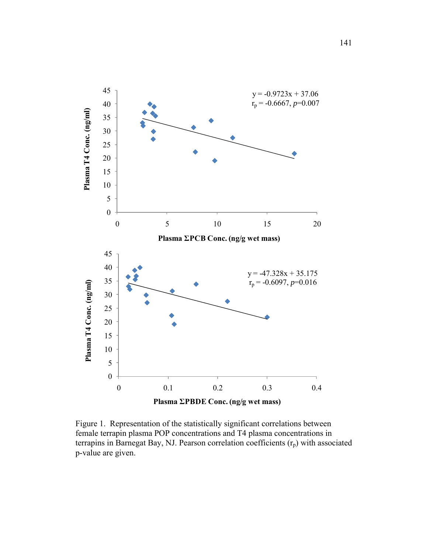

Figure 1. Representation of the statistically significant correlations between female terrapin plasma POP concentrations and T4 plasma concentrations in terrapins in Barnegat Bay, NJ. Pearson correlation coefficients  $(r_p)$  with associated p-value are given.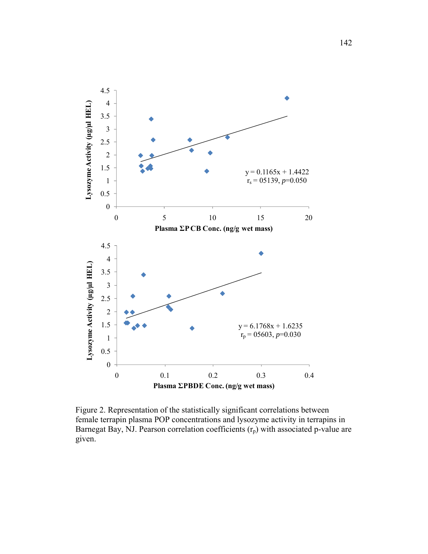

Figure 2. Representation of the statistically significant correlations between female terrapin plasma POP concentrations and lysozyme activity in terrapins in Barnegat Bay, NJ. Pearson correlation coefficients  $(r_p)$  with associated p-value are given.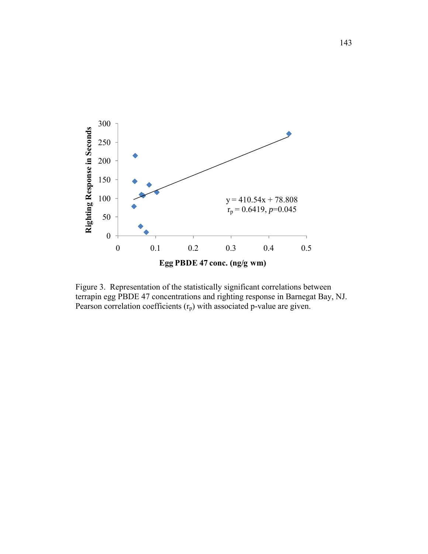

Figure 3. Representation of the statistically significant correlations between terrapin egg PBDE 47 concentrations and righting response in Barnegat Bay, NJ. Pearson correlation coefficients  $(r_p)$  with associated p-value are given.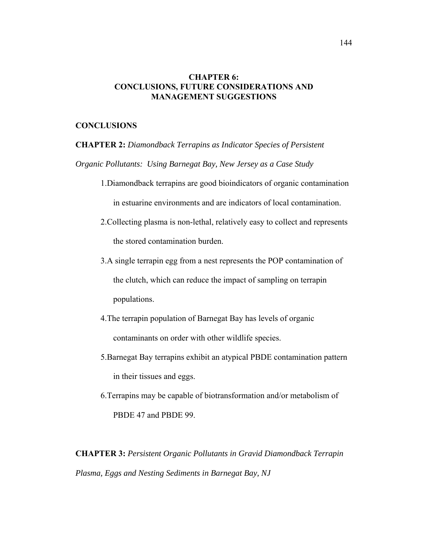## **CHAPTER 6: CONCLUSIONS, FUTURE CONSIDERATIONS AND MANAGEMENT SUGGESTIONS**

### **CONCLUSIONS**

**CHAPTER 2:** *Diamondback Terrapins as Indicator Species of Persistent* 

*Organic Pollutants: Using Barnegat Bay, New Jersey as a Case Study* 

- 1.Diamondback terrapins are good bioindicators of organic contamination in estuarine environments and are indicators of local contamination.
- 2.Collecting plasma is non-lethal, relatively easy to collect and represents the stored contamination burden.
- 3.A single terrapin egg from a nest represents the POP contamination of the clutch, which can reduce the impact of sampling on terrapin populations.
- 4.The terrapin population of Barnegat Bay has levels of organic contaminants on order with other wildlife species.
- 5.Barnegat Bay terrapins exhibit an atypical PBDE contamination pattern in their tissues and eggs.
- 6.Terrapins may be capable of biotransformation and/or metabolism of PBDE 47 and PBDE 99.

**CHAPTER 3:** *Persistent Organic Pollutants in Gravid Diamondback Terrapin Plasma, Eggs and Nesting Sediments in Barnegat Bay, NJ*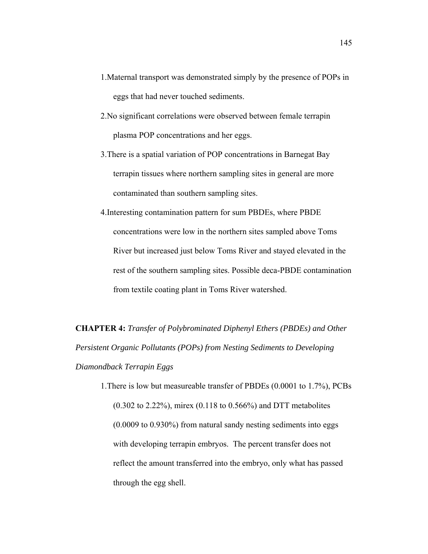- 1.Maternal transport was demonstrated simply by the presence of POPs in eggs that had never touched sediments.
- 2.No significant correlations were observed between female terrapin plasma POP concentrations and her eggs.
- 3.There is a spatial variation of POP concentrations in Barnegat Bay terrapin tissues where northern sampling sites in general are more contaminated than southern sampling sites.
- 4.Interesting contamination pattern for sum PBDEs, where PBDE concentrations were low in the northern sites sampled above Toms River but increased just below Toms River and stayed elevated in the rest of the southern sampling sites. Possible deca-PBDE contamination from textile coating plant in Toms River watershed.

**CHAPTER 4:** *Transfer of Polybrominated Diphenyl Ethers (PBDEs) and Other Persistent Organic Pollutants (POPs) from Nesting Sediments to Developing Diamondback Terrapin Eggs* 

1.There is low but measureable transfer of PBDEs (0.0001 to 1.7%), PCBs (0.302 to 2.22%), mirex (0.118 to 0.566%) and DTT metabolites (0.0009 to 0.930%) from natural sandy nesting sediments into eggs with developing terrapin embryos. The percent transfer does not reflect the amount transferred into the embryo, only what has passed through the egg shell.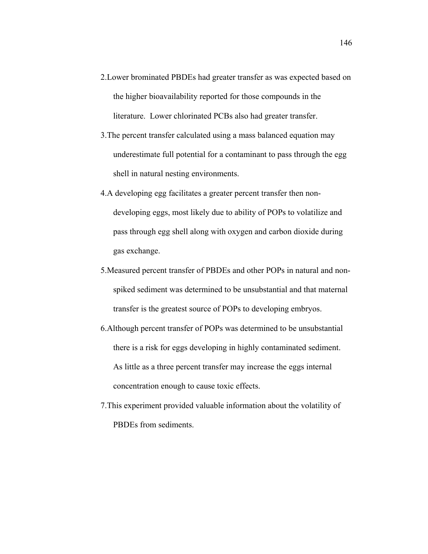- 2.Lower brominated PBDEs had greater transfer as was expected based on the higher bioavailability reported for those compounds in the literature. Lower chlorinated PCBs also had greater transfer.
- 3.The percent transfer calculated using a mass balanced equation may underestimate full potential for a contaminant to pass through the egg shell in natural nesting environments.
- 4.A developing egg facilitates a greater percent transfer then nondeveloping eggs, most likely due to ability of POPs to volatilize and pass through egg shell along with oxygen and carbon dioxide during gas exchange.
- 5.Measured percent transfer of PBDEs and other POPs in natural and nonspiked sediment was determined to be unsubstantial and that maternal transfer is the greatest source of POPs to developing embryos.
- 6.Although percent transfer of POPs was determined to be unsubstantial there is a risk for eggs developing in highly contaminated sediment. As little as a three percent transfer may increase the eggs internal concentration enough to cause toxic effects.
- 7.This experiment provided valuable information about the volatility of PBDEs from sediments.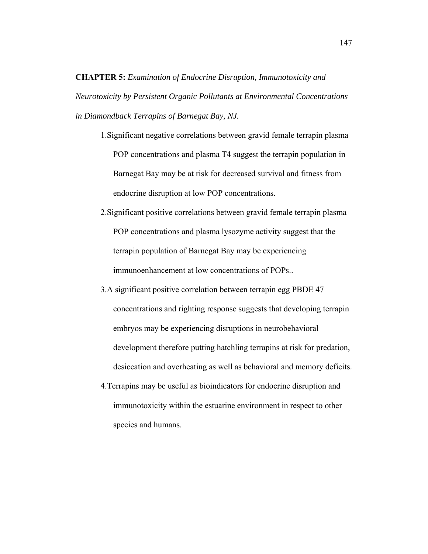**CHAPTER 5:** *Examination of Endocrine Disruption, Immunotoxicity and Neurotoxicity by Persistent Organic Pollutants at Environmental Concentrations in Diamondback Terrapins of Barnegat Bay, NJ.* 

- 1.Significant negative correlations between gravid female terrapin plasma POP concentrations and plasma T4 suggest the terrapin population in Barnegat Bay may be at risk for decreased survival and fitness from endocrine disruption at low POP concentrations.
- 2.Significant positive correlations between gravid female terrapin plasma POP concentrations and plasma lysozyme activity suggest that the terrapin population of Barnegat Bay may be experiencing immunoenhancement at low concentrations of POPs..
- 3.A significant positive correlation between terrapin egg PBDE 47 concentrations and righting response suggests that developing terrapin embryos may be experiencing disruptions in neurobehavioral development therefore putting hatchling terrapins at risk for predation, desiccation and overheating as well as behavioral and memory deficits.
- 4.Terrapins may be useful as bioindicators for endocrine disruption and immunotoxicity within the estuarine environment in respect to other species and humans.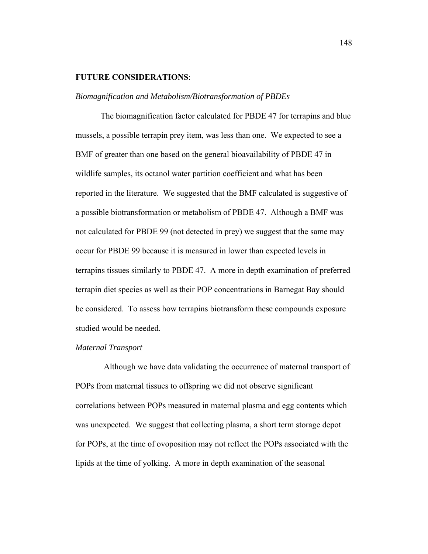## **FUTURE CONSIDERATIONS**:

### *Biomagnification and Metabolism/Biotransformation of PBDEs*

The biomagnification factor calculated for PBDE 47 for terrapins and blue mussels, a possible terrapin prey item, was less than one. We expected to see a BMF of greater than one based on the general bioavailability of PBDE 47 in wildlife samples, its octanol water partition coefficient and what has been reported in the literature. We suggested that the BMF calculated is suggestive of a possible biotransformation or metabolism of PBDE 47. Although a BMF was not calculated for PBDE 99 (not detected in prey) we suggest that the same may occur for PBDE 99 because it is measured in lower than expected levels in terrapins tissues similarly to PBDE 47. A more in depth examination of preferred terrapin diet species as well as their POP concentrations in Barnegat Bay should be considered. To assess how terrapins biotransform these compounds exposure studied would be needed.

### *Maternal Transport*

 Although we have data validating the occurrence of maternal transport of POPs from maternal tissues to offspring we did not observe significant correlations between POPs measured in maternal plasma and egg contents which was unexpected. We suggest that collecting plasma, a short term storage depot for POPs, at the time of ovoposition may not reflect the POPs associated with the lipids at the time of yolking. A more in depth examination of the seasonal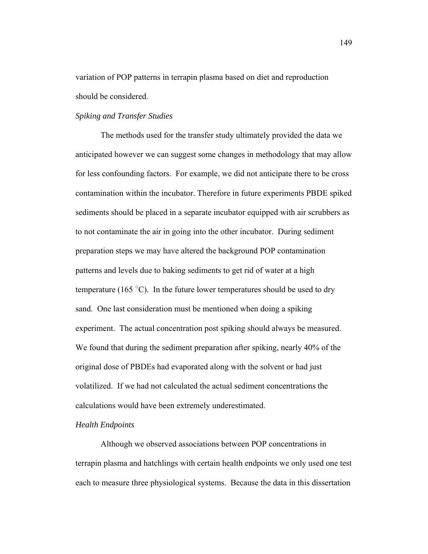variation of POP patterns in terrapin plasma based on diet and reproduction should be considered.

### *Spiking and Transfer Studies*

 The methods used for the transfer study ultimately provided the data we anticipated however we can suggest some changes in methodology that may allow for less confounding factors. For example, we did not anticipate there to be cross contamination within the incubator. Therefore in future experiments PBDE spiked sediments should be placed in a separate incubator equipped with air scrubbers as to not contaminate the air in going into the other incubator. During sediment preparation steps we may have altered the background POP contamination patterns and levels due to baking sediments to get rid of water at a high temperature (165 $\degree$ C). In the future lower temperatures should be used to dry sand. One last consideration must be mentioned when doing a spiking experiment. The actual concentration post spiking should always be measured. We found that during the sediment preparation after spiking, nearly 40% of the original dose of PBDEs had evaporated along with the solvent or had just volatilized. If we had not calculated the actual sediment concentrations the calculations would have been extremely underestimated.

## *Health Endpoints*

Although we observed associations between POP concentrations in terrapin plasma and hatchlings with certain health endpoints we only used one test each to measure three physiological systems. Because the data in this dissertation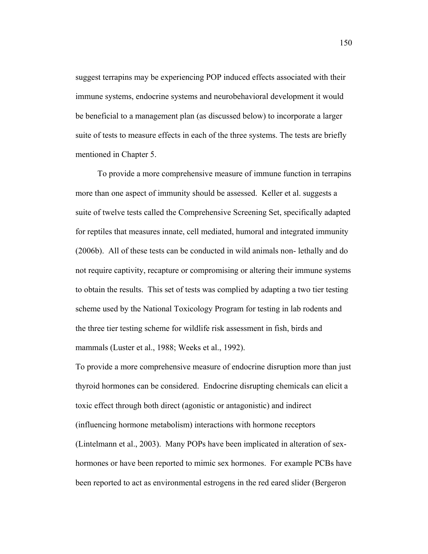suggest terrapins may be experiencing POP induced effects associated with their immune systems, endocrine systems and neurobehavioral development it would be beneficial to a management plan (as discussed below) to incorporate a larger suite of tests to measure effects in each of the three systems. The tests are briefly mentioned in Chapter 5.

 To provide a more comprehensive measure of immune function in terrapins more than one aspect of immunity should be assessed. Keller et al. suggests a suite of twelve tests called the Comprehensive Screening Set, specifically adapted for reptiles that measures innate, cell mediated, humoral and integrated immunity (2006b). All of these tests can be conducted in wild animals non- lethally and do not require captivity, recapture or compromising or altering their immune systems to obtain the results. This set of tests was complied by adapting a two tier testing scheme used by the National Toxicology Program for testing in lab rodents and the three tier testing scheme for wildlife risk assessment in fish, birds and mammals (Luster et al., 1988; Weeks et al., 1992).

To provide a more comprehensive measure of endocrine disruption more than just thyroid hormones can be considered. Endocrine disrupting chemicals can elicit a toxic effect through both direct (agonistic or antagonistic) and indirect (influencing hormone metabolism) interactions with hormone receptors (Lintelmann et al., 2003). Many POPs have been implicated in alteration of sexhormones or have been reported to mimic sex hormones. For example PCBs have been reported to act as environmental estrogens in the red eared slider (Bergeron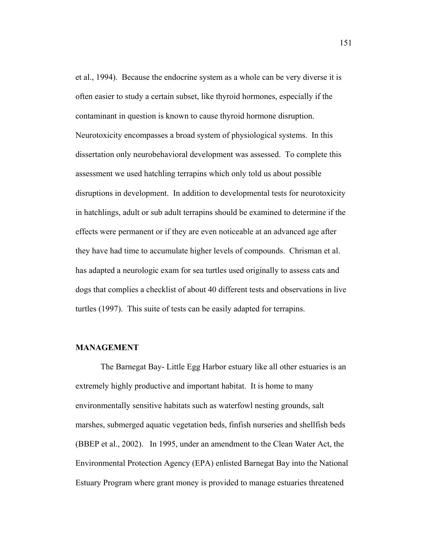et al., 1994). Because the endocrine system as a whole can be very diverse it is often easier to study a certain subset, like thyroid hormones, especially if the contaminant in question is known to cause thyroid hormone disruption. Neurotoxicity encompasses a broad system of physiological systems. In this dissertation only neurobehavioral development was assessed. To complete this assessment we used hatchling terrapins which only told us about possible disruptions in development. In addition to developmental tests for neurotoxicity in hatchlings, adult or sub adult terrapins should be examined to determine if the effects were permanent or if they are even noticeable at an advanced age after they have had time to accumulate higher levels of compounds. Chrisman et al. has adapted a neurologic exam for sea turtles used originally to assess cats and dogs that complies a checklist of about 40 different tests and observations in live turtles (1997). This suite of tests can be easily adapted for terrapins.

### **MANAGEMENT**

 The Barnegat Bay- Little Egg Harbor estuary like all other estuaries is an extremely highly productive and important habitat. It is home to many environmentally sensitive habitats such as waterfowl nesting grounds, salt marshes, submerged aquatic vegetation beds, finfish nurseries and shellfish beds (BBEP et al., 2002). In 1995, under an amendment to the Clean Water Act, the Environmental Protection Agency (EPA) enlisted Barnegat Bay into the National Estuary Program where grant money is provided to manage estuaries threatened

151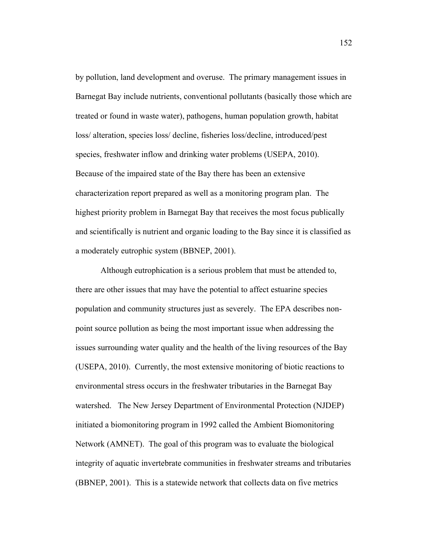by pollution, land development and overuse. The primary management issues in Barnegat Bay include nutrients, conventional pollutants (basically those which are treated or found in waste water), pathogens, human population growth, habitat loss/ alteration, species loss/ decline, fisheries loss/decline, introduced/pest species, freshwater inflow and drinking water problems (USEPA, 2010). Because of the impaired state of the Bay there has been an extensive characterization report prepared as well as a monitoring program plan. The highest priority problem in Barnegat Bay that receives the most focus publically and scientifically is nutrient and organic loading to the Bay since it is classified as a moderately eutrophic system (BBNEP, 2001).

 Although eutrophication is a serious problem that must be attended to, there are other issues that may have the potential to affect estuarine species population and community structures just as severely. The EPA describes nonpoint source pollution as being the most important issue when addressing the issues surrounding water quality and the health of the living resources of the Bay (USEPA, 2010). Currently, the most extensive monitoring of biotic reactions to environmental stress occurs in the freshwater tributaries in the Barnegat Bay watershed. The New Jersey Department of Environmental Protection (NJDEP) initiated a biomonitoring program in 1992 called the Ambient Biomonitoring Network (AMNET). The goal of this program was to evaluate the biological integrity of aquatic invertebrate communities in freshwater streams and tributaries (BBNEP, 2001). This is a statewide network that collects data on five metrics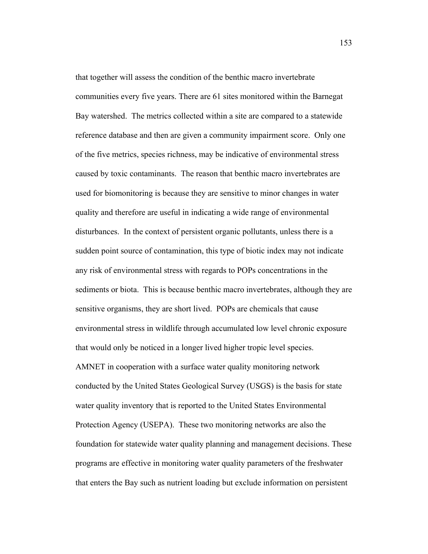that together will assess the condition of the benthic macro invertebrate communities every five years. There are 61 sites monitored within the Barnegat Bay watershed. The metrics collected within a site are compared to a statewide reference database and then are given a community impairment score. Only one of the five metrics, species richness, may be indicative of environmental stress caused by toxic contaminants. The reason that benthic macro invertebrates are used for biomonitoring is because they are sensitive to minor changes in water quality and therefore are useful in indicating a wide range of environmental disturbances. In the context of persistent organic pollutants, unless there is a sudden point source of contamination, this type of biotic index may not indicate any risk of environmental stress with regards to POPs concentrations in the sediments or biota. This is because benthic macro invertebrates, although they are sensitive organisms, they are short lived. POPs are chemicals that cause environmental stress in wildlife through accumulated low level chronic exposure that would only be noticed in a longer lived higher tropic level species. AMNET in cooperation with a surface water quality monitoring network conducted by the United States Geological Survey (USGS) is the basis for state water quality inventory that is reported to the United States Environmental Protection Agency (USEPA). These two monitoring networks are also the foundation for statewide water quality planning and management decisions. These programs are effective in monitoring water quality parameters of the freshwater that enters the Bay such as nutrient loading but exclude information on persistent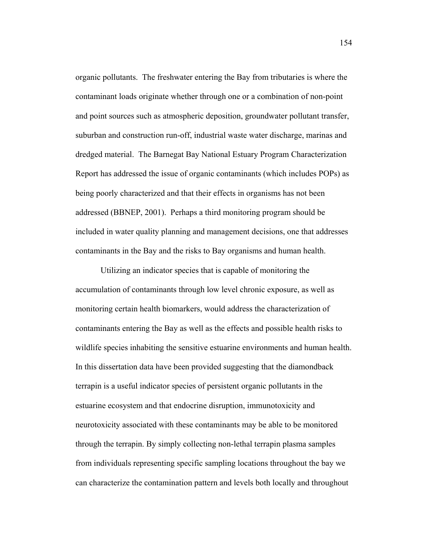organic pollutants. The freshwater entering the Bay from tributaries is where the contaminant loads originate whether through one or a combination of non-point and point sources such as atmospheric deposition, groundwater pollutant transfer, suburban and construction run-off, industrial waste water discharge, marinas and dredged material. The Barnegat Bay National Estuary Program Characterization Report has addressed the issue of organic contaminants (which includes POPs) as being poorly characterized and that their effects in organisms has not been addressed (BBNEP, 2001). Perhaps a third monitoring program should be included in water quality planning and management decisions, one that addresses contaminants in the Bay and the risks to Bay organisms and human health.

 Utilizing an indicator species that is capable of monitoring the accumulation of contaminants through low level chronic exposure, as well as monitoring certain health biomarkers, would address the characterization of contaminants entering the Bay as well as the effects and possible health risks to wildlife species inhabiting the sensitive estuarine environments and human health. In this dissertation data have been provided suggesting that the diamondback terrapin is a useful indicator species of persistent organic pollutants in the estuarine ecosystem and that endocrine disruption, immunotoxicity and neurotoxicity associated with these contaminants may be able to be monitored through the terrapin. By simply collecting non-lethal terrapin plasma samples from individuals representing specific sampling locations throughout the bay we can characterize the contamination pattern and levels both locally and throughout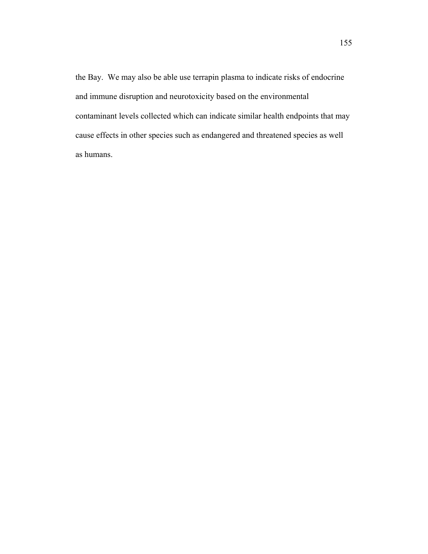the Bay. We may also be able use terrapin plasma to indicate risks of endocrine and immune disruption and neurotoxicity based on the environmental contaminant levels collected which can indicate similar health endpoints that may cause effects in other species such as endangered and threatened species as well as humans.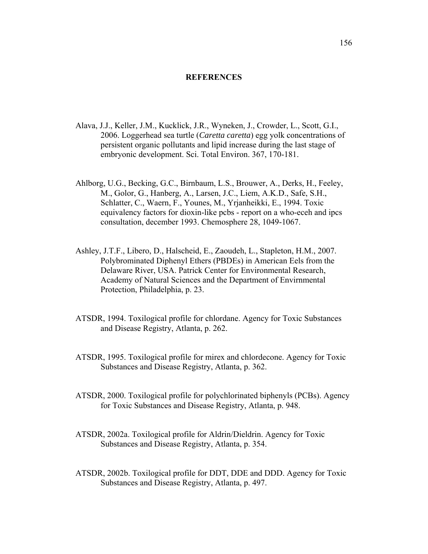#### **REFERENCES**

- Alava, J.J., Keller, J.M., Kucklick, J.R., Wyneken, J., Crowder, L., Scott, G.I., 2006. Loggerhead sea turtle (*Caretta caretta*) egg yolk concentrations of persistent organic pollutants and lipid increase during the last stage of embryonic development. Sci. Total Environ. 367, 170-181.
- Ahlborg, U.G., Becking, G.C., Birnbaum, L.S., Brouwer, A., Derks, H., Feeley, M., Golor, G., Hanberg, A., Larsen, J.C., Liem, A.K.D., Safe, S.H., Schlatter, C., Waern, F., Younes, M., Yrjanheikki, E., 1994. Toxic equivalency factors for dioxin-like pcbs - report on a who-eceh and ipcs consultation, december 1993. Chemosphere 28, 1049-1067.
- Ashley, J.T.F., Libero, D., Halscheid, E., Zaoudeh, L., Stapleton, H.M., 2007. Polybrominated Diphenyl Ethers (PBDEs) in American Eels from the Delaware River, USA. Patrick Center for Environmental Research, Academy of Natural Sciences and the Department of Envirnmental Protection, Philadelphia, p. 23.
- ATSDR, 1994. Toxilogical profile for chlordane. Agency for Toxic Substances and Disease Registry, Atlanta, p. 262.
- ATSDR, 1995. Toxilogical profile for mirex and chlordecone. Agency for Toxic Substances and Disease Registry, Atlanta, p. 362.
- ATSDR, 2000. Toxilogical profile for polychlorinated biphenyls (PCBs). Agency for Toxic Substances and Disease Registry, Atlanta, p. 948.
- ATSDR, 2002a. Toxilogical profile for Aldrin/Dieldrin. Agency for Toxic Substances and Disease Registry, Atlanta, p. 354.
- ATSDR, 2002b. Toxilogical profile for DDT, DDE and DDD. Agency for Toxic Substances and Disease Registry, Atlanta, p. 497.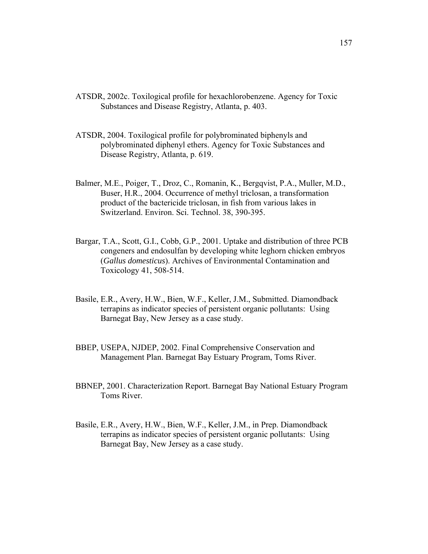- ATSDR, 2002c. Toxilogical profile for hexachlorobenzene. Agency for Toxic Substances and Disease Registry, Atlanta, p. 403.
- ATSDR, 2004. Toxilogical profile for polybrominated biphenyls and polybrominated diphenyl ethers. Agency for Toxic Substances and Disease Registry, Atlanta, p. 619.
- Balmer, M.E., Poiger, T., Droz, C., Romanin, K., Bergqvist, P.A., Muller, M.D., Buser, H.R., 2004. Occurrence of methyl triclosan, a transformation product of the bactericide triclosan, in fish from various lakes in Switzerland. Environ. Sci. Technol. 38, 390-395.
- Bargar, T.A., Scott, G.I., Cobb, G.P., 2001. Uptake and distribution of three PCB congeners and endosulfan by developing white leghorn chicken embryos (*Gallus domesticus*). Archives of Environmental Contamination and Toxicology 41, 508-514.
- Basile, E.R., Avery, H.W., Bien, W.F., Keller, J.M., Submitted. Diamondback terrapins as indicator species of persistent organic pollutants: Using Barnegat Bay, New Jersey as a case study.
- BBEP, USEPA, NJDEP, 2002. Final Comprehensive Conservation and Management Plan. Barnegat Bay Estuary Program, Toms River.
- BBNEP, 2001. Characterization Report. Barnegat Bay National Estuary Program Toms River.
- Basile, E.R., Avery, H.W., Bien, W.F., Keller, J.M., in Prep. Diamondback terrapins as indicator species of persistent organic pollutants: Using Barnegat Bay, New Jersey as a case study.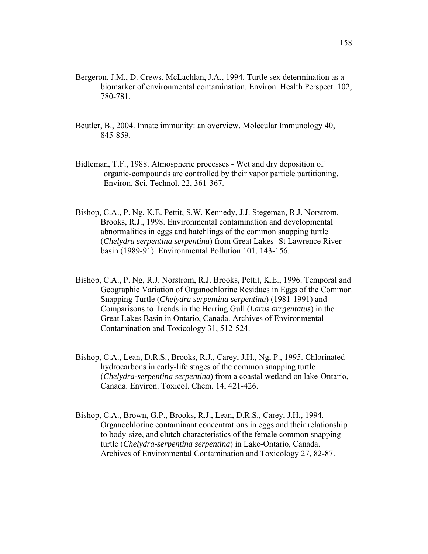- Bergeron, J.M., D. Crews, McLachlan, J.A., 1994. Turtle sex determination as a biomarker of environmental contamination. Environ. Health Perspect. 102, 780-781.
- Beutler, B., 2004. Innate immunity: an overview. Molecular Immunology 40, 845-859.
- Bidleman, T.F., 1988. Atmospheric processes Wet and dry deposition of organic-compounds are controlled by their vapor particle partitioning. Environ. Sci. Technol. 22, 361-367.
- Bishop, C.A., P. Ng, K.E. Pettit, S.W. Kennedy, J.J. Stegeman, R.J. Norstrom, Brooks, R.J., 1998. Environmental contamination and developmental abnormalities in eggs and hatchlings of the common snapping turtle (*Chelydra serpentina serpentina*) from Great Lakes- St Lawrence River basin (1989-91). Environmental Pollution 101, 143-156.
- Bishop, C.A., P. Ng, R.J. Norstrom, R.J. Brooks, Pettit, K.E., 1996. Temporal and Geographic Variation of Organochlorine Residues in Eggs of the Common Snapping Turtle (*Chelydra serpentina serpentina*) (1981-1991) and Comparisons to Trends in the Herring Gull (*Larus arrgentatus*) in the Great Lakes Basin in Ontario, Canada. Archives of Environmental Contamination and Toxicology 31, 512-524.
- Bishop, C.A., Lean, D.R.S., Brooks, R.J., Carey, J.H., Ng, P., 1995. Chlorinated hydrocarbons in early-life stages of the common snapping turtle (*Chelydra-serpentina serpentina*) from a coastal wetland on lake-Ontario, Canada. Environ. Toxicol. Chem. 14, 421-426.
- Bishop, C.A., Brown, G.P., Brooks, R.J., Lean, D.R.S., Carey, J.H., 1994. Organochlorine contaminant concentrations in eggs and their relationship to body-size, and clutch characteristics of the female common snapping turtle (*Chelydra-serpentina serpentina*) in Lake-Ontario, Canada. Archives of Environmental Contamination and Toxicology 27, 82-87.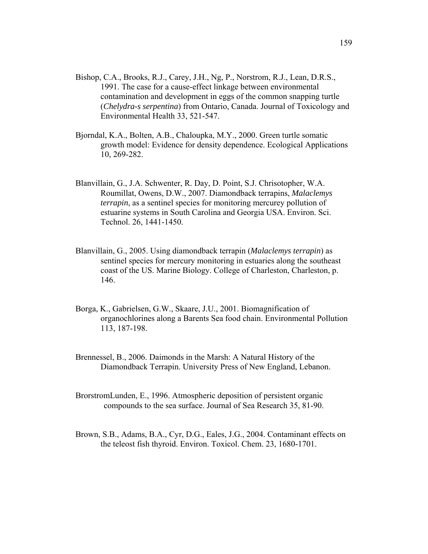- Bishop, C.A., Brooks, R.J., Carey, J.H., Ng, P., Norstrom, R.J., Lean, D.R.S., 1991. The case for a cause-effect linkage between environmental contamination and development in eggs of the common snapping turtle (*Chelydra-s serpentina*) from Ontario, Canada. Journal of Toxicology and Environmental Health 33, 521-547.
- Bjorndal, K.A., Bolten, A.B., Chaloupka, M.Y., 2000. Green turtle somatic growth model: Evidence for density dependence. Ecological Applications 10, 269-282.
- Blanvillain, G., J.A. Schwenter, R. Day, D. Point, S.J. Chrisotopher, W.A. Roumillat, Owens, D.W., 2007. Diamondback terrapins, *Malaclemys terrapin*, as a sentinel species for monitoring mercurey pollution of estuarine systems in South Carolina and Georgia USA. Environ. Sci. Technol. 26, 1441-1450.
- Blanvillain, G., 2005. Using diamondback terrapin (*Malaclemys terrapin*) as sentinel species for mercury monitoring in estuaries along the southeast coast of the US. Marine Biology. College of Charleston, Charleston, p. 146.
- Borga, K., Gabrielsen, G.W., Skaare, J.U., 2001. Biomagnification of organochlorines along a Barents Sea food chain. Environmental Pollution 113, 187-198.
- Brennessel, B., 2006. Daimonds in the Marsh: A Natural History of the Diamondback Terrapin. University Press of New England, Lebanon.
- BrorstromLunden, E., 1996. Atmospheric deposition of persistent organic compounds to the sea surface. Journal of Sea Research 35, 81-90.
- Brown, S.B., Adams, B.A., Cyr, D.G., Eales, J.G., 2004. Contaminant effects on the teleost fish thyroid. Environ. Toxicol. Chem. 23, 1680-1701.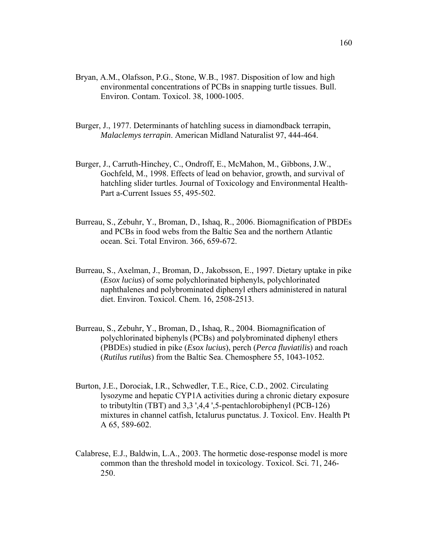- Bryan, A.M., Olafsson, P.G., Stone, W.B., 1987. Disposition of low and high environmental concentrations of PCBs in snapping turtle tissues. Bull. Environ. Contam. Toxicol. 38, 1000-1005.
- Burger, J., 1977. Determinants of hatchling sucess in diamondback terrapin, *Malaclemys terrapin*. American Midland Naturalist 97, 444-464.
- Burger, J., Carruth-Hinchey, C., Ondroff, E., McMahon, M., Gibbons, J.W., Gochfeld, M., 1998. Effects of lead on behavior, growth, and survival of hatchling slider turtles. Journal of Toxicology and Environmental Health-Part a-Current Issues 55, 495-502.
- Burreau, S., Zebuhr, Y., Broman, D., Ishaq, R., 2006. Biomagnification of PBDEs and PCBs in food webs from the Baltic Sea and the northern Atlantic ocean. Sci. Total Environ. 366, 659-672.
- Burreau, S., Axelman, J., Broman, D., Jakobsson, E., 1997. Dietary uptake in pike (*Esox lucius*) of some polychlorinated biphenyls, polychlorinated naphthalenes and polybrominated diphenyl ethers administered in natural diet. Environ. Toxicol. Chem. 16, 2508-2513.
- Burreau, S., Zebuhr, Y., Broman, D., Ishaq, R., 2004. Biomagnification of polychlorinated biphenyls (PCBs) and polybrominated diphenyl ethers (PBDEs) studied in pike (*Esox lucius*), perch (*Perca fluviatilis*) and roach (*Rutilus rutilus*) from the Baltic Sea. Chemosphere 55, 1043-1052.
- Burton, J.E., Dorociak, I.R., Schwedler, T.E., Rice, C.D., 2002. Circulating lysozyme and hepatic CYP1A activities during a chronic dietary exposure to tributyltin (TBT) and 3,3 ',4,4 ',5-pentachlorobiphenyl (PCB-126) mixtures in channel catfish, Ictalurus punctatus. J. Toxicol. Env. Health Pt A 65, 589-602.
- Calabrese, E.J., Baldwin, L.A., 2003. The hormetic dose-response model is more common than the threshold model in toxicology. Toxicol. Sci. 71, 246- 250.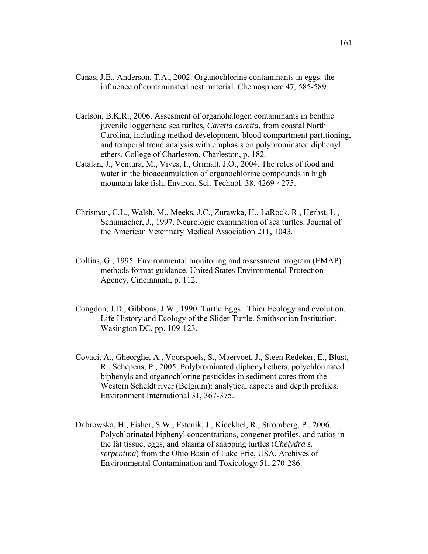- Canas, J.E., Anderson, T.A., 2002. Organochlorine contaminants in eggs: the influence of contaminated nest material. Chemosphere 47, 585-589.
- Carlson, B.K.R., 2006. Assesment of organohalogen contaminants in benthic juvenile loggerhead sea turltes, *Caretta caretta*, from coastal North Carolina, including method development, blood compartment partitioning, and temporal trend analysis with emphasis on polybrominated diphenyl ethers. College of Charleston, Charleston, p. 182.
- Catalan, J., Ventura, M., Vives, I., Grimalt, J.O., 2004. The roles of food and water in the bioaccumulation of organochlorine compounds in high mountain lake fish. Environ. Sci. Technol. 38, 4269-4275.
- Chrisman, C.L., Walsh, M., Meeks, J.C., Zurawka, H., LaRock, R., Herbst, L., Schumacher, J., 1997. Neurologic examination of sea turtles. Journal of the American Veterinary Medical Association 211, 1043.
- Collins, G., 1995. Environmental monitoring and assessment program (EMAP) methods format guidance. United States Environmental Protection Agency, Cincinnnati, p. 112.
- Congdon, J.D., Gibbons, J.W., 1990. Turtle Eggs: Thier Ecology and evolution. Life History and Ecology of the Slider Turtle. Smithsonian Institution, Wasington DC, pp. 109-123.
- Covaci, A., Gheorghe, A., Voorspoels, S., Maervoet, J., Steen Redeker, E., Blust, R., Schepens, P., 2005. Polybrominated diphenyl ethers, polychlorinated biphenyls and organochlorine pesticides in sediment cores from the Western Scheldt river (Belgium): analytical aspects and depth profiles. Environment International 31, 367-375.
- Dabrowska, H., Fisher, S.W., Estenik, J., Kidekhel, R., Stromberg, P., 2006. Polychlorinated biphenyl concentrations, congener profiles, and ratios in the fat tissue, eggs, and plasma of snapping turtles (*Chelydra s. serpentina*) from the Ohio Basin of Lake Erie, USA. Archives of Environmental Contamination and Toxicology 51, 270-286.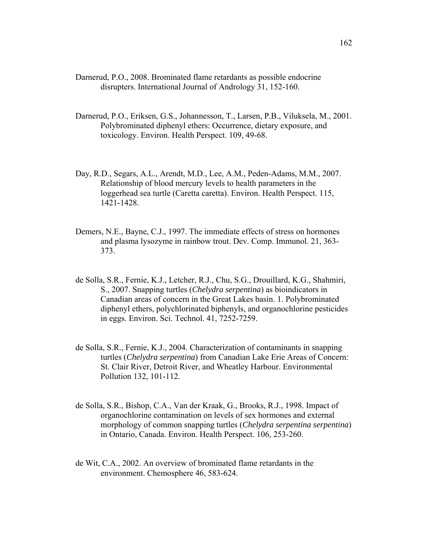- Darnerud, P.O., 2008. Brominated flame retardants as possible endocrine disrupters. International Journal of Andrology 31, 152-160.
- Darnerud, P.O., Eriksen, G.S., Johannesson, T., Larsen, P.B., Viluksela, M., 2001. Polybrominated diphenyl ethers: Occurrence, dietary exposure, and toxicology. Environ. Health Perspect. 109, 49-68.
- Day, R.D., Segars, A.L., Arendt, M.D., Lee, A.M., Peden-Adams, M.M., 2007. Relationship of blood mercury levels to health parameters in the loggerhead sea turtle (Caretta caretta). Environ. Health Perspect. 115, 1421-1428.
- Demers, N.E., Bayne, C.J., 1997. The immediate effects of stress on hormones and plasma lysozyme in rainbow trout. Dev. Comp. Immunol. 21, 363- 373.
- de Solla, S.R., Fernie, K.J., Letcher, R.J., Chu, S.G., Drouillard, K.G., Shahmiri, S., 2007. Snapping turtles (*Chelydra serpentina*) as bioindicators in Canadian areas of concern in the Great Lakes basin. 1. Polybrominated diphenyl ethers, polychlorinated biphenyls, and organochlorine pesticides in eggs. Environ. Sci. Technol. 41, 7252-7259.
- de Solla, S.R., Fernie, K.J., 2004. Characterization of contaminants in snapping turtles (*Chelydra serpentina*) from Canadian Lake Erie Areas of Concern: St. Clair River, Detroit River, and Wheatley Harbour. Environmental Pollution 132, 101-112.
- de Solla, S.R., Bishop, C.A., Van der Kraak, G., Brooks, R.J., 1998. Impact of organochlorine contamination on levels of sex hormones and external morphology of common snapping turtles (*Chelydra serpentina serpentina*) in Ontario, Canada. Environ. Health Perspect. 106, 253-260.
- de Wit, C.A., 2002. An overview of brominated flame retardants in the environment. Chemosphere 46, 583-624.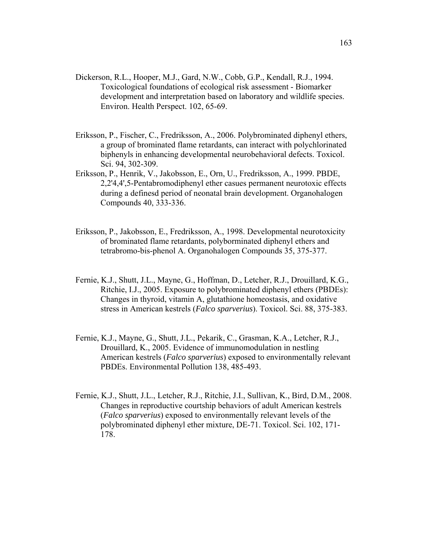- Dickerson, R.L., Hooper, M.J., Gard, N.W., Cobb, G.P., Kendall, R.J., 1994. Toxicological foundations of ecological risk assessment - Biomarker development and interpretation based on laboratory and wildlife species. Environ. Health Perspect. 102, 65-69.
- Eriksson, P., Fischer, C., Fredriksson, A., 2006. Polybrominated diphenyl ethers, a group of brominated flame retardants, can interact with polychlorinated biphenyls in enhancing developmental neurobehavioral defects. Toxicol. Sci. 94, 302-309.
- Eriksson, P., Henrik, V., Jakobsson, E., Orn, U., Fredriksson, A., 1999. PBDE, 2,2'4,4',5-Pentabromodiphenyl ether casues permanent neurotoxic effects during a definesd period of neonatal brain development. Organohalogen Compounds 40, 333-336.
- Eriksson, P., Jakobsson, E., Fredriksson, A., 1998. Developmental neurotoxicity of brominated flame retardants, polyborminated diphenyl ethers and tetrabromo-bis-phenol A. Organohalogen Compounds 35, 375-377.
- Fernie, K.J., Shutt, J.L., Mayne, G., Hoffman, D., Letcher, R.J., Drouillard, K.G., Ritchie, I.J., 2005. Exposure to polybrominated diphenyl ethers (PBDEs): Changes in thyroid, vitamin A, glutathione homeostasis, and oxidative stress in American kestrels (*Falco sparverius*). Toxicol. Sci. 88, 375-383.
- Fernie, K.J., Mayne, G., Shutt, J.L., Pekarik, C., Grasman, K.A., Letcher, R.J., Drouillard, K., 2005. Evidence of immunomodulation in nestling American kestrels (*Falco sparverius*) exposed to environmentally relevant PBDEs. Environmental Pollution 138, 485-493.
- Fernie, K.J., Shutt, J.L., Letcher, R.J., Ritchie, J.I., Sullivan, K., Bird, D.M., 2008. Changes in reproductive courtship behaviors of adult American kestrels (*Falco sparverius*) exposed to environmentally relevant levels of the polybrominated diphenyl ether mixture, DE-71. Toxicol. Sci. 102, 171- 178.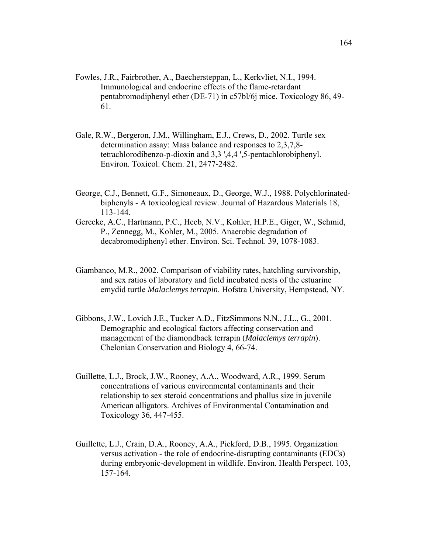- Fowles, J.R., Fairbrother, A., Baechersteppan, L., Kerkvliet, N.I., 1994. Immunological and endocrine effects of the flame-retardant pentabromodiphenyl ether (DE-71) in c57bl/6j mice. Toxicology 86, 49- 61.
- Gale, R.W., Bergeron, J.M., Willingham, E.J., Crews, D., 2002. Turtle sex determination assay: Mass balance and responses to 2,3,7,8 tetrachlorodibenzo-p-dioxin and 3,3 ',4,4 ',5-pentachlorobiphenyl. Environ. Toxicol. Chem. 21, 2477-2482.
- George, C.J., Bennett, G.F., Simoneaux, D., George, W.J., 1988. Polychlorinatedbiphenyls - A toxicological review. Journal of Hazardous Materials 18, 113-144.
- Gerecke, A.C., Hartmann, P.C., Heeb, N.V., Kohler, H.P.E., Giger, W., Schmid, P., Zennegg, M., Kohler, M., 2005. Anaerobic degradation of decabromodiphenyl ether. Environ. Sci. Technol. 39, 1078-1083.
- Giambanco, M.R., 2002. Comparison of viability rates, hatchling survivorship, and sex ratios of laboratory and field incubated nests of the estuarine emydid turtle *Malaclemys terrapin*. Hofstra University, Hempstead, NY.
- Gibbons, J.W., Lovich J.E., Tucker A.D., FitzSimmons N.N., J.L., G., 2001. Demographic and ecological factors affecting conservation and management of the diamondback terrapin (*Malaclemys terrapin*). Chelonian Conservation and Biology 4, 66-74.
- Guillette, L.J., Brock, J.W., Rooney, A.A., Woodward, A.R., 1999. Serum concentrations of various environmental contaminants and their relationship to sex steroid concentrations and phallus size in juvenile American alligators. Archives of Environmental Contamination and Toxicology 36, 447-455.
- Guillette, L.J., Crain, D.A., Rooney, A.A., Pickford, D.B., 1995. Organization versus activation - the role of endocrine-disrupting contaminants (EDCs) during embryonic-development in wildlife. Environ. Health Perspect. 103, 157-164.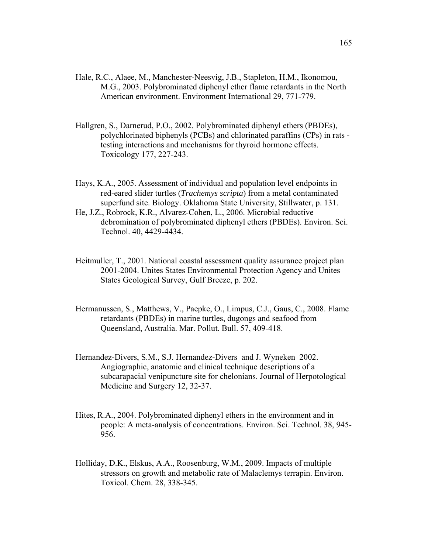- Hale, R.C., Alaee, M., Manchester-Neesvig, J.B., Stapleton, H.M., Ikonomou, M.G., 2003. Polybrominated diphenyl ether flame retardants in the North American environment. Environment International 29, 771-779.
- Hallgren, S., Darnerud, P.O., 2002. Polybrominated diphenyl ethers (PBDEs), polychlorinated biphenyls (PCBs) and chlorinated paraffins (CPs) in rats testing interactions and mechanisms for thyroid hormone effects. Toxicology 177, 227-243.
- Hays, K.A., 2005. Assessment of individual and population level endpoints in red-eared slider turtles (*Trachemys scripta*) from a metal contaminated superfund site. Biology. Oklahoma State University, Stillwater, p. 131.
- He, J.Z., Robrock, K.R., Alvarez-Cohen, L., 2006. Microbial reductive debromination of polybrominated diphenyl ethers (PBDEs). Environ. Sci. Technol. 40, 4429-4434.
- Heitmuller, T., 2001. National coastal assessment quality assurance project plan 2001-2004. Unites States Environmental Protection Agency and Unites States Geological Survey, Gulf Breeze, p. 202.
- Hermanussen, S., Matthews, V., Paepke, O., Limpus, C.J., Gaus, C., 2008. Flame retardants (PBDEs) in marine turtles, dugongs and seafood from Queensland, Australia. Mar. Pollut. Bull. 57, 409-418.
- Hernandez-Divers, S.M., S.J. Hernandez-Divers and J. Wyneken 2002. Angiographic, anatomic and clinical technique descriptions of a subcarapacial venipuncture site for chelonians. Journal of Herpotological Medicine and Surgery 12, 32-37.
- Hites, R.A., 2004. Polybrominated diphenyl ethers in the environment and in people: A meta-analysis of concentrations. Environ. Sci. Technol. 38, 945- 956.
- Holliday, D.K., Elskus, A.A., Roosenburg, W.M., 2009. Impacts of multiple stressors on growth and metabolic rate of Malaclemys terrapin. Environ. Toxicol. Chem. 28, 338-345.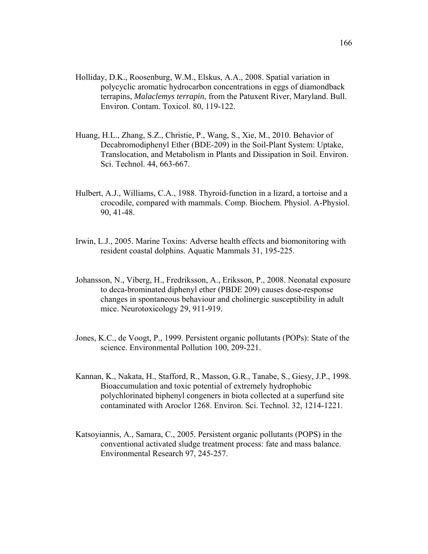- Holliday, D.K., Roosenburg, W.M., Elskus, A.A., 2008. Spatial variation in polycyclic aromatic hydrocarbon concentrations in eggs of diamondback terrapins, *Malaclemys terrapin*, from the Patuxent River, Maryland. Bull. Environ. Contam. Toxicol. 80, 119-122.
- Huang, H.L., Zhang, S.Z., Christie, P., Wang, S., Xie, M., 2010. Behavior of Decabromodiphenyl Ether (BDE-209) in the Soil-Plant System: Uptake, Translocation, and Metabolism in Plants and Dissipation in Soil. Environ. Sci. Technol. 44, 663-667.
- Hulbert, A.J., Williams, C.A., 1988. Thyroid-function in a lizard, a tortoise and a crocodile, compared with mammals. Comp. Biochem. Physiol. A-Physiol. 90, 41-48.
- Irwin, L.J., 2005. Marine Toxins: Adverse health effects and biomonitoring with resident coastal dolphins. Aquatic Mammals 31, 195-225.
- Johansson, N., Viberg, H., Fredriksson, A., Eriksson, P., 2008. Neonatal exposure to deca-brominated diphenyl ether (PBDE 209) causes dose-response changes in spontaneous behaviour and cholinergic susceptibility in adult mice. Neurotoxicology 29, 911-919.
- Jones, K.C., de Voogt, P., 1999. Persistent organic pollutants (POPs): State of the science. Environmental Pollution 100, 209-221.
- Kannan, K., Nakata, H., Stafford, R., Masson, G.R., Tanabe, S., Giesy, J.P., 1998. Bioaccumulation and toxic potential of extremely hydrophobic polychlorinated biphenyl congeners in biota collected at a superfund site contaminated with Aroclor 1268. Environ. Sci. Technol. 32, 1214-1221.
- Katsoyiannis, A., Samara, C., 2005. Persistent organic pollutants (POPS) in the conventional activated sludge treatment process: fate and mass balance. Environmental Research 97, 245-257.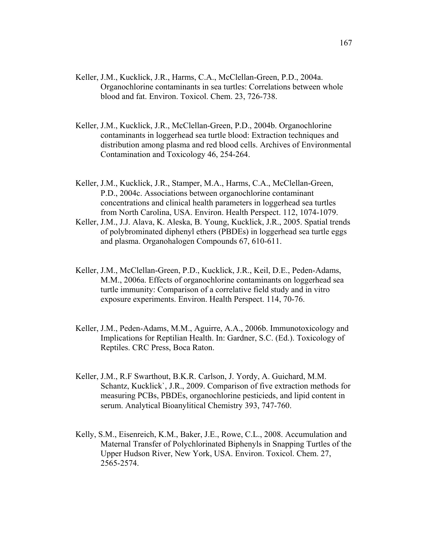- Keller, J.M., Kucklick, J.R., Harms, C.A., McClellan-Green, P.D., 2004a. Organochlorine contaminants in sea turtles: Correlations between whole blood and fat. Environ. Toxicol. Chem. 23, 726-738.
- Keller, J.M., Kucklick, J.R., McClellan-Green, P.D., 2004b. Organochlorine contaminants in loggerhead sea turtle blood: Extraction techniques and distribution among plasma and red blood cells. Archives of Environmental Contamination and Toxicology 46, 254-264.
- Keller, J.M., Kucklick, J.R., Stamper, M.A., Harms, C.A., McClellan-Green, P.D., 2004c. Associations between organochlorine contaminant concentrations and clinical health parameters in loggerhead sea turtles from North Carolina, USA. Environ. Health Perspect. 112, 1074-1079.
- Keller, J.M., J.J. Alava, K. Aleska, B. Young, Kucklick, J.R., 2005. Spatial trends of polybrominated diphenyl ethers (PBDEs) in loggerhead sea turtle eggs and plasma. Organohalogen Compounds 67, 610-611.
- Keller, J.M., McClellan-Green, P.D., Kucklick, J.R., Keil, D.E., Peden-Adams, M.M., 2006a. Effects of organochlorine contaminants on loggerhead sea turtle immunity: Comparison of a correlative field study and in vitro exposure experiments. Environ. Health Perspect. 114, 70-76.
- Keller, J.M., Peden-Adams, M.M., Aguirre, A.A., 2006b. Immunotoxicology and Implications for Reptilian Health. In: Gardner, S.C. (Ed.). Toxicology of Reptiles. CRC Press, Boca Raton.
- Keller, J.M., R.F Swarthout, B.K.R. Carlson, J. Yordy, A. Guichard, M.M. Schantz, Kucklick`, J.R., 2009. Comparison of five extraction methods for measuring PCBs, PBDEs, organochlorine pesticieds, and lipid content in serum. Analytical Bioanylitical Chemistry 393, 747-760.
- Kelly, S.M., Eisenreich, K.M., Baker, J.E., Rowe, C.L., 2008. Accumulation and Maternal Transfer of Polychlorinated Biphenyls in Snapping Turtles of the Upper Hudson River, New York, USA. Environ. Toxicol. Chem. 27, 2565-2574.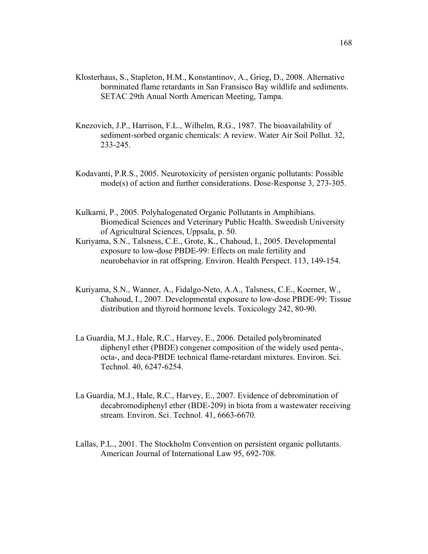- Klosterhaus, S., Stapleton, H.M., Konstantinov, A., Grieg, D., 2008. Alternative borminated flame retardants in San Fransisco Bay wildlife and sediments. SETAC 29th Anual North American Meeting, Tampa.
- Knezovich, J.P., Harrison, F.L., Wilhelm, R.G., 1987. The bioavailability of sediment-sorbed organic chemicals: A review. Water Air Soil Pollut. 32, 233-245.
- Kodavanti, P.R.S., 2005. Neurotoxicity of persisten organic pollutants: Possible mode(s) of action and further considerations. Dose-Response 3, 273-305.
- Kulkarni, P., 2005. Polyhalogenated Organic Pollutants in Amphibians. Biomedical Sciences and Veterinary Public Health. Sweedish University of Agricultural Sciences, Uppsala, p. 50.
- Kuriyama, S.N., Talsness, C.E., Grote, K., Chahoud, I., 2005. Developmental exposure to low-dose PBDE-99: Effects on male fertility and neurobehavior in rat offspring. Environ. Health Perspect. 113, 149-154.
- Kuriyama, S.N., Wanner, A., Fidalgo-Neto, A.A., Talsness, C.E., Koerner, W., Chahoud, I., 2007. Developmental exposure to low-dose PBDE-99: Tissue distribution and thyroid hormone levels. Toxicology 242, 80-90.
- La Guardia, M.J., Hale, R.C., Harvey, E., 2006. Detailed polybrominated diphenyl ether (PBDE) congener composition of the widely used penta-, octa-, and deca-PBDE technical flame-retardant mixtures. Environ. Sci. Technol. 40, 6247-6254.
- La Guardia, M.J., Hale, R.C., Harvey, E., 2007. Evidence of debromination of decabromodiphenyl ether (BDE-209) in biota from a wastewater receiving stream. Environ. Sci. Technol. 41, 6663-6670.
- Lallas, P.L., 2001. The Stockholm Convention on persistent organic pollutants. American Journal of International Law 95, 692-708.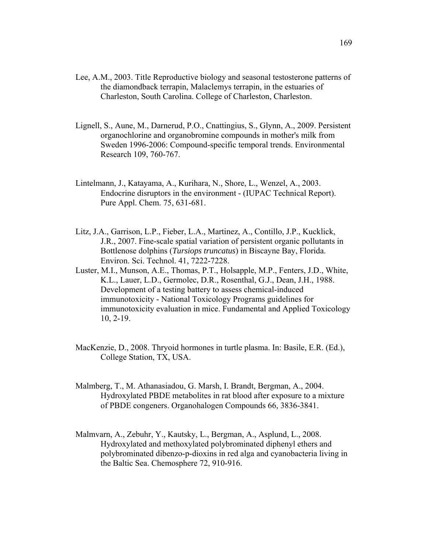- Lee, A.M., 2003. Title Reproductive biology and seasonal testosterone patterns of the diamondback terrapin, Malaclemys terrapin, in the estuaries of Charleston, South Carolina. College of Charleston, Charleston.
- Lignell, S., Aune, M., Darnerud, P.O., Cnattingius, S., Glynn, A., 2009. Persistent organochlorine and organobromine compounds in mother's milk from Sweden 1996-2006: Compound-specific temporal trends. Environmental Research 109, 760-767.
- Lintelmann, J., Katayama, A., Kurihara, N., Shore, L., Wenzel, A., 2003. Endocrine disruptors in the environment - (IUPAC Technical Report). Pure Appl. Chem. 75, 631-681.
- Litz, J.A., Garrison, L.P., Fieber, L.A., Martinez, A., Contillo, J.P., Kucklick, J.R., 2007. Fine-scale spatial variation of persistent organic pollutants in Bottlenose dolphins (*Tursiops truncatus*) in Biscayne Bay, Florida. Environ. Sci. Technol. 41, 7222-7228.
- Luster, M.I., Munson, A.E., Thomas, P.T., Holsapple, M.P., Fenters, J.D., White, K.L., Lauer, L.D., Germolec, D.R., Rosenthal, G.J., Dean, J.H., 1988. Development of a testing battery to assess chemical-induced immunotoxicity - National Toxicology Programs guidelines for immunotoxicity evaluation in mice. Fundamental and Applied Toxicology 10, 2-19.
- MacKenzie, D., 2008. Thryoid hormones in turtle plasma. In: Basile, E.R. (Ed.), College Station, TX, USA.
- Malmberg, T., M. Athanasiadou, G. Marsh, I. Brandt, Bergman, A., 2004. Hydroxylated PBDE metabolites in rat blood after exposure to a mixture of PBDE congeners. Organohalogen Compounds 66, 3836-3841.
- Malmvarn, A., Zebuhr, Y., Kautsky, L., Bergman, A., Asplund, L., 2008. Hydroxylated and methoxylated polybrominated diphenyl ethers and polybrominated dibenzo-p-dioxins in red alga and cyanobacteria living in the Baltic Sea. Chemosphere 72, 910-916.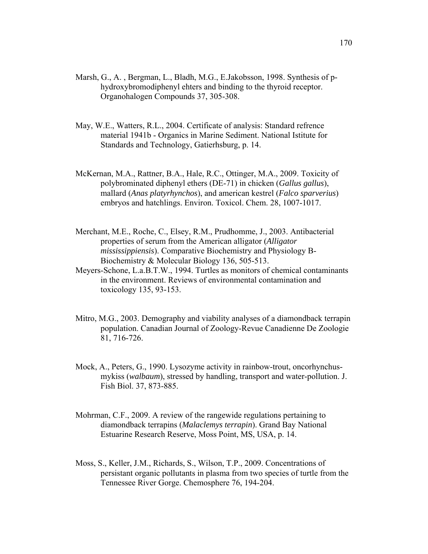- Marsh, G., A. , Bergman, L., Bladh, M.G., E.Jakobsson, 1998. Synthesis of phydroxybromodiphenyl ehters and binding to the thyroid receptor. Organohalogen Compounds 37, 305-308.
- May, W.E., Watters, R.L., 2004. Certificate of analysis: Standard refrence material 1941b - Organics in Marine Sediment. National Istitute for Standards and Technology, Gatierhsburg, p. 14.
- McKernan, M.A., Rattner, B.A., Hale, R.C., Ottinger, M.A., 2009. Toxicity of polybrominated diphenyl ethers (DE-71) in chicken (*Gallus gallus*), mallard (*Anas platyrhynchos*), and american kestrel (*Falco sparverius*) embryos and hatchlings. Environ. Toxicol. Chem. 28, 1007-1017.
- Merchant, M.E., Roche, C., Elsey, R.M., Prudhomme, J., 2003. Antibacterial properties of serum from the American alligator (*Alligator mississippiensis*). Comparative Biochemistry and Physiology B-Biochemistry & Molecular Biology 136, 505-513.
- Meyers-Schone, L.a.B.T.W., 1994. Turtles as monitors of chemical contaminants in the environment. Reviews of environmental contamination and toxicology 135, 93-153.
- Mitro, M.G., 2003. Demography and viability analyses of a diamondback terrapin population. Canadian Journal of Zoology-Revue Canadienne De Zoologie 81, 716-726.
- Mock, A., Peters, G., 1990. Lysozyme activity in rainbow-trout, oncorhynchusmykiss (*walbaum*), stressed by handling, transport and water-pollution. J. Fish Biol. 37, 873-885.
- Mohrman, C.F., 2009. A review of the rangewide regulations pertaining to diamondback terrapins (*Malaclemys terrapin*). Grand Bay National Estuarine Research Reserve, Moss Point, MS, USA, p. 14.
- Moss, S., Keller, J.M., Richards, S., Wilson, T.P., 2009. Concentrations of persistant organic pollutants in plasma from two species of turtle from the Tennessee River Gorge. Chemosphere 76, 194-204.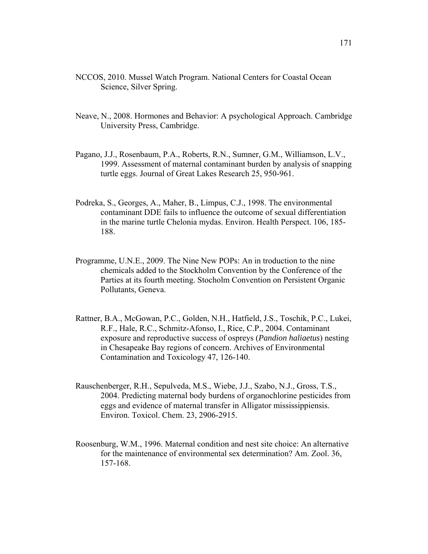- NCCOS, 2010. Mussel Watch Program. National Centers for Coastal Ocean Science, Silver Spring.
- Neave, N., 2008. Hormones and Behavior: A psychological Approach. Cambridge University Press, Cambridge.
- Pagano, J.J., Rosenbaum, P.A., Roberts, R.N., Sumner, G.M., Williamson, L.V., 1999. Assessment of maternal contaminant burden by analysis of snapping turtle eggs. Journal of Great Lakes Research 25, 950-961.
- Podreka, S., Georges, A., Maher, B., Limpus, C.J., 1998. The environmental contaminant DDE fails to influence the outcome of sexual differentiation in the marine turtle Chelonia mydas. Environ. Health Perspect. 106, 185- 188.
- Programme, U.N.E., 2009. The Nine New POPs: An in troduction to the nine chemicals added to the Stockholm Convention by the Conference of the Parties at its fourth meeting. Stocholm Convention on Persistent Organic Pollutants, Geneva.
- Rattner, B.A., McGowan, P.C., Golden, N.H., Hatfield, J.S., Toschik, P.C., Lukei, R.F., Hale, R.C., Schmitz-Afonso, I., Rice, C.P., 2004. Contaminant exposure and reproductive success of ospreys (*Pandion haliaetus*) nesting in Chesapeake Bay regions of concern. Archives of Environmental Contamination and Toxicology 47, 126-140.
- Rauschenberger, R.H., Sepulveda, M.S., Wiebe, J.J., Szabo, N.J., Gross, T.S., 2004. Predicting maternal body burdens of organochlorine pesticides from eggs and evidence of maternal transfer in Alligator mississippiensis. Environ. Toxicol. Chem. 23, 2906-2915.
- Roosenburg, W.M., 1996. Maternal condition and nest site choice: An alternative for the maintenance of environmental sex determination? Am. Zool. 36, 157-168.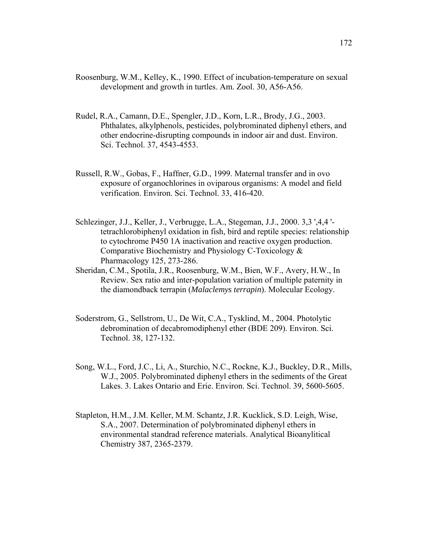- Roosenburg, W.M., Kelley, K., 1990. Effect of incubation-temperature on sexual development and growth in turtles. Am. Zool. 30, A56-A56.
- Rudel, R.A., Camann, D.E., Spengler, J.D., Korn, L.R., Brody, J.G., 2003. Phthalates, alkylphenols, pesticides, polybrominated diphenyl ethers, and other endocrine-disrupting compounds in indoor air and dust. Environ. Sci. Technol. 37, 4543-4553.
- Russell, R.W., Gobas, F., Haffner, G.D., 1999. Maternal transfer and in ovo exposure of organochlorines in oviparous organisms: A model and field verification. Environ. Sci. Technol. 33, 416-420.
- Schlezinger, J.J., Keller, J., Verbrugge, L.A., Stegeman, J.J., 2000. 3,3 ',4,4 ' tetrachlorobiphenyl oxidation in fish, bird and reptile species: relationship to cytochrome P450 1A inactivation and reactive oxygen production. Comparative Biochemistry and Physiology C-Toxicology & Pharmacology 125, 273-286.
- Sheridan, C.M., Spotila, J.R., Roosenburg, W.M., Bien, W.F., Avery, H.W., In Review. Sex ratio and inter-population variation of multiple paternity in the diamondback terrapin (*Malaclemys terrapin*). Molecular Ecology.
- Soderstrom, G., Sellstrom, U., De Wit, C.A., Tysklind, M., 2004. Photolytic debromination of decabromodiphenyl ether (BDE 209). Environ. Sci. Technol. 38, 127-132.
- Song, W.L., Ford, J.C., Li, A., Sturchio, N.C., Rockne, K.J., Buckley, D.R., Mills, W.J., 2005. Polybrominated diphenyl ethers in the sediments of the Great Lakes. 3. Lakes Ontario and Erie. Environ. Sci. Technol. 39, 5600-5605.
- Stapleton, H.M., J.M. Keller, M.M. Schantz, J.R. Kucklick, S.D. Leigh, Wise, S.A., 2007. Determination of polybrominated diphenyl ethers in environmental standrad reference materials. Analytical Bioanylitical Chemistry 387, 2365-2379.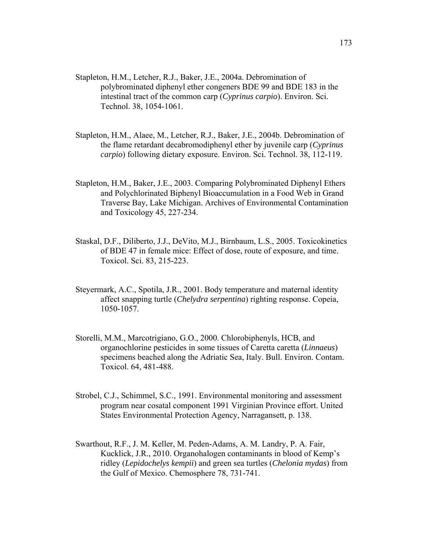- Stapleton, H.M., Letcher, R.J., Baker, J.E., 2004a. Debromination of polybrominated diphenyl ether congeners BDE 99 and BDE 183 in the intestinal tract of the common carp (*Cyprinus carpio*). Environ. Sci. Technol. 38, 1054-1061.
- Stapleton, H.M., Alaee, M., Letcher, R.J., Baker, J.E., 2004b. Debromination of the flame retardant decabromodiphenyl ether by juvenile carp (*Cyprinus carpio*) following dietary exposure. Environ. Sci. Technol. 38, 112-119.
- Stapleton, H.M., Baker, J.E., 2003. Comparing Polybrominated Diphenyl Ethers and Polychlorinated Biphenyl Bioaccumulation in a Food Web in Grand Traverse Bay, Lake Michigan. Archives of Environmental Contamination and Toxicology 45, 227-234.
- Staskal, D.F., Diliberto, J.J., DeVito, M.J., Birnbaum, L.S., 2005. Toxicokinetics of BDE 47 in female mice: Effect of dose, route of exposure, and time. Toxicol. Sci. 83, 215-223.
- Steyermark, A.C., Spotila, J.R., 2001. Body temperature and maternal identity affect snapping turtle (*Chelydra serpentina*) righting response. Copeia, 1050-1057.
- Storelli, M.M., Marcotrigiano, G.O., 2000. Chlorobiphenyls, HCB, and organochlorine pesticides in some tissues of Caretta caretta (*Linnaeus*) specimens beached along the Adriatic Sea, Italy. Bull. Environ. Contam. Toxicol. 64, 481-488.
- Strobel, C.J., Schimmel, S.C., 1991. Environmental monitoring and assessment program near cosatal component 1991 Virginian Province effort. United States Environmental Protection Agency, Narragansett, p. 138.
- Swarthout, R.F., J. M. Keller, M. Peden-Adams, A. M. Landry, P. A. Fair, Kucklick, J.R., 2010. Organohalogen contaminants in blood of Kemp's ridley (*Lepidochelys kempii*) and green sea turtles (*Chelonia mydas*) from the Gulf of Mexico. Chemosphere 78, 731-741.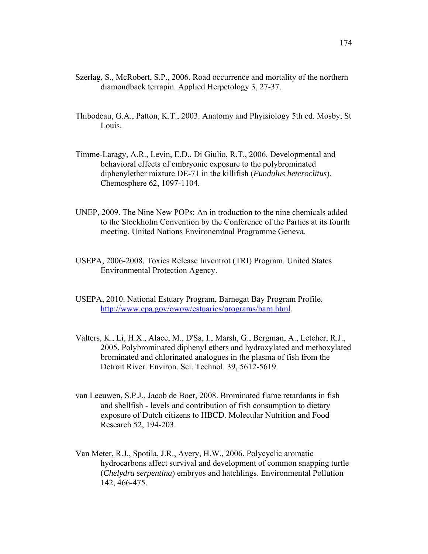- Szerlag, S., McRobert, S.P., 2006. Road occurrence and mortality of the northern diamondback terrapin. Applied Herpetology 3, 27-37.
- Thibodeau, G.A., Patton, K.T., 2003. Anatomy and Phyisiology 5th ed. Mosby, St Louis.
- Timme-Laragy, A.R., Levin, E.D., Di Giulio, R.T., 2006. Developmental and behavioral effects of embryonic exposure to the polybrominated diphenylether mixture DE-71 in the killifish (*Fundulus heteroclitus*). Chemosphere 62, 1097-1104.
- UNEP, 2009. The Nine New POPs: An in troduction to the nine chemicals added to the Stockholm Convention by the Conference of the Parties at its fourth meeting. United Nations Environemtnal Programme Geneva.
- USEPA, 2006-2008. Toxics Release Inventrot (TRI) Program. United States Environmental Protection Agency.
- USEPA, 2010. National Estuary Program, Barnegat Bay Program Profile. http://www.epa.gov/owow/estuaries/programs/barn.html.
- Valters, K., Li, H.X., Alaee, M., D'Sa, I., Marsh, G., Bergman, A., Letcher, R.J., 2005. Polybrominated diphenyl ethers and hydroxylated and methoxylated brominated and chlorinated analogues in the plasma of fish from the Detroit River. Environ. Sci. Technol. 39, 5612-5619.
- van Leeuwen, S.P.J., Jacob de Boer, 2008. Brominated flame retardants in fish and shellfish - levels and contribution of fish consumption to dietary exposure of Dutch citizens to HBCD. Molecular Nutrition and Food Research 52, 194-203.
- Van Meter, R.J., Spotila, J.R., Avery, H.W., 2006. Polycyclic aromatic hydrocarbons affect survival and development of common snapping turtle (*Chelydra serpentina*) embryos and hatchlings. Environmental Pollution 142, 466-475.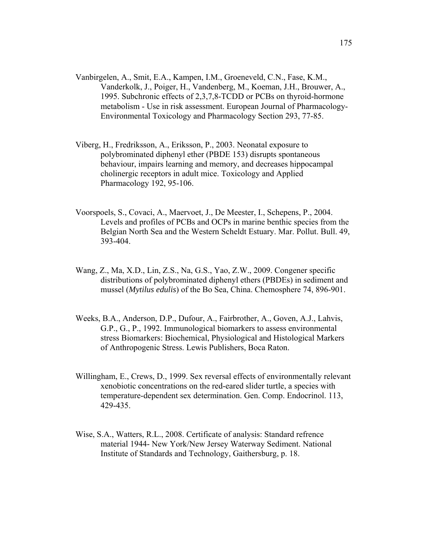- Vanbirgelen, A., Smit, E.A., Kampen, I.M., Groeneveld, C.N., Fase, K.M., Vanderkolk, J., Poiger, H., Vandenberg, M., Koeman, J.H., Brouwer, A., 1995. Subchronic effects of 2,3,7,8-TCDD or PCBs on thyroid-hormone metabolism - Use in risk assessment. European Journal of Pharmacology-Environmental Toxicology and Pharmacology Section 293, 77-85.
- Viberg, H., Fredriksson, A., Eriksson, P., 2003. Neonatal exposure to polybrominated diphenyl ether (PBDE 153) disrupts spontaneous behaviour, impairs learning and memory, and decreases hippocampal cholinergic receptors in adult mice. Toxicology and Applied Pharmacology 192, 95-106.
- Voorspoels, S., Covaci, A., Maervoet, J., De Meester, I., Schepens, P., 2004. Levels and profiles of PCBs and OCPs in marine benthic species from the Belgian North Sea and the Western Scheldt Estuary. Mar. Pollut. Bull. 49, 393-404.
- Wang, Z., Ma, X.D., Lin, Z.S., Na, G.S., Yao, Z.W., 2009. Congener specific distributions of polybrominated diphenyl ethers (PBDEs) in sediment and mussel (*Mytilus edulis*) of the Bo Sea, China. Chemosphere 74, 896-901.
- Weeks, B.A., Anderson, D.P., Dufour, A., Fairbrother, A., Goven, A.J., Lahvis, G.P., G., P., 1992. Immunological biomarkers to assess environmental stress Biomarkers: Biochemical, Physiological and Histological Markers of Anthropogenic Stress. Lewis Publishers, Boca Raton.
- Willingham, E., Crews, D., 1999. Sex reversal effects of environmentally relevant xenobiotic concentrations on the red-eared slider turtle, a species with temperature-dependent sex determination. Gen. Comp. Endocrinol. 113, 429-435.
- Wise, S.A., Watters, R.L., 2008. Certificate of analysis: Standard refrence material 1944- New York/New Jersey Waterway Sediment. National Institute of Standards and Technology, Gaithersburg, p. 18.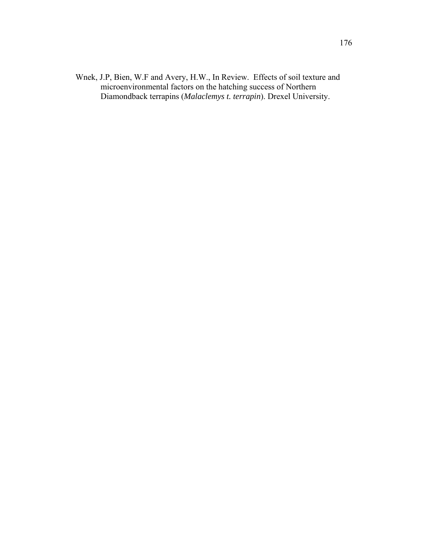Wnek, J.P, Bien, W.F and Avery, H.W., In Review. Effects of soil texture and microenvironmental factors on the hatching success of Northern Diamondback terrapins (*Malaclemys t. terrapin*). Drexel University.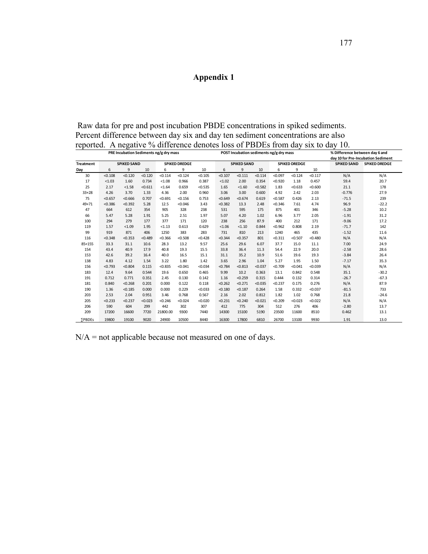## **Appendix 1**

 Raw data for pre and post incubation PBDE concentrations in spiked sediments. Percent difference between day six and day ten sediment concentrations are also reported. A negative % difference denotes loss of PBDEs from day six to day 10.

|                  | PRE Incubation Sediments ng/g dry mass |         |         | POST Incubation sediments ng/g dry mass |         |         |                    |         |         | % Difference between day 6 and |         |         |                    |                                    |
|------------------|----------------------------------------|---------|---------|-----------------------------------------|---------|---------|--------------------|---------|---------|--------------------------------|---------|---------|--------------------|------------------------------------|
|                  |                                        |         |         |                                         |         |         |                    |         |         |                                |         |         |                    | day 10 for Pre-Incubation Sediment |
| <b>Treatment</b> | <b>SPIKED SAND</b>                     |         |         | <b>SPIKED DREDGE</b>                    |         |         | <b>SPIKED SAND</b> |         |         | <b>SPIKED DREDGE</b>           |         |         | <b>SPIKED SAND</b> | <b>SPIKED DREDGE</b>               |
| Day              | 6                                      | 9       | 10      | 6                                       | 9       | 10      | 6                  | 9       | 10      | 6                              | 9       | 10      |                    |                                    |
| 30               | < 0.108                                | < 0.120 | < 0.120 | < 0.114                                 | < 0.124 | < 0.105 | < 0.107            | < 0.111 | < 0.114 | < 0.097                        | < 0.124 | < 0.117 | N/A                | N/A                                |
| 17               | < 1.03                                 | 1.60    | 0.734   | < 1.08                                  | 0.966   | 0.387   | < 1.02             | 2.00    | 0.354   | < 0.920                        | 1.18    | 0.457   | 59.4               | 20.7                               |
| 25               | 2.17                                   | < 1.58  | < 0.611 | < 1.64                                  | 0.659   | < 0.535 | 1.65               | < 1.60  | < 0.582 | 1.83                           | < 0.633 | < 0.600 | 21.1               | 178                                |
| $33 + 28$        | 4.26                                   | 3.70    | 1.33    | 4.36                                    | 2.00    | 0.960   | 3.06               | 3.00    | 0.600   | 4.92                           | 2.42    | 2.03    | $-0.776$           | 27.9                               |
| 75               | < 0.657                                | < 0.666 | 0.707   | < 0.691                                 | < 0.156 | 0.753   | < 0.649            | < 0.674 | 0.619   | < 0.587                        | 0.426   | 2.13    | $-71.5$            | 239                                |
| $49 + 71$        | < 0.386                                | < 0.392 | 5.28    | 12.5                                    | < 0.046 | 3.43    | < 0.382            | 13.3    | 2.48    | < 0.346                        | 7.61    | 4.74    | 96.9               | $-22.2$                            |
| 47               | 664                                    | 612     | 354     | 905                                     | 328     | 238     | 531                | 595     | 175     | 875                            | 401     | 346     | $-5.28$            | 10.2                               |
| 66               | 5.47                                   | 5.28    | 1.91    | 5.25                                    | 2.51    | 1.97    | 5.07               | 4.20    | 1.02    | 6.96                           | 3.77    | 2.05    | $-1.91$            | 31.2                               |
| 100              | 294                                    | 279     | 177     | 377                                     | 171     | 120     | 238                | 256     | 87.9    | 400                            | 212     | 171     | $-9.06$            | 17.2                               |
| 119              | 1.57                                   | < 1.09  | 1.95    | < 1.13                                  | 0.613   | 0.629   | < 1.06             | < 1.10  | 0.844   | < 0.962                        | 0.808   | 2.19    | $-71.7$            | 142                                |
| 99               | 919                                    | 871     | 406     | 1250                                    | 383     | 283     | 731                | 810     | 213     | 1240                           | 465     | 435     | $-1.52$            | 11.6                               |
| 116              | < 0.348                                | < 0.353 | < 0.489 | < 0.366                                 | < 0.508 | < 0.428 | < 0.344            | < 0.357 | 801     | < 0.311                        | < 0.507 | < 0.480 | N/A                | N/A                                |
| $85 + 155$       | 33.3                                   | 31.1    | 10.6    | 28.3                                    | 13.2    | 9.57    | 25.6               | 29.6    | 6.07    | 37.7                           | 15.0    | 11.1    | 7.00               | 24.9                               |
| 154              | 43.4                                   | 40.9    | 17.9    | 40.8                                    | 19.3    | 15.5    | 33.8               | 36.4    | 11.3    | 54.4                           | 22.9    | 20.0    | $-2.58$            | 28.6                               |
| 153              | 42.6                                   | 39.2    | 16.4    | 40.0                                    | 16.5    | 15.1    | 31.1               | 35.2    | 10.9    | 51.6                           | 19.6    | 19.3    | $-3.84$            | 26.4                               |
| 138              | 4.83                                   | 4.12    | 1.54    | 3.22                                    | 1.80    | 1.42    | 3.65               | 2.96    | 1.04    | 5.27                           | 1.95    | 1.50    | $-7.17$            | 35.3                               |
| 156              | < 0.793                                | < 0.804 | 0.115   | < 0.835                                 | < 0.041 | < 0.034 | < 0.784            | < 0.813 | < 0.037 | < 0.709                        | < 0.041 | < 0.039 | N/A                | N/A                                |
| 183              | 12.4                                   | 9.64    | 0.544   | 19.6                                    | 0.650   | 0.465   | 9.99               | 10.2    | 0.363   | 13.1                           | 0.842   | 0.548   | 35.1               | $-30.2$                            |
| 191              | 0.712                                  | 0.771   | 0.351   | 2.45                                    | 0.130   | 0.142   | 1.16               | < 0.259 | 0.315   | 0.444                          | 0.132   | 0.314   | $-26.7$            | $-67.3$                            |
| 181              | 0.840                                  | < 0.268 | 0.201   | 0.000                                   | 0.122   | 0.118   | < 0.262            | < 0.271 | < 0.035 | < 0.237                        | 0.175   | 0.276   | N/A                | 87.9                               |
| 190              | 1.36                                   | < 0.185 | 0.000   | 0.000                                   | 0.229   | < 0.033 | < 0.180            | < 0.187 | 0.264   | 1.58                           | 0.332   | < 0.037 | $-81.5$            | 733                                |
| 203              | 2.53                                   | 2.04    | 0.951   | 3.46                                    | 0.768   | 0.567   | 2.16               | 2.02    | 0.812   | 1.82                           | 1.02    | 0.768   | 21.8               | $-24.6$                            |
| 205              | < 0.233                                | < 0.237 | < 0.023 | < 0.246                                 | < 0.024 | < 0.020 | < 0.231            | < 0.240 | < 0.021 | < 0.209                        | < 0.023 | < 0.022 | N/A                | N/A                                |
| 206              | 590                                    | 604     | 299     | 442                                     | 302     | 307     | 412                | 775     | 304     | 512                            | 276     | 406     | $-2.80$            | 13.7                               |
| 209              | 17200                                  | 16600   | 7720    | 21800.00                                | 9300    | 7440    | 14300              | 15100   | 5190    | 23500                          | 11600   | 8510    | 0.462              | 13.1                               |
| <b>SPBDEs</b>    | 19800                                  | 19100   | 9020    | 24900                                   | 10500   | 8440    | 16300              | 17800   | 6810    | 26700                          | 13100   | 9930    | 1.91               | 13.0                               |

N/A = not applicable because not measured on one of days.